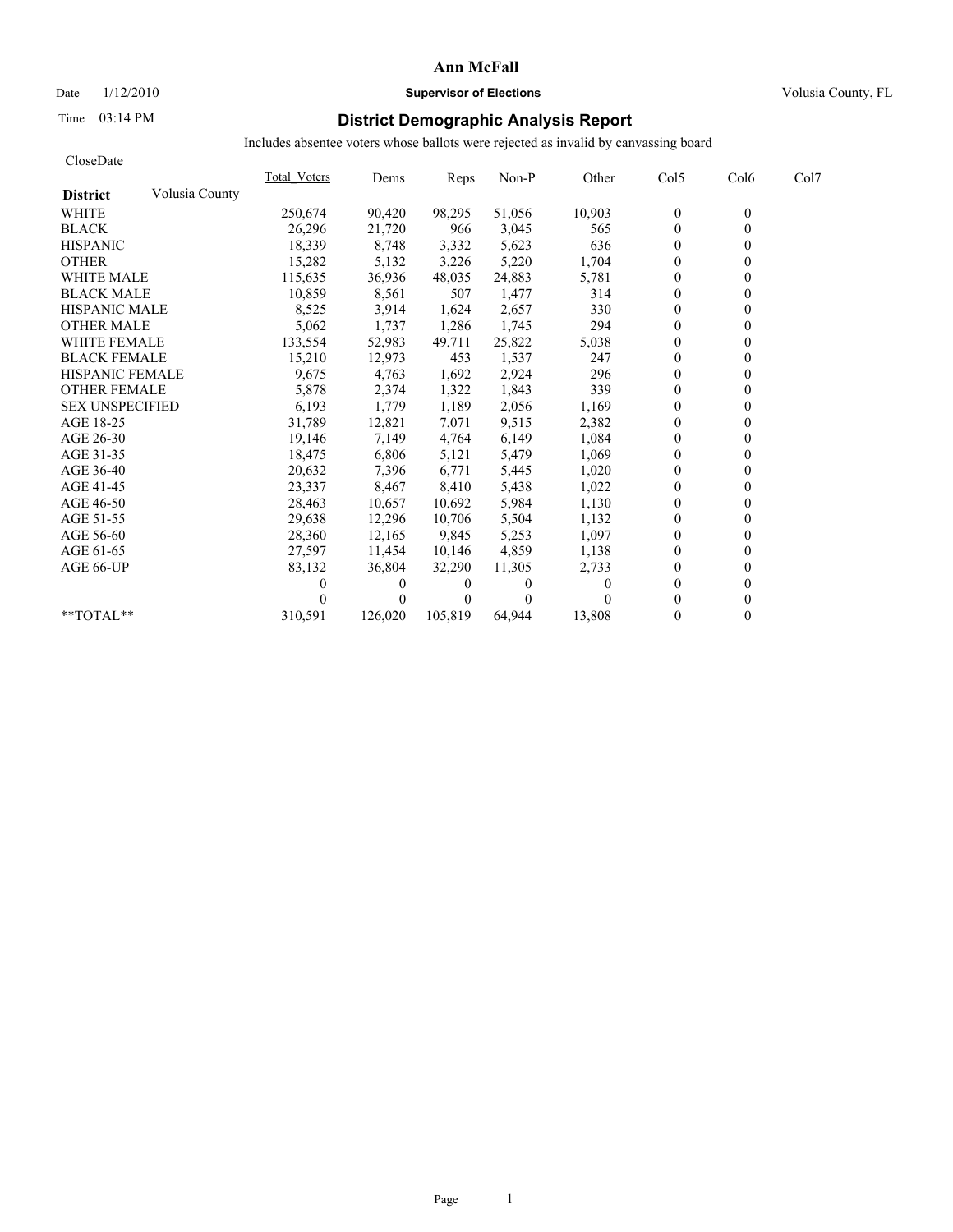# Date  $1/12/2010$  **Supervisor of Elections** Volusia County, FL

# Time 03:14 PM **District Demographic Analysis Report**

| CloseDate              |                |              |          |          |          |          |              |                  |      |
|------------------------|----------------|--------------|----------|----------|----------|----------|--------------|------------------|------|
|                        |                | Total Voters | Dems     | Reps     | Non-P    | Other    | Col5         | Col <sub>6</sub> | Col7 |
| <b>District</b>        | Volusia County |              |          |          |          |          |              |                  |      |
| <b>WHITE</b>           |                | 250,674      | 90,420   | 98,295   | 51,056   | 10,903   | $\mathbf{0}$ | $\mathbf{0}$     |      |
| <b>BLACK</b>           |                | 26,296       | 21,720   | 966      | 3,045    | 565      | $\mathbf{0}$ | $\Omega$         |      |
| <b>HISPANIC</b>        |                | 18,339       | 8,748    | 3,332    | 5,623    | 636      | $\theta$     |                  |      |
| <b>OTHER</b>           |                | 15,282       | 5,132    | 3,226    | 5,220    | 1,704    | $\theta$     |                  |      |
| <b>WHITE MALE</b>      |                | 115,635      | 36,936   | 48,035   | 24,883   | 5,781    | $\theta$     |                  |      |
| <b>BLACK MALE</b>      |                | 10,859       | 8,561    | 507      | 1,477    | 314      | $\theta$     |                  |      |
| <b>HISPANIC MALE</b>   |                | 8,525        | 3,914    | 1,624    | 2,657    | 330      | $\mathbf{0}$ |                  |      |
| <b>OTHER MALE</b>      |                | 5,062        | 1,737    | 1,286    | 1,745    | 294      | $\theta$     |                  |      |
| <b>WHITE FEMALE</b>    |                | 133,554      | 52,983   | 49,711   | 25,822   | 5,038    | $\theta$     |                  |      |
| <b>BLACK FEMALE</b>    |                | 15,210       | 12,973   | 453      | 1,537    | 247      | $\mathbf{0}$ |                  |      |
| <b>HISPANIC FEMALE</b> |                | 9,675        | 4,763    | 1,692    | 2,924    | 296      | $\theta$     |                  |      |
| <b>OTHER FEMALE</b>    |                | 5,878        | 2,374    | 1,322    | 1,843    | 339      | $\theta$     |                  |      |
| <b>SEX UNSPECIFIED</b> |                | 6,193        | 1,779    | 1,189    | 2,056    | 1,169    | $\theta$     |                  |      |
| AGE 18-25              |                | 31,789       | 12,821   | 7,071    | 9,515    | 2,382    | $\theta$     |                  |      |
| AGE 26-30              |                | 19,146       | 7,149    | 4.764    | 6,149    | 1,084    | $\theta$     |                  |      |
| AGE 31-35              |                | 18,475       | 6,806    | 5,121    | 5,479    | 1,069    | $\theta$     |                  |      |
| AGE 36-40              |                | 20,632       | 7,396    | 6,771    | 5,445    | 1,020    | $\theta$     |                  |      |
| AGE 41-45              |                | 23,337       | 8,467    | 8,410    | 5,438    | 1,022    | $\mathbf{0}$ |                  |      |
| AGE 46-50              |                | 28,463       | 10,657   | 10,692   | 5,984    | 1,130    | $\mathbf{0}$ |                  |      |
| AGE 51-55              |                | 29,638       | 12,296   | 10,706   | 5,504    | 1,132    | $\mathbf{0}$ |                  |      |
| AGE 56-60              |                | 28,360       | 12,165   | 9,845    | 5,253    | 1,097    | $\theta$     |                  |      |
| AGE 61-65              |                | 27,597       | 11,454   | 10,146   | 4,859    | 1,138    | $\theta$     |                  |      |
| AGE 66-UP              |                | 83,132       | 36,804   | 32,290   | 11,305   | 2,733    | $\theta$     |                  |      |
|                        |                |              | $\bf{0}$ | $\theta$ | $\Omega$ | $\theta$ | $\Omega$     |                  |      |
|                        |                |              | $\theta$ | $\theta$ | $\theta$ |          | $\Omega$     |                  |      |
| $*$ $TOTAI.**$         |                | 310,591      | 126,020  | 105,819  | 64,944   | 13,808   | $\theta$     |                  |      |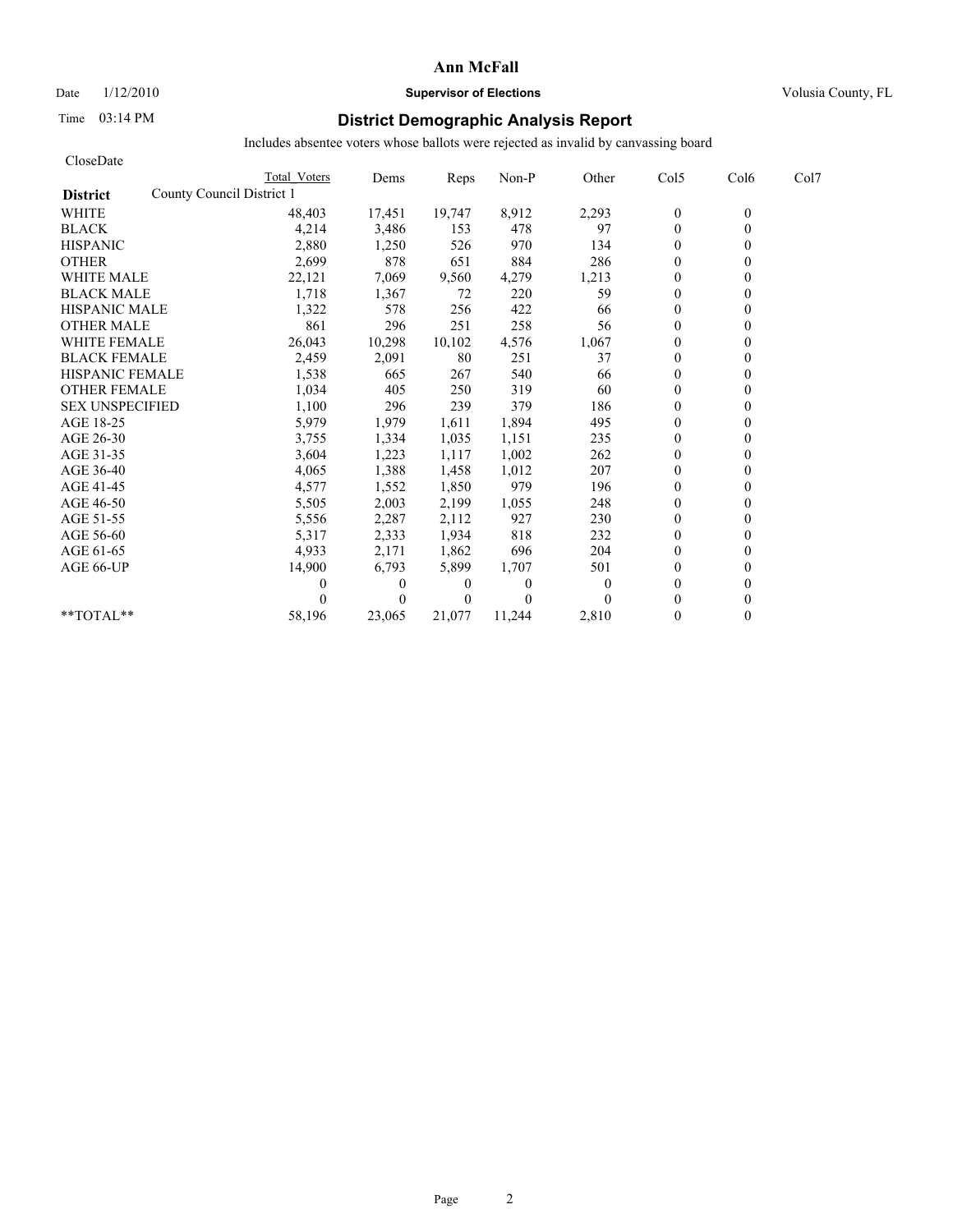## Date  $1/12/2010$  **Supervisor of Elections** Volusia County, FL

# Time 03:14 PM **District Demographic Analysis Report**

| CloseDate                                    |              |              |                |                |                |                  |                  |      |
|----------------------------------------------|--------------|--------------|----------------|----------------|----------------|------------------|------------------|------|
|                                              | Total Voters | Dems         | Reps           | Non-P          | Other          | Col5             | Col <sub>6</sub> | Col7 |
| County Council District 1<br><b>District</b> |              |              |                |                |                |                  |                  |      |
| <b>WHITE</b>                                 | 48,403       | 17,451       | 19,747         | 8,912          | 2,293          | $\boldsymbol{0}$ | $\theta$         |      |
| <b>BLACK</b>                                 | 4,214        | 3,486        | 153            | 478            | 97             | $\mathbf{0}$     | $\theta$         |      |
| <b>HISPANIC</b>                              | 2,880        | 1,250        | 526            | 970            | 134            | $\mathbf{0}$     |                  |      |
| <b>OTHER</b>                                 | 2,699        | 878          | 651            | 884            | 286            | $\theta$         |                  |      |
| <b>WHITE MALE</b>                            | 22,121       | 7,069        | 9,560          | 4,279          | 1,213          | $\mathbf{0}$     |                  |      |
| <b>BLACK MALE</b>                            | 1,718        | 1,367        | 72             | 220            | 59             | $\mathbf{0}$     |                  |      |
| <b>HISPANIC MALE</b>                         | 1,322        | 578          | 256            | 422            | 66             | $\Omega$         |                  |      |
| <b>OTHER MALE</b>                            | 861          | 296          | 251            | 258            | 56             | $\theta$         |                  |      |
| <b>WHITE FEMALE</b>                          | 26,043       | 10,298       | 10,102         | 4,576          | 1,067          | $\Omega$         |                  |      |
| <b>BLACK FEMALE</b>                          | 2,459        | 2,091        | 80             | 251            | 37             | $\theta$         |                  |      |
| <b>HISPANIC FEMALE</b>                       | 1,538        | 665          | 267            | 540            | 66             | $\theta$         |                  |      |
| <b>OTHER FEMALE</b>                          | 1,034        | 405          | 250            | 319            | 60             | $\mathbf{0}$     |                  |      |
| <b>SEX UNSPECIFIED</b>                       | 1,100        | 296          | 239            | 379            | 186            | $\mathbf{0}$     |                  |      |
| AGE 18-25                                    | 5,979        | 1,979        | 1,611          | 1,894          | 495            | $\mathbf{0}$     |                  |      |
| AGE 26-30                                    | 3,755        | 1,334        | 1.035          | 1,151          | 235            | $\theta$         |                  |      |
| AGE 31-35                                    | 3,604        | 1,223        | 1,117          | 1,002          | 262            | $\mathbf{0}$     |                  |      |
| AGE 36-40                                    | 4,065        | 1,388        | 1,458          | 1,012          | 207            | $\theta$         |                  |      |
| AGE 41-45                                    | 4,577        | 1,552        | 1,850          | 979            | 196            | $\mathbf{0}$     |                  |      |
| AGE 46-50                                    | 5,505        | 2,003        | 2,199          | 1,055          | 248            | $\mathbf{0}$     |                  |      |
| AGE 51-55                                    | 5,556        | 2,287        | 2,112          | 927            | 230            | $\mathbf{0}$     |                  |      |
| AGE 56-60                                    | 5,317        | 2,333        | 1,934          | 818            | 232            | $\theta$         |                  |      |
| AGE 61-65                                    | 4,933        | 2,171        | 1,862          | 696            | 204            | $\theta$         |                  |      |
| AGE 66-UP                                    | 14,900       | 6,793        | 5,899          | 1,707          | 501            | $\mathbf{0}$     |                  |      |
|                                              |              | $\mathbf{0}$ | $\overline{0}$ | $\overline{0}$ | $\overline{0}$ | $\mathbf{0}$     |                  |      |
|                                              |              | $\Omega$     | $\overline{0}$ | $\Omega$       | $\theta$       | $\theta$         |                  |      |
| **TOTAL**                                    | 58,196       | 23,065       | 21,077         | 11,244         | 2,810          | $\theta$         | 0                |      |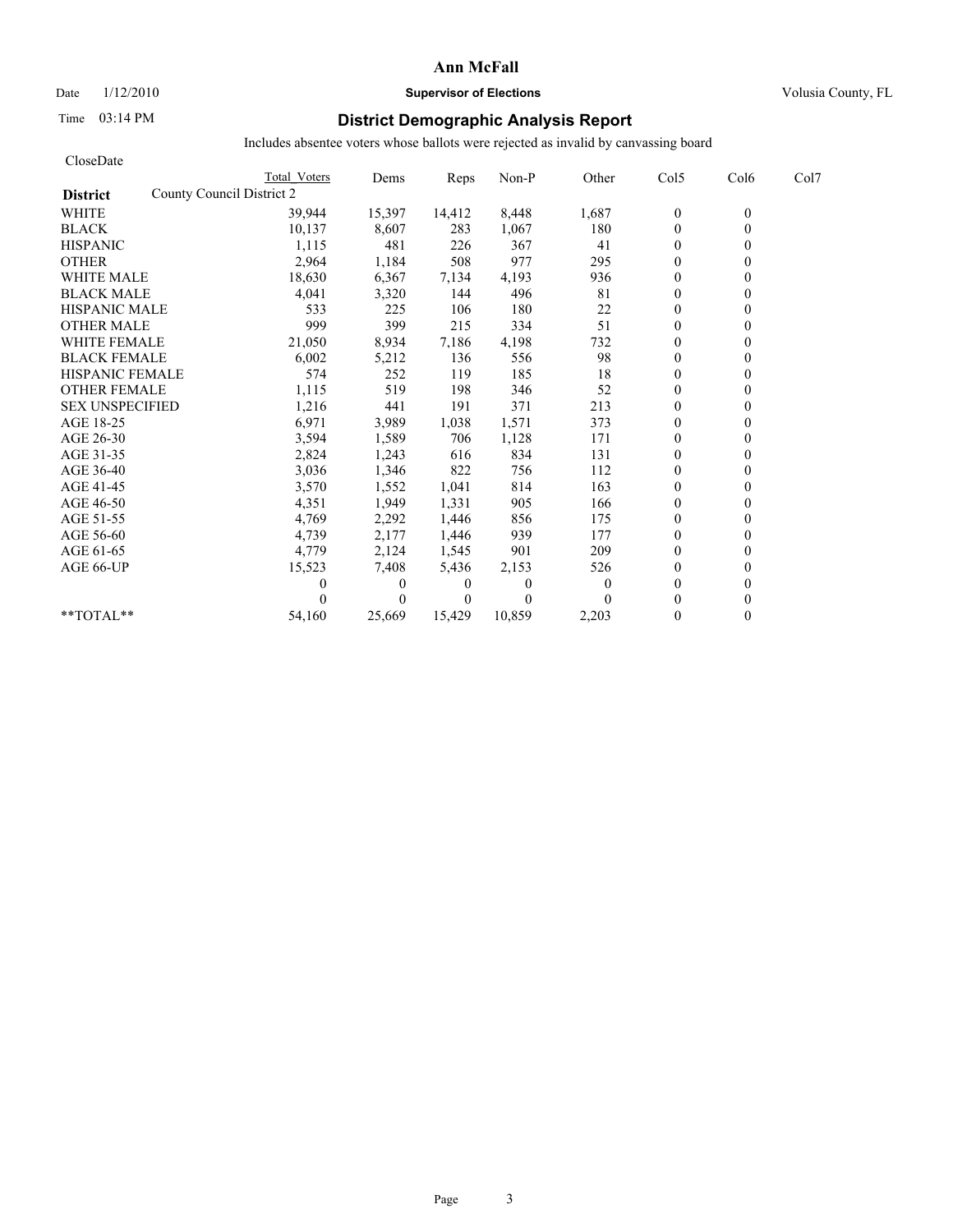Date  $1/12/2010$  **Supervisor of Elections** Volusia County, FL

# Time 03:14 PM **District Demographic Analysis Report**

| CloseDate                                    |              |          |                |          |                |                  |          |      |
|----------------------------------------------|--------------|----------|----------------|----------|----------------|------------------|----------|------|
|                                              | Total Voters | Dems     | Reps           | Non-P    | Other          | Col5             | Col6     | Col7 |
| County Council District 2<br><b>District</b> |              |          |                |          |                |                  |          |      |
| <b>WHITE</b>                                 | 39,944       | 15,397   | 14,412         | 8,448    | 1,687          | $\boldsymbol{0}$ | $\theta$ |      |
| <b>BLACK</b>                                 | 10,137       | 8,607    | 283            | 1,067    | 180            | $\mathbf{0}$     | $\theta$ |      |
| <b>HISPANIC</b>                              | 1,115        | 481      | 226            | 367      | 41             | $\overline{0}$   |          |      |
| <b>OTHER</b>                                 | 2,964        | 1,184    | 508            | 977      | 295            | $\theta$         |          |      |
| <b>WHITE MALE</b>                            | 18,630       | 6,367    | 7,134          | 4,193    | 936            | $\theta$         |          |      |
| <b>BLACK MALE</b>                            | 4,041        | 3,320    | 144            | 496      | 81             | $\mathbf{0}$     |          |      |
| <b>HISPANIC MALE</b>                         | 533          | 225      | 106            | 180      | 22             | $\Omega$         |          |      |
| <b>OTHER MALE</b>                            | 999          | 399      | 215            | 334      | 51             | $\theta$         |          |      |
| <b>WHITE FEMALE</b>                          | 21,050       | 8,934    | 7,186          | 4,198    | 732            | $\theta$         |          |      |
| <b>BLACK FEMALE</b>                          | 6,002        | 5,212    | 136            | 556      | 98             | $\theta$         |          |      |
| <b>HISPANIC FEMALE</b>                       | 574          | 252      | 119            | 185      | 18             | $\mathbf{0}$     |          |      |
| <b>OTHER FEMALE</b>                          | 1,115        | 519      | 198            | 346      | 52             | $\mathbf{0}$     |          |      |
| <b>SEX UNSPECIFIED</b>                       | 1,216        | 441      | 191            | 371      | 213            | $\mathbf{0}$     |          |      |
| AGE 18-25                                    | 6,971        | 3,989    | 1,038          | 1,571    | 373            | $\mathbf{0}$     |          |      |
| AGE 26-30                                    | 3,594        | 1,589    | 706            | 1,128    | 171            | $\theta$         |          |      |
| AGE 31-35                                    | 2,824        | 1,243    | 616            | 834      | 131            | $\mathbf{0}$     |          |      |
| AGE 36-40                                    | 3,036        | 1,346    | 822            | 756      | 112            | $\theta$         |          |      |
| AGE 41-45                                    | 3,570        | 1,552    | 1,041          | 814      | 163            | $\overline{0}$   |          |      |
| AGE 46-50                                    | 4,351        | 1,949    | 1,331          | 905      | 166            | $\mathbf{0}$     |          |      |
| AGE 51-55                                    | 4,769        | 2,292    | 1,446          | 856      | 175            | $\mathbf{0}$     |          |      |
| AGE 56-60                                    | 4,739        | 2,177    | 1,446          | 939      | 177            | $\theta$         |          |      |
| AGE 61-65                                    | 4,779        | 2,124    | 1,545          | 901      | 209            | $\theta$         |          |      |
| AGE 66-UP                                    | 15,523       | 7,408    | 5,436          | 2,153    | 526            | $\mathbf{0}$     |          |      |
|                                              |              | $\theta$ | $\theta$       | 0        | $\overline{0}$ | $\mathbf{0}$     |          |      |
|                                              |              | $\theta$ | $\overline{0}$ | $\Omega$ | $\theta$       | $\theta$         |          |      |
| **TOTAL**                                    | 54,160       | 25,669   | 15,429         | 10,859   | 2,203          | $\theta$         | 0        |      |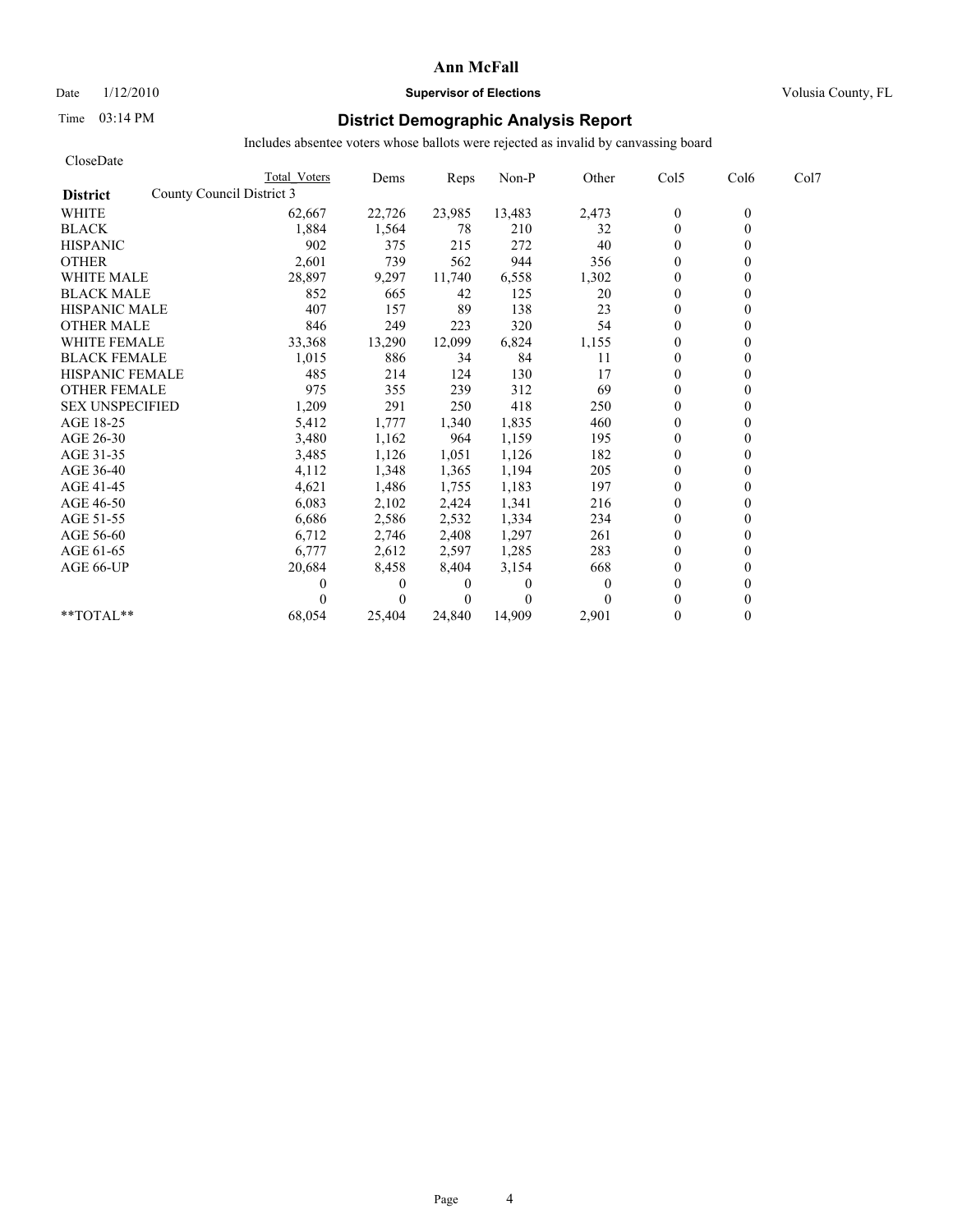Date  $1/12/2010$  **Supervisor of Elections** Volusia County, FL

## Time 03:14 PM **District Demographic Analysis Report**

| CloseDate                                    |              |              |          |          |          |                  |          |      |
|----------------------------------------------|--------------|--------------|----------|----------|----------|------------------|----------|------|
|                                              | Total Voters | Dems         | Reps     | Non-P    | Other    | Col5             | Col6     | Col7 |
| County Council District 3<br><b>District</b> |              |              |          |          |          |                  |          |      |
| <b>WHITE</b>                                 | 62,667       | 22,726       | 23,985   | 13,483   | 2,473    | $\boldsymbol{0}$ | $\theta$ |      |
| <b>BLACK</b>                                 | 1,884        | 1,564        | 78       | 210      | 32       | $\mathbf{0}$     | 0        |      |
| <b>HISPANIC</b>                              | 902          | 375          | 215      | 272      | 40       | $\theta$         |          |      |
| <b>OTHER</b>                                 | 2,601        | 739          | 562      | 944      | 356      | $\theta$         |          |      |
| <b>WHITE MALE</b>                            | 28,897       | 9,297        | 11,740   | 6,558    | 1,302    | $\theta$         |          |      |
| <b>BLACK MALE</b>                            | 852          | 665          | 42       | 125      | 20       | $\mathbf{0}$     |          |      |
| <b>HISPANIC MALE</b>                         | 407          | 157          | 89       | 138      | 23       | $\theta$         |          |      |
| <b>OTHER MALE</b>                            | 846          | 249          | 223      | 320      | 54       | $\theta$         |          |      |
| <b>WHITE FEMALE</b>                          | 33,368       | 13,290       | 12,099   | 6,824    | 1,155    | $\theta$         |          |      |
| <b>BLACK FEMALE</b>                          | 1,015        | 886          | 34       | 84       | 11       | $\overline{0}$   |          |      |
| <b>HISPANIC FEMALE</b>                       | 485          | 214          | 124      | 130      | 17       | $\theta$         |          |      |
| <b>OTHER FEMALE</b>                          | 975          | 355          | 239      | 312      | 69       | $\theta$         |          |      |
| <b>SEX UNSPECIFIED</b>                       | 1,209        | 291          | 250      | 418      | 250      | $\theta$         |          |      |
| AGE 18-25                                    | 5,412        | 1,777        | 1,340    | 1,835    | 460      | $\mathbf{0}$     |          |      |
| AGE 26-30                                    | 3,480        | 1,162        | 964      | 1,159    | 195      | $\mathbf{0}$     |          |      |
| AGE 31-35                                    | 3,485        | 1,126        | 1,051    | 1,126    | 182      | $\mathbf{0}$     |          |      |
| AGE 36-40                                    | 4,112        | 1,348        | 1,365    | 1,194    | 205      | $\mathbf{0}$     |          |      |
| AGE 41-45                                    | 4,621        | 1,486        | 1,755    | 1,183    | 197      | $\mathbf{0}$     |          |      |
| AGE 46-50                                    | 6,083        | 2,102        | 2,424    | 1,341    | 216      | $\theta$         |          |      |
| AGE 51-55                                    | 6,686        | 2,586        | 2,532    | 1,334    | 234      | $\mathbf{0}$     |          |      |
| AGE 56-60                                    | 6,712        | 2,746        | 2,408    | 1,297    | 261      | $\mathbf{0}$     |          |      |
| AGE 61-65                                    | 6,777        | 2,612        | 2,597    | 1,285    | 283      | $\theta$         |          |      |
| AGE 66-UP                                    | 20,684       | 8,458        | 8,404    | 3,154    | 668      | $\theta$         |          |      |
|                                              | 0            | $\mathbf{0}$ | 0        | $\theta$ | $\theta$ | $\mathbf{0}$     |          |      |
|                                              |              | $\theta$     | $\theta$ | $\Omega$ |          | $\theta$         |          |      |
| **TOTAL**                                    | 68,054       | 25,404       | 24.840   | 14,909   | 2,901    | $\theta$         | 0        |      |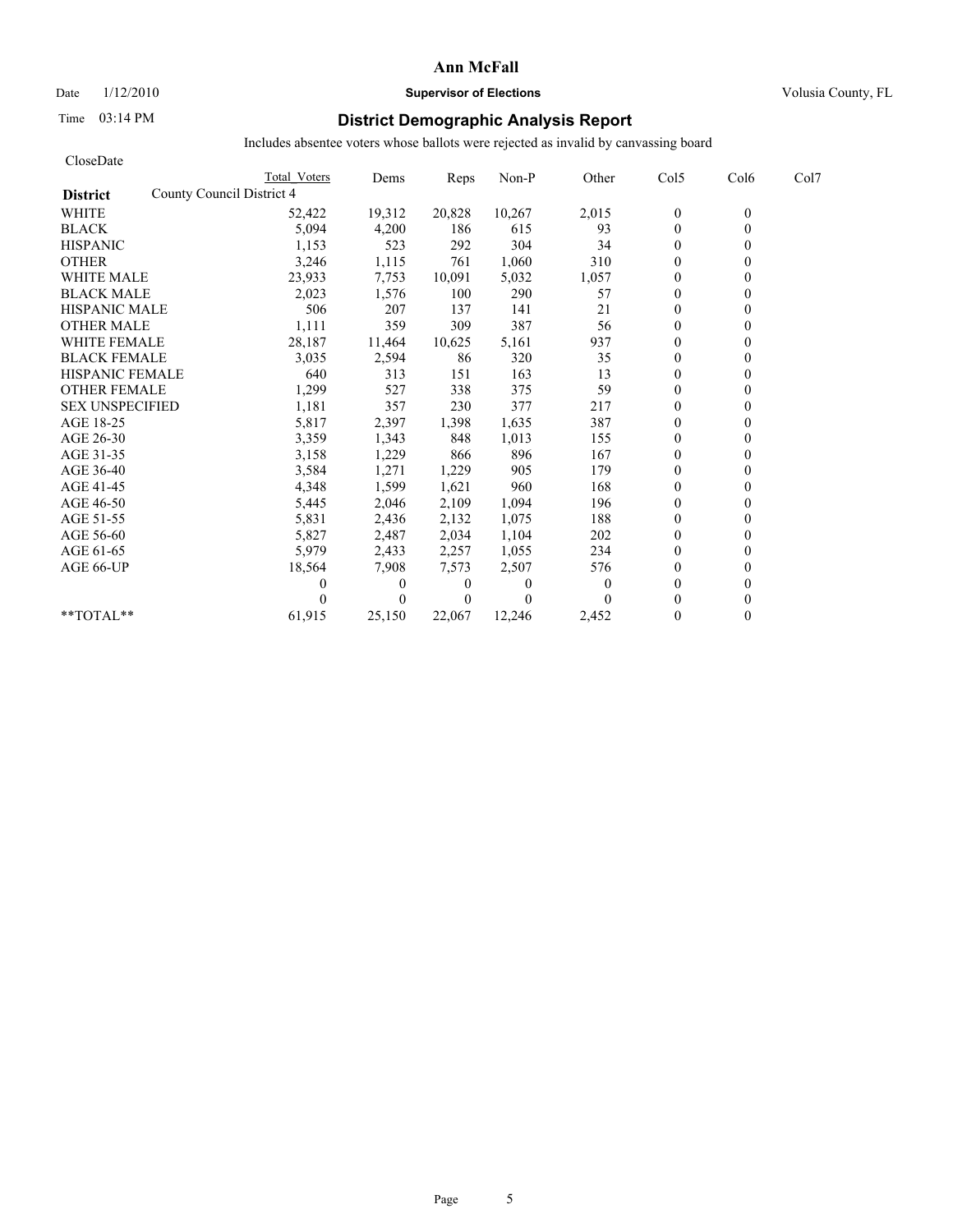## Date  $1/12/2010$  **Supervisor of Elections** Volusia County, FL

# Time 03:14 PM **District Demographic Analysis Report**

| CloseDate              |                           |          |                |          |                |                |              |      |
|------------------------|---------------------------|----------|----------------|----------|----------------|----------------|--------------|------|
|                        | Total Voters              | Dems     | Reps           | Non-P    | Other          | Col5           | Col6         | Col7 |
| <b>District</b>        | County Council District 4 |          |                |          |                |                |              |      |
| <b>WHITE</b>           | 52,422                    | 19,312   | 20,828         | 10,267   | 2,015          | $\mathbf{0}$   | $\mathbf{0}$ |      |
| <b>BLACK</b>           | 5,094                     | 4,200    | 186            | 615      | 93             | $\mathbf{0}$   | 0            |      |
| <b>HISPANIC</b>        | 1,153                     | 523      | 292            | 304      | 34             | $\theta$       |              |      |
| <b>OTHER</b>           | 3,246                     | 1,115    | 761            | 1,060    | 310            | $\theta$       |              |      |
| <b>WHITE MALE</b>      | 23,933                    | 7,753    | 10,091         | 5,032    | 1,057          | $\mathbf{0}$   |              |      |
| <b>BLACK MALE</b>      | 2,023                     | 1,576    | 100            | 290      | 57             | $\mathbf{0}$   |              |      |
| <b>HISPANIC MALE</b>   | 506                       | 207      | 137            | 141      | 21             | $\overline{0}$ |              |      |
| <b>OTHER MALE</b>      | 1,111                     | 359      | 309            | 387      | 56             | $\theta$       |              |      |
| <b>WHITE FEMALE</b>    | 28,187                    | 11,464   | 10,625         | 5,161    | 937            | $\Omega$       |              |      |
| <b>BLACK FEMALE</b>    | 3,035                     | 2,594    | 86             | 320      | 35             | $\mathbf{0}$   |              |      |
| <b>HISPANIC FEMALE</b> | 640                       | 313      | 151            | 163      | 13             | $\theta$       |              |      |
| <b>OTHER FEMALE</b>    | 1,299                     | 527      | 338            | 375      | 59             | $\mathbf{0}$   |              |      |
| <b>SEX UNSPECIFIED</b> | 1,181                     | 357      | 230            | 377      | 217            | $\theta$       |              |      |
| AGE 18-25              | 5,817                     | 2,397    | 1,398          | 1,635    | 387            | $\theta$       |              |      |
| AGE 26-30              | 3,359                     | 1,343    | 848            | 1,013    | 155            | $\theta$       |              |      |
| AGE 31-35              | 3,158                     | 1,229    | 866            | 896      | 167            | $\theta$       |              |      |
| AGE 36-40              | 3,584                     | 1,271    | 1,229          | 905      | 179            | $\theta$       |              |      |
| AGE 41-45              | 4,348                     | 1,599    | 1,621          | 960      | 168            | $\overline{0}$ |              |      |
| AGE 46-50              | 5,445                     | 2,046    | 2,109          | 1,094    | 196            | $\mathbf{0}$   |              |      |
| AGE 51-55              | 5,831                     | 2,436    | 2,132          | 1,075    | 188            | $\overline{0}$ |              |      |
| AGE 56-60              | 5,827                     | 2,487    | 2,034          | 1,104    | 202            | $\theta$       |              |      |
| AGE 61-65              | 5,979                     | 2,433    | 2,257          | 1,055    | 234            | $\theta$       |              |      |
| AGE 66-UP              | 18,564                    | 7,908    | 7,573          | 2,507    | 576            | $\theta$       |              |      |
|                        |                           | $\theta$ | $\overline{0}$ | $\Omega$ | $\overline{0}$ | $\theta$       |              |      |
|                        |                           | $\theta$ | $\Omega$       | $\Omega$ | 0              | $\theta$       |              |      |
| $*$ $TOTAI.**$         | 61,915                    | 25,150   | 22,067         | 12,246   | 2,452          | $\Omega$       | 0            |      |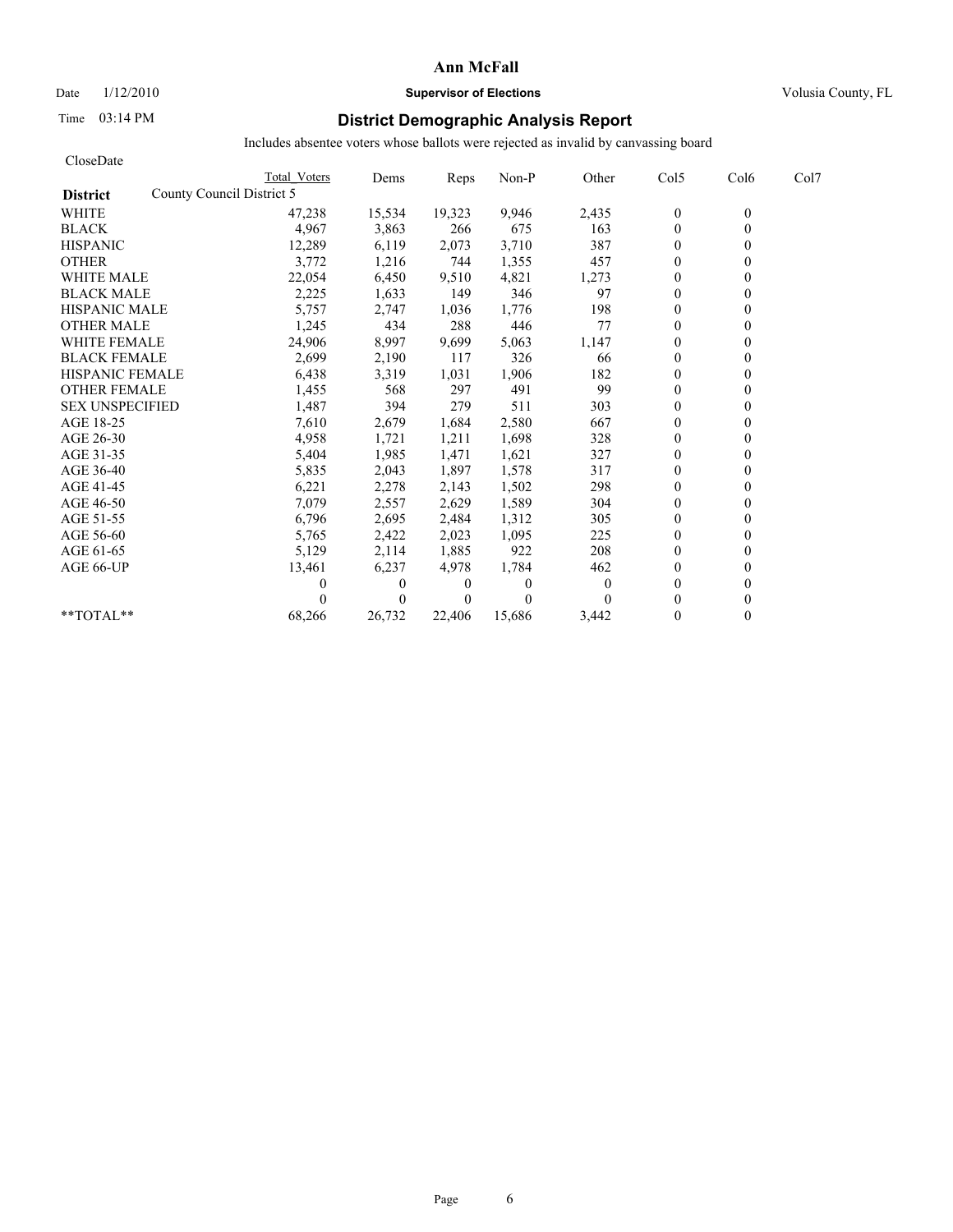## Date  $1/12/2010$  **Supervisor of Elections** Volusia County, FL

# Time 03:14 PM **District Demographic Analysis Report**

| CloseDate                                    |              |              |                |          |          |                |                  |      |
|----------------------------------------------|--------------|--------------|----------------|----------|----------|----------------|------------------|------|
|                                              | Total Voters | Dems         | Reps           | Non-P    | Other    | Col5           | Col <sub>6</sub> | Col7 |
| County Council District 5<br><b>District</b> |              |              |                |          |          |                |                  |      |
| <b>WHITE</b>                                 | 47,238       | 15,534       | 19,323         | 9,946    | 2,435    | $\mathbf{0}$   | $\theta$         |      |
| <b>BLACK</b>                                 | 4,967        | 3,863        | 266            | 675      | 163      | $\mathbf{0}$   | $\theta$         |      |
| <b>HISPANIC</b>                              | 12,289       | 6,119        | 2,073          | 3,710    | 387      | $\mathbf{0}$   |                  |      |
| <b>OTHER</b>                                 | 3,772        | 1,216        | 744            | 1,355    | 457      | $\theta$       |                  |      |
| <b>WHITE MALE</b>                            | 22,054       | 6,450        | 9,510          | 4,821    | 1,273    | $\theta$       |                  |      |
| <b>BLACK MALE</b>                            | 2,225        | 1,633        | 149            | 346      | 97       | $\mathbf{0}$   |                  |      |
| <b>HISPANIC MALE</b>                         | 5,757        | 2,747        | 1,036          | 1,776    | 198      | $\Omega$       |                  |      |
| <b>OTHER MALE</b>                            | 1,245        | 434          | 288            | 446      | 77       | $\theta$       |                  |      |
| <b>WHITE FEMALE</b>                          | 24,906       | 8,997        | 9,699          | 5,063    | 1,147    | $\theta$       |                  |      |
| <b>BLACK FEMALE</b>                          | 2,699        | 2,190        | 117            | 326      | 66       | $\theta$       |                  |      |
| <b>HISPANIC FEMALE</b>                       | 6,438        | 3,319        | 1,031          | 1,906    | 182      | $\theta$       |                  |      |
| <b>OTHER FEMALE</b>                          | 1,455        | 568          | 297            | 491      | 99       | $\mathbf{0}$   |                  |      |
| <b>SEX UNSPECIFIED</b>                       | 1,487        | 394          | 279            | 511      | 303      | $\mathbf{0}$   |                  |      |
| AGE 18-25                                    | 7,610        | 2,679        | 1,684          | 2,580    | 667      | $\mathbf{0}$   |                  |      |
| AGE 26-30                                    | 4,958        | 1,721        | 1,211          | 1,698    | 328      | $\theta$       |                  |      |
| AGE 31-35                                    | 5,404        | 1,985        | 1,471          | 1,621    | 327      | $\mathbf{0}$   |                  |      |
| AGE 36-40                                    | 5,835        | 2,043        | 1,897          | 1,578    | 317      | $\theta$       |                  |      |
| AGE 41-45                                    | 6,221        | 2,278        | 2,143          | 1,502    | 298      | $\overline{0}$ |                  |      |
| AGE 46-50                                    | 7,079        | 2,557        | 2,629          | 1,589    | 304      | $\mathbf{0}$   |                  |      |
| AGE 51-55                                    | 6,796        | 2,695        | 2,484          | 1,312    | 305      | $\mathbf{0}$   |                  |      |
| AGE 56-60                                    | 5,765        | 2,422        | 2,023          | 1,095    | 225      | $\theta$       |                  |      |
| AGE 61-65                                    | 5,129        | 2,114        | 1,885          | 922      | 208      | $\theta$       |                  |      |
| AGE 66-UP                                    | 13,461       | 6,237        | 4,978          | 1,784    | 462      | $\theta$       |                  |      |
|                                              |              | $\mathbf{0}$ | $\overline{0}$ | 0        | $\theta$ | $\mathbf{0}$   |                  |      |
|                                              |              | $\theta$     | $\overline{0}$ | $\Omega$ | $\Omega$ | $\theta$       |                  |      |
| **TOTAL**                                    | 68,266       | 26,732       | 22.406         | 15.686   | 3,442    | $\theta$       | 0                |      |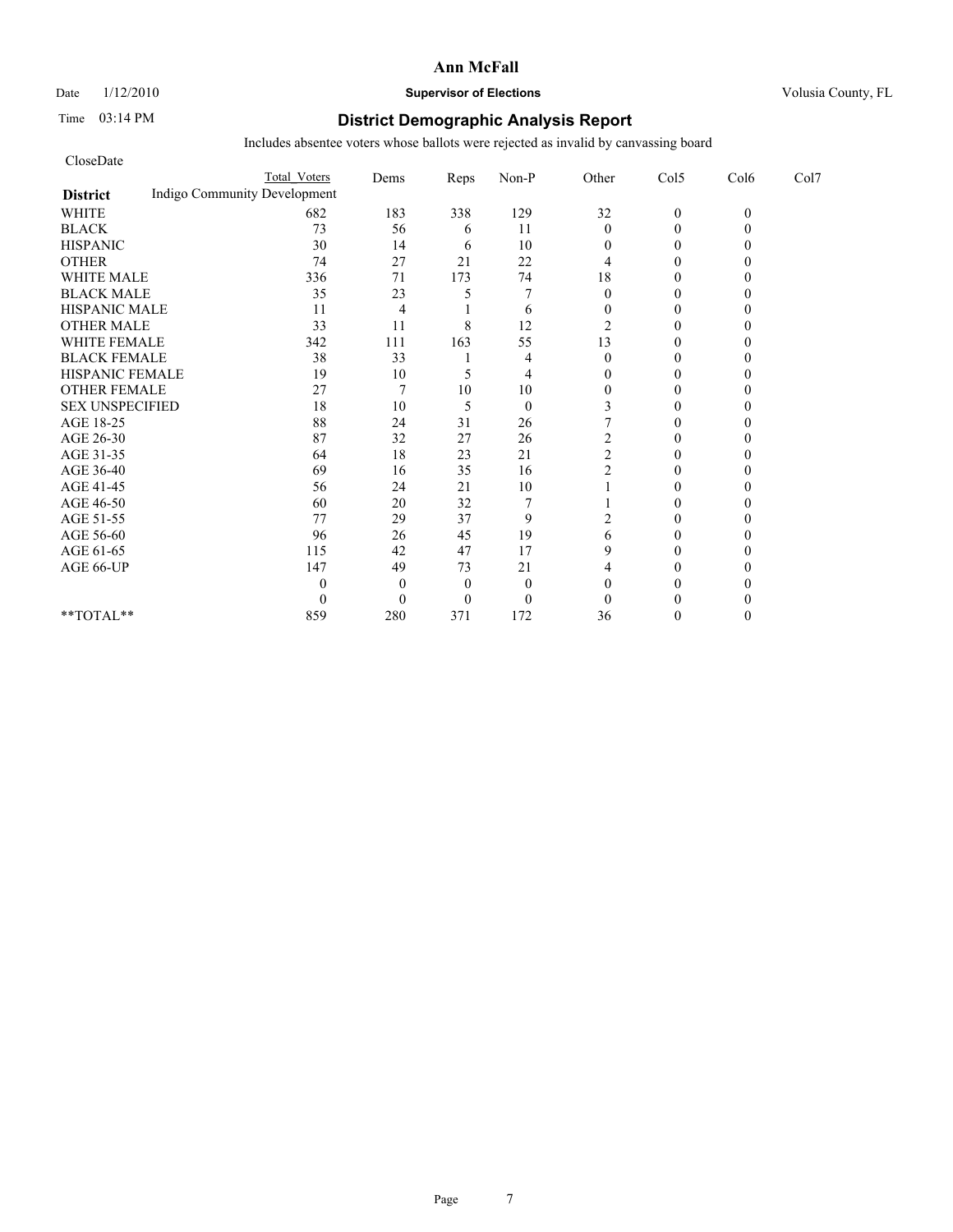#### Date  $1/12/2010$  **Supervisor of Elections** Volusia County, FL

## Time 03:14 PM **District Demographic Analysis Report**

| CloseDate              |                              |                |          |              |                |                |          |      |
|------------------------|------------------------------|----------------|----------|--------------|----------------|----------------|----------|------|
|                        | <b>Total Voters</b>          | Dems           | Reps     | Non-P        | Other          | Col5           | Col6     | Col7 |
| <b>District</b>        | Indigo Community Development |                |          |              |                |                |          |      |
| <b>WHITE</b>           | 682                          | 183            | 338      | 129          | 32             | $\mathbf{0}$   | $\theta$ |      |
| <b>BLACK</b>           | 73                           | 56             | 6        | 11           | $\mathbf{0}$   | $\theta$       |          |      |
| <b>HISPANIC</b>        | 30                           | 14             | 6        | 10           | 0              | $\overline{0}$ |          |      |
| <b>OTHER</b>           | 74                           | 27             | 21       | 22           | 4              | $\theta$       |          |      |
| <b>WHITE MALE</b>      | 336                          | 71             | 173      | 74           | 18             | $\theta$       |          |      |
| <b>BLACK MALE</b>      | 35                           | 23             | 5        | $\tau$       | $\theta$       | $\theta$       |          |      |
| <b>HISPANIC MALE</b>   | 11                           | 4              |          | 6            | $\Omega$       | $\theta$       |          |      |
| <b>OTHER MALE</b>      | 33                           | 11             | 8        | 12           | 2              | $\overline{0}$ |          |      |
| <b>WHITE FEMALE</b>    | 342                          | 111            | 163      | 55           | 13             | $\theta$       |          |      |
| <b>BLACK FEMALE</b>    | 38                           | 33             |          | 4            | $\theta$       | $\Omega$       |          |      |
| HISPANIC FEMALE        | 19                           | 10             | 5        | 4            | $\Omega$       | $\Omega$       |          |      |
| <b>OTHER FEMALE</b>    | 27                           | $\overline{7}$ | 10       | 10           | $\overline{0}$ | $\Omega$       |          |      |
| <b>SEX UNSPECIFIED</b> | 18                           | 10             | 5        | $\mathbf{0}$ |                | 0              |          |      |
| AGE 18-25              | 88                           | 24             | 31       | 26           |                | $\theta$       |          |      |
| AGE 26-30              | 87                           | 32             | 27       | 26           | 2              | 0              |          |      |
| AGE 31-35              | 64                           | 18             | 23       | 21           | $\overline{c}$ | $\Omega$       |          |      |
| AGE 36-40              | 69                           | 16             | 35       | 16           | $\overline{c}$ | $\Omega$       |          |      |
| AGE 41-45              | 56                           | 24             | 21       | 10           |                | $\mathbf{0}$   |          |      |
| AGE 46-50              | 60                           | 20             | 32       | 7            |                | $\theta$       |          |      |
| AGE 51-55              | 77                           | 29             | 37       | 9            | 2              | $\Omega$       |          |      |
| AGE 56-60              | 96                           | 26             | 45       | 19           | 6              | $\overline{0}$ |          |      |
| AGE 61-65              | 115                          | 42             | 47       | 17           | 9              | $\theta$       |          |      |
| AGE 66-UP              | 147                          | 49             | 73       | 21           | 4              | $\Omega$       |          |      |
|                        | 0                            | $\overline{0}$ | $\theta$ | $\mathbf{0}$ | $\theta$       | 0              |          |      |
|                        | 0                            | $\Omega$       | $\Omega$ | $\mathbf{0}$ | $\theta$       | $\Omega$       |          |      |
| **TOTAL**              | 859                          | 280            | 371      | 172          | 36             | $\Omega$       |          |      |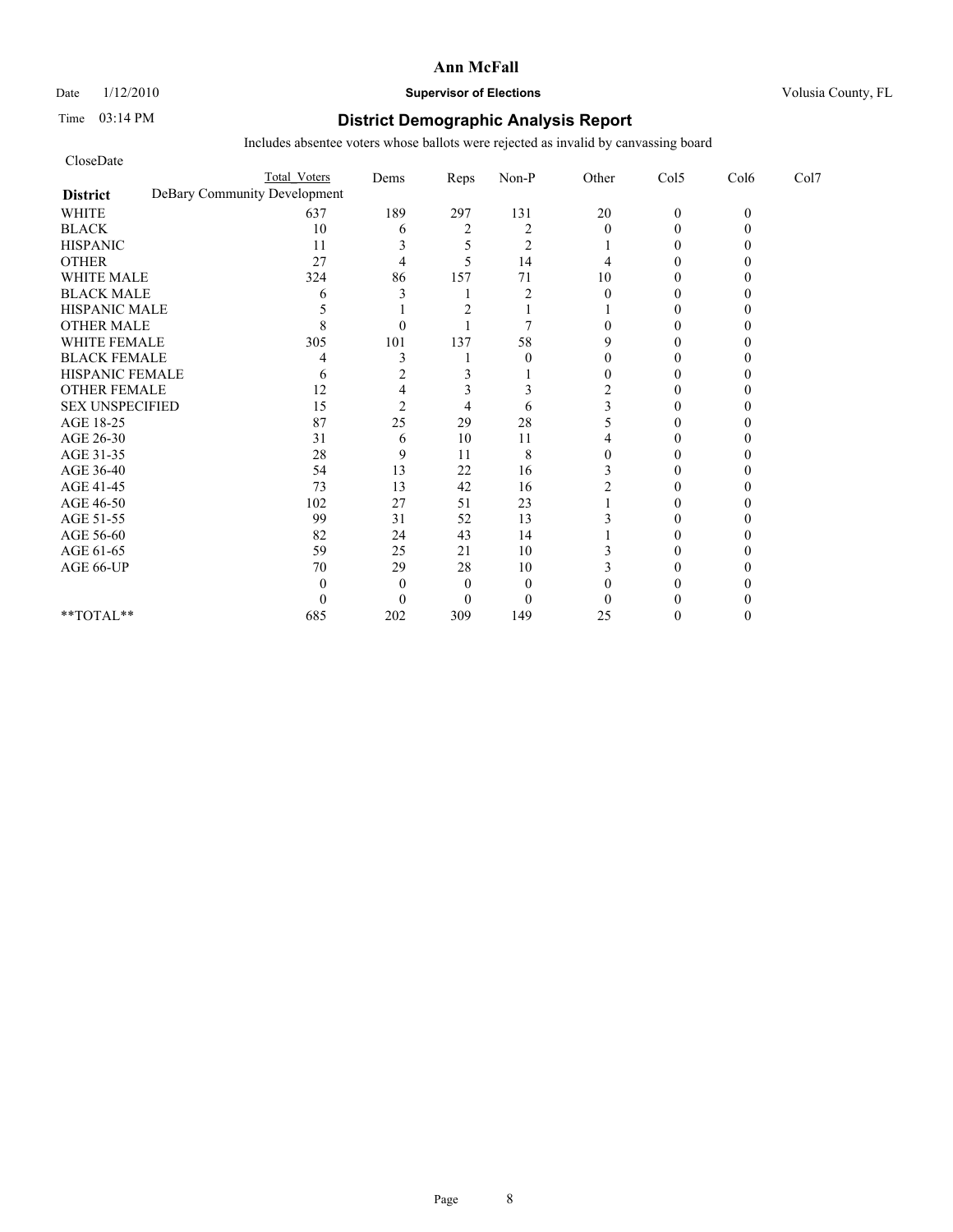#### Date  $1/12/2010$  **Supervisor of Elections** Volusia County, FL

## Time 03:14 PM **District Demographic Analysis Report**

| CloseDate              |                              |                |                |                |                |              |          |      |
|------------------------|------------------------------|----------------|----------------|----------------|----------------|--------------|----------|------|
|                        | <b>Total Voters</b>          | Dems           | Reps           | Non-P          | Other          | Col5         | Col6     | Col7 |
| <b>District</b>        | DeBary Community Development |                |                |                |                |              |          |      |
| <b>WHITE</b>           | 637                          | 189            | 297            | 131            | $20\,$         | $\mathbf{0}$ | $\theta$ |      |
| <b>BLACK</b>           | 10                           | 6              | $\overline{2}$ | $\overline{2}$ | $\theta$       | $\Omega$     |          |      |
| <b>HISPANIC</b>        | 11                           | 3              |                | $\overline{2}$ |                | $\theta$     |          |      |
| <b>OTHER</b>           | 27                           | $\overline{4}$ | 5              | 14             | 4              | $\Omega$     |          |      |
| <b>WHITE MALE</b>      | 324                          | 86             | 157            | 71             | 10             | $\Omega$     |          |      |
| <b>BLACK MALE</b>      | 6                            |                |                | $\overline{2}$ | $\theta$       | 0            |          |      |
| <b>HISPANIC MALE</b>   |                              |                |                |                |                | $\Omega$     |          |      |
| <b>OTHER MALE</b>      |                              | $\Omega$       |                | 7              | 0              | 0            |          |      |
| <b>WHITE FEMALE</b>    | 305                          | 101            | 137            | 58             | 9              | 0            |          |      |
| <b>BLACK FEMALE</b>    |                              | 3              |                | $\theta$       | 0              | 0            |          |      |
| HISPANIC FEMALE        | 6                            | $\overline{c}$ | 3              |                | $\theta$       | $\Omega$     |          |      |
| <b>OTHER FEMALE</b>    | 12                           | 4              |                | 3              | $\overline{2}$ | 0            |          |      |
| <b>SEX UNSPECIFIED</b> | 15                           | $\overline{c}$ | 4              | 6              |                | 0            |          |      |
| AGE 18-25              | 87                           | 25             | 29             | 28             |                | 0            |          |      |
| AGE 26-30              | 31                           | 6              | 10             | 11             |                | 0            |          |      |
| AGE 31-35              | 28                           | 9              | 11             | 8              | 0              | 0            |          |      |
| AGE 36-40              | 54                           | 13             | 22             | 16             |                | 0            |          |      |
| AGE 41-45              | 73                           | 13             | 42             | 16             |                | $\Omega$     |          |      |
| AGE 46-50              | 102                          | 27             | 51             | 23             |                | $\theta$     |          |      |
| AGE 51-55              | 99                           | 31             | 52             | 13             |                | 0            |          |      |
| AGE 56-60              | 82                           | 24             | 43             | 14             |                | 0            |          |      |
| AGE 61-65              | 59                           | 25             | 21             | 10             |                | 0            |          |      |
| AGE 66-UP              | 70                           | 29             | 28             | 10             |                | 0            |          |      |
|                        | 0                            | $\Omega$       | $\overline{0}$ | $\mathbf{0}$   |                |              |          |      |
|                        | 0                            | $\Omega$       | $\Omega$       | $\mathbf{0}$   | 0              | 0            |          |      |
| **TOTAL**              | 685                          | 202            | 309            | 149            | 25             | 0            |          |      |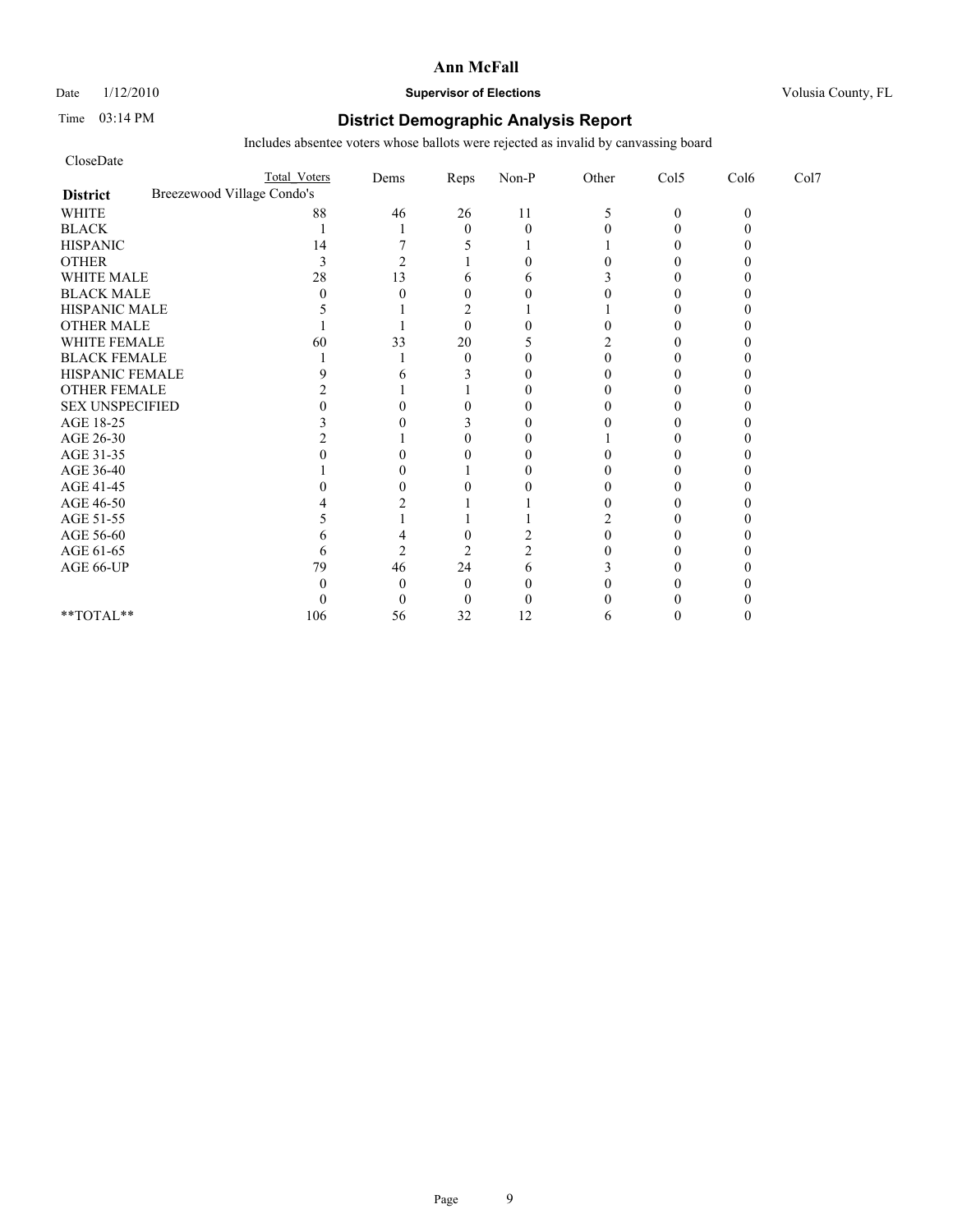Date  $1/12/2010$  **Supervisor of Elections** Volusia County, FL

## Time 03:14 PM **District Demographic Analysis Report**

| CloseDate              |                            |                     |                |              |          |       |              |          |      |
|------------------------|----------------------------|---------------------|----------------|--------------|----------|-------|--------------|----------|------|
|                        |                            | <b>Total Voters</b> | Dems           | Reps         | $Non-P$  | Other | Col5         | Col6     | Col7 |
| <b>District</b>        | Breezewood Village Condo's |                     |                |              |          |       |              |          |      |
| <b>WHITE</b>           |                            | 88                  | 46             | 26           | 11       | 5     | $\mathbf{0}$ | $\Omega$ |      |
| <b>BLACK</b>           |                            |                     |                | $\theta$     | $\theta$ |       | $\Omega$     |          |      |
| <b>HISPANIC</b>        |                            | 14                  |                |              |          |       |              |          |      |
| <b>OTHER</b>           |                            | 3                   | $\overline{c}$ |              | $\theta$ |       | 0            |          |      |
| WHITE MALE             |                            | 28                  | 13             | 6            | 6        |       |              |          |      |
| <b>BLACK MALE</b>      |                            | $\Omega$            | O              | $\theta$     | $\Omega$ |       |              |          |      |
| HISPANIC MALE          |                            |                     |                |              |          |       | 0            |          |      |
| OTHER MALE             |                            |                     |                | $\mathbf{0}$ |          |       |              |          |      |
| WHITE FEMALE           |                            | 60                  | 33             | 20           |          |       |              |          |      |
| <b>BLACK FEMALE</b>    |                            |                     |                | $\theta$     | 0        |       |              |          |      |
| HISPANIC FEMALE        |                            |                     | n              |              | $\Omega$ |       | $_{0}$       |          |      |
| <b>OTHER FEMALE</b>    |                            |                     |                |              | 0        |       |              |          |      |
| <b>SEX UNSPECIFIED</b> |                            |                     |                |              | 0        |       |              |          |      |
| AGE 18-25              |                            |                     |                |              | $\theta$ |       |              |          |      |
| AGE 26-30              |                            |                     |                |              | 0        |       |              |          |      |
| AGE 31-35              |                            |                     |                |              | 0        |       |              |          |      |
| AGE 36-40              |                            |                     |                |              | 0        |       |              |          |      |
| AGE 41-45              |                            |                     | 0              |              | 0        | 0     | 0            |          |      |
| AGE 46-50              |                            |                     |                |              |          |       |              |          |      |
| AGE 51-55              |                            |                     |                |              |          |       |              |          |      |
| AGE 56-60              |                            |                     |                |              |          |       |              |          |      |
| AGE 61-65              |                            |                     | $\mathfrak{D}$ |              |          |       |              |          |      |
| AGE 66-UP              |                            | 79                  | 46             | 24           | 6        |       |              |          |      |
|                        |                            |                     | 0              | $\Omega$     | 0        |       |              |          |      |
|                        |                            |                     | $\theta$       | 0            | 0        |       |              |          |      |
| **TOTAL**              |                            | 106                 | 56             | 32           | 12       |       |              |          |      |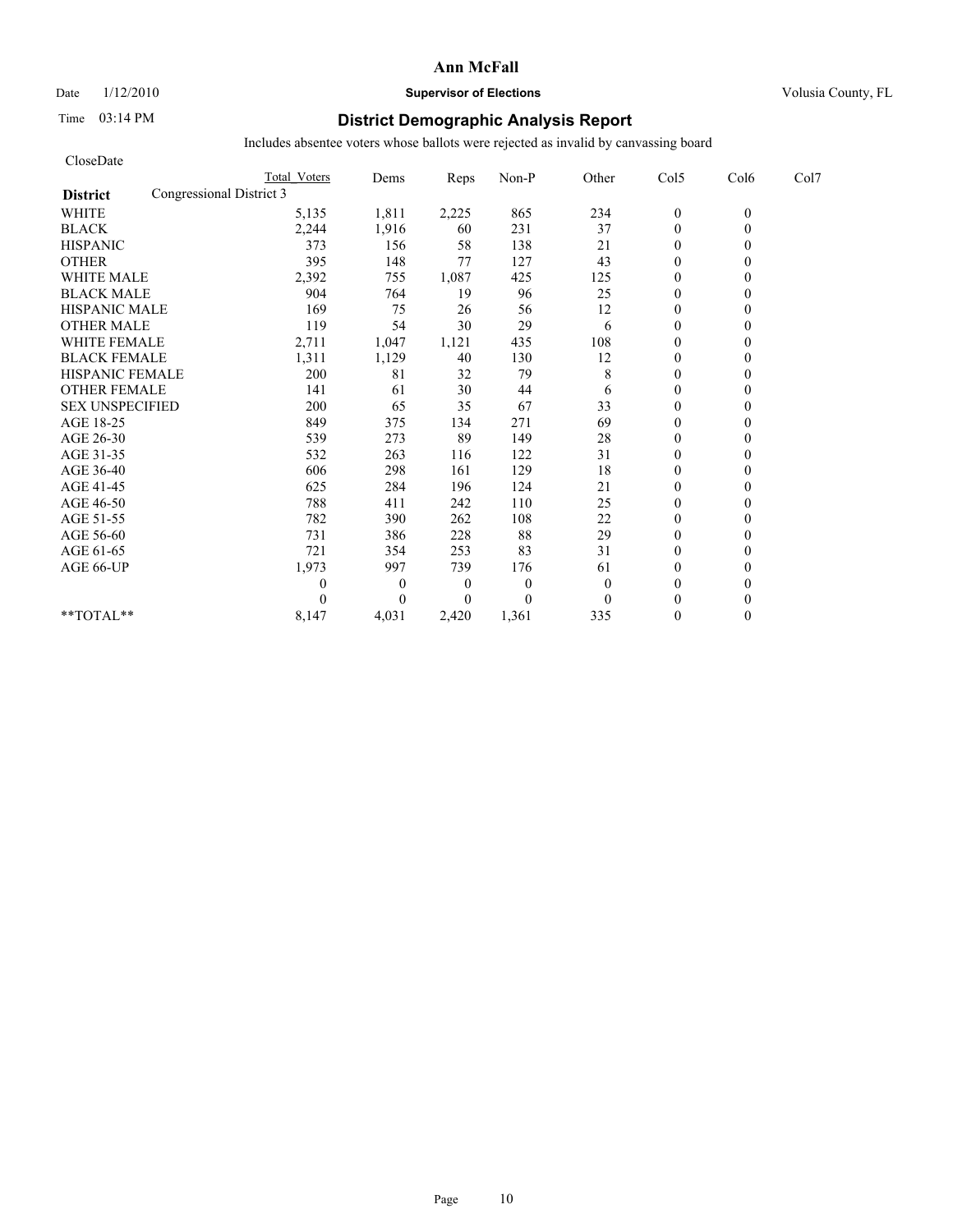Date  $1/12/2010$  **Supervisor of Elections** Volusia County, FL

## Time 03:14 PM **District Demographic Analysis Report**

| CloseDate                                   |                     |              |                  |              |              |                  |          |      |
|---------------------------------------------|---------------------|--------------|------------------|--------------|--------------|------------------|----------|------|
|                                             | <b>Total Voters</b> | Dems         | Reps             | Non-P        | Other        | Col5             | Col6     | Col7 |
| Congressional District 3<br><b>District</b> |                     |              |                  |              |              |                  |          |      |
| <b>WHITE</b>                                | 5,135               | 1,811        | 2,225            | 865          | 234          | $\boldsymbol{0}$ | $\theta$ |      |
| <b>BLACK</b>                                | 2,244               | 1,916        | 60               | 231          | 37           | $\theta$         | 0        |      |
| <b>HISPANIC</b>                             | 373                 | 156          | 58               | 138          | 21           | $\theta$         |          |      |
| <b>OTHER</b>                                | 395                 | 148          | 77               | 127          | 43           | $\theta$         |          |      |
| <b>WHITE MALE</b>                           | 2,392               | 755          | 1,087            | 425          | 125          | $\theta$         |          |      |
| <b>BLACK MALE</b>                           | 904                 | 764          | 19               | 96           | 25           | $\mathbf{0}$     |          |      |
| <b>HISPANIC MALE</b>                        | 169                 | 75           | 26               | 56           | 12           | $\theta$         |          |      |
| <b>OTHER MALE</b>                           | 119                 | 54           | 30               | 29           | 6            | $\mathbf{0}$     |          |      |
| <b>WHITE FEMALE</b>                         | 2,711               | 1,047        | 1,121            | 435          | 108          | $\theta$         |          |      |
| <b>BLACK FEMALE</b>                         | 1,311               | 1,129        | 40               | 130          | 12           | $\overline{0}$   |          |      |
| HISPANIC FEMALE                             | 200                 | 81           | 32               | 79           | 8            | $\theta$         |          |      |
| <b>OTHER FEMALE</b>                         | 141                 | 61           | 30               | 44           | 6            | $\theta$         |          |      |
| <b>SEX UNSPECIFIED</b>                      | 200                 | 65           | 35               | 67           | 33           | $\theta$         |          |      |
| AGE 18-25                                   | 849                 | 375          | 134              | 271          | 69           | $\mathbf{0}$     |          |      |
| AGE 26-30                                   | 539                 | 273          | 89               | 149          | 28           | $\mathbf{0}$     |          |      |
| AGE 31-35                                   | 532                 | 263          | 116              | 122          | 31           | $\mathbf{0}$     |          |      |
| AGE 36-40                                   | 606                 | 298          | 161              | 129          | 18           | $\mathbf{0}$     |          |      |
| AGE 41-45                                   | 625                 | 284          | 196              | 124          | 21           | $\mathbf{0}$     |          |      |
| AGE 46-50                                   | 788                 | 411          | 242              | 110          | 25           | $\theta$         |          |      |
| AGE 51-55                                   | 782                 | 390          | 262              | 108          | 22           | $\mathbf{0}$     |          |      |
| AGE 56-60                                   | 731                 | 386          | 228              | 88           | 29           | $\mathbf{0}$     |          |      |
| AGE 61-65                                   | 721                 | 354          | 253              | 83           | 31           | $\theta$         |          |      |
| AGE 66-UP                                   | 1,973               | 997          | 739              | 176          | 61           | $\mathbf{0}$     |          |      |
|                                             | 0                   | $\mathbf{0}$ | $\boldsymbol{0}$ | $\mathbf{0}$ | $\mathbf{0}$ | $\mathbf{0}$     |          |      |
|                                             | 0                   | $\theta$     | $\Omega$         | $\theta$     | $\theta$     | $\theta$         |          |      |
| **TOTAL**                                   | 8,147               | 4,031        | 2,420            | 1,361        | 335          | $\theta$         | 0        |      |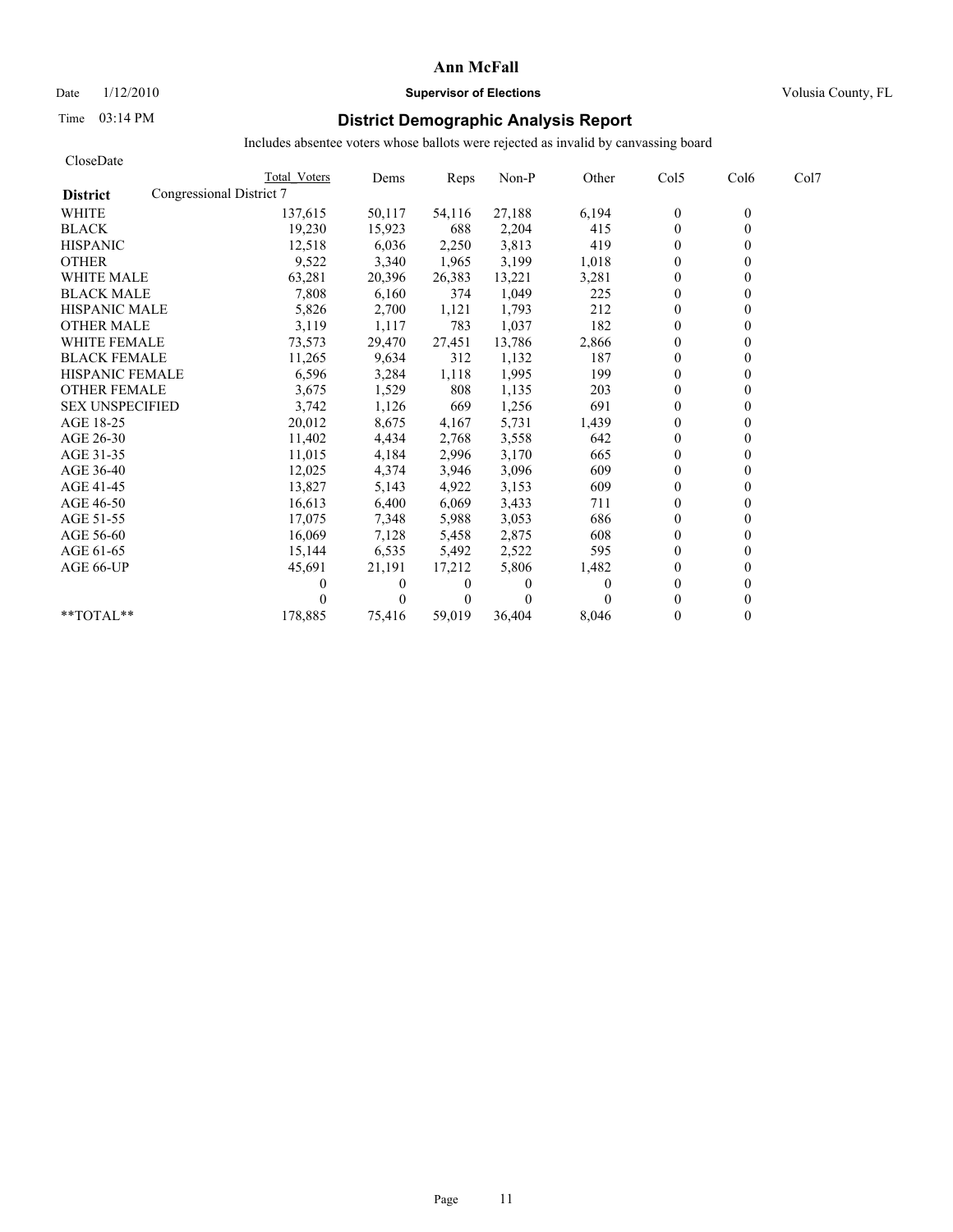# Date  $1/12/2010$  **Supervisor of Elections** Volusia County, FL

# Time 03:14 PM **District Demographic Analysis Report**

| CloseDate              |                          |              |          |                |          |          |                |                  |      |
|------------------------|--------------------------|--------------|----------|----------------|----------|----------|----------------|------------------|------|
|                        |                          | Total Voters | Dems     | Reps           | Non-P    | Other    | Col5           | Col <sub>6</sub> | Col7 |
| <b>District</b>        | Congressional District 7 |              |          |                |          |          |                |                  |      |
| <b>WHITE</b>           |                          | 137,615      | 50,117   | 54,116         | 27,188   | 6,194    | $\mathbf{0}$   | $\theta$         |      |
| <b>BLACK</b>           |                          | 19,230       | 15,923   | 688            | 2,204    | 415      | $\mathbf{0}$   | $\theta$         |      |
| <b>HISPANIC</b>        |                          | 12,518       | 6,036    | 2,250          | 3,813    | 419      | $\mathbf{0}$   |                  |      |
| <b>OTHER</b>           |                          | 9,522        | 3,340    | 1,965          | 3,199    | 1,018    | $\theta$       |                  |      |
| <b>WHITE MALE</b>      |                          | 63,281       | 20,396   | 26,383         | 13,221   | 3,281    | $\theta$       |                  |      |
| <b>BLACK MALE</b>      |                          | 7,808        | 6,160    | 374            | 1,049    | 225      | $\mathbf{0}$   |                  |      |
| <b>HISPANIC MALE</b>   |                          | 5,826        | 2,700    | 1,121          | 1,793    | 212      | $\theta$       |                  |      |
| <b>OTHER MALE</b>      |                          | 3,119        | 1,117    | 783            | 1,037    | 182      | $\theta$       |                  |      |
| <b>WHITE FEMALE</b>    |                          | 73,573       | 29,470   | 27,451         | 13,786   | 2,866    | $\theta$       |                  |      |
| <b>BLACK FEMALE</b>    |                          | 11,265       | 9,634    | 312            | 1,132    | 187      | $\theta$       |                  |      |
| <b>HISPANIC FEMALE</b> |                          | 6,596        | 3,284    | 1,118          | 1,995    | 199      | $\theta$       |                  |      |
| <b>OTHER FEMALE</b>    |                          | 3,675        | 1,529    | 808            | 1,135    | 203      | $\mathbf{0}$   |                  |      |
| <b>SEX UNSPECIFIED</b> |                          | 3,742        | 1,126    | 669            | 1,256    | 691      | $\mathbf{0}$   |                  |      |
| AGE 18-25              |                          | 20,012       | 8,675    | 4,167          | 5,731    | 1,439    | $\mathbf{0}$   |                  |      |
| AGE 26-30              |                          | 11.402       | 4,434    | 2,768          | 3,558    | 642      | $\theta$       |                  |      |
| AGE 31-35              |                          | 11,015       | 4,184    | 2,996          | 3,170    | 665      | $\theta$       |                  |      |
| AGE 36-40              |                          | 12,025       | 4,374    | 3,946          | 3,096    | 609      | $\theta$       |                  |      |
| AGE 41-45              |                          | 13,827       | 5,143    | 4,922          | 3,153    | 609      | $\overline{0}$ |                  |      |
| AGE 46-50              |                          | 16,613       | 6,400    | 6,069          | 3,433    | 711      | $\mathbf{0}$   |                  |      |
| AGE 51-55              |                          | 17,075       | 7,348    | 5,988          | 3,053    | 686      | $\theta$       |                  |      |
| AGE 56-60              |                          | 16,069       | 7,128    | 5,458          | 2,875    | 608      | $\theta$       |                  |      |
| AGE 61-65              |                          | 15,144       | 6,535    | 5,492          | 2,522    | 595      | $\theta$       |                  |      |
| AGE 66-UP              |                          | 45,691       | 21,191   | 17,212         | 5,806    | 1,482    | $\theta$       |                  |      |
|                        |                          |              | $\bf{0}$ | $\bf{0}$       | 0        | $\theta$ | $\mathbf{0}$   |                  |      |
|                        |                          |              | $\theta$ | $\overline{0}$ | $\Omega$ |          | $\theta$       |                  |      |
| **TOTAL**              |                          | 178,885      | 75,416   | 59.019         | 36.404   | 8.046    | $\theta$       | 0                |      |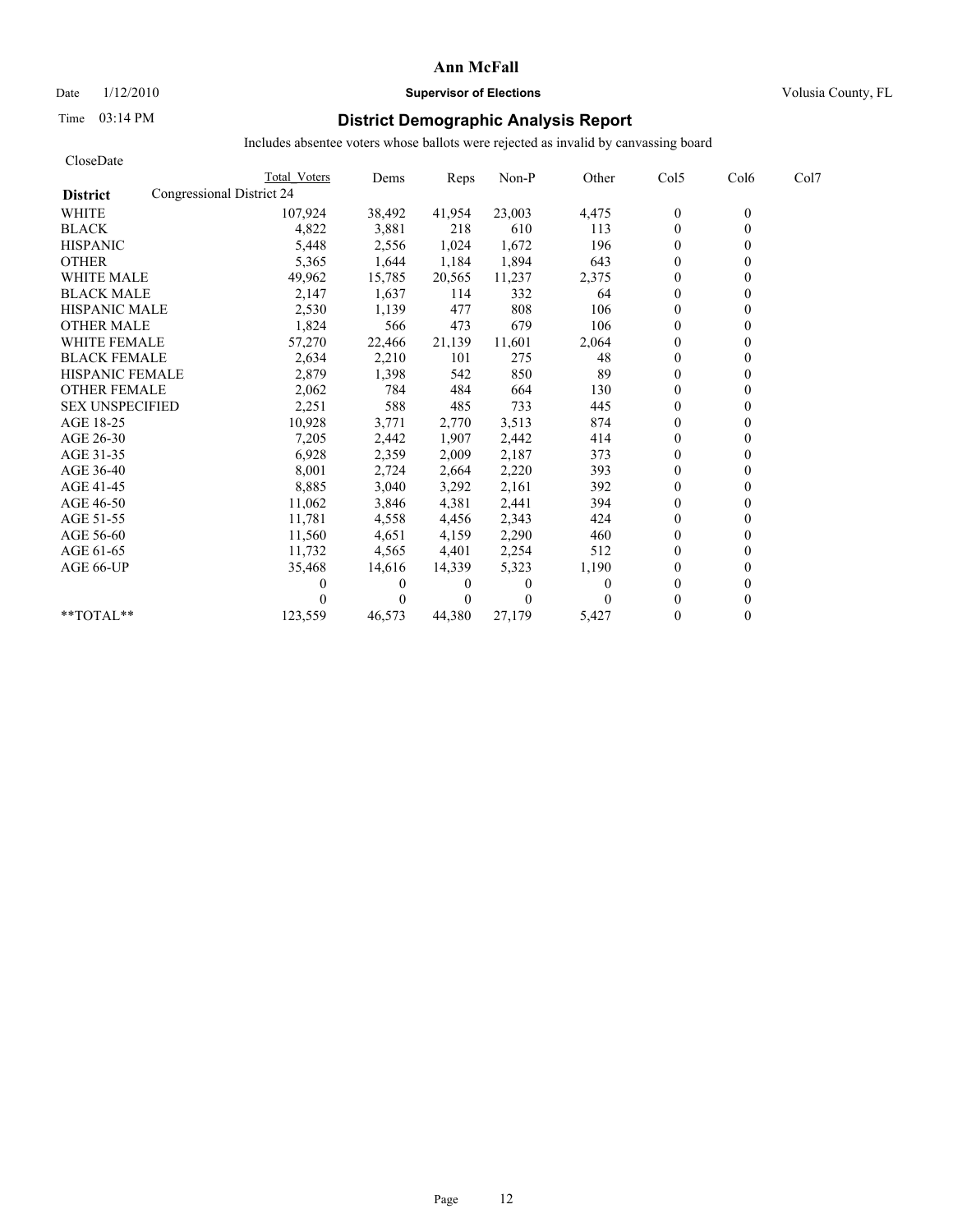## Date  $1/12/2010$  **Supervisor of Elections** Volusia County, FL

# Time 03:14 PM **District Demographic Analysis Report**

| CloseDate              |                           |              |          |          |          |          |                |                  |      |
|------------------------|---------------------------|--------------|----------|----------|----------|----------|----------------|------------------|------|
|                        |                           | Total Voters | Dems     | Reps     | Non-P    | Other    | Col5           | Col <sub>6</sub> | Col7 |
| <b>District</b>        | Congressional District 24 |              |          |          |          |          |                |                  |      |
| <b>WHITE</b>           |                           | 107,924      | 38,492   | 41,954   | 23,003   | 4,475    | $\mathbf{0}$   | $\mathbf{0}$     |      |
| <b>BLACK</b>           |                           | 4,822        | 3,881    | 218      | 610      | 113      | $\mathbf{0}$   | $\theta$         |      |
| <b>HISPANIC</b>        |                           | 5,448        | 2,556    | 1,024    | 1,672    | 196      | $\theta$       |                  |      |
| <b>OTHER</b>           |                           | 5,365        | 1,644    | 1,184    | 1,894    | 643      | $\theta$       |                  |      |
| <b>WHITE MALE</b>      |                           | 49,962       | 15,785   | 20,565   | 11,237   | 2,375    | $\mathbf{0}$   |                  |      |
| <b>BLACK MALE</b>      |                           | 2,147        | 1,637    | 114      | 332      | 64       | $\theta$       |                  |      |
| <b>HISPANIC MALE</b>   |                           | 2,530        | 1,139    | 477      | 808      | 106      | $\mathbf{0}$   |                  |      |
| <b>OTHER MALE</b>      |                           | 1,824        | 566      | 473      | 679      | 106      | $\theta$       |                  |      |
| <b>WHITE FEMALE</b>    |                           | 57,270       | 22,466   | 21,139   | 11,601   | 2,064    | $\theta$       |                  |      |
| <b>BLACK FEMALE</b>    |                           | 2,634        | 2,210    | 101      | 275      | 48       | $\mathbf{0}$   |                  |      |
| <b>HISPANIC FEMALE</b> |                           | 2,879        | 1,398    | 542      | 850      | 89       | $\Omega$       |                  |      |
| <b>OTHER FEMALE</b>    |                           | 2,062        | 784      | 484      | 664      | 130      | $\theta$       |                  |      |
| <b>SEX UNSPECIFIED</b> |                           | 2,251        | 588      | 485      | 733      | 445      | $\theta$       |                  |      |
| AGE 18-25              |                           | 10,928       | 3,771    | 2,770    | 3,513    | 874      | $\theta$       |                  |      |
| AGE 26-30              |                           | 7,205        | 2,442    | 1,907    | 2,442    | 414      | $\theta$       |                  |      |
| AGE 31-35              |                           | 6,928        | 2,359    | 2,009    | 2,187    | 373      | $\theta$       |                  |      |
| AGE 36-40              |                           | 8,001        | 2,724    | 2,664    | 2,220    | 393      | $\theta$       |                  |      |
| AGE 41-45              |                           | 8,885        | 3,040    | 3,292    | 2,161    | 392      | $\overline{0}$ |                  |      |
| AGE 46-50              |                           | 11,062       | 3,846    | 4,381    | 2,441    | 394      | $\mathbf{0}$   |                  |      |
| AGE 51-55              |                           | 11,781       | 4,558    | 4,456    | 2,343    | 424      | $\theta$       |                  |      |
| AGE 56-60              |                           | 11,560       | 4,651    | 4,159    | 2,290    | 460      | $\theta$       |                  |      |
| AGE 61-65              |                           | 11,732       | 4,565    | 4,401    | 2,254    | 512      | $\mathbf{0}$   |                  |      |
| AGE 66-UP              |                           | 35,468       | 14,616   | 14,339   | 5,323    | 1,190    | $\theta$       |                  |      |
|                        |                           |              | $\theta$ | $\bf{0}$ | $\theta$ | $\theta$ | $\theta$       |                  |      |
|                        |                           |              | 0        | $\Omega$ | $\Omega$ | 0        | $\theta$       |                  |      |
| $*$ $TOTAI.**$         |                           | 123,559      | 46,573   | 44,380   | 27,179   | 5,427    | $\theta$       |                  |      |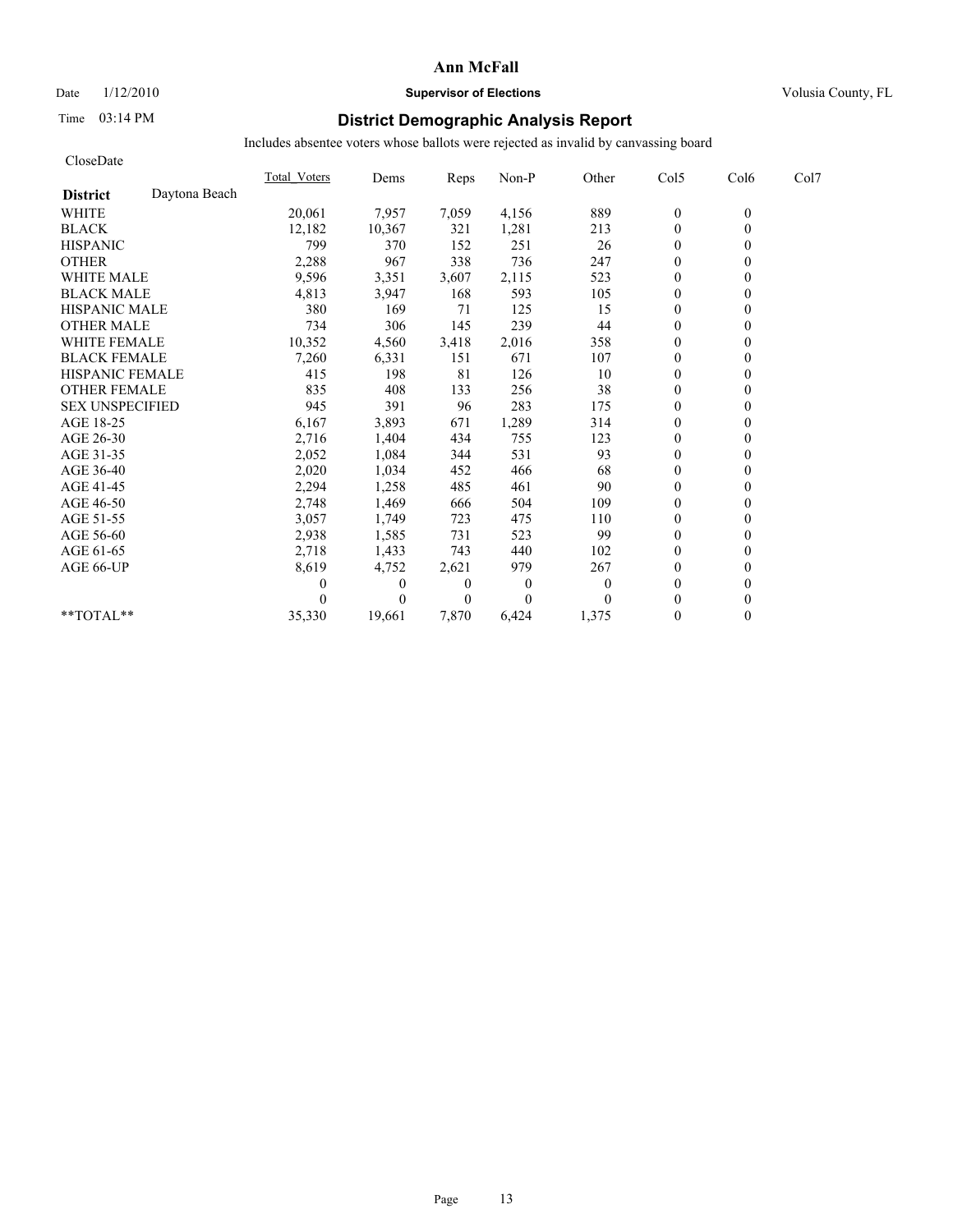## Date  $1/12/2010$  **Supervisor of Elections** Volusia County, FL

# Time 03:14 PM **District Demographic Analysis Report**

| CloseDate              |               |              |              |                |          |          |              |          |      |
|------------------------|---------------|--------------|--------------|----------------|----------|----------|--------------|----------|------|
|                        |               | Total Voters | Dems         | Reps           | Non-P    | Other    | Col5         | Col6     | Col7 |
| <b>District</b>        | Daytona Beach |              |              |                |          |          |              |          |      |
| <b>WHITE</b>           |               | 20,061       | 7,957        | 7,059          | 4,156    | 889      | $\mathbf{0}$ | $\theta$ |      |
| <b>BLACK</b>           |               | 12,182       | 10,367       | 321            | 1,281    | 213      | $\mathbf{0}$ | $\theta$ |      |
| <b>HISPANIC</b>        |               | 799          | 370          | 152            | 251      | 26       | $\mathbf{0}$ |          |      |
| <b>OTHER</b>           |               | 2,288        | 967          | 338            | 736      | 247      | $\theta$     |          |      |
| <b>WHITE MALE</b>      |               | 9,596        | 3,351        | 3,607          | 2,115    | 523      | $\theta$     |          |      |
| <b>BLACK MALE</b>      |               | 4,813        | 3,947        | 168            | 593      | 105      | $\mathbf{0}$ |          |      |
| <b>HISPANIC MALE</b>   |               | 380          | 169          | 71             | 125      | 15       | $\Omega$     |          |      |
| <b>OTHER MALE</b>      |               | 734          | 306          | 145            | 239      | 44       | $\theta$     |          |      |
| <b>WHITE FEMALE</b>    |               | 10,352       | 4,560        | 3,418          | 2,016    | 358      | $\theta$     |          |      |
| <b>BLACK FEMALE</b>    |               | 7,260        | 6,331        | 151            | 671      | 107      | $\theta$     |          |      |
| <b>HISPANIC FEMALE</b> |               | 415          | 198          | 81             | 126      | 10       | $\mathbf{0}$ |          |      |
| <b>OTHER FEMALE</b>    |               | 835          | 408          | 133            | 256      | 38       | $\mathbf{0}$ |          |      |
| <b>SEX UNSPECIFIED</b> |               | 945          | 391          | 96             | 283      | 175      | $\mathbf{0}$ |          |      |
| AGE 18-25              |               | 6,167        | 3,893        | 671            | 1,289    | 314      | $\mathbf{0}$ |          |      |
| AGE 26-30              |               | 2,716        | 1,404        | 434            | 755      | 123      | $\theta$     |          |      |
| AGE 31-35              |               | 2,052        | 1,084        | 344            | 531      | 93       | $\mathbf{0}$ |          |      |
| AGE 36-40              |               | 2,020        | 1,034        | 452            | 466      | 68       | $\theta$     |          |      |
| AGE 41-45              |               | 2,294        | 1,258        | 485            | 461      | 90       | $\mathbf{0}$ |          |      |
| AGE 46-50              |               | 2,748        | 1,469        | 666            | 504      | 109      | $\mathbf{0}$ |          |      |
| AGE 51-55              |               | 3,057        | 1,749        | 723            | 475      | 110      | $\mathbf{0}$ |          |      |
| AGE 56-60              |               | 2,938        | 1,585        | 731            | 523      | 99       | $\theta$     |          |      |
| AGE 61-65              |               | 2,718        | 1,433        | 743            | 440      | 102      | $\theta$     |          |      |
| AGE 66-UP              |               | 8,619        | 4,752        | 2,621          | 979      | 267      | $\mathbf{0}$ |          |      |
|                        |               |              | $\mathbf{0}$ | $\theta$       | $\theta$ | $\Omega$ | $\mathbf{0}$ |          |      |
|                        |               |              | $\theta$     | $\overline{0}$ | $\Omega$ | $\Omega$ | $\theta$     |          |      |
| **TOTAL**              |               | 35,330       | 19,661       | 7,870          | 6,424    | 1,375    | $\mathbf{0}$ | 0        |      |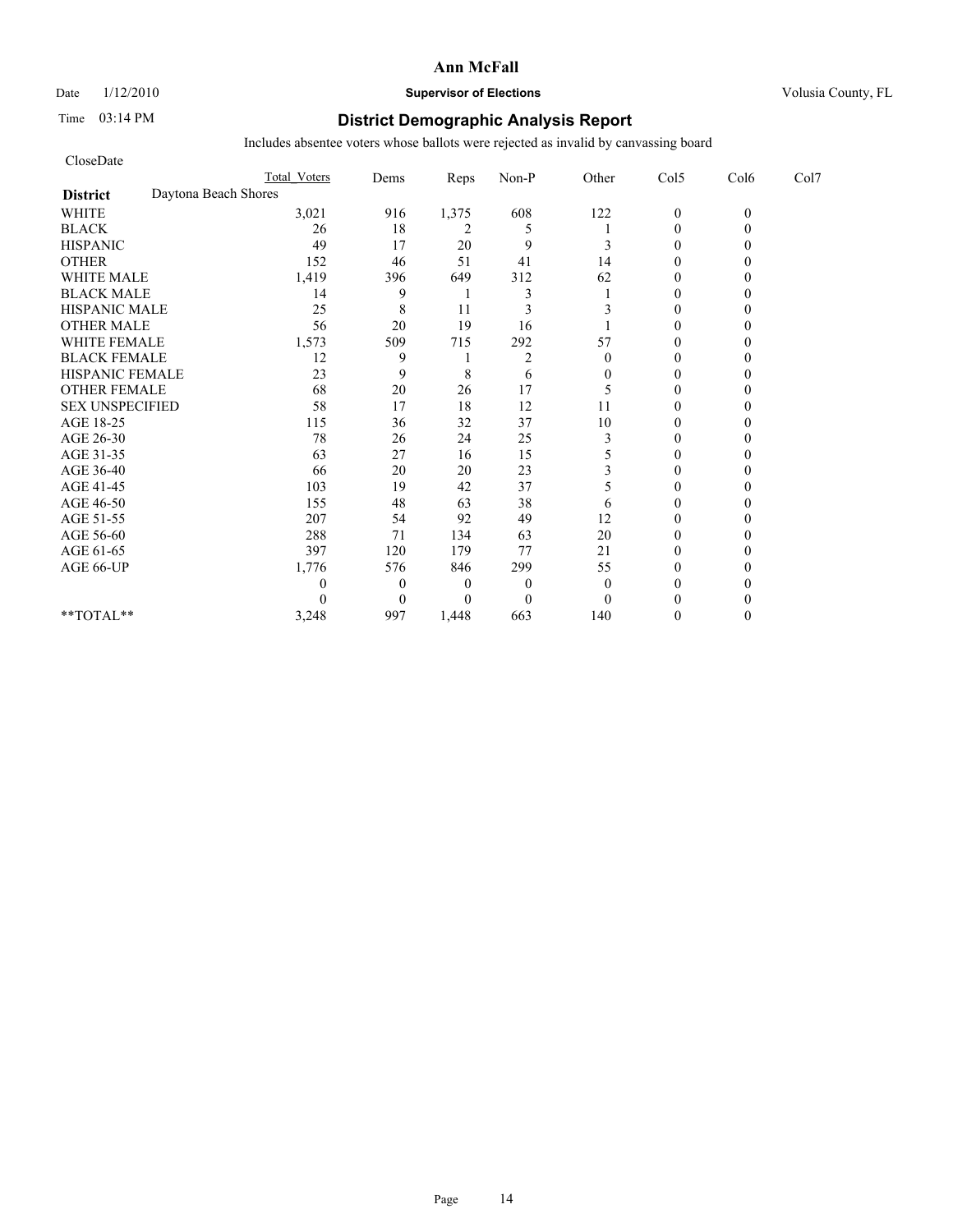Date  $1/12/2010$  **Supervisor of Elections** Volusia County, FL

## Time 03:14 PM **District Demographic Analysis Report**

| CloseDate              |                      |                     |                |          |                |              |                |          |      |
|------------------------|----------------------|---------------------|----------------|----------|----------------|--------------|----------------|----------|------|
|                        |                      | <b>Total Voters</b> | Dems           | Reps     | Non-P          | Other        | Col5           | Col6     | Col7 |
| <b>District</b>        | Daytona Beach Shores |                     |                |          |                |              |                |          |      |
| <b>WHITE</b>           |                      | 3,021               | 916            | 1,375    | 608            | 122          | $\mathbf{0}$   | $\theta$ |      |
| <b>BLACK</b>           |                      | 26                  | 18             | 2        | 5              |              | $\theta$       |          |      |
| <b>HISPANIC</b>        |                      | 49                  | 17             | 20       | 9              | 3            | $\theta$       |          |      |
| <b>OTHER</b>           |                      | 152                 | 46             | 51       | 41             | 14           | $\theta$       |          |      |
| <b>WHITE MALE</b>      |                      | 1,419               | 396            | 649      | 312            | 62           | $\theta$       |          |      |
| <b>BLACK MALE</b>      |                      | 14                  | 9              |          | 3              |              | $\theta$       |          |      |
| <b>HISPANIC MALE</b>   |                      | 25                  | 8              | 11       | 3              | 3            | $\theta$       |          |      |
| <b>OTHER MALE</b>      |                      | 56                  | 20             | 19       | 16             |              | $\theta$       |          |      |
| <b>WHITE FEMALE</b>    |                      | 1,573               | 509            | 715      | 292            | 57           | $\theta$       |          |      |
| <b>BLACK FEMALE</b>    |                      | 12                  | 9              |          | $\overline{2}$ | $\theta$     | $\overline{0}$ |          |      |
| HISPANIC FEMALE        |                      | 23                  | 9              | 8        | 6              | $\mathbf{0}$ | $\theta$       |          |      |
| <b>OTHER FEMALE</b>    |                      | 68                  | 20             | 26       | 17             | 5            | $\theta$       |          |      |
| <b>SEX UNSPECIFIED</b> |                      | 58                  | 17             | 18       | 12             | 11           | $\theta$       |          |      |
| AGE 18-25              |                      | 115                 | 36             | 32       | 37             | 10           | $\theta$       |          |      |
| AGE 26-30              |                      | 78                  | 26             | 24       | 25             | 3            | $\Omega$       |          |      |
| AGE 31-35              |                      | 63                  | 27             | 16       | 15             | 5            | $\theta$       |          |      |
| AGE 36-40              |                      | 66                  | 20             | 20       | 23             | 3            | $\Omega$       |          |      |
| AGE 41-45              |                      | 103                 | 19             | 42       | 37             | 5            | $\mathbf{0}$   |          |      |
| AGE 46-50              |                      | 155                 | 48             | 63       | 38             | 6            | $\theta$       |          |      |
| AGE 51-55              |                      | 207                 | 54             | 92       | 49             | 12           | $\Omega$       |          |      |
| AGE 56-60              |                      | 288                 | 71             | 134      | 63             | 20           | $\overline{0}$ |          |      |
| AGE 61-65              |                      | 397                 | 120            | 179      | 77             | 21           | $\theta$       |          |      |
| AGE 66-UP              |                      | 1,776               | 576            | 846      | 299            | 55           | $\theta$       |          |      |
|                        |                      | 0                   | $\overline{0}$ | 0        | $\mathbf{0}$   | $\theta$     | $\Omega$       |          |      |
|                        |                      | 0                   | $\theta$       | $\Omega$ | $\mathbf{0}$   | $\theta$     | $\Omega$       |          |      |
| **TOTAL**              |                      | 3,248               | 997            | 1,448    | 663            | 140          | $\Omega$       |          |      |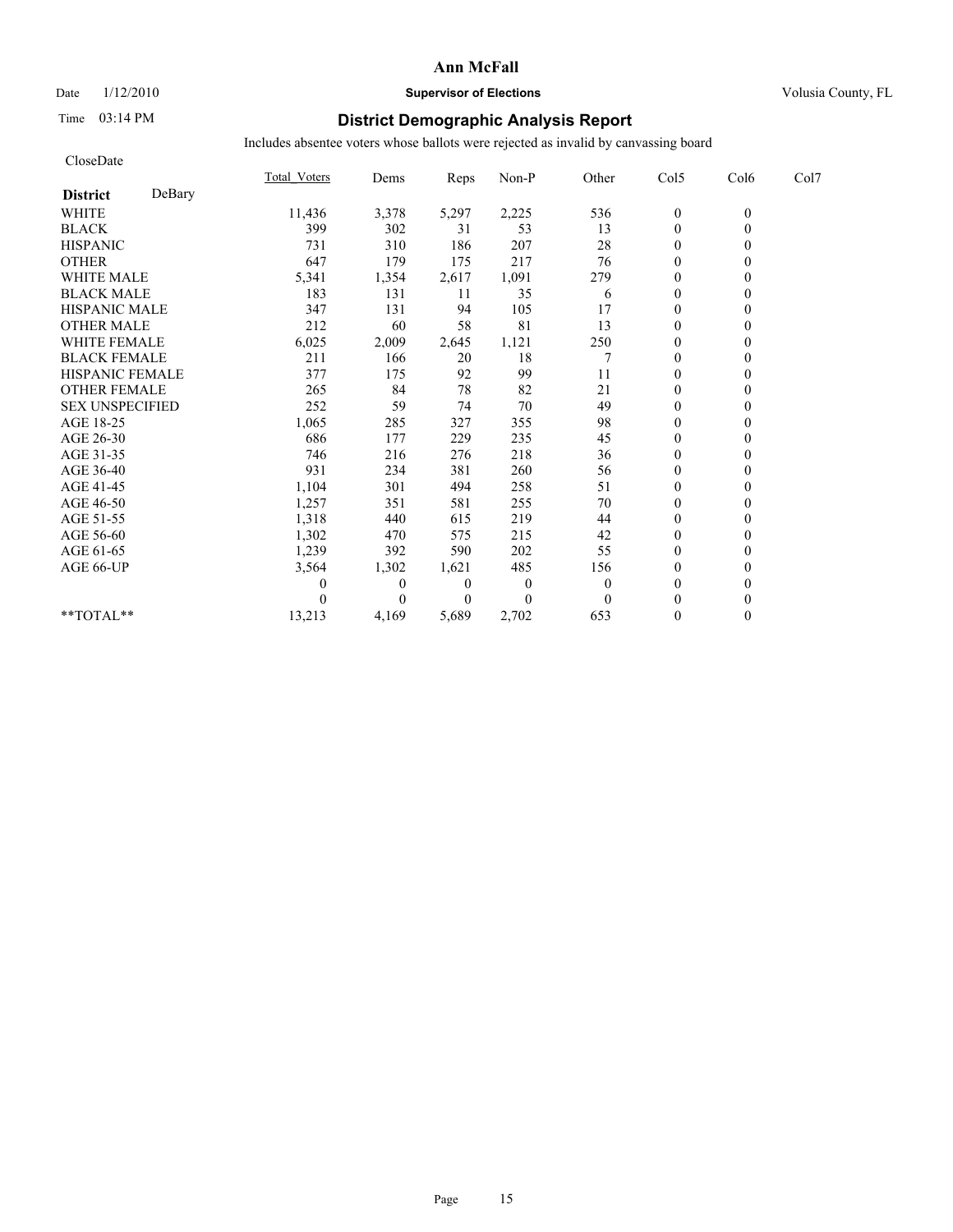## Date  $1/12/2010$  **Supervisor of Elections** Volusia County, FL

# Time 03:14 PM **District Demographic Analysis Report**

| CloseDate              |        |                     |              |                |                |          |                  |          |      |
|------------------------|--------|---------------------|--------------|----------------|----------------|----------|------------------|----------|------|
|                        |        | <b>Total Voters</b> | Dems         | Reps           | Non-P          | Other    | Col5             | Col6     | Col7 |
| <b>District</b>        | DeBary |                     |              |                |                |          |                  |          |      |
| <b>WHITE</b>           |        | 11,436              | 3,378        | 5,297          | 2,225          | 536      | $\boldsymbol{0}$ | $\theta$ |      |
| <b>BLACK</b>           |        | 399                 | 302          | 31             | 53             | 13       | $\overline{0}$   | $\theta$ |      |
| <b>HISPANIC</b>        |        | 731                 | 310          | 186            | 207            | 28       | $\mathbf{0}$     |          |      |
| <b>OTHER</b>           |        | 647                 | 179          | 175            | 217            | 76       | $\theta$         |          |      |
| <b>WHITE MALE</b>      |        | 5,341               | 1,354        | 2,617          | 1,091          | 279      | $\mathbf{0}$     |          |      |
| <b>BLACK MALE</b>      |        | 183                 | 131          | 11             | 35             | 6        | $\mathbf{0}$     |          |      |
| <b>HISPANIC MALE</b>   |        | 347                 | 131          | 94             | 105            | 17       | $\theta$         |          |      |
| <b>OTHER MALE</b>      |        | 212                 | 60           | 58             | 81             | 13       | $\mathbf{0}$     |          |      |
| <b>WHITE FEMALE</b>    |        | 6,025               | 2,009        | 2,645          | 1,121          | 250      | $\theta$         |          |      |
| <b>BLACK FEMALE</b>    |        | 211                 | 166          | 20             | 18             |          | $\theta$         |          |      |
| HISPANIC FEMALE        |        | 377                 | 175          | 92             | 99             | 11       | $\theta$         |          |      |
| <b>OTHER FEMALE</b>    |        | 265                 | 84           | 78             | 82             | 21       | $\mathbf{0}$     |          |      |
| <b>SEX UNSPECIFIED</b> |        | 252                 | 59           | 74             | 70             | 49       | $\mathbf{0}$     |          |      |
| AGE 18-25              |        | 1,065               | 285          | 327            | 355            | 98       | $\mathbf{0}$     |          |      |
| AGE 26-30              |        | 686                 | 177          | 229            | 235            | 45       | $\theta$         |          |      |
| AGE 31-35              |        | 746                 | 216          | 276            | 218            | 36       | $\theta$         |          |      |
| AGE 36-40              |        | 931                 | 234          | 381            | 260            | 56       | $\theta$         |          |      |
| AGE 41-45              |        | 1,104               | 301          | 494            | 258            | 51       | $\overline{0}$   |          |      |
| AGE 46-50              |        | 1,257               | 351          | 581            | 255            | 70       | $\mathbf{0}$     |          |      |
| AGE 51-55              |        | 1,318               | 440          | 615            | 219            | 44       | $\theta$         |          |      |
| AGE 56-60              |        | 1,302               | 470          | 575            | 215            | 42       | $\theta$         |          |      |
| AGE 61-65              |        | 1,239               | 392          | 590            | 202            | 55       | $\theta$         |          |      |
| AGE 66-UP              |        | 3,564               | 1,302        | 1,621          | 485            | 156      | $\theta$         |          |      |
|                        |        |                     | $\mathbf{0}$ | $\theta$       | $\overline{0}$ | $\theta$ | $\mathbf{0}$     |          |      |
|                        |        |                     | $\theta$     | $\overline{0}$ | $\Omega$       | $\theta$ | $\theta$         |          |      |
| $**TOTAL**$            |        | 13,213              | 4,169        | 5,689          | 2,702          | 653      | $\mathbf{0}$     | 0        |      |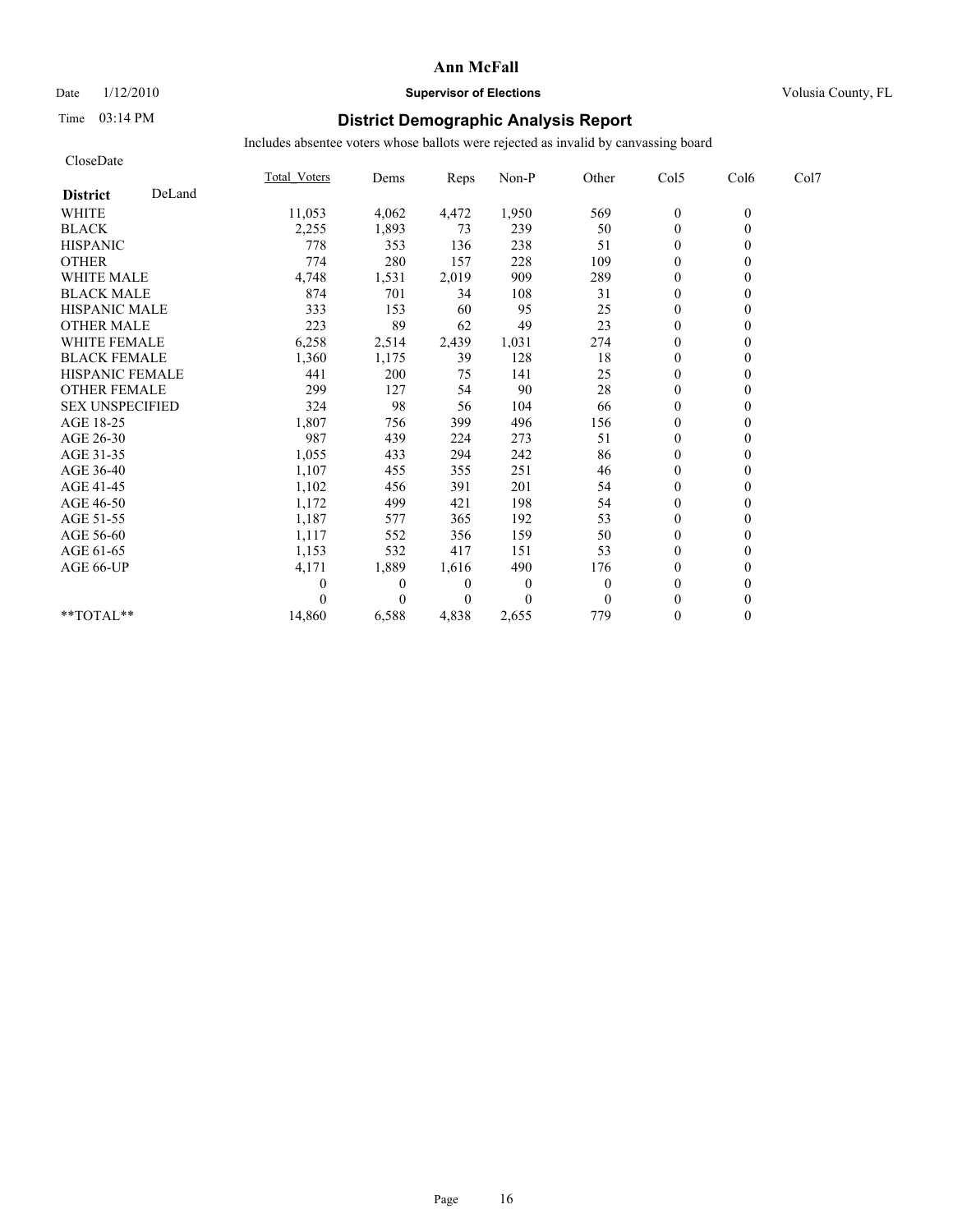CloseDate

#### **Ann McFall**

## Date  $1/12/2010$  **Supervisor of Elections** Volusia County, FL

# Time 03:14 PM **District Demographic Analysis Report**

|                           | <b>Total Voters</b> | Dems           | <b>Reps</b>    | Non-P        | Other        | Col5             | Col6           | Col7 |
|---------------------------|---------------------|----------------|----------------|--------------|--------------|------------------|----------------|------|
| DeLand<br><b>District</b> |                     |                |                |              |              |                  |                |      |
| <b>WHITE</b>              | 11,053              | 4,062          | 4,472          | 1,950        | 569          | $\overline{0}$   | $\overline{0}$ |      |
| <b>BLACK</b>              | 2,255               | 1,893          | 73             | 239          | 50           | $\mathbf{0}$     |                |      |
| <b>HISPANIC</b>           | 778                 | 353            | 136            | 238          | 51           | $\overline{0}$   |                |      |
| <b>OTHER</b>              | 774                 | 280            | 157            | 228          | 109          | $\theta$         |                |      |
| <b>WHITE MALE</b>         | 4,748               | 1,531          | 2,019          | 909          | 289          | $\theta$         |                |      |
| <b>BLACK MALE</b>         | 874                 | 701            | 34             | 108          | 31           | $\theta$         |                |      |
| <b>HISPANIC MALE</b>      | 333                 | 153            | 60             | 95           | 25           | $\theta$         |                |      |
| <b>OTHER MALE</b>         | 223                 | 89             | 62             | 49           | 23           | $\theta$         |                |      |
| WHITE FEMALE              | 6,258               | 2,514          | 2,439          | 1,031        | 274          | $\theta$         |                |      |
| <b>BLACK FEMALE</b>       | 1,360               | 1,175          | 39             | 128          | 18           | $\mathbf{0}$     |                |      |
| HISPANIC FEMALE           | 441                 | 200            | 75             | 141          | 25           | $\overline{0}$   |                |      |
| <b>OTHER FEMALE</b>       | 299                 | 127            | 54             | 90           | 28           | 0                |                |      |
| <b>SEX UNSPECIFIED</b>    | 324                 | 98             | 56             | 104          | 66           | $\theta$         |                |      |
| AGE 18-25                 | 1,807               | 756            | 399            | 496          | 156          | $\theta$         |                |      |
| AGE 26-30                 | 987                 | 439            | 224            | 273          | 51           | $\theta$         |                |      |
| AGE 31-35                 | 1,055               | 433            | 294            | 242          | 86           | $\theta$         |                |      |
| AGE 36-40                 | 1,107               | 455            | 355            | 251          | 46           | $\theta$         |                |      |
| AGE 41-45                 | 1,102               | 456            | 391            | 201          | 54           | $\theta$         |                |      |
| AGE 46-50                 | 1,172               | 499            | 421            | 198          | 54           | $\theta$         |                |      |
| AGE 51-55                 | 1,187               | 577            | 365            | 192          | 53           | $\boldsymbol{0}$ |                |      |
| AGE 56-60                 | 1,117               | 552            | 356            | 159          | 50           | $\mathbf{0}$     |                |      |
| AGE 61-65                 | 1,153               | 532            | 417            | 151          | 53           | $\theta$         |                |      |
| AGE 66-UP                 | 4,171               | 1,889          | 1,616          | 490          | 176          | $\overline{0}$   |                |      |
|                           | 0                   | $\overline{0}$ | $\overline{0}$ | $\mathbf{0}$ | $\mathbf{0}$ | $\theta$         |                |      |
|                           |                     | $\Omega$       | $\theta$       | $\theta$     | $\theta$     | $\Omega$         |                |      |
| $*$ TOTAL $*$             | 14,860              | 6,588          | 4,838          | 2,655        | 779          | $\mathbf{0}$     | 0              |      |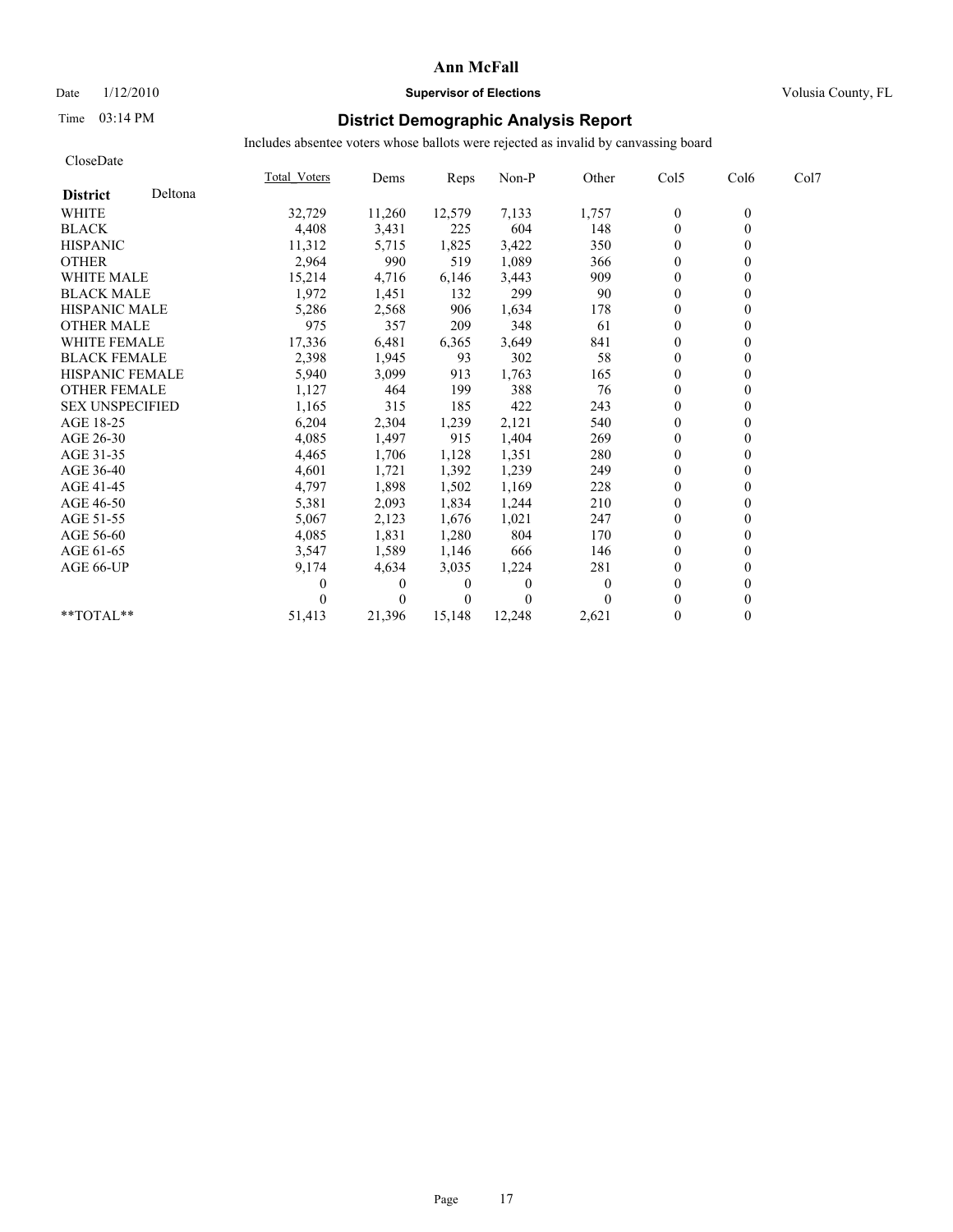## Date  $1/12/2010$  **Supervisor of Elections** Volusia County, FL

# Time 03:14 PM **District Demographic Analysis Report**

| CloseDate              |         |              |                |        |                |              |                  |                  |      |
|------------------------|---------|--------------|----------------|--------|----------------|--------------|------------------|------------------|------|
|                        |         | Total Voters | Dems           | Reps   | Non-P          | Other        | Col5             | Col <sub>6</sub> | Col7 |
| <b>District</b>        | Deltona |              |                |        |                |              |                  |                  |      |
| <b>WHITE</b>           |         | 32,729       | 11,260         | 12,579 | 7,133          | 1,757        | $\boldsymbol{0}$ | $\overline{0}$   |      |
| <b>BLACK</b>           |         | 4,408        | 3,431          | 225    | 604            | 148          | $\boldsymbol{0}$ | $\theta$         |      |
| <b>HISPANIC</b>        |         | 11,312       | 5,715          | 1,825  | 3,422          | 350          | $\theta$         | $\overline{0}$   |      |
| <b>OTHER</b>           |         | 2,964        | 990            | 519    | 1,089          | 366          | $\theta$         | 0                |      |
| <b>WHITE MALE</b>      |         | 15,214       | 4,716          | 6,146  | 3,443          | 909          | $\theta$         | 0                |      |
| <b>BLACK MALE</b>      |         | 1,972        | 1,451          | 132    | 299            | 90           | $\mathbf{0}$     |                  |      |
| <b>HISPANIC MALE</b>   |         | 5,286        | 2,568          | 906    | 1,634          | 178          | $\theta$         | 0                |      |
| <b>OTHER MALE</b>      |         | 975          | 357            | 209    | 348            | 61           | $\theta$         | 0                |      |
| WHITE FEMALE           |         | 17,336       | 6,481          | 6,365  | 3,649          | 841          | $\theta$         | $\theta$         |      |
| <b>BLACK FEMALE</b>    |         | 2,398        | 1,945          | 93     | 302            | 58           | $\theta$         | 0                |      |
| <b>HISPANIC FEMALE</b> |         | 5,940        | 3,099          | 913    | 1,763          | 165          | $\mathbf{0}$     | 0                |      |
| <b>OTHER FEMALE</b>    |         | 1,127        | 464            | 199    | 388            | 76           | $\boldsymbol{0}$ | $\theta$         |      |
| <b>SEX UNSPECIFIED</b> |         | 1,165        | 315            | 185    | 422            | 243          | $\mathbf{0}$     |                  |      |
| AGE 18-25              |         | 6,204        | 2,304          | 1,239  | 2,121          | 540          | $\theta$         | 0                |      |
| AGE 26-30              |         | 4,085        | 1,497          | 915    | 1,404          | 269          | 0                |                  |      |
| AGE 31-35              |         | 4,465        | 1,706          | 1,128  | 1,351          | 280          | $\theta$         | 0                |      |
| AGE 36-40              |         | 4,601        | 1,721          | 1,392  | 1,239          | 249          | $\mathbf{0}$     | 0                |      |
| AGE 41-45              |         | 4,797        | 1,898          | 1,502  | 1,169          | 228          | $\mathbf{0}$     | $\theta$         |      |
| AGE 46-50              |         | 5,381        | 2,093          | 1,834  | 1,244          | 210          | $\theta$         | $\overline{0}$   |      |
| AGE 51-55              |         | 5,067        | 2,123          | 1,676  | 1,021          | 247          | $\mathbf{0}$     | 0                |      |
| AGE 56-60              |         | 4,085        | 1,831          | 1,280  | 804            | 170          | $\theta$         | 0                |      |
| AGE 61-65              |         | 3,547        | 1,589          | 1,146  | 666            | 146          | $\theta$         |                  |      |
| AGE 66-UP              |         | 9,174        | 4,634          | 3,035  | 1,224          | 281          | $\theta$         | 0                |      |
|                        |         | 0            | $\overline{0}$ | 0      | $\overline{0}$ | $\mathbf{0}$ | $\mathbf{0}$     |                  |      |
|                        |         |              | 0              |        | $\theta$       | $\Omega$     | $\theta$         | 0                |      |
| **TOTAL**              |         | 51,413       | 21,396         | 15.148 | 12,248         | 2,621        | $\mathbf{0}$     | $\overline{0}$   |      |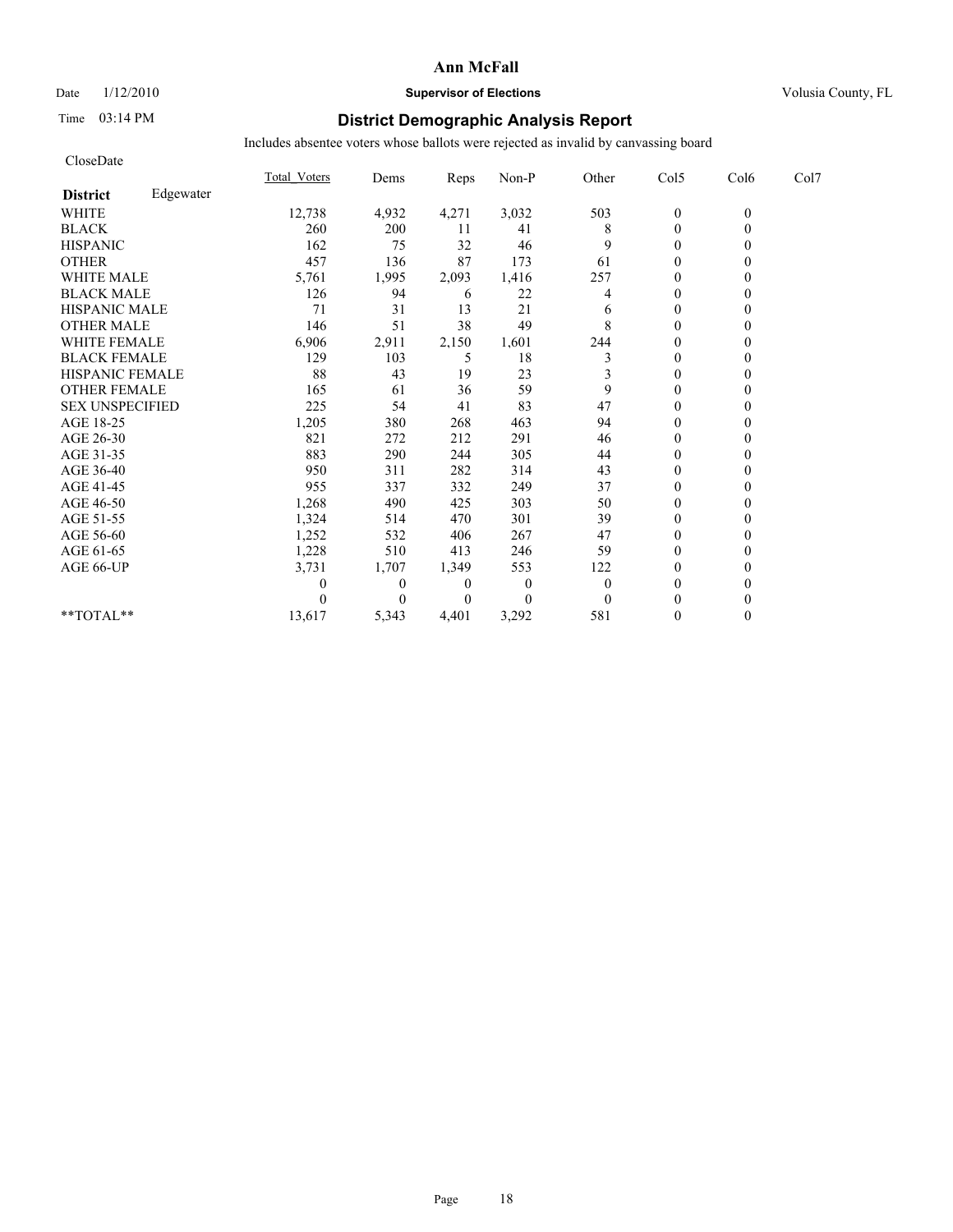## Date  $1/12/2010$  **Supervisor of Elections** Volusia County, FL

# Time 03:14 PM **District Demographic Analysis Report**

| CloseDate              |           |                     |                  |          |              |              |                  |          |      |
|------------------------|-----------|---------------------|------------------|----------|--------------|--------------|------------------|----------|------|
|                        |           | <b>Total Voters</b> | Dems             | Reps     | Non-P        | Other        | Col5             | Col6     | Col7 |
| <b>District</b>        | Edgewater |                     |                  |          |              |              |                  |          |      |
| <b>WHITE</b>           |           | 12,738              | 4,932            | 4,271    | 3,032        | 503          | $\boldsymbol{0}$ | $\theta$ |      |
| <b>BLACK</b>           |           | 260                 | 200              | 11       | 41           | 8            | $\mathbf{0}$     | $\theta$ |      |
| <b>HISPANIC</b>        |           | 162                 | 75               | 32       | 46           | 9            | $\theta$         |          |      |
| <b>OTHER</b>           |           | 457                 | 136              | 87       | 173          | 61           | $\theta$         |          |      |
| <b>WHITE MALE</b>      |           | 5,761               | 1,995            | 2,093    | 1,416        | 257          | $\boldsymbol{0}$ |          |      |
| <b>BLACK MALE</b>      |           | 126                 | 94               | 6        | 22           | 4            | $\theta$         |          |      |
| <b>HISPANIC MALE</b>   |           | 71                  | 31               | 13       | 21           | 6            | $\theta$         |          |      |
| <b>OTHER MALE</b>      |           | 146                 | 51               | 38       | 49           | 8            | $\mathbf{0}$     |          |      |
| <b>WHITE FEMALE</b>    |           | 6,906               | 2,911            | 2,150    | 1,601        | 244          | $\theta$         |          |      |
| <b>BLACK FEMALE</b>    |           | 129                 | 103              | 5        | 18           | 3            | $\mathbf{0}$     |          |      |
| HISPANIC FEMALE        |           | 88                  | 43               | 19       | 23           | 3            | $\theta$         | 0        |      |
| <b>OTHER FEMALE</b>    |           | 165                 | 61               | 36       | 59           | 9            | $\theta$         |          |      |
| <b>SEX UNSPECIFIED</b> |           | 225                 | 54               | 41       | 83           | 47           | $\theta$         |          |      |
| AGE 18-25              |           | 1,205               | 380              | 268      | 463          | 94           | $\theta$         |          |      |
| AGE 26-30              |           | 821                 | 272              | 212      | 291          | 46           | $\theta$         |          |      |
| AGE 31-35              |           | 883                 | 290              | 244      | 305          | 44           | $\Omega$         |          |      |
| AGE 36-40              |           | 950                 | 311              | 282      | 314          | 43           | $\Omega$         |          |      |
| AGE 41-45              |           | 955                 | 337              | 332      | 249          | 37           | $\mathbf{0}$     |          |      |
| AGE 46-50              |           | 1,268               | 490              | 425      | 303          | 50           | $\theta$         |          |      |
| AGE 51-55              |           | 1,324               | 514              | 470      | 301          | 39           | $\Omega$         |          |      |
| AGE 56-60              |           | 1,252               | 532              | 406      | 267          | 47           | $\theta$         |          |      |
| AGE 61-65              |           | 1,228               | 510              | 413      | 246          | 59           | $\Omega$         |          |      |
| AGE 66-UP              |           | 3,731               | 1,707            | 1,349    | 553          | 122          | $\theta$         |          |      |
|                        |           | 0                   | $\boldsymbol{0}$ | $\theta$ | $\mathbf{0}$ | $\mathbf{0}$ | $\theta$         |          |      |
|                        |           | 0                   | $\Omega$         | $\theta$ | $\Omega$     | $\Omega$     | $\theta$         |          |      |
| **TOTAL**              |           | 13,617              | 5,343            | 4,401    | 3,292        | 581          | $\theta$         | $\theta$ |      |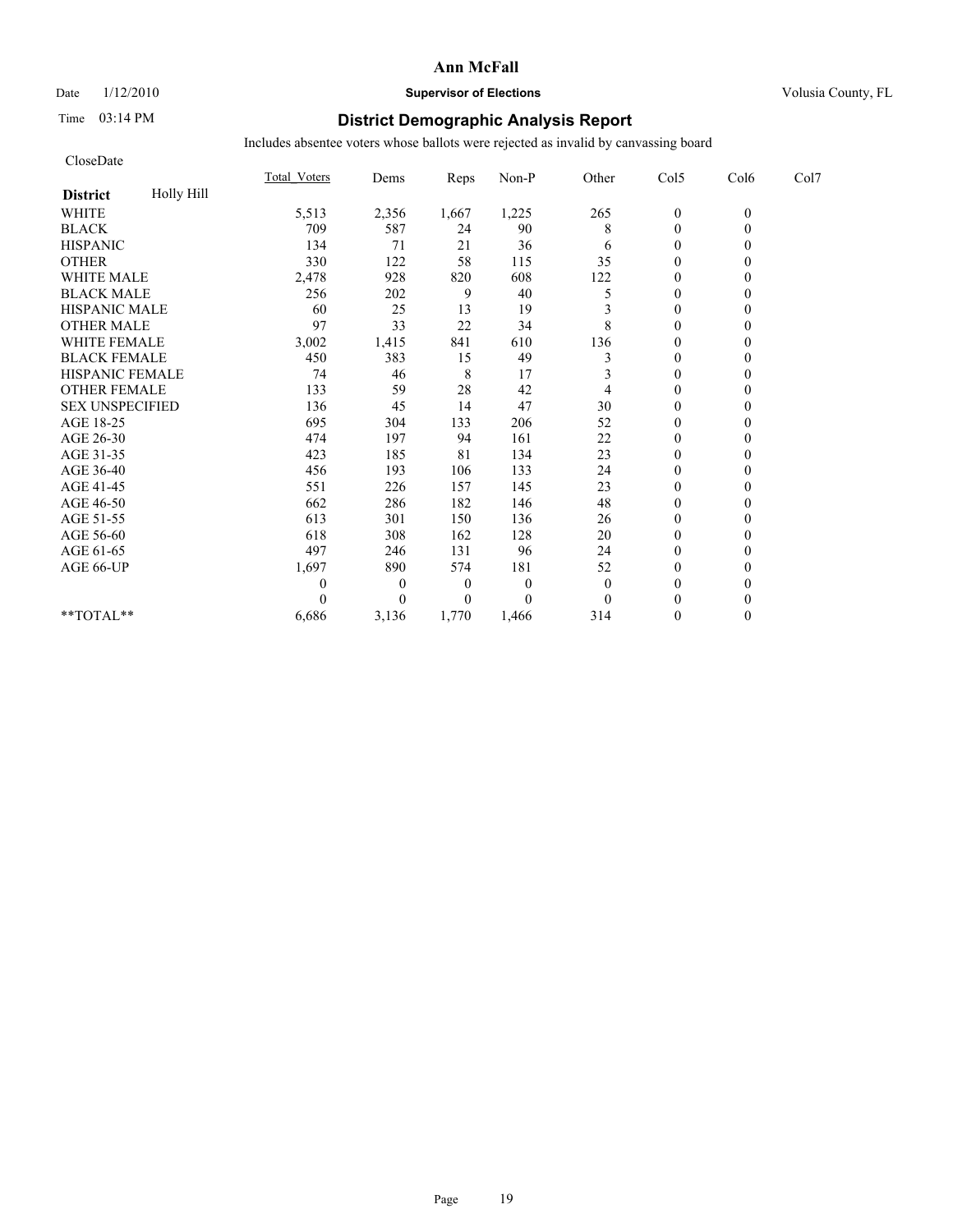# Date  $1/12/2010$  **Supervisor of Elections** Volusia County, FL

# Time 03:14 PM **District Demographic Analysis Report**

| CloseDate              |            |                     |                  |                  |                |              |                  |          |      |
|------------------------|------------|---------------------|------------------|------------------|----------------|--------------|------------------|----------|------|
|                        |            | <b>Total Voters</b> | Dems             | Reps             | Non-P          | Other        | Col5             | Col6     | Col7 |
| <b>District</b>        | Holly Hill |                     |                  |                  |                |              |                  |          |      |
| <b>WHITE</b>           |            | 5,513               | 2,356            | 1,667            | 1,225          | 265          | $\boldsymbol{0}$ | $\theta$ |      |
| <b>BLACK</b>           |            | 709                 | 587              | 24               | 90             | 8            | $\mathbf{0}$     | $\theta$ |      |
| <b>HISPANIC</b>        |            | 134                 | 71               | 21               | 36             | 6            | $\theta$         |          |      |
| <b>OTHER</b>           |            | 330                 | 122              | 58               | 115            | 35           | $\theta$         |          |      |
| WHITE MALE             |            | 2,478               | 928              | 820              | 608            | 122          | $\theta$         |          |      |
| <b>BLACK MALE</b>      |            | 256                 | 202              | 9                | 40             | 5            | $\theta$         |          |      |
| <b>HISPANIC MALE</b>   |            | 60                  | 25               | 13               | 19             | 3            | $\theta$         |          |      |
| <b>OTHER MALE</b>      |            | 97                  | 33               | 22               | 34             | 8            | $\theta$         |          |      |
| <b>WHITE FEMALE</b>    |            | 3,002               | 1,415            | 841              | 610            | 136          | $\theta$         |          |      |
| <b>BLACK FEMALE</b>    |            | 450                 | 383              | 15               | 49             | 3            | $\mathbf{0}$     |          |      |
| HISPANIC FEMALE        |            | 74                  | 46               | 8                | 17             | 3            | $\theta$         | $\theta$ |      |
| <b>OTHER FEMALE</b>    |            | 133                 | 59               | 28               | 42             | 4            | $\mathbf{0}$     |          |      |
| <b>SEX UNSPECIFIED</b> |            | 136                 | 45               | 14               | 47             | 30           | $\theta$         |          |      |
| AGE 18-25              |            | 695                 | 304              | 133              | 206            | 52           | $\theta$         |          |      |
| AGE 26-30              |            | 474                 | 197              | 94               | 161            | 22           | $\mathbf{0}$     |          |      |
| AGE 31-35              |            | 423                 | 185              | 81               | 134            | 23           | $\theta$         |          |      |
| AGE 36-40              |            | 456                 | 193              | 106              | 133            | 24           | $\mathbf{0}$     |          |      |
| AGE 41-45              |            | 551                 | 226              | 157              | 145            | 23           | $\mathbf{0}$     | 0        |      |
| AGE 46-50              |            | 662                 | 286              | 182              | 146            | 48           | $\theta$         |          |      |
| AGE 51-55              |            | 613                 | 301              | 150              | 136            | 26           | $\mathbf{0}$     |          |      |
| AGE 56-60              |            | 618                 | 308              | 162              | 128            | 20           | $\boldsymbol{0}$ |          |      |
| AGE 61-65              |            | 497                 | 246              | 131              | 96             | 24           | $\theta$         |          |      |
| AGE 66-UP              |            | 1,697               | 890              | 574              | 181            | 52           | $\theta$         |          |      |
|                        |            | 0                   | $\boldsymbol{0}$ | $\boldsymbol{0}$ | $\overline{0}$ | $\mathbf{0}$ | $\theta$         |          |      |
|                        |            | 0                   | $\overline{0}$   | $\boldsymbol{0}$ | $\theta$       | $\theta$     | $\theta$         |          |      |
| **TOTAL**              |            | 6,686               | 3,136            | 1,770            | 1,466          | 314          | $\theta$         | $\theta$ |      |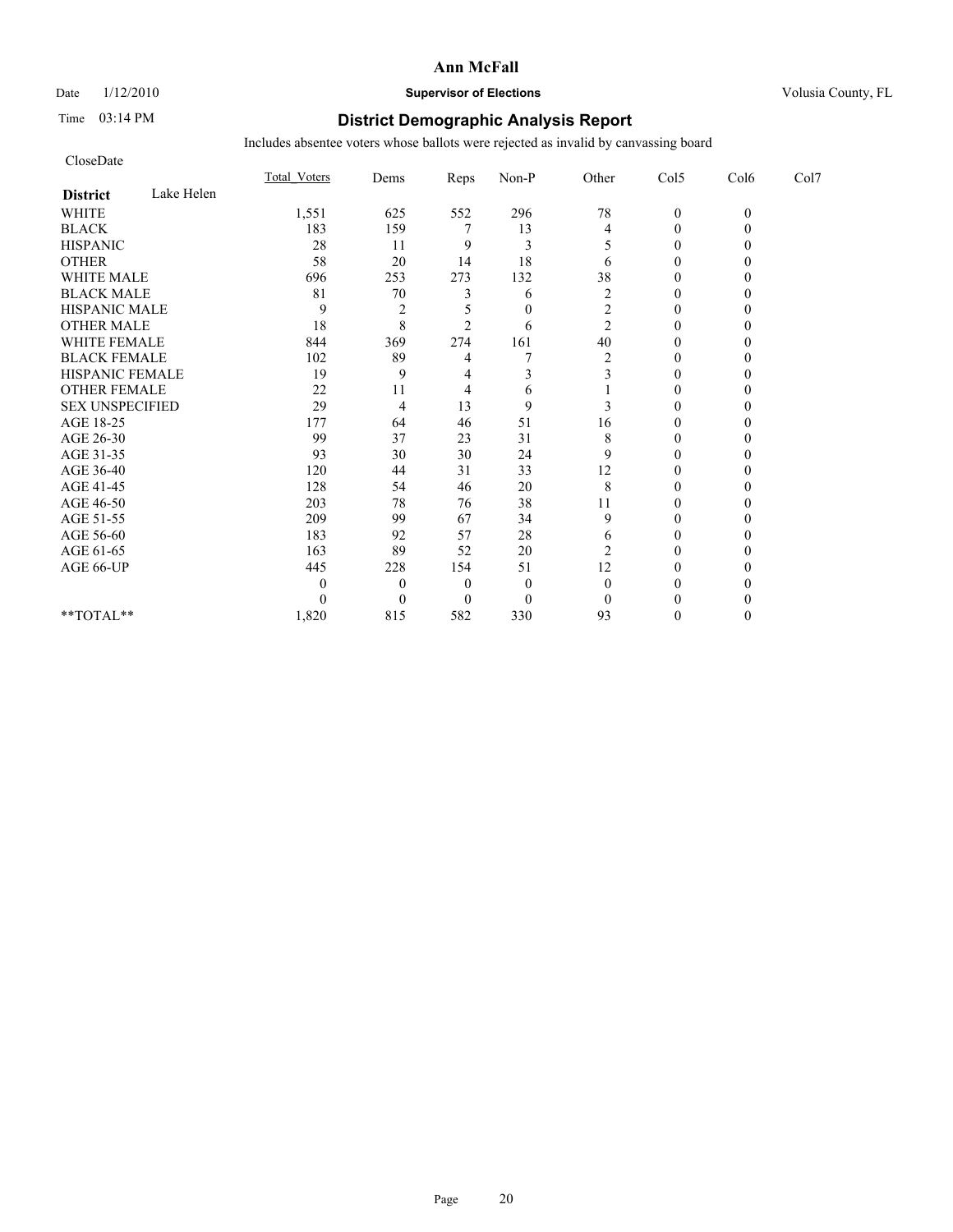# Date  $1/12/2010$  **Supervisor of Elections** Volusia County, FL

## Time 03:14 PM **District Demographic Analysis Report**

| CloseDate              |            |              |                |                  |                |                         |                  |          |      |
|------------------------|------------|--------------|----------------|------------------|----------------|-------------------------|------------------|----------|------|
|                        |            | Total Voters | Dems           | Reps             | Non-P          | Other                   | Col5             | Col6     | Col7 |
| <b>District</b>        | Lake Helen |              |                |                  |                |                         |                  |          |      |
| <b>WHITE</b>           |            | 1,551        | 625            | 552              | 296            | 78                      | $\mathbf{0}$     | $\theta$ |      |
| <b>BLACK</b>           |            | 183          | 159            |                  | 13             | 4                       | $\theta$         |          |      |
| <b>HISPANIC</b>        |            | 28           | 11             | 9                | 3              |                         | $\boldsymbol{0}$ |          |      |
| <b>OTHER</b>           |            | 58           | 20             | 14               | 18             | 6                       | $\theta$         |          |      |
| <b>WHITE MALE</b>      |            | 696          | 253            | 273              | 132            | 38                      | $\theta$         |          |      |
| <b>BLACK MALE</b>      |            | 81           | $70\,$         | 3                | 6              | $\overline{c}$          | $\theta$         |          |      |
| <b>HISPANIC MALE</b>   |            | 9            | $\overline{2}$ |                  | $\theta$       | 2                       | $\theta$         |          |      |
| <b>OTHER MALE</b>      |            | 18           | 8              | $\overline{c}$   | 6              | 2                       | $\boldsymbol{0}$ |          |      |
| <b>WHITE FEMALE</b>    |            | 844          | 369            | 274              | 161            | 40                      | $\theta$         |          |      |
| <b>BLACK FEMALE</b>    |            | 102          | 89             | 4                |                | $\overline{\mathbf{c}}$ | $\mathbf{0}$     |          |      |
| HISPANIC FEMALE        |            | 19           | 9              | 4                | 3              | 3                       | $\theta$         |          |      |
| <b>OTHER FEMALE</b>    |            | 22           | 11             | 4                | 6              |                         | $\mathbf{0}$     |          |      |
| <b>SEX UNSPECIFIED</b> |            | 29           | $\overline{4}$ | 13               | 9              | 3                       | $\theta$         |          |      |
| AGE 18-25              |            | 177          | 64             | 46               | 51             | 16                      | $\theta$         |          |      |
| AGE 26-30              |            | 99           | 37             | 23               | 31             | 8                       | $\theta$         |          |      |
| AGE 31-35              |            | 93           | 30             | 30               | 24             | 9                       | $\Omega$         |          |      |
| AGE 36-40              |            | 120          | 44             | 31               | 33             | 12                      | $\theta$         |          |      |
| AGE 41-45              |            | 128          | 54             | 46               | 20             | 8                       | $\theta$         |          |      |
| AGE 46-50              |            | 203          | 78             | 76               | 38             | 11                      | $\mathbf{0}$     |          |      |
| AGE 51-55              |            | 209          | 99             | 67               | 34             | 9                       | $\theta$         |          |      |
| AGE 56-60              |            | 183          | 92             | 57               | 28             | 6                       | $\boldsymbol{0}$ |          |      |
| AGE 61-65              |            | 163          | 89             | 52               | 20             | 2                       | $\Omega$         |          |      |
| AGE 66-UP              |            | 445          | 228            | 154              | 51             | 12                      | $\Omega$         |          |      |
|                        |            | 0            | $\theta$       | $\boldsymbol{0}$ | $\overline{0}$ | $\theta$                | 0                |          |      |
|                        |            | 0            | $\overline{0}$ | $\theta$         | $\theta$       | $\Omega$                | $\Omega$         |          |      |
| **TOTAL**              |            | 1,820        | 815            | 582              | 330            | 93                      | $\Omega$         | 0        |      |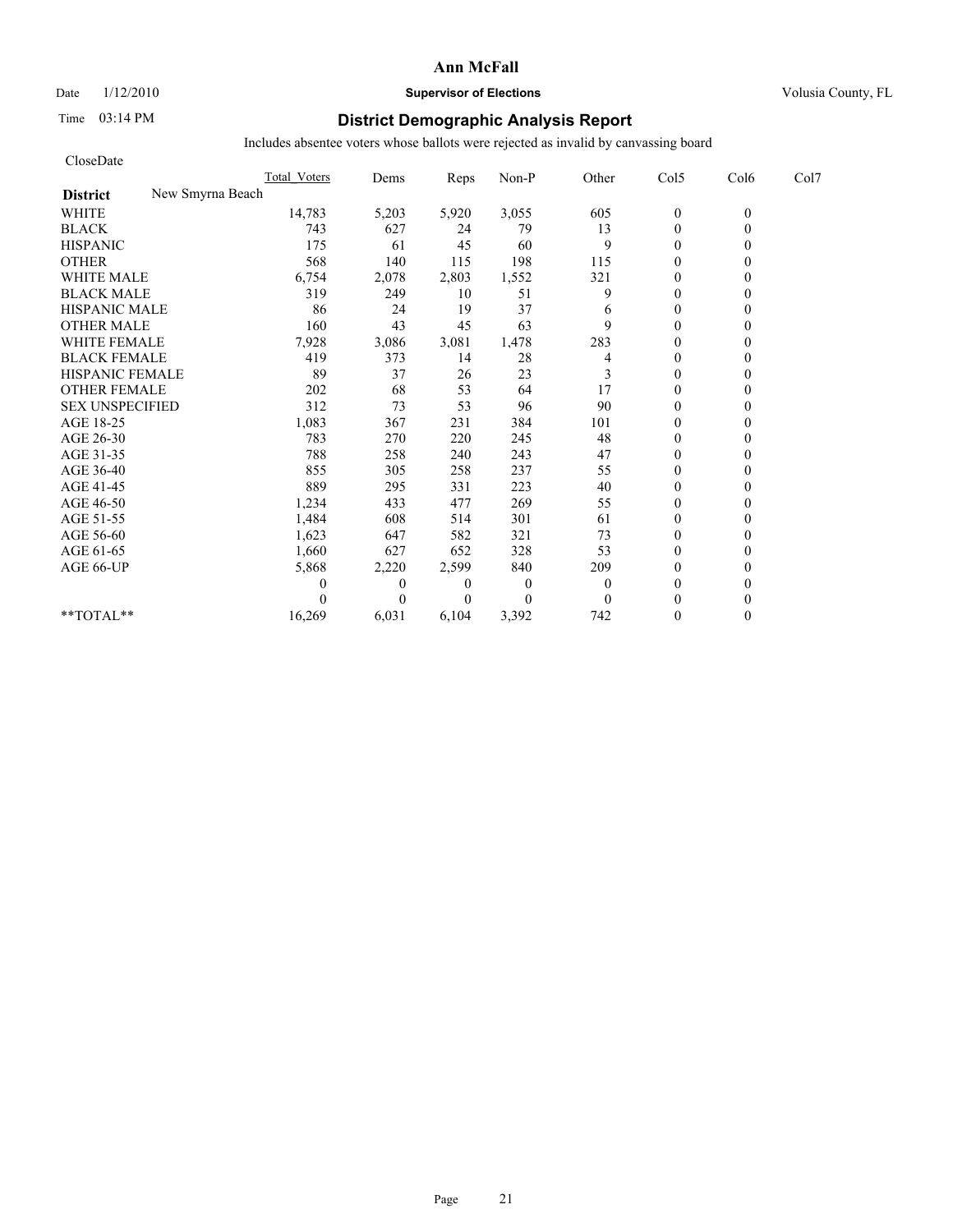Date  $1/12/2010$  **Supervisor of Elections** Volusia County, FL

# Time 03:14 PM **District Demographic Analysis Report**

| CloseDate              |                  |                     |                |                |              |              |                |          |      |
|------------------------|------------------|---------------------|----------------|----------------|--------------|--------------|----------------|----------|------|
|                        |                  | <b>Total Voters</b> | Dems           | Reps           | Non-P        | Other        | Col5           | Col6     | Col7 |
| <b>District</b>        | New Smyrna Beach |                     |                |                |              |              |                |          |      |
| <b>WHITE</b>           |                  | 14,783              | 5,203          | 5,920          | 3,055        | 605          | $\mathbf{0}$   | $\theta$ |      |
| <b>BLACK</b>           |                  | 743                 | 627            | 24             | 79           | 13           | $\mathbf{0}$   | 0        |      |
| <b>HISPANIC</b>        |                  | 175                 | 61             | 45             | 60           | 9            | $\mathbf{0}$   |          |      |
| <b>OTHER</b>           |                  | 568                 | 140            | 115            | 198          | 115          | $\theta$       |          |      |
| <b>WHITE MALE</b>      |                  | 6,754               | 2,078          | 2,803          | 1,552        | 321          | $\theta$       |          |      |
| <b>BLACK MALE</b>      |                  | 319                 | 249            | 10             | 51           | 9            | $\mathbf{0}$   |          |      |
| <b>HISPANIC MALE</b>   |                  | 86                  | 24             | 19             | 37           | 6            | $\theta$       |          |      |
| <b>OTHER MALE</b>      |                  | 160                 | 43             | 45             | 63           | 9            | $\mathbf{0}$   |          |      |
| <b>WHITE FEMALE</b>    |                  | 7,928               | 3,086          | 3,081          | 1,478        | 283          | $\theta$       |          |      |
| <b>BLACK FEMALE</b>    |                  | 419                 | 373            | 14             | 28           | 4            | $\overline{0}$ |          |      |
| HISPANIC FEMALE        |                  | 89                  | 37             | 26             | 23           | 3            | $\theta$       |          |      |
| <b>OTHER FEMALE</b>    |                  | 202                 | 68             | 53             | 64           | 17           | $\theta$       |          |      |
| <b>SEX UNSPECIFIED</b> |                  | 312                 | 73             | 53             | 96           | 90           | $\theta$       |          |      |
| AGE 18-25              |                  | 1,083               | 367            | 231            | 384          | 101          | $\mathbf{0}$   |          |      |
| AGE 26-30              |                  | 783                 | 270            | 220            | 245          | 48           | $\overline{0}$ |          |      |
| AGE 31-35              |                  | 788                 | 258            | 240            | 243          | 47           | $\mathbf{0}$   |          |      |
| AGE 36-40              |                  | 855                 | 305            | 258            | 237          | 55           | $\mathbf{0}$   |          |      |
| AGE 41-45              |                  | 889                 | 295            | 331            | 223          | 40           | $\mathbf{0}$   |          |      |
| AGE 46-50              |                  | 1,234               | 433            | 477            | 269          | 55           | $\theta$       |          |      |
| AGE 51-55              |                  | 1,484               | 608            | 514            | 301          | 61           | $\mathbf{0}$   |          |      |
| AGE 56-60              |                  | 1,623               | 647            | 582            | 321          | 73           | $\mathbf{0}$   |          |      |
| AGE 61-65              |                  | 1,660               | 627            | 652            | 328          | 53           | $\theta$       |          |      |
| AGE 66-UP              |                  | 5,868               | 2,220          | 2,599          | 840          | 209          | $\theta$       |          |      |
|                        |                  | 0                   | $\overline{0}$ | $\overline{0}$ | $\mathbf{0}$ | $\mathbf{0}$ | $\mathbf{0}$   |          |      |
|                        |                  | $\Omega$            | $\Omega$       | $\Omega$       | $\theta$     | $\theta$     | $\theta$       |          |      |
| **TOTAL**              |                  | 16,269              | 6,031          | 6,104          | 3,392        | 742          | $\theta$       | 0        |      |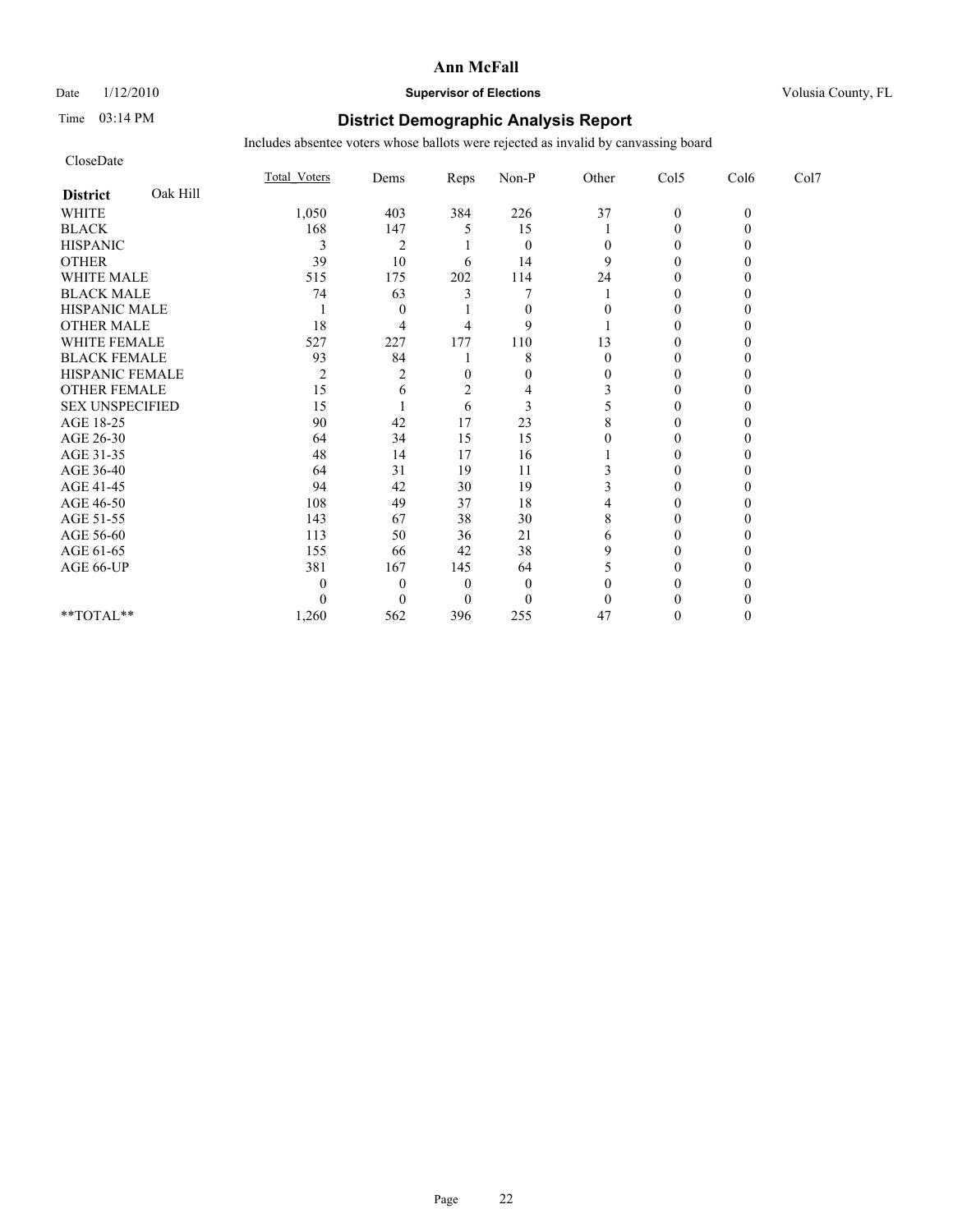CloseDate

#### **Ann McFall**

# Date  $1/12/2010$  **Supervisor of Elections** Volusia County, FL

# Time 03:14 PM **District Demographic Analysis Report**

|                             | <b>Total Voters</b> | Dems     | Reps | Non-P    | Other | Col5             | Col6     | Col7 |  |
|-----------------------------|---------------------|----------|------|----------|-------|------------------|----------|------|--|
| Oak Hill<br><b>District</b> |                     |          |      |          |       |                  |          |      |  |
| <b>WHITE</b>                | 1,050               | 403      | 384  | 226      | 37    | $\boldsymbol{0}$ | $\theta$ |      |  |
| <b>BLACK</b>                | 168                 | 147      |      | 15       |       | $\overline{0}$   |          |      |  |
| <b>HISPANIC</b>             | 3                   | 2        |      | $\theta$ |       |                  |          |      |  |
| <b>OTHER</b>                | 39                  | 10       | 6    | 14       |       | 0                |          |      |  |
| WHITE MALE                  | 515                 | 175      | 202  | 114      | 24    |                  |          |      |  |
| <b>BLACK MALE</b>           | 74                  | 63       |      |          |       |                  |          |      |  |
| <b>HISPANIC MALE</b>        |                     | $\theta$ |      | $\theta$ |       | 0                |          |      |  |
| <b>OTHER MALE</b>           | 18                  |          |      | 9        |       | 0                |          |      |  |
| WHITE FEMALE                | 527                 | 227      | 177  | 110      | 13    |                  |          |      |  |
| <b>BLACK FEMALE</b>         | 93                  | 84       |      | 8        | 0     | 0                |          |      |  |
| HISPANIC FEMALE             | 2                   |          |      | 0        |       |                  |          |      |  |
| <b>OTHER FEMALE</b>         | 15                  | h        |      |          |       |                  |          |      |  |
| <b>SEX UNSPECIFIED</b>      | 15                  |          | 6    | 3        |       | 0                |          |      |  |
| AGE 18-25                   | 90                  | 42       | 17   | 23       |       |                  |          |      |  |
| AGE 26-30                   | 64                  | 34       | 15   | 15       |       |                  |          |      |  |
| AGE 31-35                   | 48                  | 14       | 17   | 16       |       | 0                |          |      |  |
| AGE 36-40                   | 64                  | 31       | 19   | 11       |       |                  |          |      |  |
| AGE 41-45                   | 94                  | 42       | 30   | 19       |       |                  |          |      |  |
| AGE 46-50                   | 108                 | 49       | 37   | 18       |       | 0                |          |      |  |
| AGE 51-55                   | 143                 | 67       | 38   | 30       |       |                  |          |      |  |
| AGE 56-60                   | 113                 | 50       | 36   | 21       | 6     |                  |          |      |  |
| AGE 61-65                   | 155                 | 66       | 42   | 38       |       | 0                |          |      |  |
| AGE 66-UP                   | 381                 | 167      | 145  | 64       |       |                  |          |      |  |
|                             | $\theta$            | 0        |      | $\Omega$ |       |                  |          |      |  |
|                             | 0                   |          |      | $\theta$ |       |                  |          |      |  |
| $*$ TOTAL $*$               | 1,260               | 562      | 396  | 255      | 47    | 0                |          |      |  |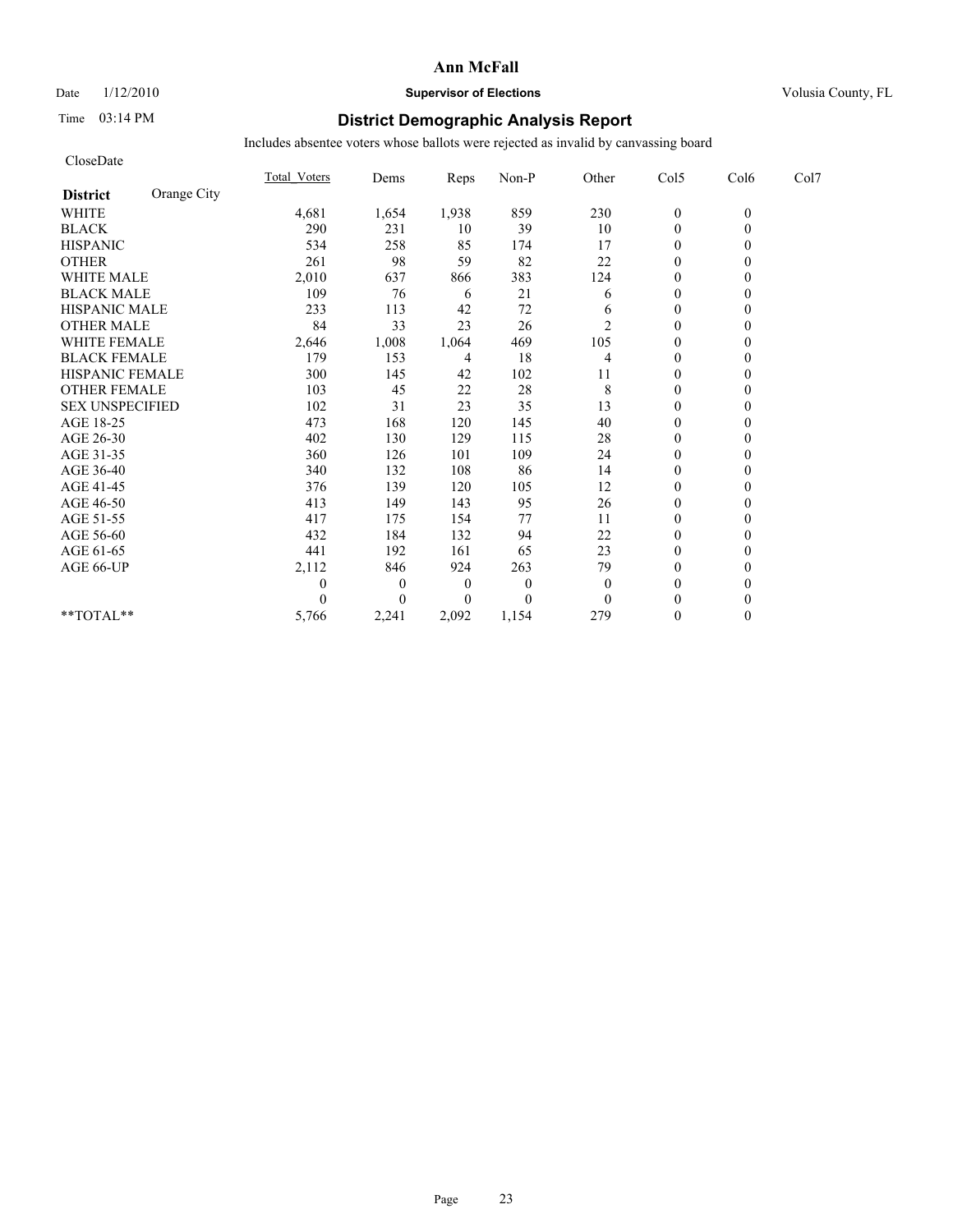# Date  $1/12/2010$  **Supervisor of Elections** Volusia County, FL

# Time 03:14 PM **District Demographic Analysis Report**

| CloseDate              |             |                     |                |                  |              |              |                  |          |      |
|------------------------|-------------|---------------------|----------------|------------------|--------------|--------------|------------------|----------|------|
|                        |             | <b>Total Voters</b> | Dems           | Reps             | Non-P        | Other        | Col5             | Col6     | Col7 |
| <b>District</b>        | Orange City |                     |                |                  |              |              |                  |          |      |
| <b>WHITE</b>           |             | 4,681               | 1,654          | 1,938            | 859          | 230          | $\boldsymbol{0}$ | $\theta$ |      |
| <b>BLACK</b>           |             | 290                 | 231            | 10               | 39           | 10           | $\mathbf{0}$     | $\theta$ |      |
| <b>HISPANIC</b>        |             | 534                 | 258            | 85               | 174          | 17           | $\overline{0}$   |          |      |
| <b>OTHER</b>           |             | 261                 | 98             | 59               | 82           | 22           | $\theta$         |          |      |
| <b>WHITE MALE</b>      |             | 2,010               | 637            | 866              | 383          | 124          | $\boldsymbol{0}$ |          |      |
| <b>BLACK MALE</b>      |             | 109                 | 76             | 6                | 21           | 6            | $\theta$         |          |      |
| <b>HISPANIC MALE</b>   |             | 233                 | 113            | 42               | 72           | 6            | $\theta$         |          |      |
| <b>OTHER MALE</b>      |             | 84                  | 33             | 23               | 26           | 2            | $\mathbf{0}$     |          |      |
| <b>WHITE FEMALE</b>    |             | 2,646               | 1,008          | 1,064            | 469          | 105          | $\theta$         |          |      |
| <b>BLACK FEMALE</b>    |             | 179                 | 153            | 4                | 18           | 4            | $\mathbf{0}$     |          |      |
| HISPANIC FEMALE        |             | 300                 | 145            | 42               | 102          | 11           | $\mathbf{0}$     | $\theta$ |      |
| <b>OTHER FEMALE</b>    |             | 103                 | 45             | 22               | 28           | 8            | $\mathbf{0}$     |          |      |
| <b>SEX UNSPECIFIED</b> |             | 102                 | 31             | 23               | 35           | 13           | $\theta$         |          |      |
| AGE 18-25              |             | 473                 | 168            | 120              | 145          | 40           | $\theta$         |          |      |
| AGE 26-30              |             | 402                 | 130            | 129              | 115          | 28           | $\mathbf{0}$     |          |      |
| AGE 31-35              |             | 360                 | 126            | 101              | 109          | 24           | $\theta$         |          |      |
| AGE 36-40              |             | 340                 | 132            | 108              | 86           | 14           | $\mathbf{0}$     |          |      |
| AGE 41-45              |             | 376                 | 139            | 120              | 105          | 12           | $\mathbf{0}$     | 0        |      |
| AGE 46-50              |             | 413                 | 149            | 143              | 95           | 26           | $\theta$         |          |      |
| AGE 51-55              |             | 417                 | 175            | 154              | 77           | 11           | $\mathbf{0}$     |          |      |
| AGE 56-60              |             | 432                 | 184            | 132              | 94           | 22           | $\boldsymbol{0}$ |          |      |
| AGE 61-65              |             | 441                 | 192            | 161              | 65           | 23           | $\theta$         |          |      |
| AGE 66-UP              |             | 2,112               | 846            | 924              | 263          | 79           | $\theta$         |          |      |
|                        |             | 0                   | $\theta$       | $\boldsymbol{0}$ | $\mathbf{0}$ | $\mathbf{0}$ | $\theta$         |          |      |
|                        |             | 0                   | $\overline{0}$ | $\boldsymbol{0}$ | $\Omega$     | $\theta$     | $\theta$         |          |      |
| **TOTAL**              |             | 5,766               | 2,241          | 2,092            | 1,154        | 279          | $\theta$         | $\theta$ |      |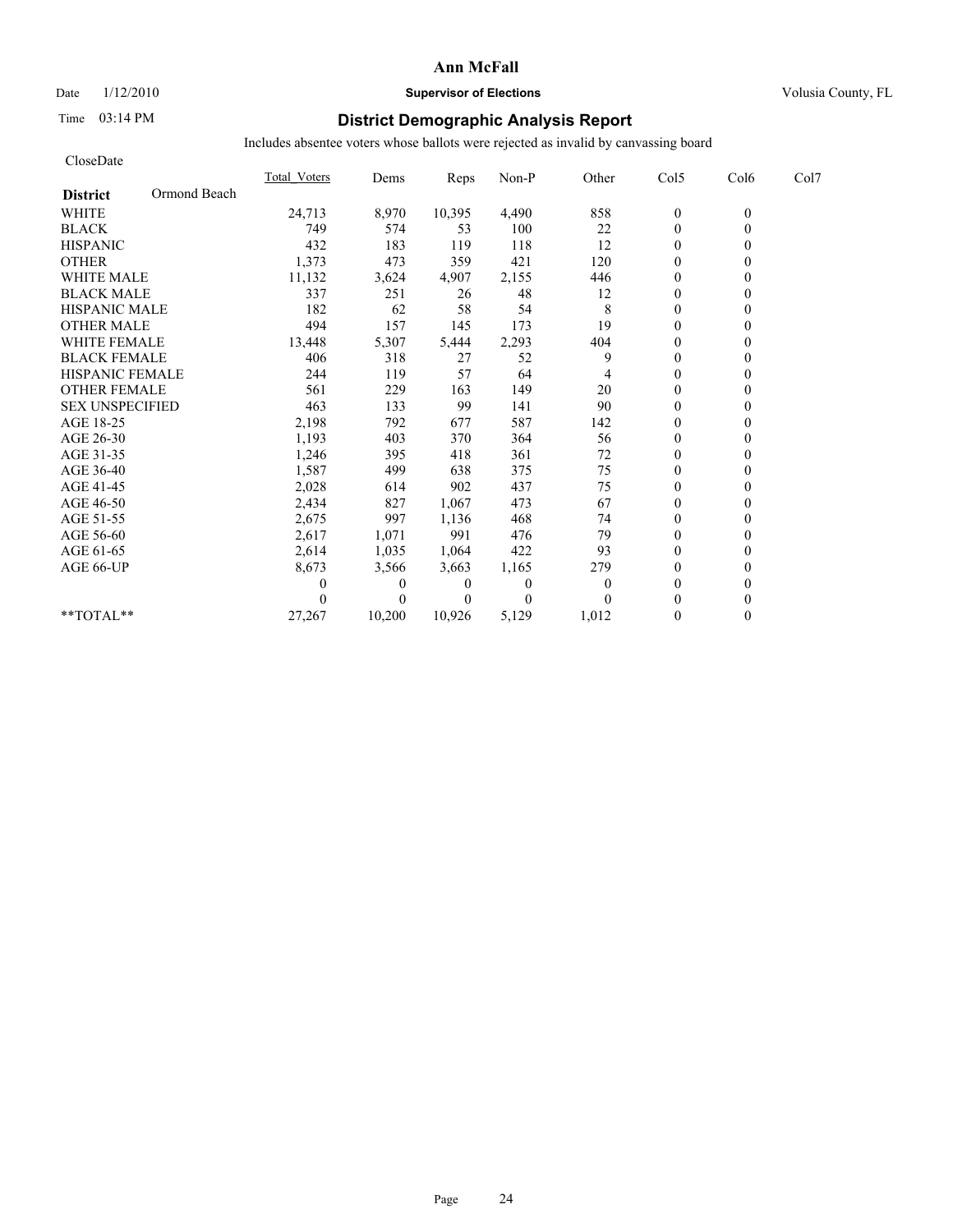## Date  $1/12/2010$  **Supervisor of Elections** Volusia County, FL

# Time 03:14 PM **District Demographic Analysis Report**

| CloseDate              |              |                     |                |          |              |          |                  |          |      |
|------------------------|--------------|---------------------|----------------|----------|--------------|----------|------------------|----------|------|
|                        |              | <b>Total Voters</b> | Dems           | Reps     | Non-P        | Other    | Col5             | Col6     | Col7 |
| <b>District</b>        | Ormond Beach |                     |                |          |              |          |                  |          |      |
| <b>WHITE</b>           |              | 24,713              | 8,970          | 10,395   | 4,490        | 858      | $\boldsymbol{0}$ | $\theta$ |      |
| <b>BLACK</b>           |              | 749                 | 574            | 53       | 100          | 22       | $\mathbf{0}$     | $\theta$ |      |
| <b>HISPANIC</b>        |              | 432                 | 183            | 119      | 118          | 12       | $\boldsymbol{0}$ |          |      |
| <b>OTHER</b>           |              | 1,373               | 473            | 359      | 421          | 120      | $\Omega$         |          |      |
| <b>WHITE MALE</b>      |              | 11,132              | 3,624          | 4,907    | 2,155        | 446      | $\boldsymbol{0}$ |          |      |
| <b>BLACK MALE</b>      |              | 337                 | 251            | 26       | 48           | 12       | $\theta$         |          |      |
| <b>HISPANIC MALE</b>   |              | 182                 | 62             | 58       | 54           | 8        | $\theta$         |          |      |
| <b>OTHER MALE</b>      |              | 494                 | 157            | 145      | 173          | 19       | $\mathbf{0}$     |          |      |
| <b>WHITE FEMALE</b>    |              | 13,448              | 5,307          | 5,444    | 2,293        | 404      | $\theta$         |          |      |
| <b>BLACK FEMALE</b>    |              | 406                 | 318            | 27       | 52           | 9        | $\mathbf{0}$     |          |      |
| <b>HISPANIC FEMALE</b> |              | 244                 | 119            | 57       | 64           |          | $\theta$         | 0        |      |
| <b>OTHER FEMALE</b>    |              | 561                 | 229            | 163      | 149          | 20       | $\mathbf{0}$     |          |      |
| <b>SEX UNSPECIFIED</b> |              | 463                 | 133            | 99       | 141          | 90       | $\theta$         |          |      |
| AGE 18-25              |              | 2,198               | 792            | 677      | 587          | 142      | $\boldsymbol{0}$ |          |      |
| AGE 26-30              |              | 1,193               | 403            | 370      | 364          | 56       | $\mathbf{0}$     |          |      |
| AGE 31-35              |              | 1,246               | 395            | 418      | 361          | 72       | $\theta$         |          |      |
| AGE 36-40              |              | 1,587               | 499            | 638      | 375          | 75       | $\Omega$         |          |      |
| AGE 41-45              |              | 2,028               | 614            | 902      | 437          | 75       | $\mathbf{0}$     |          |      |
| AGE 46-50              |              | 2,434               | 827            | 1,067    | 473          | 67       | $\mathbf{0}$     |          |      |
| AGE 51-55              |              | 2,675               | 997            | 1,136    | 468          | 74       | $\Omega$         |          |      |
| AGE 56-60              |              | 2,617               | 1,071          | 991      | 476          | 79       | $\boldsymbol{0}$ |          |      |
| AGE 61-65              |              | 2,614               | 1,035          | 1,064    | 422          | 93       | $\theta$         |          |      |
| AGE 66-UP              |              | 8,673               | 3,566          | 3,663    | 1,165        | 279      | $\theta$         |          |      |
|                        |              |                     | $\theta$       | 0        | $\mathbf{0}$ | $\theta$ | $\theta$         |          |      |
|                        |              |                     | $\overline{0}$ | $\theta$ | $\Omega$     |          | $\theta$         |          |      |
| **TOTAL**              |              | 27,267              | 10,200         | 10,926   | 5,129        | 1,012    | $\Omega$         | $\theta$ |      |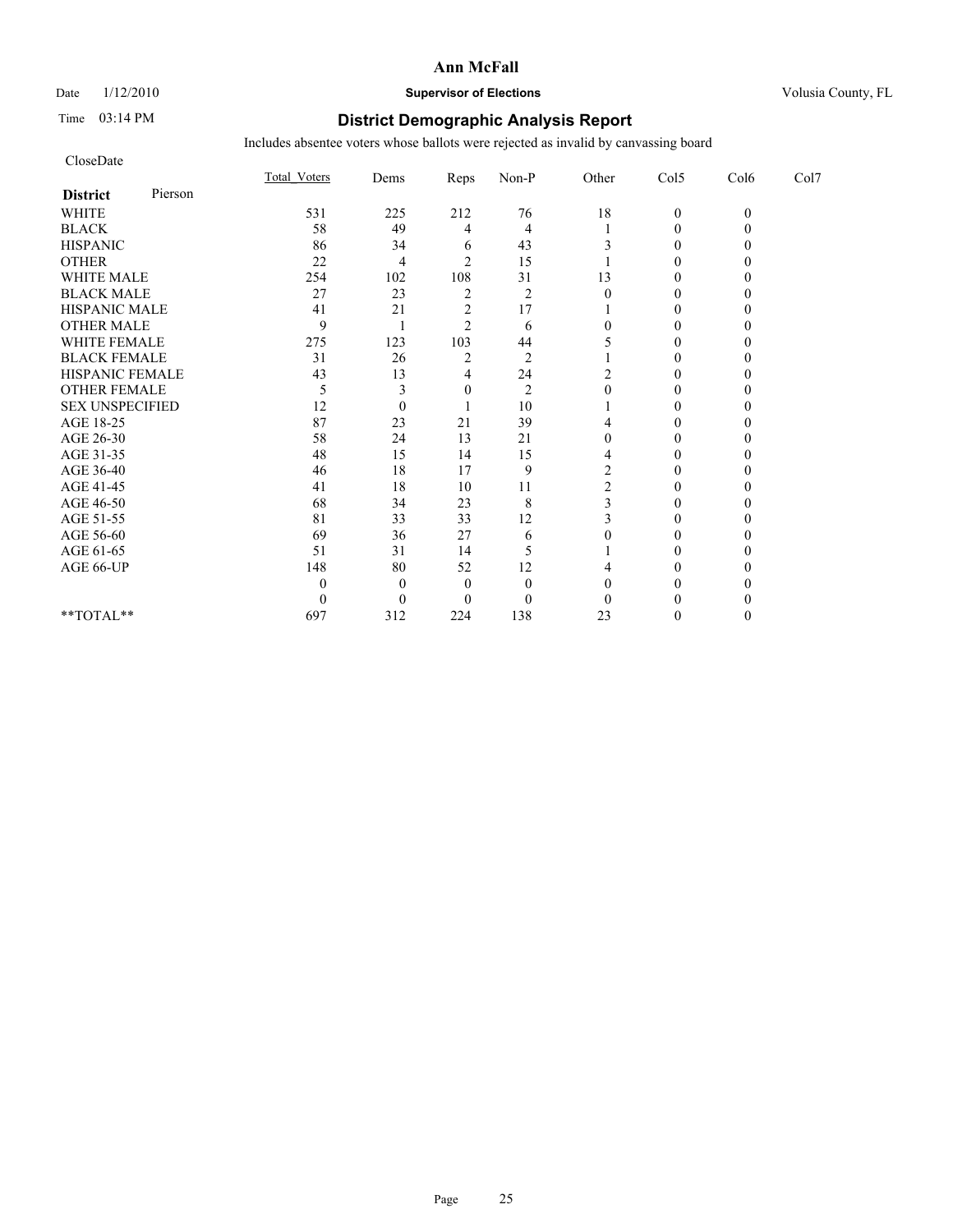## Date  $1/12/2010$  **Supervisor of Elections** Volusia County, FL

## Time 03:14 PM **District Demographic Analysis Report**

| CloseDate              |         |              |          |                |                |          |                  |          |      |
|------------------------|---------|--------------|----------|----------------|----------------|----------|------------------|----------|------|
|                        |         | Total Voters | Dems     | Reps           | Non-P          | Other    | Col5             | Col6     | Col7 |
| <b>District</b>        | Pierson |              |          |                |                |          |                  |          |      |
| <b>WHITE</b>           |         | 531          | 225      | 212            | 76             | 18       | $\boldsymbol{0}$ | $\theta$ |      |
| <b>BLACK</b>           |         | 58           | 49       | 4              | 4              |          | $\theta$         |          |      |
| <b>HISPANIC</b>        |         | 86           | 34       | 6              | 43             |          | $\theta$         |          |      |
| <b>OTHER</b>           |         | 22           | 4        | $\overline{c}$ | 15             |          | $\theta$         |          |      |
| <b>WHITE MALE</b>      |         | 254          | 102      | 108            | 31             | 13       | $\theta$         |          |      |
| <b>BLACK MALE</b>      |         | 27           | 23       | $\overline{2}$ | $\overline{2}$ | $\Omega$ | 0                |          |      |
| HISPANIC MALE          |         | 41           | 21       | $\overline{c}$ | 17             |          | $\theta$         |          |      |
| <b>OTHER MALE</b>      |         | 9            |          | $\overline{c}$ | 6              |          | $\theta$         |          |      |
| WHITE FEMALE           |         | 275          | 123      | 103            | 44             |          | $\theta$         |          |      |
| <b>BLACK FEMALE</b>    |         | 31           | 26       | $\overline{2}$ | $\overline{2}$ |          | $\theta$         |          |      |
| HISPANIC FEMALE        |         | 43           | 13       | 4              | 24             |          | $\Omega$         |          |      |
| <b>OTHER FEMALE</b>    |         | 5            | 3        | 0              | $\overline{2}$ |          | $\theta$         |          |      |
| <b>SEX UNSPECIFIED</b> |         | 12           | $\theta$ |                | 10             |          | $\Omega$         |          |      |
| AGE 18-25              |         | 87           | 23       | 21             | 39             |          | $\theta$         |          |      |
| AGE 26-30              |         | 58           | 24       | 13             | 21             |          | $\theta$         |          |      |
| AGE 31-35              |         | 48           | 15       | 14             | 15             | 4        | $\theta$         |          |      |
| AGE 36-40              |         | 46           | 18       | 17             | 9              | 2        | $\theta$         |          |      |
| AGE 41-45              |         | 41           | 18       | 10             | 11             |          | $\theta$         |          |      |
| AGE 46-50              |         | 68           | 34       | 23             | $\,$ 8 $\,$    |          | $\mathbf{0}$     |          |      |
| AGE 51-55              |         | 81           | 33       | 33             | 12             |          | $\Omega$         |          |      |
| AGE 56-60              |         | 69           | 36       | 27             | 6              |          | $\theta$         |          |      |
| AGE 61-65              |         | 51           | 31       | 14             | 5              |          | 0                |          |      |
| AGE 66-UP              |         | 148          | 80       | 52             | 12             |          | 0                |          |      |
|                        |         | 0            | $\theta$ | $\theta$       | $\theta$       |          | 0                |          |      |
|                        |         | 0            | $\theta$ | 0              | $\Omega$       |          | $\theta$         |          |      |
| $**TOTAL**$            |         | 697          | 312      | 224            | 138            | 23       | $\theta$         | 0        |      |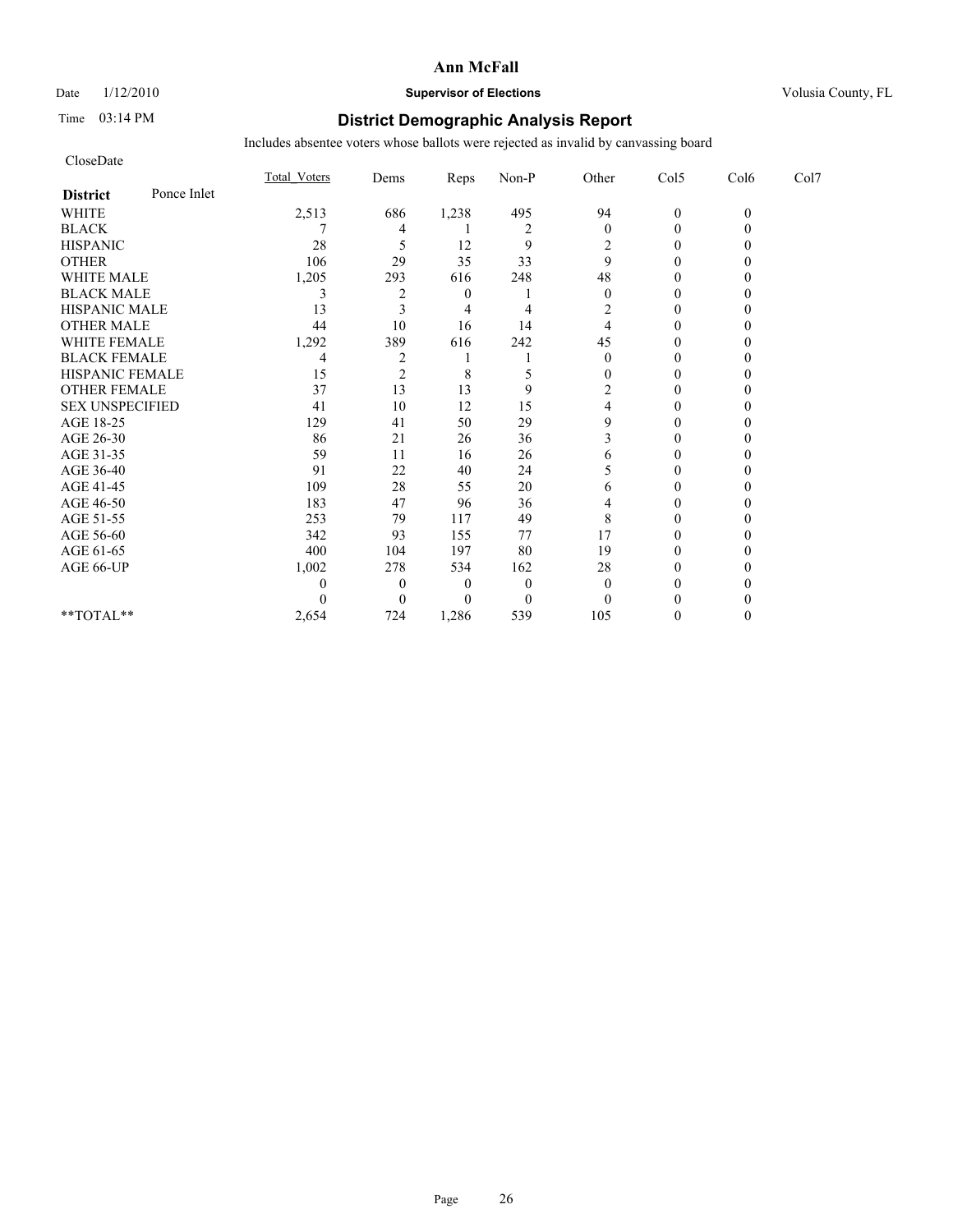# Date  $1/12/2010$  **Supervisor of Elections** Volusia County, FL

# Time 03:14 PM **District Demographic Analysis Report**

| CloseDate              |             |              |                |                  |                |                  |                  |          |      |
|------------------------|-------------|--------------|----------------|------------------|----------------|------------------|------------------|----------|------|
|                        |             | Total Voters | Dems           | Reps             | Non-P          | Other            | Col5             | Col6     | Col7 |
| <b>District</b>        | Ponce Inlet |              |                |                  |                |                  |                  |          |      |
| <b>WHITE</b>           |             | 2,513        | 686            | 1,238            | 495            | 94               | $\mathbf{0}$     | $\theta$ |      |
| <b>BLACK</b>           |             |              | 4              |                  | $\overline{2}$ | $\mathbf{0}$     | $\theta$         |          |      |
| <b>HISPANIC</b>        |             | 28           | 5              | 12               | 9              | 2                | $\boldsymbol{0}$ |          |      |
| <b>OTHER</b>           |             | 106          | 29             | 35               | 33             | 9                | $\theta$         |          |      |
| <b>WHITE MALE</b>      |             | 1,205        | 293            | 616              | 248            | 48               | $\theta$         |          |      |
| <b>BLACK MALE</b>      |             | 3            | 2              | $\boldsymbol{0}$ |                | $\theta$         | $\Omega$         |          |      |
| <b>HISPANIC MALE</b>   |             | 13           | 3              | 4                | 4              | 2                | $\theta$         |          |      |
| <b>OTHER MALE</b>      |             | 44           | 10             | 16               | 14             | 4                | $\boldsymbol{0}$ |          |      |
| <b>WHITE FEMALE</b>    |             | 1,292        | 389            | 616              | 242            | 45               | $\Omega$         |          |      |
| <b>BLACK FEMALE</b>    |             | 4            | $\overline{c}$ |                  |                | $\boldsymbol{0}$ | $\boldsymbol{0}$ |          |      |
| HISPANIC FEMALE        |             | 15           | $\overline{c}$ | 8                | 5              | 0                | $\theta$         |          |      |
| <b>OTHER FEMALE</b>    |             | 37           | 13             | 13               | 9              | 2                | $\theta$         |          |      |
| <b>SEX UNSPECIFIED</b> |             | 41           | 10             | 12               | 15             |                  | $\theta$         |          |      |
| AGE 18-25              |             | 129          | 41             | 50               | 29             | 9                | $\theta$         |          |      |
| AGE 26-30              |             | 86           | 21             | 26               | 36             | 3                | $\Omega$         |          |      |
| AGE 31-35              |             | 59           | 11             | 16               | 26             | 6                | $\Omega$         |          |      |
| AGE 36-40              |             | 91           | 22             | 40               | 24             |                  | $\theta$         |          |      |
| AGE 41-45              |             | 109          | 28             | 55               | 20             | 6                | $\theta$         |          |      |
| AGE 46-50              |             | 183          | 47             | 96               | 36             |                  | $\boldsymbol{0}$ |          |      |
| AGE 51-55              |             | 253          | 79             | 117              | 49             | 8                | $\Omega$         |          |      |
| AGE 56-60              |             | 342          | 93             | 155              | 77             | 17               | $\theta$         |          |      |
| AGE 61-65              |             | 400          | 104            | 197              | 80             | 19               | $\Omega$         |          |      |
| AGE 66-UP              |             | 1,002        | 278            | 534              | 162            | 28               | 0                |          |      |
|                        |             | 0            | $\theta$       | 0                | $\overline{0}$ | $\theta$         | 0                |          |      |
|                        |             | 0            | $\Omega$       | $\theta$         | $\Omega$       | $\Omega$         | $\Omega$         |          |      |
| **TOTAL**              |             | 2,654        | 724            | 1,286            | 539            | 105              | $\theta$         |          |      |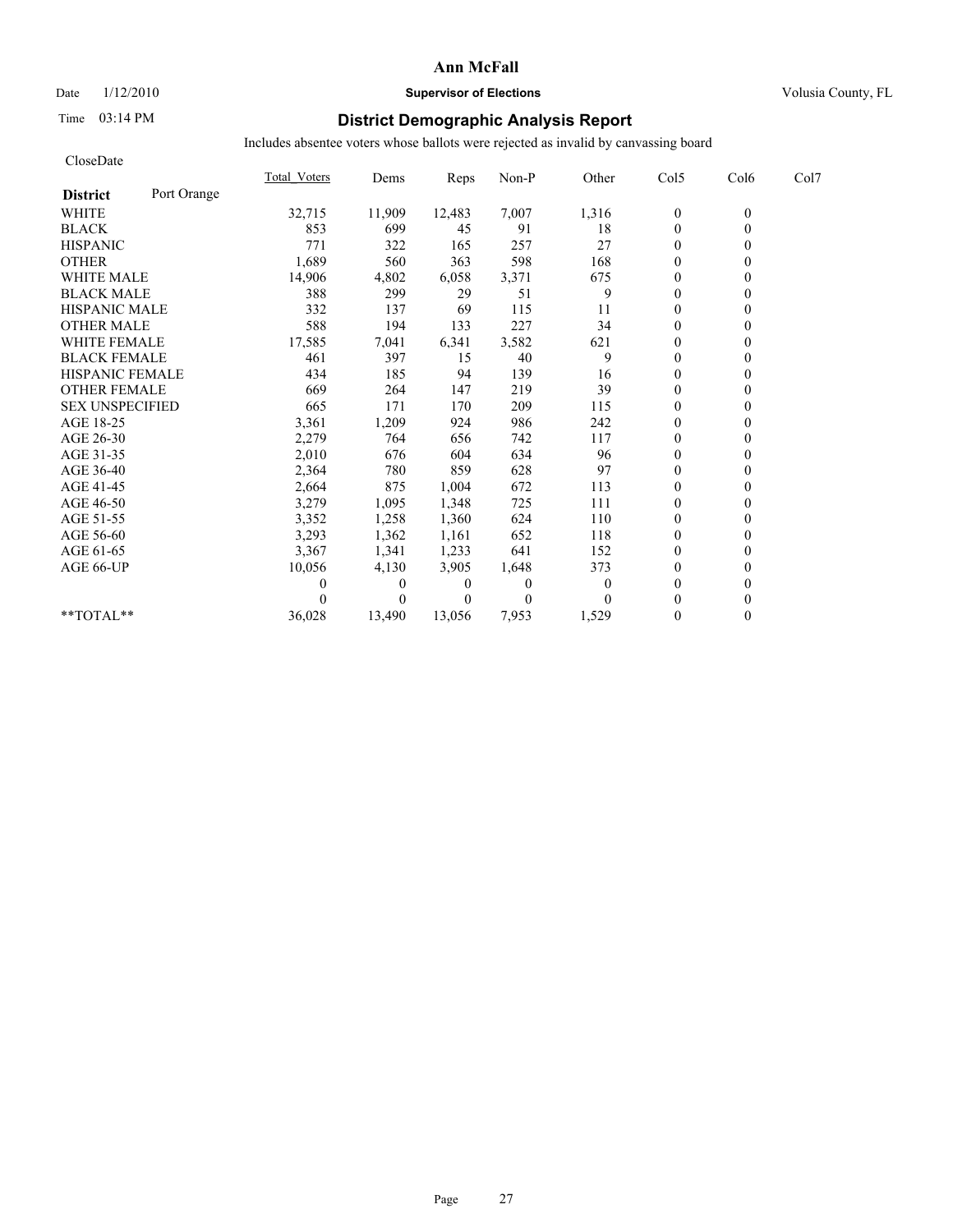## Date  $1/12/2010$  **Supervisor of Elections** Volusia County, FL

# Time 03:14 PM **District Demographic Analysis Report**

| CloseDate              |             |                     |              |          |                |          |                  |          |      |
|------------------------|-------------|---------------------|--------------|----------|----------------|----------|------------------|----------|------|
|                        |             | <b>Total Voters</b> | Dems         | Reps     | Non-P          | Other    | Col5             | Col6     | Col7 |
| <b>District</b>        | Port Orange |                     |              |          |                |          |                  |          |      |
| <b>WHITE</b>           |             | 32,715              | 11,909       | 12,483   | 7,007          | 1,316    | $\boldsymbol{0}$ | $\theta$ |      |
| <b>BLACK</b>           |             | 853                 | 699          | 45       | 91             | 18       | $\mathbf{0}$     | $\theta$ |      |
| <b>HISPANIC</b>        |             | 771                 | 322          | 165      | 257            | 27       | $\mathbf{0}$     |          |      |
| <b>OTHER</b>           |             | 1,689               | 560          | 363      | 598            | 168      | $\theta$         |          |      |
| <b>WHITE MALE</b>      |             | 14,906              | 4,802        | 6,058    | 3,371          | 675      | $\theta$         |          |      |
| <b>BLACK MALE</b>      |             | 388                 | 299          | 29       | 51             | 9        | $\mathbf{0}$     |          |      |
| <b>HISPANIC MALE</b>   |             | 332                 | 137          | 69       | 115            | 11       | $\Omega$         |          |      |
| <b>OTHER MALE</b>      |             | 588                 | 194          | 133      | 227            | 34       | $\theta$         |          |      |
| <b>WHITE FEMALE</b>    |             | 17,585              | 7,041        | 6,341    | 3,582          | 621      | $\theta$         |          |      |
| <b>BLACK FEMALE</b>    |             | 461                 | 397          | 15       | 40             | 9        | $\theta$         |          |      |
| <b>HISPANIC FEMALE</b> |             | 434                 | 185          | 94       | 139            | 16       | $\theta$         |          |      |
| <b>OTHER FEMALE</b>    |             | 669                 | 264          | 147      | 219            | 39       | $\mathbf{0}$     |          |      |
| <b>SEX UNSPECIFIED</b> |             | 665                 | 171          | 170      | 209            | 115      | $\mathbf{0}$     |          |      |
| AGE 18-25              |             | 3,361               | 1,209        | 924      | 986            | 242      | $\mathbf{0}$     |          |      |
| AGE 26-30              |             | 2,279               | 764          | 656      | 742            | 117      | $\theta$         |          |      |
| AGE 31-35              |             | 2,010               | 676          | 604      | 634            | 96       | $\mathbf{0}$     |          |      |
| AGE 36-40              |             | 2,364               | 780          | 859      | 628            | 97       | $\theta$         |          |      |
| AGE 41-45              |             | 2,664               | 875          | 1,004    | 672            | 113      | $\mathbf{0}$     |          |      |
| AGE 46-50              |             | 3,279               | 1,095        | 1,348    | 725            | 111      | $\mathbf{0}$     |          |      |
| AGE 51-55              |             | 3,352               | 1,258        | 1,360    | 624            | 110      | $\theta$         |          |      |
| AGE 56-60              |             | 3,293               | 1,362        | 1,161    | 652            | 118      | $\theta$         |          |      |
| AGE 61-65              |             | 3,367               | 1,341        | 1,233    | 641            | 152      | $\theta$         |          |      |
| AGE 66-UP              |             | 10,056              | 4,130        | 3,905    | 1,648          | 373      | $\mathbf{0}$     |          |      |
|                        |             |                     | $\mathbf{0}$ | $\theta$ | $\overline{0}$ | $\Omega$ | $\mathbf{0}$     |          |      |
|                        |             |                     | $\theta$     | $\theta$ | $\Omega$       | 0        | $\theta$         |          |      |
| **TOTAL**              |             | 36,028              | 13,490       | 13.056   | 7,953          | 1,529    | $\theta$         | 0        |      |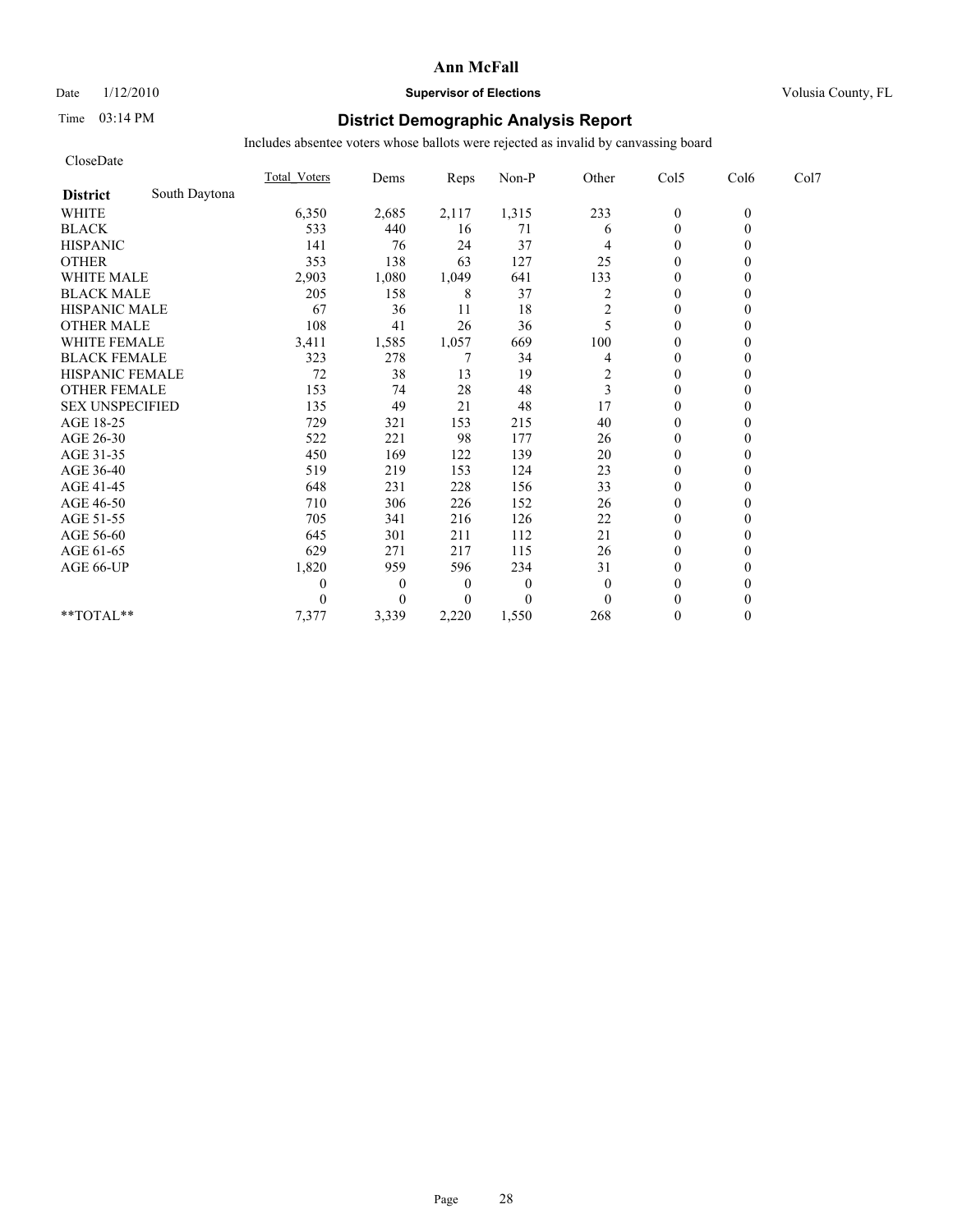## Date  $1/12/2010$  **Supervisor of Elections** Volusia County, FL

## Time 03:14 PM **District Demographic Analysis Report**

| CloseDate              |               |                     |                  |                  |              |          |                  |          |      |
|------------------------|---------------|---------------------|------------------|------------------|--------------|----------|------------------|----------|------|
|                        |               | <b>Total Voters</b> | Dems             | Reps             | Non-P        | Other    | Col5             | Col6     | Col7 |
| <b>District</b>        | South Daytona |                     |                  |                  |              |          |                  |          |      |
| <b>WHITE</b>           |               | 6,350               | 2,685            | 2,117            | 1,315        | 233      | $\boldsymbol{0}$ | $\theta$ |      |
| <b>BLACK</b>           |               | 533                 | 440              | 16               | 71           | 6        | $\mathbf{0}$     | $\theta$ |      |
| <b>HISPANIC</b>        |               | 141                 | 76               | 24               | 37           |          | $\mathbf{0}$     |          |      |
| <b>OTHER</b>           |               | 353                 | 138              | 63               | 127          | 25       | $\theta$         |          |      |
| WHITE MALE             |               | 2,903               | 1,080            | 1,049            | 641          | 133      | $\boldsymbol{0}$ |          |      |
| <b>BLACK MALE</b>      |               | 205                 | 158              | 8                | 37           | 2        | $\theta$         |          |      |
| <b>HISPANIC MALE</b>   |               | 67                  | 36               | 11               | 18           | 2        | $\theta$         |          |      |
| <b>OTHER MALE</b>      |               | 108                 | 41               | 26               | 36           | 5        | $\mathbf{0}$     |          |      |
| <b>WHITE FEMALE</b>    |               | 3,411               | 1,585            | 1,057            | 669          | 100      | $\theta$         |          |      |
| <b>BLACK FEMALE</b>    |               | 323                 | 278              | 7                | 34           | 4        | $\mathbf{0}$     |          |      |
| HISPANIC FEMALE        |               | 72                  | 38               | 13               | 19           | 2        | $\mathbf{0}$     | $\theta$ |      |
| <b>OTHER FEMALE</b>    |               | 153                 | 74               | 28               | 48           | 3        | $\theta$         |          |      |
| <b>SEX UNSPECIFIED</b> |               | 135                 | 49               | 21               | 48           | 17       | $\theta$         |          |      |
| AGE 18-25              |               | 729                 | 321              | 153              | 215          | 40       | $\theta$         |          |      |
| AGE 26-30              |               | 522                 | 221              | 98               | 177          | 26       | $\mathbf{0}$     |          |      |
| AGE 31-35              |               | 450                 | 169              | 122              | 139          | 20       | $\theta$         |          |      |
| AGE 36-40              |               | 519                 | 219              | 153              | 124          | 23       | $\mathbf{0}$     |          |      |
| AGE 41-45              |               | 648                 | 231              | 228              | 156          | 33       | $\mathbf{0}$     |          |      |
| AGE 46-50              |               | 710                 | 306              | 226              | 152          | 26       | $\theta$         |          |      |
| AGE 51-55              |               | 705                 | 341              | 216              | 126          | 22       | $\mathbf{0}$     |          |      |
| AGE 56-60              |               | 645                 | 301              | 211              | 112          | 21       | $\boldsymbol{0}$ |          |      |
| AGE 61-65              |               | 629                 | 271              | 217              | 115          | 26       | $\Omega$         |          |      |
| AGE 66-UP              |               | 1,820               | 959              | 596              | 234          | 31       | $\theta$         |          |      |
|                        |               | 0                   | $\boldsymbol{0}$ | $\boldsymbol{0}$ | $\mathbf{0}$ | $\theta$ | $\mathbf{0}$     |          |      |
|                        |               | 0                   | $\overline{0}$   | $\boldsymbol{0}$ | $\Omega$     | $\theta$ | $\Omega$         |          |      |
| **TOTAL**              |               | 7,377               | 3,339            | 2,220            | 1,550        | 268      | $\theta$         | $\theta$ |      |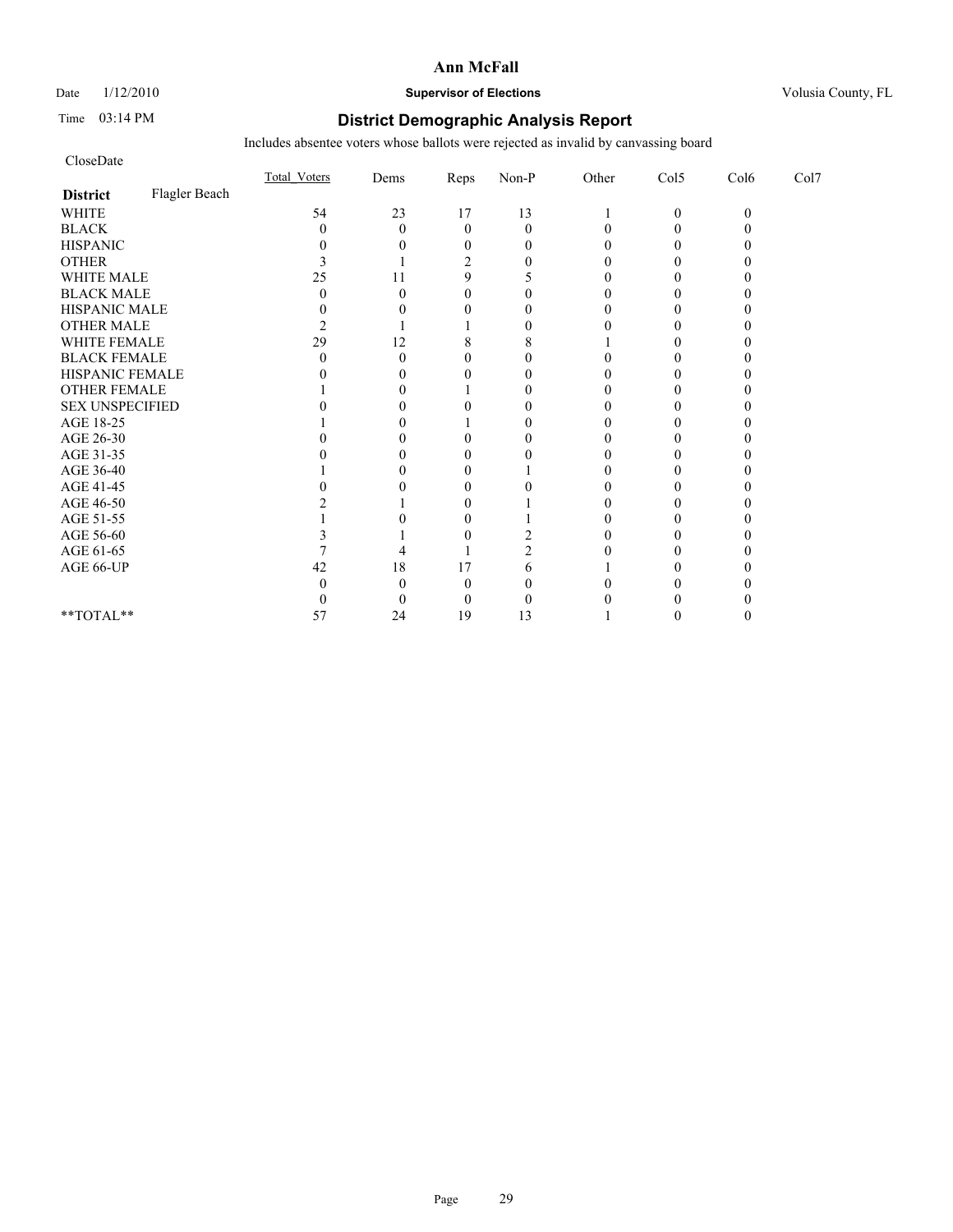Date  $1/12/2010$  **Supervisor of Elections** Volusia County, FL

## Time 03:14 PM **District Demographic Analysis Report**

| CloseDate              |               |                     |          |                |                |       |              |          |      |
|------------------------|---------------|---------------------|----------|----------------|----------------|-------|--------------|----------|------|
|                        |               | <b>Total Voters</b> | Dems     | Reps           | $Non-P$        | Other | Col5         | Col6     | Col7 |
| <b>District</b>        | Flagler Beach |                     |          |                |                |       |              |          |      |
| <b>WHITE</b>           |               | 54                  | 23       | 17             | 13             |       | $\mathbf{0}$ | $\theta$ |      |
| <b>BLACK</b>           |               | 0                   | $\theta$ | $\overline{0}$ | $\theta$       |       | $\theta$     |          |      |
| <b>HISPANIC</b>        |               |                     |          | 0              | $\theta$       |       |              |          |      |
| <b>OTHER</b>           |               |                     |          | $\overline{c}$ | 0              |       | 0            |          |      |
| WHITE MALE             |               | 25                  | 11       | 9              |                |       |              |          |      |
| <b>BLACK MALE</b>      |               |                     |          | $\Omega$       |                |       |              |          |      |
| HISPANIC MALE          |               |                     |          |                | 0              |       |              |          |      |
| <b>OTHER MALE</b>      |               |                     |          |                | 0              |       |              |          |      |
| WHITE FEMALE           |               | 29                  | 12       | 8              | 8              |       |              |          |      |
| <b>BLACK FEMALE</b>    |               |                     | 0        |                | $\theta$       |       |              |          |      |
| HISPANIC FEMALE        |               |                     | 0        | 0              | $\theta$       |       | 0            |          |      |
| <b>OTHER FEMALE</b>    |               |                     |          |                | $\theta$       |       |              |          |      |
| <b>SEX UNSPECIFIED</b> |               |                     |          |                | 0              |       |              |          |      |
| AGE 18-25              |               |                     |          |                | 0              |       |              |          |      |
| AGE 26-30              |               |                     |          |                | 0              |       |              |          |      |
| AGE 31-35              |               |                     |          |                |                |       |              |          |      |
| AGE 36-40              |               |                     |          |                |                |       |              |          |      |
| AGE 41-45              |               |                     |          | 0              |                |       | 0            |          |      |
| AGE 46-50              |               |                     |          |                |                |       |              |          |      |
| AGE 51-55              |               |                     |          |                |                |       |              |          |      |
| AGE 56-60              |               |                     |          |                |                |       |              |          |      |
| AGE 61-65              |               |                     |          |                | $\mathfrak{D}$ |       |              |          |      |
| AGE 66-UP              |               | 42                  | 18       | 17             | 6              |       |              |          |      |
|                        |               |                     |          | 0              | O              |       |              |          |      |
|                        |               |                     | 0        | 0              | 0              |       |              |          |      |
| **TOTAL**              |               | 57                  | 24       | 19             | 13             |       |              |          |      |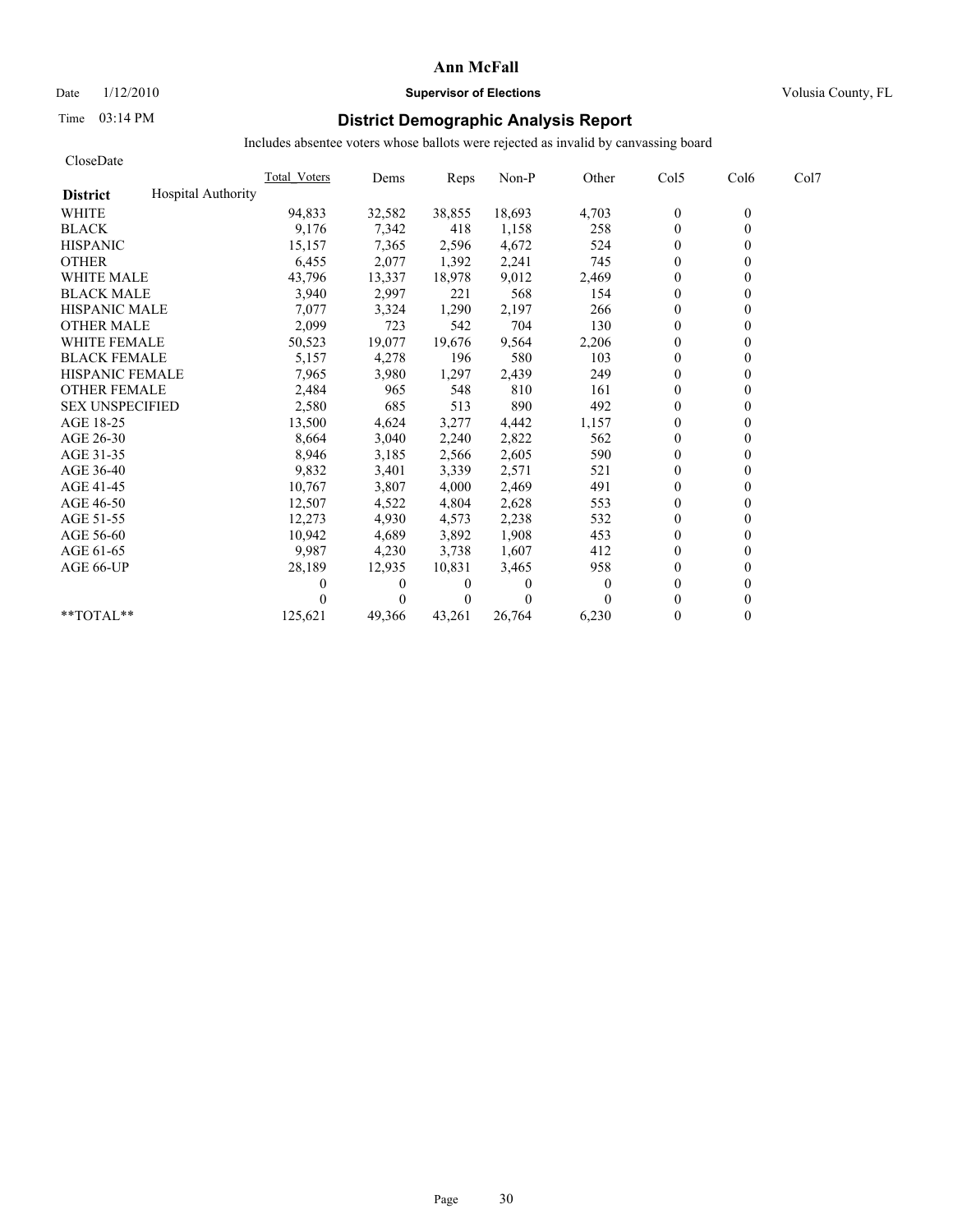Date  $1/12/2010$  **Supervisor of Elections** Volusia County, FL

# Time 03:14 PM **District Demographic Analysis Report**

| CloseDate              |                           |              |          |                |          |                |                |                  |      |
|------------------------|---------------------------|--------------|----------|----------------|----------|----------------|----------------|------------------|------|
|                        |                           | Total Voters | Dems     | Reps           | Non-P    | Other          | Col5           | Col <sub>6</sub> | Col7 |
| <b>District</b>        | <b>Hospital Authority</b> |              |          |                |          |                |                |                  |      |
| <b>WHITE</b>           |                           | 94,833       | 32,582   | 38,855         | 18,693   | 4,703          | $\bf{0}$       | $\theta$         |      |
| <b>BLACK</b>           |                           | 9,176        | 7,342    | 418            | 1,158    | 258            | $\mathbf{0}$   | $\theta$         |      |
| <b>HISPANIC</b>        |                           | 15,157       | 7,365    | 2,596          | 4,672    | 524            | $\mathbf{0}$   |                  |      |
| <b>OTHER</b>           |                           | 6,455        | 2,077    | 1,392          | 2,241    | 745            | $\theta$       |                  |      |
| <b>WHITE MALE</b>      |                           | 43,796       | 13,337   | 18,978         | 9,012    | 2,469          | $\mathbf{0}$   |                  |      |
| <b>BLACK MALE</b>      |                           | 3,940        | 2,997    | 221            | 568      | 154            | $\mathbf{0}$   |                  |      |
| <b>HISPANIC MALE</b>   |                           | 7,077        | 3,324    | 1,290          | 2,197    | 266            | $\theta$       |                  |      |
| <b>OTHER MALE</b>      |                           | 2,099        | 723      | 542            | 704      | 130            | $\theta$       |                  |      |
| <b>WHITE FEMALE</b>    |                           | 50,523       | 19,077   | 19,676         | 9,564    | 2,206          | $\theta$       |                  |      |
| <b>BLACK FEMALE</b>    |                           | 5,157        | 4,278    | 196            | 580      | 103            | $\theta$       |                  |      |
| <b>HISPANIC FEMALE</b> |                           | 7,965        | 3,980    | 1,297          | 2,439    | 249            | $\theta$       |                  |      |
| <b>OTHER FEMALE</b>    |                           | 2,484        | 965      | 548            | 810      | 161            | $\mathbf{0}$   |                  |      |
| <b>SEX UNSPECIFIED</b> |                           | 2,580        | 685      | 513            | 890      | 492            | $\mathbf{0}$   |                  |      |
| AGE 18-25              |                           | 13,500       | 4,624    | 3,277          | 4,442    | 1,157          | $\mathbf{0}$   |                  |      |
| AGE 26-30              |                           | 8,664        | 3,040    | 2,240          | 2,822    | 562            | $\theta$       |                  |      |
| AGE 31-35              |                           | 8,946        | 3,185    | 2,566          | 2,605    | 590            | $\theta$       |                  |      |
| AGE 36-40              |                           | 9,832        | 3,401    | 3,339          | 2,571    | 521            | $\theta$       |                  |      |
| AGE 41-45              |                           | 10,767       | 3,807    | 4,000          | 2,469    | 491            | $\overline{0}$ |                  |      |
| AGE 46-50              |                           | 12,507       | 4,522    | 4,804          | 2,628    | 553            | $\mathbf{0}$   |                  |      |
| AGE 51-55              |                           | 12,273       | 4,930    | 4,573          | 2,238    | 532            | $\mathbf{0}$   |                  |      |
| AGE 56-60              |                           | 10,942       | 4,689    | 3,892          | 1,908    | 453            | $\theta$       |                  |      |
| AGE 61-65              |                           | 9,987        | 4,230    | 3,738          | 1,607    | 412            | $\theta$       |                  |      |
| AGE 66-UP              |                           | 28,189       | 12,935   | 10,831         | 3,465    | 958            | $\mathbf{0}$   |                  |      |
|                        |                           |              | $\bf{0}$ | $\bf{0}$       | 0        | $\overline{0}$ | $\mathbf{0}$   |                  |      |
|                        |                           |              | $\theta$ | $\overline{0}$ | $\Omega$ | 0              | $\theta$       |                  |      |
| **TOTAL**              |                           | 125,621      | 49,366   | 43.261         | 26,764   | 6,230          | $\theta$       | 0                |      |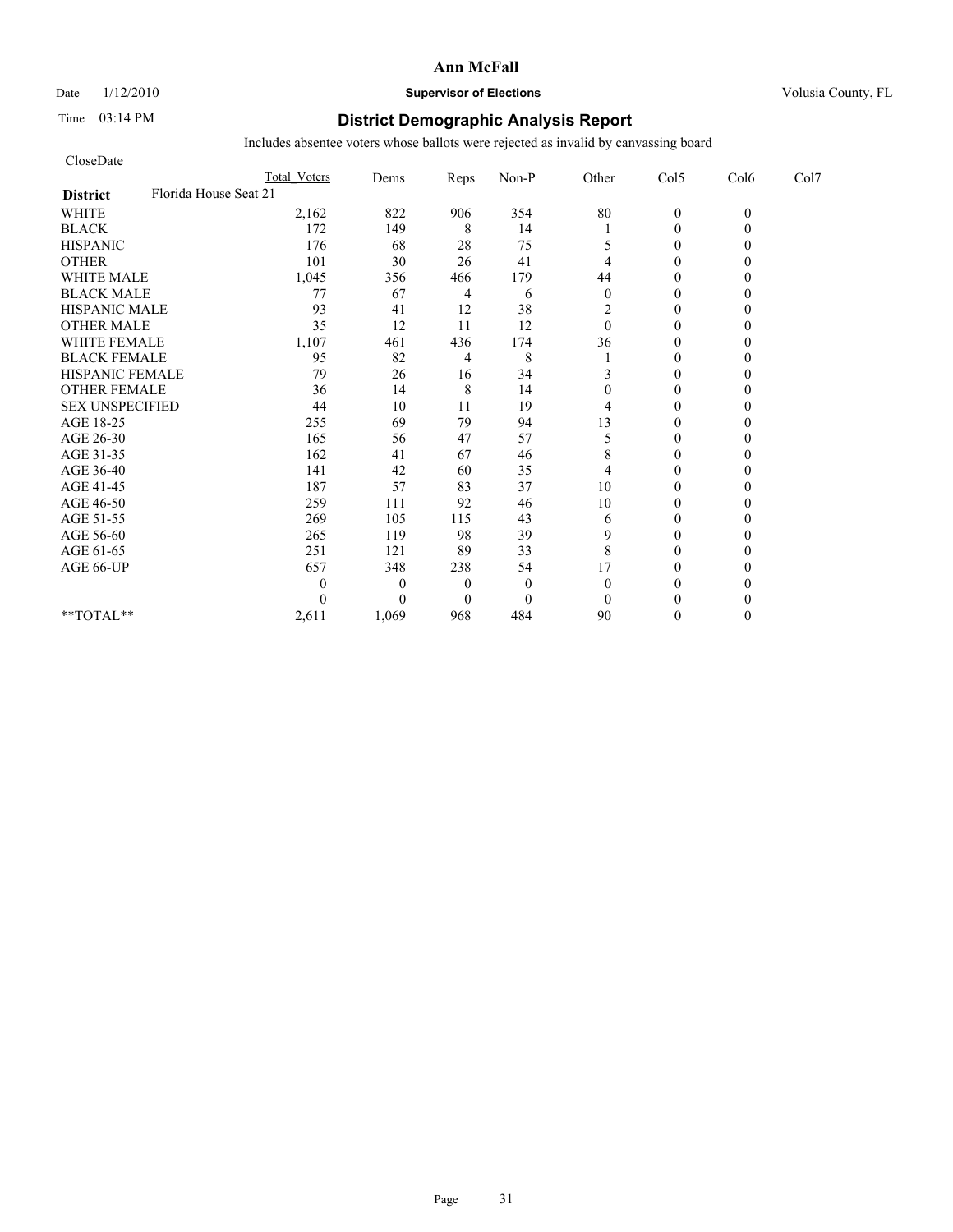# Date  $1/12/2010$  **Supervisor of Elections** Volusia County, FL

# Time 03:14 PM **District Demographic Analysis Report**

| CloseDate              |                       |              |                |              |              |                |          |                  |
|------------------------|-----------------------|--------------|----------------|--------------|--------------|----------------|----------|------------------|
|                        | <b>Total Voters</b>   | Dems         | Reps           | Non-P        | Other        | Col5           | Col6     | Col <sub>7</sub> |
| <b>District</b>        | Florida House Seat 21 |              |                |              |              |                |          |                  |
| <b>WHITE</b>           | 2,162                 | 822          | 906            | 354          | $80\,$       | $\mathbf{0}$   | $\theta$ |                  |
| <b>BLACK</b>           | 172                   | 149          | 8              | 14           |              | $\mathbf{0}$   |          |                  |
| <b>HISPANIC</b>        | 176                   | 68           | 28             | 75           | 5            | $\theta$       |          |                  |
| <b>OTHER</b>           | 101                   | 30           | 26             | 41           | 4            | $\theta$       |          |                  |
| <b>WHITE MALE</b>      | 1,045                 | 356          | 466            | 179          | 44           | $\theta$       |          |                  |
| <b>BLACK MALE</b>      | 77                    | 67           | 4              | 6            | $\theta$     | $\theta$       |          |                  |
| <b>HISPANIC MALE</b>   | 93                    | 41           | 12             | 38           | 2            | $\theta$       |          |                  |
| <b>OTHER MALE</b>      | 35                    | 12           | 11             | 12           | $\mathbf{0}$ | $\theta$       |          |                  |
| <b>WHITE FEMALE</b>    | 1,107                 | 461          | 436            | 174          | 36           | $\theta$       |          |                  |
| <b>BLACK FEMALE</b>    | 95                    | 82           | 4              | 8            |              | $\overline{0}$ |          |                  |
| HISPANIC FEMALE        | 79                    | 26           | 16             | 34           | 3            | $\theta$       |          |                  |
| <b>OTHER FEMALE</b>    | 36                    | 14           | $\,$ 8 $\,$    | 14           | 0            | $\theta$       |          |                  |
| <b>SEX UNSPECIFIED</b> | 44                    | 10           | 11             | 19           | 4            | $\theta$       |          |                  |
| AGE 18-25              | 255                   | 69           | 79             | 94           | 13           | $\theta$       |          |                  |
| AGE 26-30              | 165                   | 56           | 47             | 57           | 5            | $\overline{0}$ |          |                  |
| AGE 31-35              | 162                   | 41           | 67             | 46           | 8            | $\theta$       |          |                  |
| AGE 36-40              | 141                   | 42           | 60             | 35           | 4            | $\theta$       |          |                  |
| AGE 41-45              | 187                   | 57           | 83             | 37           | 10           | $\mathbf{0}$   |          |                  |
| AGE 46-50              | 259                   | 111          | 92             | 46           | 10           | $\theta$       |          |                  |
| AGE 51-55              | 269                   | 105          | 115            | 43           | 6            | $\Omega$       |          |                  |
| AGE 56-60              | 265                   | 119          | 98             | 39           | 9            | $\overline{0}$ |          |                  |
| AGE 61-65              | 251                   | 121          | 89             | 33           | 8            | $\theta$       |          |                  |
| AGE 66-UP              | 657                   | 348          | 238            | 54           | 17           | $\theta$       |          |                  |
|                        | 0                     | $\mathbf{0}$ | $\overline{0}$ | $\mathbf{0}$ | $\theta$     | $\Omega$       |          |                  |
|                        | 0                     | $\Omega$     | $\Omega$       | $\mathbf{0}$ | $\theta$     | $\Omega$       |          |                  |
| **TOTAL**              | 2,611                 | 1,069        | 968            | 484          | 90           | $\theta$       |          |                  |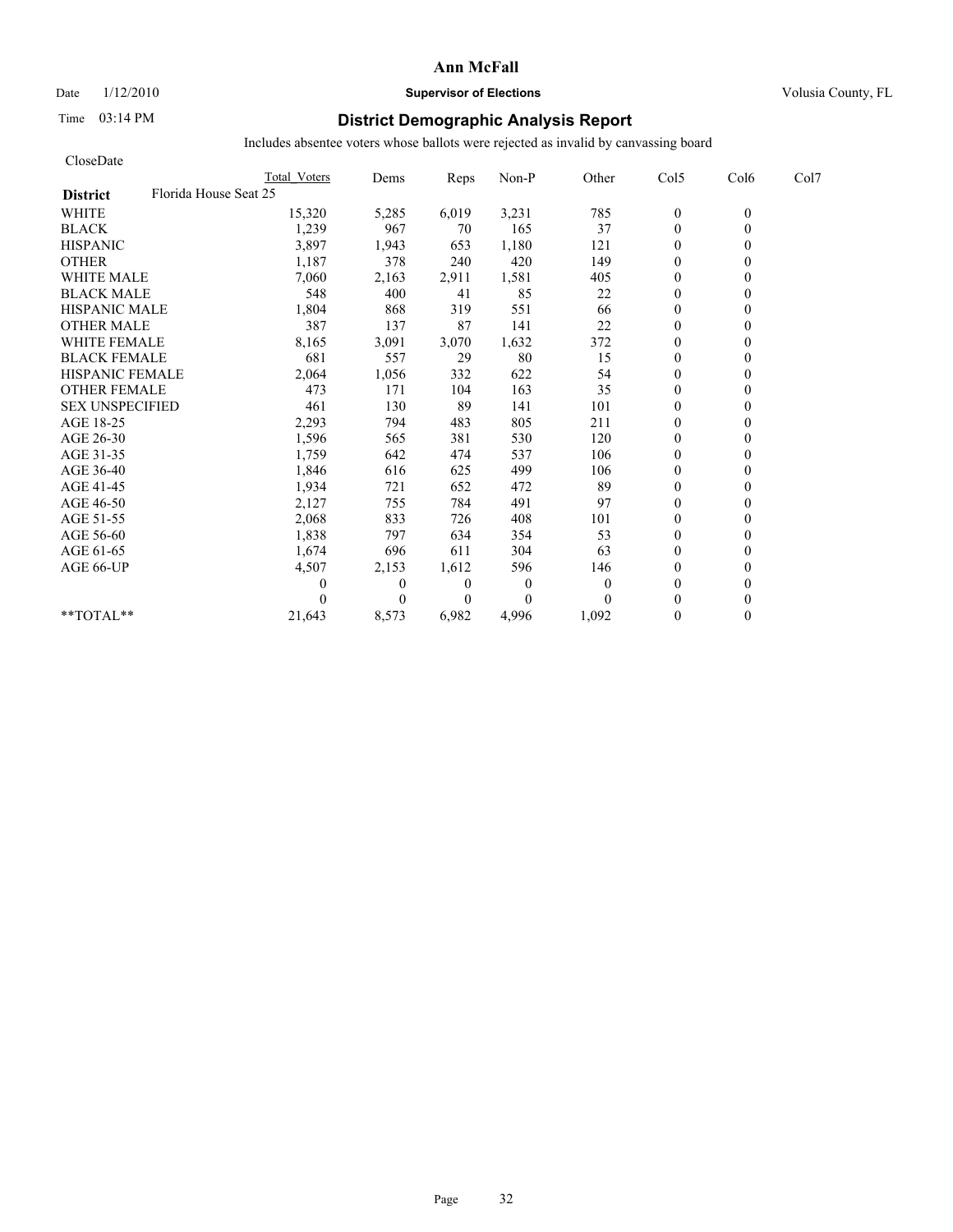Date  $1/12/2010$  **Supervisor of Elections** Volusia County, FL

# Time 03:14 PM **District Demographic Analysis Report**

| CloseDate              |                       |              |                |                |          |                  |          |      |
|------------------------|-----------------------|--------------|----------------|----------------|----------|------------------|----------|------|
|                        | Total Voters          | Dems         | Reps           | Non-P          | Other    | Col5             | Col6     | Col7 |
| <b>District</b>        | Florida House Seat 25 |              |                |                |          |                  |          |      |
| <b>WHITE</b>           | 15,320                | 5,285        | 6,019          | 3,231          | 785      | $\boldsymbol{0}$ | $\theta$ |      |
| <b>BLACK</b>           | 1,239                 | 967          | 70             | 165            | 37       | $\mathbf{0}$     | $\theta$ |      |
| <b>HISPANIC</b>        | 3,897                 | 1,943        | 653            | 1,180          | 121      | $\mathbf{0}$     |          |      |
| <b>OTHER</b>           | 1,187                 | 378          | 240            | 420            | 149      | $\theta$         |          |      |
| <b>WHITE MALE</b>      | 7,060                 | 2,163        | 2,911          | 1,581          | 405      | $\mathbf{0}$     |          |      |
| <b>BLACK MALE</b>      | 548                   | 400          | 41             | 85             | 22       | $\mathbf{0}$     |          |      |
| <b>HISPANIC MALE</b>   | 1,804                 | 868          | 319            | 551            | 66       | $\theta$         |          |      |
| <b>OTHER MALE</b>      | 387                   | 137          | 87             | 141            | 22       | $\theta$         |          |      |
| <b>WHITE FEMALE</b>    | 8,165                 | 3,091        | 3,070          | 1,632          | 372      | $\theta$         |          |      |
| <b>BLACK FEMALE</b>    | 681                   | 557          | 29             | 80             | 15       | $\theta$         |          |      |
| <b>HISPANIC FEMALE</b> | 2,064                 | 1,056        | 332            | 622            | 54       | $\mathbf{0}$     |          |      |
| <b>OTHER FEMALE</b>    | 473                   | 171          | 104            | 163            | 35       | $\mathbf{0}$     |          |      |
| <b>SEX UNSPECIFIED</b> | 461                   | 130          | 89             | 141            | 101      | $\mathbf{0}$     |          |      |
| AGE 18-25              | 2,293                 | 794          | 483            | 805            | 211      | $\mathbf{0}$     |          |      |
| AGE 26-30              | 1,596                 | 565          | 381            | 530            | 120      | $\theta$         |          |      |
| AGE 31-35              | 1,759                 | 642          | 474            | 537            | 106      | $\mathbf{0}$     |          |      |
| AGE 36-40              | 1,846                 | 616          | 625            | 499            | 106      | $\theta$         |          |      |
| AGE 41-45              | 1,934                 | 721          | 652            | 472            | 89       | $\overline{0}$   |          |      |
| AGE 46-50              | 2,127                 | 755          | 784            | 491            | 97       | $\mathbf{0}$     |          |      |
| AGE 51-55              | 2,068                 | 833          | 726            | 408            | 101      | $\theta$         |          |      |
| AGE 56-60              | 1,838                 | 797          | 634            | 354            | 53       | $\theta$         |          |      |
| AGE 61-65              | 1,674                 | 696          | 611            | 304            | 63       | $\theta$         |          |      |
| AGE 66-UP              | 4,507                 | 2,153        | 1,612          | 596            | 146      | $\theta$         |          |      |
|                        |                       | $\mathbf{0}$ | $\overline{0}$ | $\overline{0}$ | $\Omega$ | $\mathbf{0}$     |          |      |
|                        |                       | $\theta$     | $\overline{0}$ | $\Omega$       | $\Omega$ | $\theta$         |          |      |
| **TOTAL**              | 21,643                | 8,573        | 6,982          | 4,996          | 1,092    | $\mathbf{0}$     | 0        |      |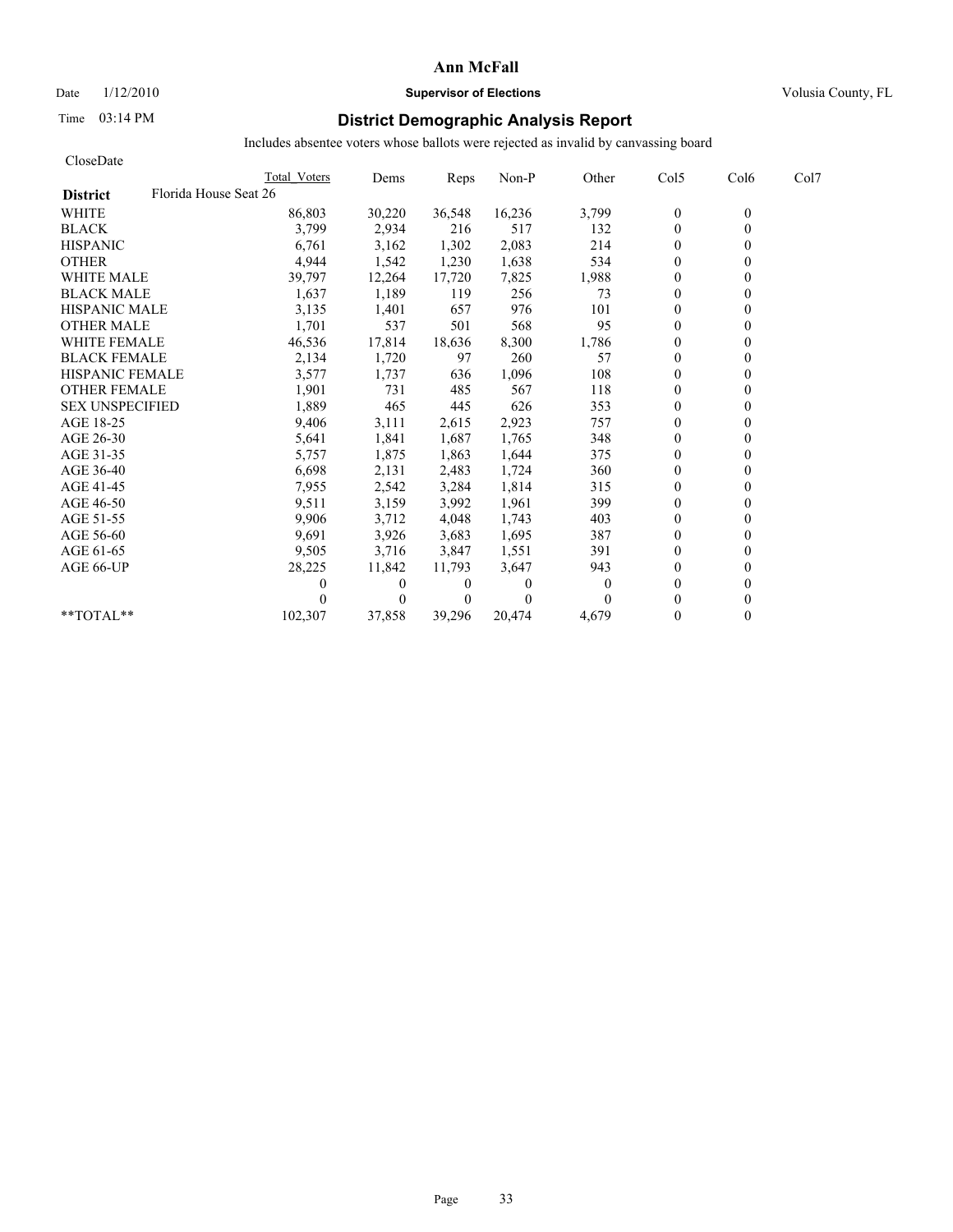Date  $1/12/2010$  **Supervisor of Elections** Volusia County, FL

# Time 03:14 PM **District Demographic Analysis Report**

| CloseDate                                |              |          |                |          |          |                |                  |      |
|------------------------------------------|--------------|----------|----------------|----------|----------|----------------|------------------|------|
|                                          | Total Voters | Dems     | Reps           | Non-P    | Other    | Col5           | Col <sub>6</sub> | Col7 |
| Florida House Seat 26<br><b>District</b> |              |          |                |          |          |                |                  |      |
| <b>WHITE</b>                             | 86,803       | 30,220   | 36,548         | 16,236   | 3,799    | $\mathbf{0}$   | $\theta$         |      |
| <b>BLACK</b>                             | 3,799        | 2,934    | 216            | 517      | 132      | $\overline{0}$ | $\theta$         |      |
| <b>HISPANIC</b>                          | 6,761        | 3,162    | 1,302          | 2,083    | 214      | $\theta$       |                  |      |
| <b>OTHER</b>                             | 4,944        | 1,542    | 1,230          | 1,638    | 534      | $\theta$       |                  |      |
| <b>WHITE MALE</b>                        | 39,797       | 12,264   | 17,720         | 7,825    | 1,988    | $\theta$       |                  |      |
| <b>BLACK MALE</b>                        | 1,637        | 1,189    | 119            | 256      | 73       | $\theta$       |                  |      |
| <b>HISPANIC MALE</b>                     | 3,135        | 1,401    | 657            | 976      | 101      | $\theta$       |                  |      |
| <b>OTHER MALE</b>                        | 1,701        | 537      | 501            | 568      | 95       | $\theta$       |                  |      |
| <b>WHITE FEMALE</b>                      | 46,536       | 17,814   | 18,636         | 8,300    | 1,786    | $\theta$       |                  |      |
| <b>BLACK FEMALE</b>                      | 2,134        | 1,720    | 97             | 260      | 57       | $\theta$       |                  |      |
| <b>HISPANIC FEMALE</b>                   | 3,577        | 1,737    | 636            | 1,096    | 108      | $\theta$       |                  |      |
| <b>OTHER FEMALE</b>                      | 1,901        | 731      | 485            | 567      | 118      | $\theta$       |                  |      |
| <b>SEX UNSPECIFIED</b>                   | 1,889        | 465      | 445            | 626      | 353      | $\theta$       |                  |      |
| AGE 18-25                                | 9,406        | 3,111    | 2,615          | 2,923    | 757      | $\mathbf{0}$   |                  |      |
| AGE 26-30                                | 5,641        | 1,841    | 1.687          | 1,765    | 348      | $\theta$       |                  |      |
| AGE 31-35                                | 5,757        | 1,875    | 1,863          | 1,644    | 375      | $\theta$       |                  |      |
| AGE 36-40                                | 6,698        | 2,131    | 2,483          | 1,724    | 360      | $\theta$       |                  |      |
| AGE 41-45                                | 7,955        | 2,542    | 3,284          | 1,814    | 315      | $\mathbf{0}$   |                  |      |
| AGE 46-50                                | 9,511        | 3,159    | 3,992          | 1,961    | 399      | $\mathbf{0}$   |                  |      |
| AGE 51-55                                | 9,906        | 3,712    | 4,048          | 1,743    | 403      | $\theta$       |                  |      |
| AGE 56-60                                | 9,691        | 3,926    | 3,683          | 1,695    | 387      | $\theta$       |                  |      |
| AGE 61-65                                | 9,505        | 3,716    | 3,847          | 1,551    | 391      | $\theta$       |                  |      |
| AGE 66-UP                                | 28,225       | 11,842   | 11,793         | 3,647    | 943      | $\theta$       |                  |      |
|                                          |              | $\bf{0}$ | $\bf{0}$       | 0        | $\theta$ | $\theta$       |                  |      |
|                                          |              | $\theta$ | $\overline{0}$ | $\Omega$ |          | $\theta$       |                  |      |
| **TOTAL**                                | 102,307      | 37,858   | 39,296         | 20,474   | 4,679    | $\theta$       | 0                |      |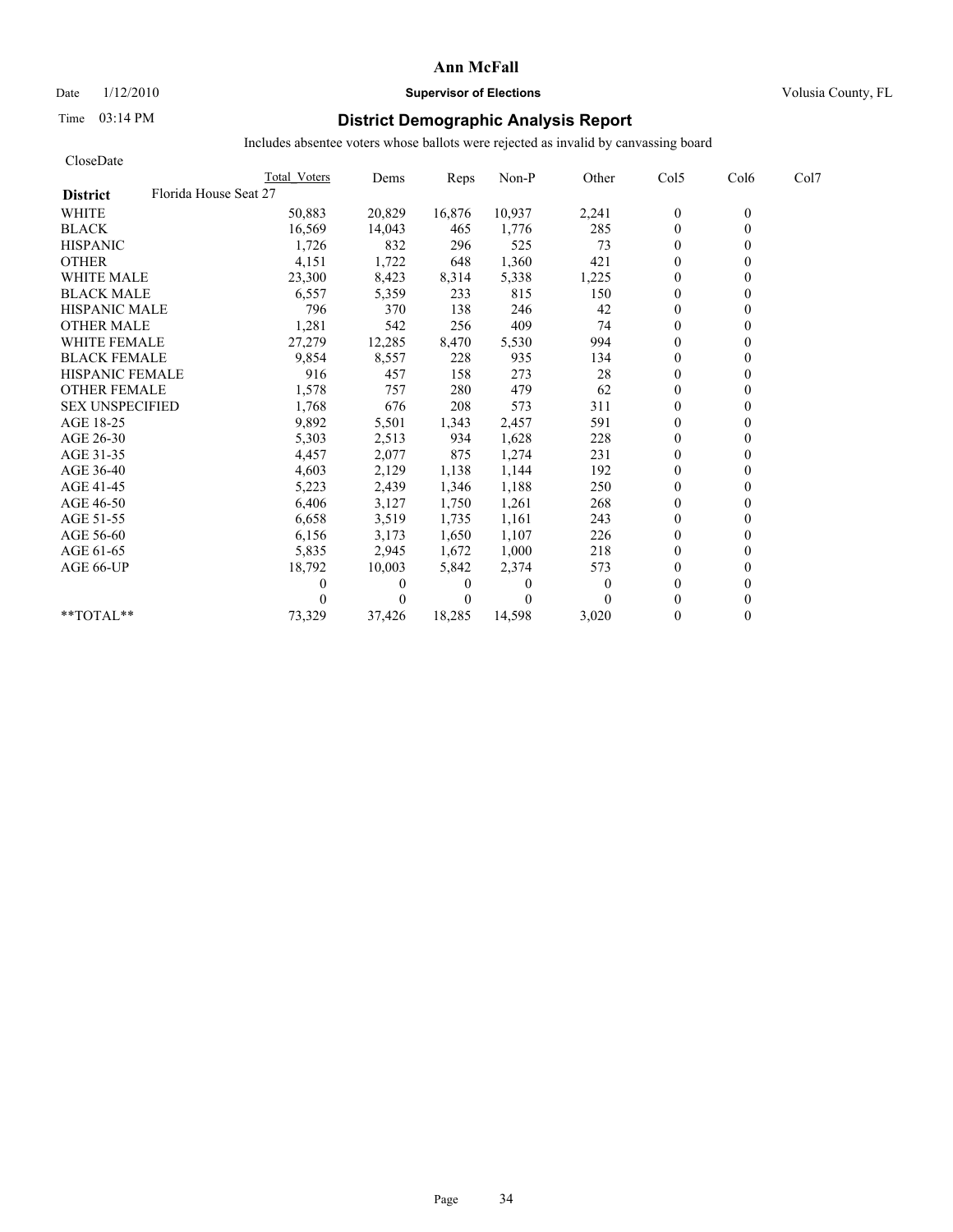Date  $1/12/2010$  **Supervisor of Elections** Volusia County, FL

# Time 03:14 PM **District Demographic Analysis Report**

| CloseDate              |                       |          |                |          |                |                |                  |      |
|------------------------|-----------------------|----------|----------------|----------|----------------|----------------|------------------|------|
|                        | Total Voters          | Dems     | Reps           | Non-P    | Other          | Col5           | Col <sub>6</sub> | Col7 |
| <b>District</b>        | Florida House Seat 27 |          |                |          |                |                |                  |      |
| <b>WHITE</b>           | 50,883                | 20,829   | 16,876         | 10,937   | 2,241          | $\mathbf{0}$   | $\theta$         |      |
| <b>BLACK</b>           | 16,569                | 14,043   | 465            | 1,776    | 285            | $\mathbf{0}$   | $\theta$         |      |
| <b>HISPANIC</b>        | 1,726                 | 832      | 296            | 525      | 73             | $\overline{0}$ |                  |      |
| <b>OTHER</b>           | 4,151                 | 1,722    | 648            | 1,360    | 421            | $\theta$       |                  |      |
| <b>WHITE MALE</b>      | 23,300                | 8,423    | 8,314          | 5,338    | 1,225          | $\theta$       |                  |      |
| <b>BLACK MALE</b>      | 6,557                 | 5,359    | 233            | 815      | 150            | $\mathbf{0}$   |                  |      |
| <b>HISPANIC MALE</b>   | 796                   | 370      | 138            | 246      | 42             | $\theta$       |                  |      |
| <b>OTHER MALE</b>      | 1,281                 | 542      | 256            | 409      | 74             | $\theta$       |                  |      |
| <b>WHITE FEMALE</b>    | 27,279                | 12,285   | 8,470          | 5,530    | 994            | $\theta$       |                  |      |
| <b>BLACK FEMALE</b>    | 9,854                 | 8,557    | 228            | 935      | 134            | $\theta$       |                  |      |
| <b>HISPANIC FEMALE</b> | 916                   | 457      | 158            | 273      | 28             | $\theta$       |                  |      |
| <b>OTHER FEMALE</b>    | 1,578                 | 757      | 280            | 479      | 62             | $\mathbf{0}$   |                  |      |
| <b>SEX UNSPECIFIED</b> | 1,768                 | 676      | 208            | 573      | 311            | $\mathbf{0}$   |                  |      |
| AGE 18-25              | 9,892                 | 5,501    | 1,343          | 2,457    | 591            | $\mathbf{0}$   |                  |      |
| AGE 26-30              | 5,303                 | 2,513    | 934            | 1,628    | 228            | $\theta$       |                  |      |
| AGE 31-35              | 4,457                 | 2,077    | 875            | 1,274    | 231            | $\theta$       |                  |      |
| AGE 36-40              | 4,603                 | 2,129    | 1,138          | 1,144    | 192            | $\theta$       |                  |      |
| AGE 41-45              | 5,223                 | 2,439    | 1,346          | 1,188    | 250            | $\overline{0}$ |                  |      |
| AGE 46-50              | 6,406                 | 3,127    | 1,750          | 1,261    | 268            | $\mathbf{0}$   |                  |      |
| AGE 51-55              | 6,658                 | 3,519    | 1,735          | 1,161    | 243            | $\theta$       |                  |      |
| AGE 56-60              | 6,156                 | 3,173    | 1,650          | 1,107    | 226            | $\theta$       |                  |      |
| AGE 61-65              | 5,835                 | 2,945    | 1,672          | 1,000    | 218            | $\theta$       |                  |      |
| AGE 66-UP              | 18,792                | 10,003   | 5,842          | 2,374    | 573            | $\mathbf{0}$   |                  |      |
|                        | 0                     | $\bf{0}$ | $\theta$       | 0        | $\overline{0}$ | $\mathbf{0}$   |                  |      |
|                        |                       | $\theta$ | $\overline{0}$ | $\Omega$ | 0              | $\theta$       |                  |      |
| **TOTAL**              | 73,329                | 37,426   | 18,285         | 14,598   | 3.020          | $\theta$       | 0                |      |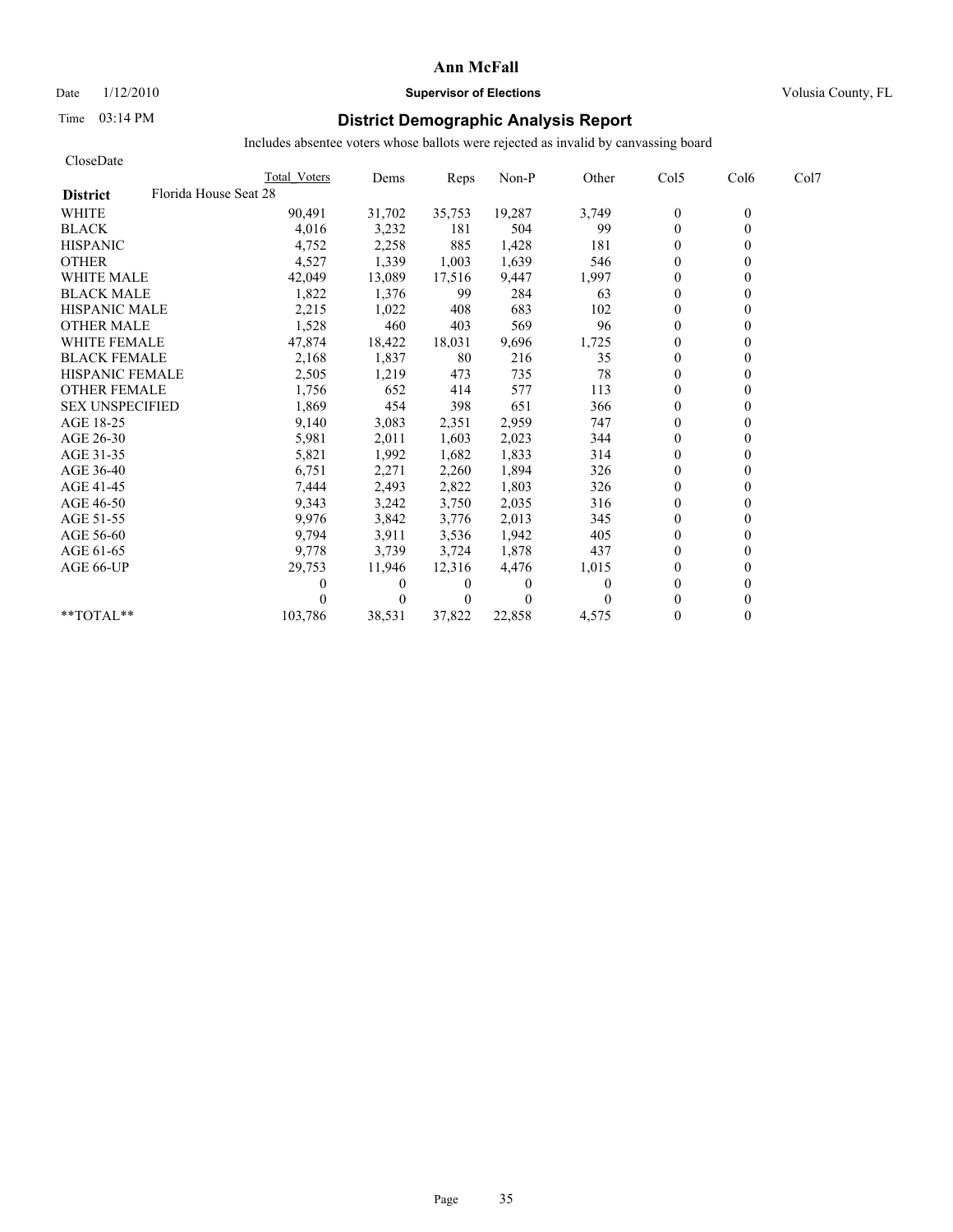## Date  $1/12/2010$  **Supervisor of Elections** Volusia County, FL

# Time 03:14 PM **District Demographic Analysis Report**

| CloseDate                                |              |          |                |          |       |                |                  |      |
|------------------------------------------|--------------|----------|----------------|----------|-------|----------------|------------------|------|
|                                          | Total Voters | Dems     | Reps           | Non-P    | Other | Col5           | Col <sub>6</sub> | Col7 |
| Florida House Seat 28<br><b>District</b> |              |          |                |          |       |                |                  |      |
| <b>WHITE</b>                             | 90,491       | 31,702   | 35,753         | 19,287   | 3,749 | $\bf{0}$       | $\theta$         |      |
| <b>BLACK</b>                             | 4,016        | 3,232    | 181            | 504      | 99    | $\mathbf{0}$   | $\theta$         |      |
| <b>HISPANIC</b>                          | 4,752        | 2,258    | 885            | 1,428    | 181   | $\theta$       |                  |      |
| <b>OTHER</b>                             | 4,527        | 1,339    | 1,003          | 1,639    | 546   | $\theta$       |                  |      |
| <b>WHITE MALE</b>                        | 42,049       | 13,089   | 17,516         | 9,447    | 1,997 | $\theta$       |                  |      |
| <b>BLACK MALE</b>                        | 1,822        | 1,376    | 99             | 284      | 63    | $\mathbf{0}$   |                  |      |
| <b>HISPANIC MALE</b>                     | 2,215        | 1,022    | 408            | 683      | 102   | $\theta$       |                  |      |
| <b>OTHER MALE</b>                        | 1,528        | 460      | 403            | 569      | 96    | $\theta$       |                  |      |
| <b>WHITE FEMALE</b>                      | 47,874       | 18,422   | 18,031         | 9,696    | 1,725 | $\theta$       |                  |      |
| <b>BLACK FEMALE</b>                      | 2,168        | 1,837    | 80             | 216      | 35    | $\theta$       |                  |      |
| <b>HISPANIC FEMALE</b>                   | 2,505        | 1,219    | 473            | 735      | 78    | $\theta$       |                  |      |
| <b>OTHER FEMALE</b>                      | 1,756        | 652      | 414            | 577      | 113   | $\mathbf{0}$   |                  |      |
| <b>SEX UNSPECIFIED</b>                   | 1,869        | 454      | 398            | 651      | 366   | $\theta$       |                  |      |
| AGE 18-25                                | 9,140        | 3,083    | 2,351          | 2,959    | 747   | $\mathbf{0}$   |                  |      |
| AGE 26-30                                | 5,981        | 2,011    | 1,603          | 2,023    | 344   | $\theta$       |                  |      |
| AGE 31-35                                | 5,821        | 1,992    | 1,682          | 1,833    | 314   | $\theta$       |                  |      |
| AGE 36-40                                | 6,751        | 2,271    | 2,260          | 1,894    | 326   | $\theta$       |                  |      |
| AGE 41-45                                | 7,444        | 2,493    | 2,822          | 1,803    | 326   | $\overline{0}$ |                  |      |
| AGE 46-50                                | 9,343        | 3,242    | 3,750          | 2,035    | 316   | $\mathbf{0}$   |                  |      |
| AGE 51-55                                | 9,976        | 3,842    | 3,776          | 2,013    | 345   | $\theta$       |                  |      |
| AGE 56-60                                | 9,794        | 3,911    | 3,536          | 1,942    | 405   | $\theta$       |                  |      |
| AGE 61-65                                | 9,778        | 3,739    | 3,724          | 1,878    | 437   | $\theta$       |                  |      |
| AGE 66-UP                                | 29,753       | 11,946   | 12,316         | 4,476    | 1,015 | $\theta$       |                  |      |
|                                          |              | $\bf{0}$ | $\bf{0}$       | $\bf{0}$ | 0     | $\theta$       |                  |      |
|                                          |              | $\theta$ | $\overline{0}$ | $\Omega$ |       | $\theta$       |                  |      |
| **TOTAL**                                | 103,786      | 38,531   | 37,822         | 22,858   | 4,575 | $\theta$       | 0                |      |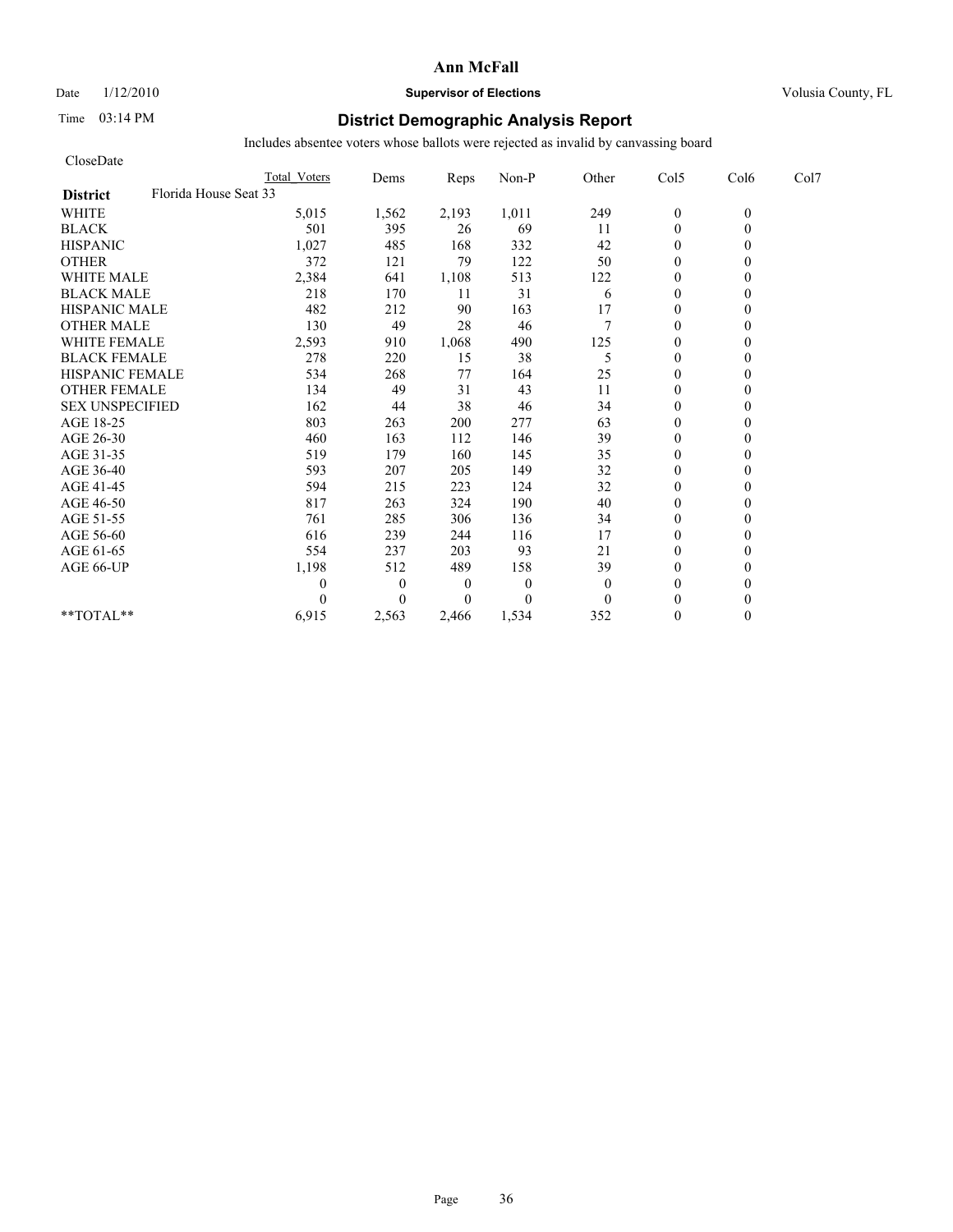# Date  $1/12/2010$  **Supervisor of Elections** Volusia County, FL

# Time 03:14 PM **District Demographic Analysis Report**

| CloseDate                                |                     |              |                  |              |              |                  |          |      |
|------------------------------------------|---------------------|--------------|------------------|--------------|--------------|------------------|----------|------|
|                                          | <b>Total Voters</b> | Dems         | Reps             | Non-P        | Other        | Col5             | Col6     | Col7 |
| Florida House Seat 33<br><b>District</b> |                     |              |                  |              |              |                  |          |      |
| <b>WHITE</b>                             | 5,015               | 1,562        | 2,193            | 1,011        | 249          | $\boldsymbol{0}$ | $\theta$ |      |
| <b>BLACK</b>                             | 501                 | 395          | 26               | 69           | 11           | $\theta$         | $\theta$ |      |
| <b>HISPANIC</b>                          | 1,027               | 485          | 168              | 332          | 42           | $\theta$         |          |      |
| <b>OTHER</b>                             | 372                 | 121          | 79               | 122          | 50           | $\theta$         |          |      |
| <b>WHITE MALE</b>                        | 2,384               | 641          | 1,108            | 513          | 122          | $\theta$         |          |      |
| <b>BLACK MALE</b>                        | 218                 | 170          | 11               | 31           | 6            | $\mathbf{0}$     |          |      |
| <b>HISPANIC MALE</b>                     | 482                 | 212          | 90               | 163          | 17           | $\mathbf{0}$     |          |      |
| <b>OTHER MALE</b>                        | 130                 | 49           | 28               | 46           | $\tau$       | $\mathbf{0}$     |          |      |
| <b>WHITE FEMALE</b>                      | 2,593               | 910          | 1,068            | 490          | 125          | $\theta$         |          |      |
| <b>BLACK FEMALE</b>                      | 278                 | 220          | 15               | 38           | 5            | $\theta$         |          |      |
| <b>HISPANIC FEMALE</b>                   | 534                 | 268          | 77               | 164          | 25           | $\mathbf{0}$     |          |      |
| <b>OTHER FEMALE</b>                      | 134                 | 49           | 31               | 43           | 11           | $\theta$         |          |      |
| <b>SEX UNSPECIFIED</b>                   | 162                 | 44           | 38               | 46           | 34           | $\theta$         |          |      |
| AGE 18-25                                | 803                 | 263          | 200              | 277          | 63           | $\mathbf{0}$     |          |      |
| AGE 26-30                                | 460                 | 163          | 112              | 146          | 39           | $\mathbf{0}$     |          |      |
| AGE 31-35                                | 519                 | 179          | 160              | 145          | 35           | $\mathbf{0}$     |          |      |
| AGE 36-40                                | 593                 | 207          | 205              | 149          | 32           | $\mathbf{0}$     |          |      |
| AGE 41-45                                | 594                 | 215          | 223              | 124          | 32           | $\mathbf{0}$     |          |      |
| AGE 46-50                                | 817                 | 263          | 324              | 190          | 40           | $\theta$         |          |      |
| AGE 51-55                                | 761                 | 285          | 306              | 136          | 34           | $\mathbf{0}$     |          |      |
| AGE 56-60                                | 616                 | 239          | 244              | 116          | 17           | $\overline{0}$   |          |      |
| AGE 61-65                                | 554                 | 237          | 203              | 93           | 21           | $\theta$         |          |      |
| AGE 66-UP                                | 1,198               | 512          | 489              | 158          | 39           | $\mathbf{0}$     |          |      |
|                                          | 0                   | $\mathbf{0}$ | $\boldsymbol{0}$ | $\mathbf{0}$ | $\mathbf{0}$ | $\mathbf{0}$     |          |      |
|                                          | 0                   | $\Omega$     | $\Omega$         | $\theta$     | $\Omega$     | $\theta$         |          |      |
| **TOTAL**                                | 6,915               | 2,563        | 2,466            | 1,534        | 352          | $\theta$         | 0        |      |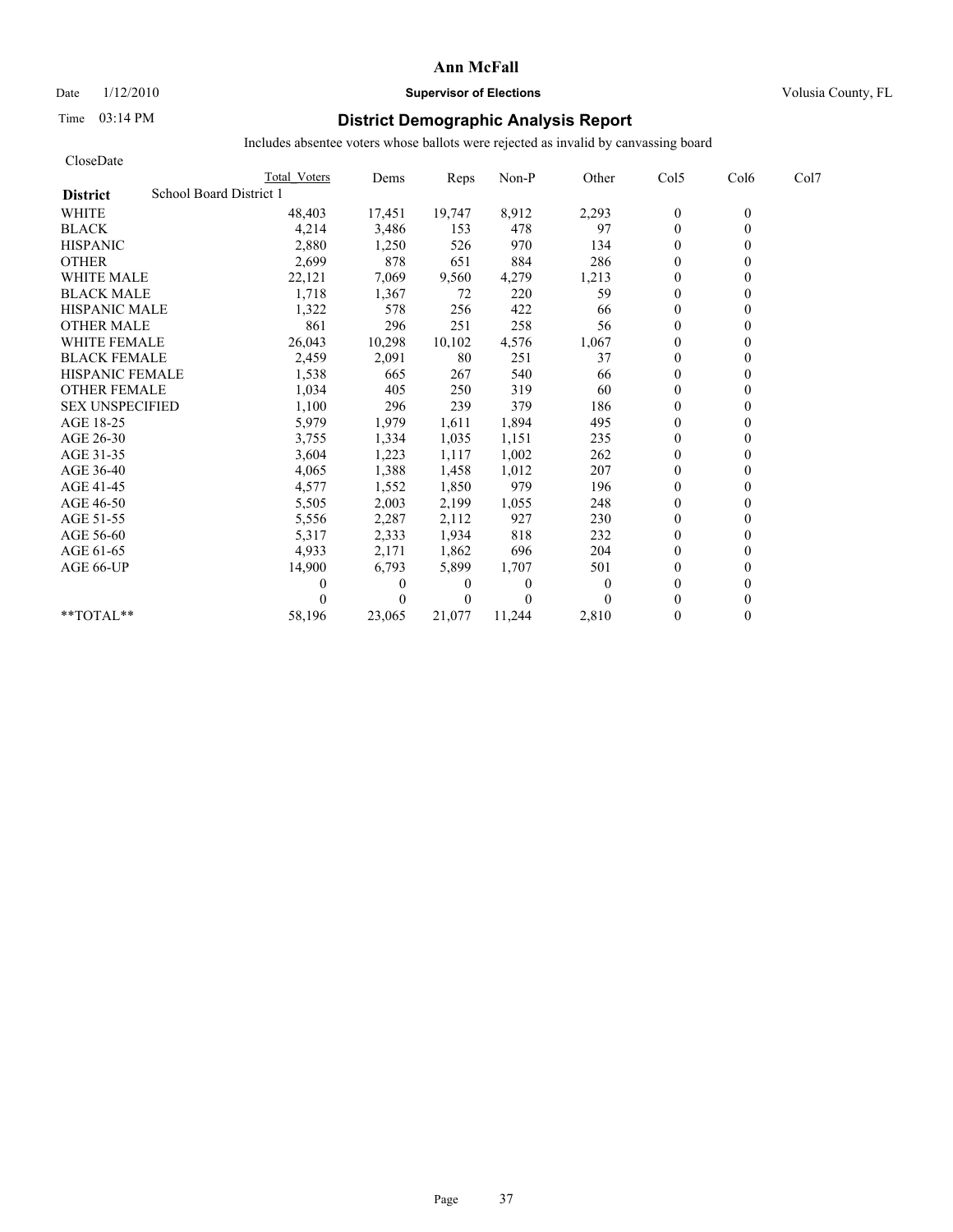Date  $1/12/2010$  **Supervisor of Elections** Volusia County, FL

# Time 03:14 PM **District Demographic Analysis Report**

| CloseDate              |                         |              |              |                |          |          |                |                  |      |
|------------------------|-------------------------|--------------|--------------|----------------|----------|----------|----------------|------------------|------|
|                        |                         | Total Voters | Dems         | Reps           | Non-P    | Other    | Col5           | Col <sub>6</sub> | Col7 |
| <b>District</b>        | School Board District 1 |              |              |                |          |          |                |                  |      |
| <b>WHITE</b>           |                         | 48,403       | 17,451       | 19,747         | 8,912    | 2,293    | $\mathbf{0}$   | $\mathbf{0}$     |      |
| <b>BLACK</b>           |                         | 4,214        | 3,486        | 153            | 478      | 97       | $\mathbf{0}$   | $\theta$         |      |
| <b>HISPANIC</b>        |                         | 2,880        | 1,250        | 526            | 970      | 134      | $\theta$       |                  |      |
| <b>OTHER</b>           |                         | 2,699        | 878          | 651            | 884      | 286      | $\theta$       |                  |      |
| <b>WHITE MALE</b>      |                         | 22,121       | 7,069        | 9,560          | 4,279    | 1,213    | $\mathbf{0}$   |                  |      |
| <b>BLACK MALE</b>      |                         | 1,718        | 1,367        | 72             | 220      | 59       | $\theta$       |                  |      |
| <b>HISPANIC MALE</b>   |                         | 1,322        | 578          | 256            | 422      | 66       | $\mathbf{0}$   |                  |      |
| <b>OTHER MALE</b>      |                         | 861          | 296          | 251            | 258      | 56       | $\theta$       |                  |      |
| <b>WHITE FEMALE</b>    |                         | 26,043       | 10,298       | 10,102         | 4,576    | 1,067    | $\overline{0}$ |                  |      |
| <b>BLACK FEMALE</b>    |                         | 2,459        | 2,091        | 80             | 251      | 37       | $\mathbf{0}$   |                  |      |
| <b>HISPANIC FEMALE</b> |                         | 1,538        | 665          | 267            | 540      | 66       | $\theta$       |                  |      |
| <b>OTHER FEMALE</b>    |                         | 1,034        | 405          | 250            | 319      | 60       | $\theta$       |                  |      |
| <b>SEX UNSPECIFIED</b> |                         | 1,100        | 296          | 239            | 379      | 186      | $\theta$       |                  |      |
| AGE 18-25              |                         | 5,979        | 1,979        | 1,611          | 1,894    | 495      | $\theta$       |                  |      |
| AGE 26-30              |                         | 3,755        | 1,334        | 1,035          | 1,151    | 235      | $\theta$       |                  |      |
| AGE 31-35              |                         | 3,604        | 1,223        | 1,117          | 1,002    | 262      | $\theta$       |                  |      |
| AGE 36-40              |                         | 4,065        | 1,388        | 1,458          | 1,012    | 207      | $\theta$       |                  |      |
| AGE 41-45              |                         | 4,577        | 1,552        | 1,850          | 979      | 196      | $\mathbf{0}$   |                  |      |
| AGE 46-50              |                         | 5,505        | 2,003        | 2,199          | 1,055    | 248      | $\mathbf{0}$   |                  |      |
| AGE 51-55              |                         | 5,556        | 2,287        | 2,112          | 927      | 230      | $\theta$       |                  |      |
| AGE 56-60              |                         | 5,317        | 2,333        | 1,934          | 818      | 232      | $\theta$       |                  |      |
| AGE 61-65              |                         | 4,933        | 2,171        | 1,862          | 696      | 204      | $\theta$       |                  |      |
| AGE 66-UP              |                         | 14,900       | 6,793        | 5,899          | 1,707    | 501      | $\theta$       |                  |      |
|                        |                         | 0            | $\mathbf{0}$ | $\overline{0}$ | $\Omega$ | $\Omega$ | $\theta$       |                  |      |
|                        |                         |              | $\theta$     | $\theta$       | $\Omega$ |          | $\theta$       |                  |      |
| $*$ $TOTAI.**$         |                         | 58,196       | 23,065       | 21,077         | 11,244   | 2,810    | $\Omega$       |                  |      |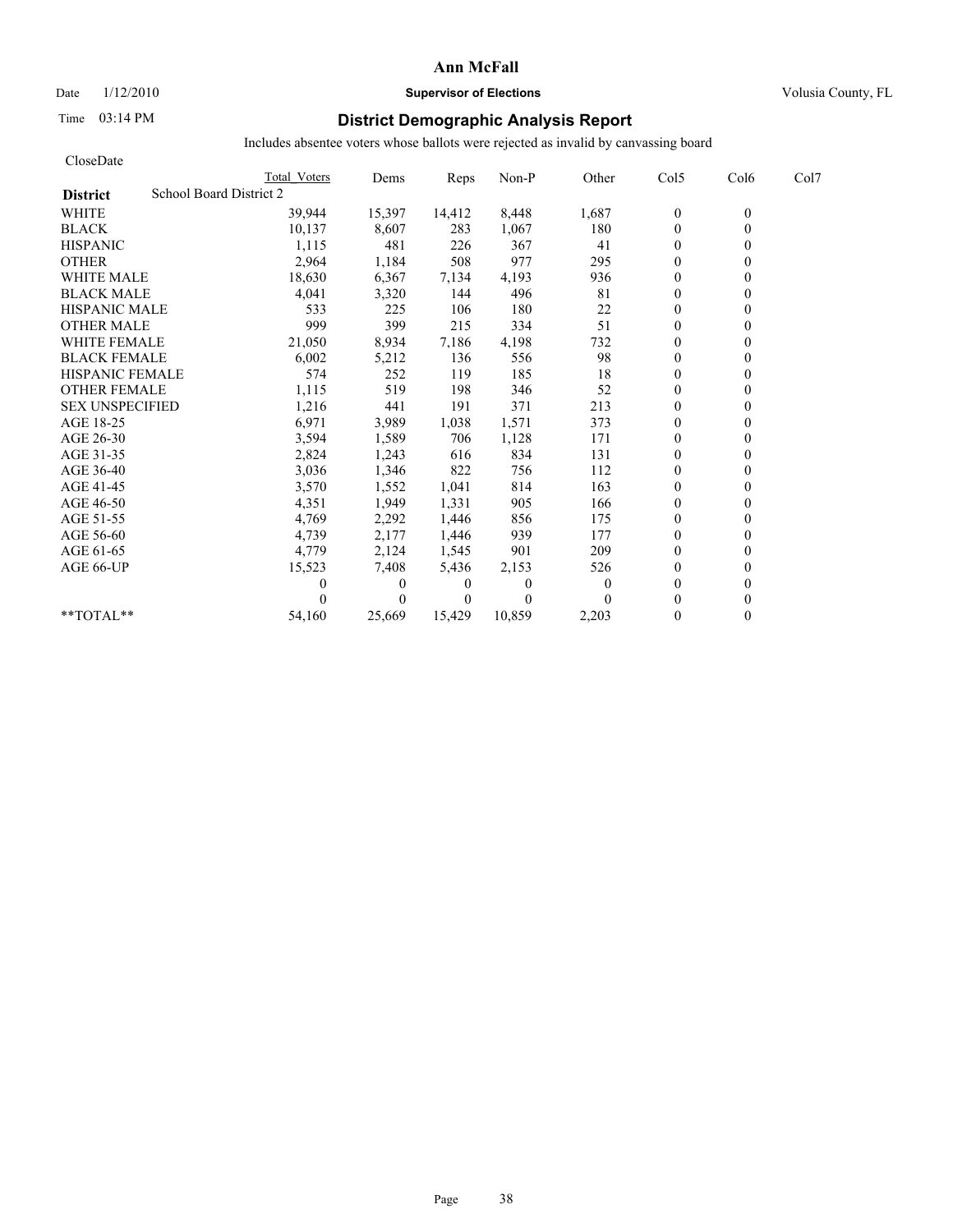Date  $1/12/2010$  **Supervisor of Elections** Volusia County, FL

# Time 03:14 PM **District Demographic Analysis Report**

| CloseDate                                  |              |          |          |          |          |                |                  |      |
|--------------------------------------------|--------------|----------|----------|----------|----------|----------------|------------------|------|
|                                            | Total Voters | Dems     | Reps     | Non-P    | Other    | Col5           | Col <sub>6</sub> | Col7 |
| School Board District 2<br><b>District</b> |              |          |          |          |          |                |                  |      |
| <b>WHITE</b>                               | 39,944       | 15,397   | 14,412   | 8,448    | 1,687    | $\bf{0}$       | $\theta$         |      |
| <b>BLACK</b>                               | 10,137       | 8,607    | 283      | 1,067    | 180      | $\overline{0}$ | $\theta$         |      |
| <b>HISPANIC</b>                            | 1,115        | 481      | 226      | 367      | 41       | $\mathbf{0}$   |                  |      |
| <b>OTHER</b>                               | 2,964        | 1,184    | 508      | 977      | 295      | $\theta$       |                  |      |
| <b>WHITE MALE</b>                          | 18,630       | 6,367    | 7,134    | 4,193    | 936      | $\theta$       |                  |      |
| <b>BLACK MALE</b>                          | 4,041        | 3,320    | 144      | 496      | 81       | $\mathbf{0}$   |                  |      |
| <b>HISPANIC MALE</b>                       | 533          | 225      | 106      | 180      | 22       | $\theta$       |                  |      |
| <b>OTHER MALE</b>                          | 999          | 399      | 215      | 334      | 51       | $\theta$       |                  |      |
| <b>WHITE FEMALE</b>                        | 21,050       | 8,934    | 7,186    | 4,198    | 732      | $\theta$       |                  |      |
| <b>BLACK FEMALE</b>                        | 6,002        | 5,212    | 136      | 556      | 98       | $\theta$       |                  |      |
| <b>HISPANIC FEMALE</b>                     | 574          | 252      | 119      | 185      | 18       | $\mathbf{0}$   |                  |      |
| <b>OTHER FEMALE</b>                        | 1,115        | 519      | 198      | 346      | 52       | $\mathbf{0}$   |                  |      |
| <b>SEX UNSPECIFIED</b>                     | 1,216        | 441      | 191      | 371      | 213      | $\mathbf{0}$   |                  |      |
| AGE 18-25                                  | 6,971        | 3,989    | 1,038    | 1,571    | 373      | $\mathbf{0}$   |                  |      |
| AGE 26-30                                  | 3,594        | 1,589    | 706      | 1,128    | 171      | $\theta$       |                  |      |
| AGE 31-35                                  | 2,824        | 1,243    | 616      | 834      | 131      | $\theta$       |                  |      |
| AGE 36-40                                  | 3,036        | 1,346    | 822      | 756      | 112      | $\theta$       |                  |      |
| AGE 41-45                                  | 3,570        | 1,552    | 1,041    | 814      | 163      | $\overline{0}$ |                  |      |
| AGE 46-50                                  | 4,351        | 1,949    | 1,331    | 905      | 166      | $\mathbf{0}$   |                  |      |
| AGE 51-55                                  | 4,769        | 2,292    | 1,446    | 856      | 175      | $\mathbf{0}$   |                  |      |
| AGE 56-60                                  | 4,739        | 2,177    | 1,446    | 939      | 177      | $\theta$       |                  |      |
| AGE 61-65                                  | 4,779        | 2,124    | 1,545    | 901      | 209      | $\theta$       |                  |      |
| AGE 66-UP                                  | 15,523       | 7,408    | 5,436    | 2,153    | 526      | $\theta$       |                  |      |
|                                            |              | $\theta$ | $\theta$ | 0        | $\Omega$ | $\mathbf{0}$   |                  |      |
|                                            |              | $\theta$ | $\theta$ | $\Omega$ |          | $\theta$       |                  |      |
| **TOTAL**                                  | 54,160       | 25.669   | 15,429   | 10,859   | 2,203    | $\theta$       | 0                |      |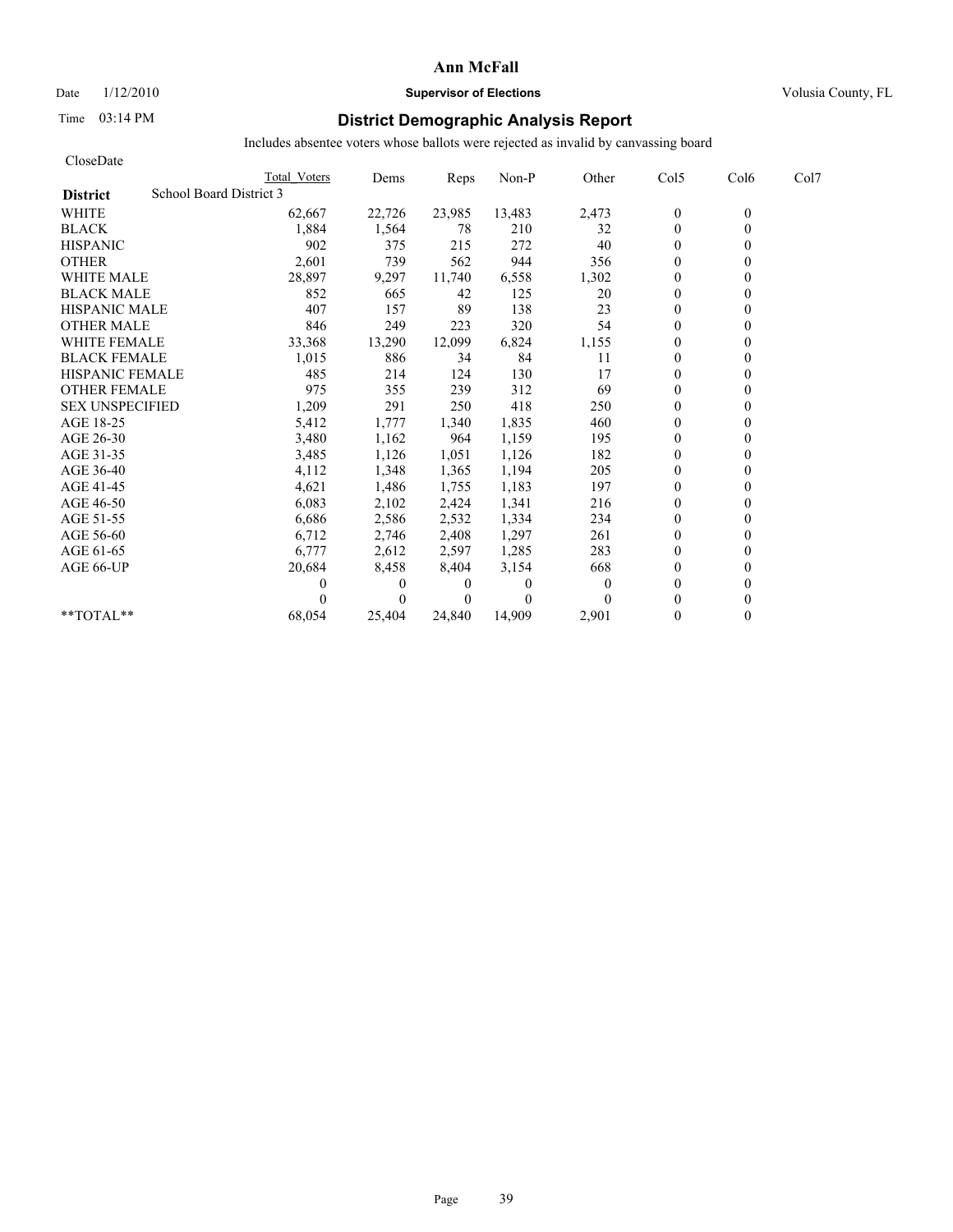Date  $1/12/2010$  **Supervisor of Elections** Volusia County, FL

# Time 03:14 PM **District Demographic Analysis Report**

| CloseDate                                  |              |              |          |          |          |                  |                  |      |
|--------------------------------------------|--------------|--------------|----------|----------|----------|------------------|------------------|------|
|                                            | Total Voters | Dems         | Reps     | Non-P    | Other    | Col5             | Col <sub>6</sub> | Col7 |
| School Board District 3<br><b>District</b> |              |              |          |          |          |                  |                  |      |
| <b>WHITE</b>                               | 62,667       | 22,726       | 23,985   | 13,483   | 2,473    | $\boldsymbol{0}$ | $\mathbf{0}$     |      |
| <b>BLACK</b>                               | 1,884        | 1,564        | 78       | 210      | 32       | $\mathbf{0}$     | 0                |      |
| <b>HISPANIC</b>                            | 902          | 375          | 215      | 272      | 40       | $\theta$         |                  |      |
| <b>OTHER</b>                               | 2,601        | 739          | 562      | 944      | 356      | $\theta$         |                  |      |
| <b>WHITE MALE</b>                          | 28,897       | 9,297        | 11,740   | 6,558    | 1,302    | $\theta$         |                  |      |
| <b>BLACK MALE</b>                          | 852          | 665          | 42       | 125      | 20       | $\mathbf{0}$     |                  |      |
| <b>HISPANIC MALE</b>                       | 407          | 157          | 89       | 138      | 23       | $\theta$         |                  |      |
| <b>OTHER MALE</b>                          | 846          | 249          | 223      | 320      | 54       | $\overline{0}$   |                  |      |
| <b>WHITE FEMALE</b>                        | 33,368       | 13,290       | 12,099   | 6,824    | 1,155    | $\theta$         |                  |      |
| <b>BLACK FEMALE</b>                        | 1,015        | 886          | 34       | 84       | 11       | $\overline{0}$   |                  |      |
| <b>HISPANIC FEMALE</b>                     | 485          | 214          | 124      | 130      | 17       | $\theta$         |                  |      |
| <b>OTHER FEMALE</b>                        | 975          | 355          | 239      | 312      | 69       | $\theta$         |                  |      |
| <b>SEX UNSPECIFIED</b>                     | 1,209        | 291          | 250      | 418      | 250      | $\theta$         |                  |      |
| AGE 18-25                                  | 5,412        | 1,777        | 1,340    | 1,835    | 460      | $\theta$         |                  |      |
| AGE 26-30                                  | 3,480        | 1,162        | 964      | 1,159    | 195      | $\overline{0}$   |                  |      |
| AGE 31-35                                  | 3,485        | 1,126        | 1,051    | 1,126    | 182      | $\mathbf{0}$     |                  |      |
| AGE 36-40                                  | 4,112        | 1,348        | 1,365    | 1,194    | 205      | $\overline{0}$   |                  |      |
| AGE 41-45                                  | 4,621        | 1,486        | 1,755    | 1,183    | 197      | $\mathbf{0}$     |                  |      |
| AGE 46-50                                  | 6,083        | 2,102        | 2,424    | 1,341    | 216      | $\theta$         |                  |      |
| AGE 51-55                                  | 6,686        | 2,586        | 2,532    | 1,334    | 234      | $\mathbf{0}$     |                  |      |
| AGE 56-60                                  | 6,712        | 2,746        | 2,408    | 1,297    | 261      | $\overline{0}$   |                  |      |
| AGE 61-65                                  | 6,777        | 2,612        | 2,597    | 1,285    | 283      | $\Omega$         |                  |      |
| AGE 66-UP                                  | 20,684       | 8,458        | 8,404    | 3,154    | 668      | $\Omega$         |                  |      |
|                                            | 0            | $\mathbf{0}$ | 0        | $\Omega$ | $\Omega$ | $\overline{0}$   |                  |      |
|                                            |              | $\theta$     | $\theta$ | $\Omega$ |          | $\Omega$         |                  |      |
| $*$ TOTAL $*$                              | 68,054       | 25,404       | 24.840   | 14,909   | 2,901    | $\theta$         | 0                |      |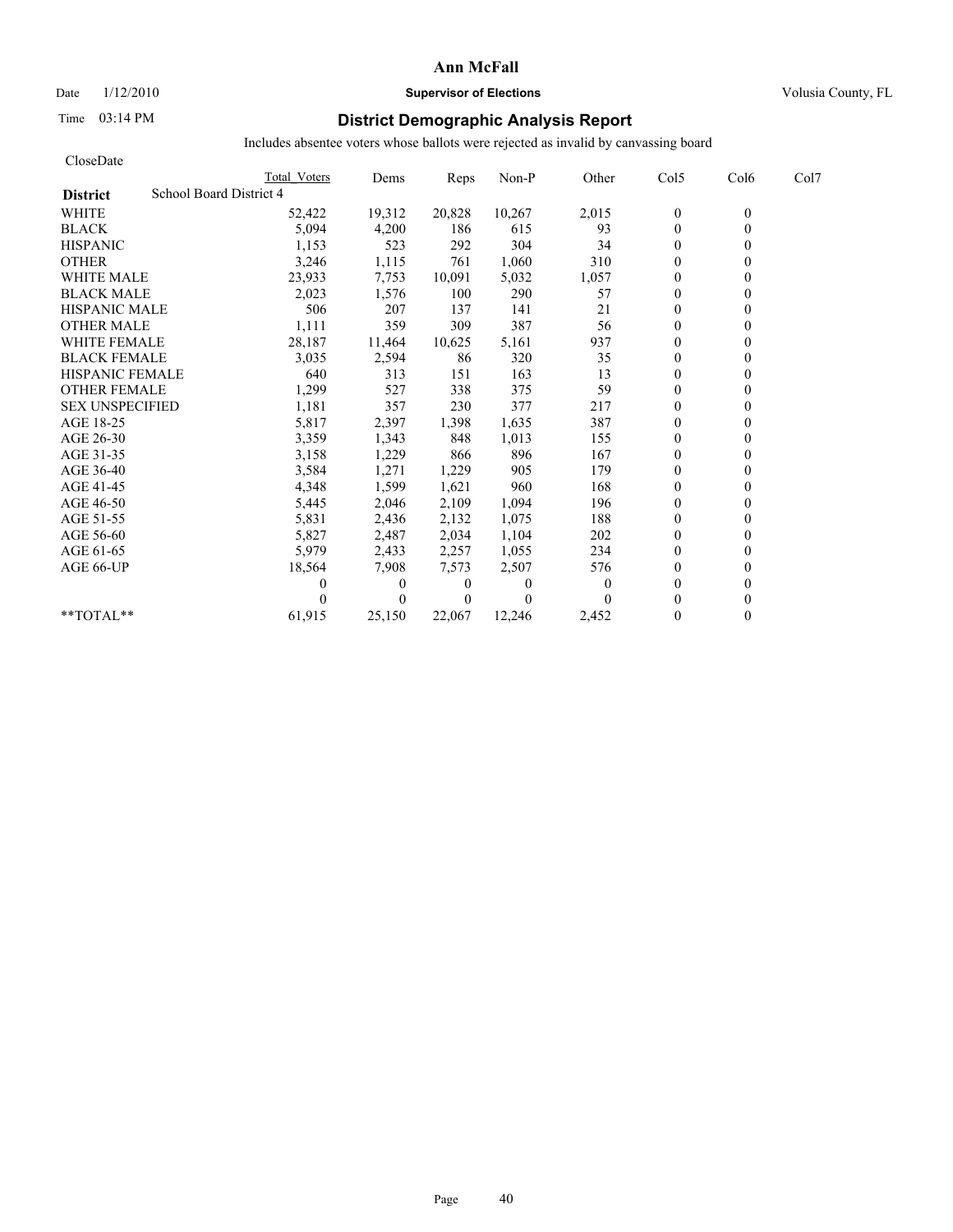# Date  $1/12/2010$  **Supervisor of Elections** Volusia County, FL

# Time 03:14 PM **District Demographic Analysis Report**

| CloseDate                                  |              |              |                |          |                |              |                  |      |
|--------------------------------------------|--------------|--------------|----------------|----------|----------------|--------------|------------------|------|
|                                            | Total Voters | Dems         | Reps           | Non-P    | Other          | Col5         | Col <sub>6</sub> | Col7 |
| School Board District 4<br><b>District</b> |              |              |                |          |                |              |                  |      |
| <b>WHITE</b>                               | 52,422       | 19,312       | 20,828         | 10,267   | 2,015          | $\mathbf{0}$ | $\mathbf{0}$     |      |
| <b>BLACK</b>                               | 5,094        | 4,200        | 186            | 615      | 93             | $\mathbf{0}$ | 0                |      |
| <b>HISPANIC</b>                            | 1,153        | 523          | 292            | 304      | 34             | $\theta$     |                  |      |
| <b>OTHER</b>                               | 3,246        | 1,115        | 761            | 1,060    | 310            | $\theta$     |                  |      |
| <b>WHITE MALE</b>                          | 23,933       | 7,753        | 10,091         | 5,032    | 1,057          | $\mathbf{0}$ |                  |      |
| <b>BLACK MALE</b>                          | 2,023        | 1,576        | 100            | 290      | 57             | $\theta$     |                  |      |
| <b>HISPANIC MALE</b>                       | 506          | 207          | 137            | 141      | 21             | $\mathbf{0}$ |                  |      |
| <b>OTHER MALE</b>                          | 1,111        | 359          | 309            | 387      | 56             | $\theta$     |                  |      |
| <b>WHITE FEMALE</b>                        | 28,187       | 11,464       | 10,625         | 5,161    | 937            | $\theta$     |                  |      |
| <b>BLACK FEMALE</b>                        | 3,035        | 2,594        | 86             | 320      | 35             | $\theta$     |                  |      |
| <b>HISPANIC FEMALE</b>                     | 640          | 313          | 151            | 163      | 13             | $\theta$     |                  |      |
| <b>OTHER FEMALE</b>                        | 1,299        | 527          | 338            | 375      | 59             | $\theta$     |                  |      |
| <b>SEX UNSPECIFIED</b>                     | 1,181        | 357          | 230            | 377      | 217            | $\theta$     |                  |      |
| AGE 18-25                                  | 5,817        | 2,397        | 1,398          | 1,635    | 387            | $\theta$     |                  |      |
| AGE 26-30                                  | 3,359        | 1,343        | 848            | 1,013    | 155            | $\theta$     |                  |      |
| AGE 31-35                                  | 3,158        | 1,229        | 866            | 896      | 167            | $\theta$     |                  |      |
| AGE 36-40                                  | 3,584        | 1,271        | 1,229          | 905      | 179            | $\theta$     |                  |      |
| AGE 41-45                                  | 4,348        | 1,599        | 1,621          | 960      | 168            | $\theta$     |                  |      |
| AGE 46-50                                  | 5,445        | 2,046        | 2,109          | 1,094    | 196            | $\mathbf{0}$ |                  |      |
| AGE 51-55                                  | 5,831        | 2,436        | 2,132          | 1,075    | 188            | $\theta$     |                  |      |
| AGE 56-60                                  | 5,827        | 2,487        | 2,034          | 1,104    | 202            | $\theta$     |                  |      |
| AGE 61-65                                  | 5,979        | 2,433        | 2,257          | 1,055    | 234            | $\theta$     |                  |      |
| AGE 66-UP                                  | 18,564       | 7,908        | 7,573          | 2,507    | 576            | $\theta$     |                  |      |
|                                            |              | $\mathbf{0}$ | $\overline{0}$ | $\Omega$ | $\overline{0}$ | $\Omega$     |                  |      |
|                                            |              | $\theta$     | $\theta$       | $\Omega$ |                | $\theta$     |                  |      |
| $*$ $TOTAI.**$                             | 61,915       | 25,150       | 22,067         | 12,246   | 2,452          | $\Omega$     |                  |      |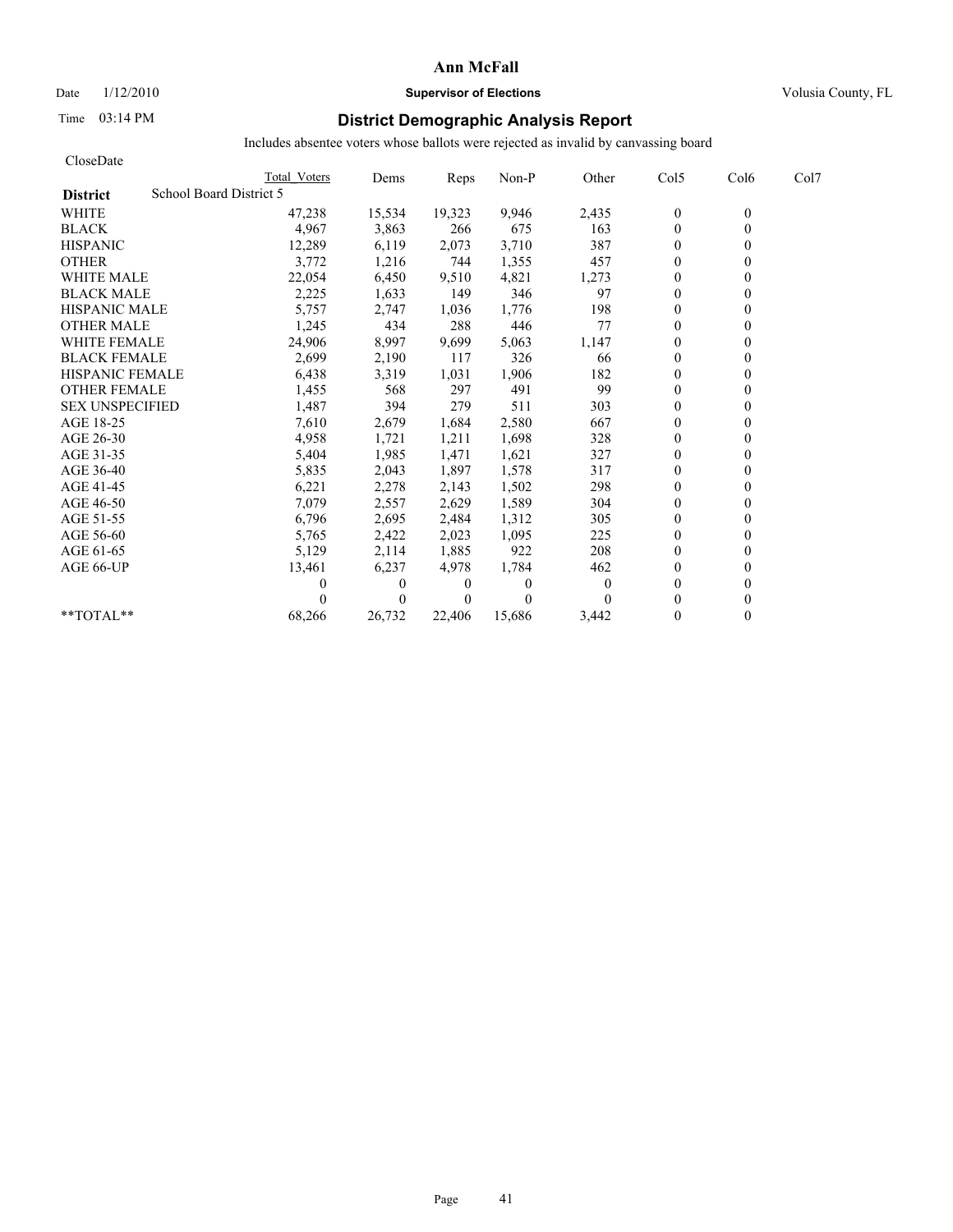### Date  $1/12/2010$  **Supervisor of Elections** Volusia County, FL

# Time 03:14 PM **District Demographic Analysis Report**

| CloseDate                                  |              |              |                |          |          |                |                  |      |
|--------------------------------------------|--------------|--------------|----------------|----------|----------|----------------|------------------|------|
|                                            | Total Voters | Dems         | Reps           | Non-P    | Other    | Col5           | Col <sub>6</sub> | Col7 |
| School Board District 5<br><b>District</b> |              |              |                |          |          |                |                  |      |
| <b>WHITE</b>                               | 47,238       | 15,534       | 19,323         | 9,946    | 2,435    | $\mathbf{0}$   | $\theta$         |      |
| <b>BLACK</b>                               | 4,967        | 3,863        | 266            | 675      | 163      | $\mathbf{0}$   | $\theta$         |      |
| <b>HISPANIC</b>                            | 12,289       | 6,119        | 2,073          | 3,710    | 387      | $\mathbf{0}$   |                  |      |
| <b>OTHER</b>                               | 3,772        | 1,216        | 744            | 1,355    | 457      | $\theta$       |                  |      |
| <b>WHITE MALE</b>                          | 22,054       | 6,450        | 9,510          | 4,821    | 1,273    | $\theta$       |                  |      |
| <b>BLACK MALE</b>                          | 2,225        | 1,633        | 149            | 346      | 97       | $\mathbf{0}$   |                  |      |
| <b>HISPANIC MALE</b>                       | 5,757        | 2,747        | 1,036          | 1,776    | 198      | $\theta$       |                  |      |
| <b>OTHER MALE</b>                          | 1,245        | 434          | 288            | 446      | 77       | $\theta$       |                  |      |
| <b>WHITE FEMALE</b>                        | 24,906       | 8,997        | 9,699          | 5,063    | 1,147    | $\theta$       |                  |      |
| <b>BLACK FEMALE</b>                        | 2,699        | 2,190        | 117            | 326      | 66       | $\theta$       |                  |      |
| <b>HISPANIC FEMALE</b>                     | 6,438        | 3,319        | 1,031          | 1,906    | 182      | $\theta$       |                  |      |
| <b>OTHER FEMALE</b>                        | 1,455        | 568          | 297            | 491      | 99       | $\mathbf{0}$   |                  |      |
| <b>SEX UNSPECIFIED</b>                     | 1,487        | 394          | 279            | 511      | 303      | $\theta$       |                  |      |
| AGE 18-25                                  | 7,610        | 2,679        | 1,684          | 2,580    | 667      | $\mathbf{0}$   |                  |      |
| AGE 26-30                                  | 4,958        | 1,721        | 1,211          | 1,698    | 328      | $\theta$       |                  |      |
| AGE 31-35                                  | 5,404        | 1,985        | 1,471          | 1,621    | 327      | $\theta$       |                  |      |
| AGE 36-40                                  | 5,835        | 2,043        | 1,897          | 1,578    | 317      | $\theta$       |                  |      |
| AGE 41-45                                  | 6,221        | 2,278        | 2,143          | 1,502    | 298      | $\overline{0}$ |                  |      |
| AGE 46-50                                  | 7,079        | 2,557        | 2,629          | 1,589    | 304      | $\mathbf{0}$   |                  |      |
| AGE 51-55                                  | 6,796        | 2,695        | 2,484          | 1,312    | 305      | $\theta$       |                  |      |
| AGE 56-60                                  | 5,765        | 2,422        | 2,023          | 1,095    | 225      | $\theta$       |                  |      |
| AGE 61-65                                  | 5,129        | 2,114        | 1,885          | 922      | 208      | $\theta$       |                  |      |
| AGE 66-UP                                  | 13,461       | 6,237        | 4,978          | 1,784    | 462      | $\theta$       |                  |      |
|                                            |              | $\mathbf{0}$ | $\overline{0}$ | 0        | $\theta$ | $\theta$       |                  |      |
|                                            |              | $\theta$     | $\overline{0}$ | $\Omega$ | 0        | $\theta$       |                  |      |
| **TOTAL**                                  | 68,266       | 26,732       | 22.406         | 15.686   | 3,442    | $\theta$       | 0                |      |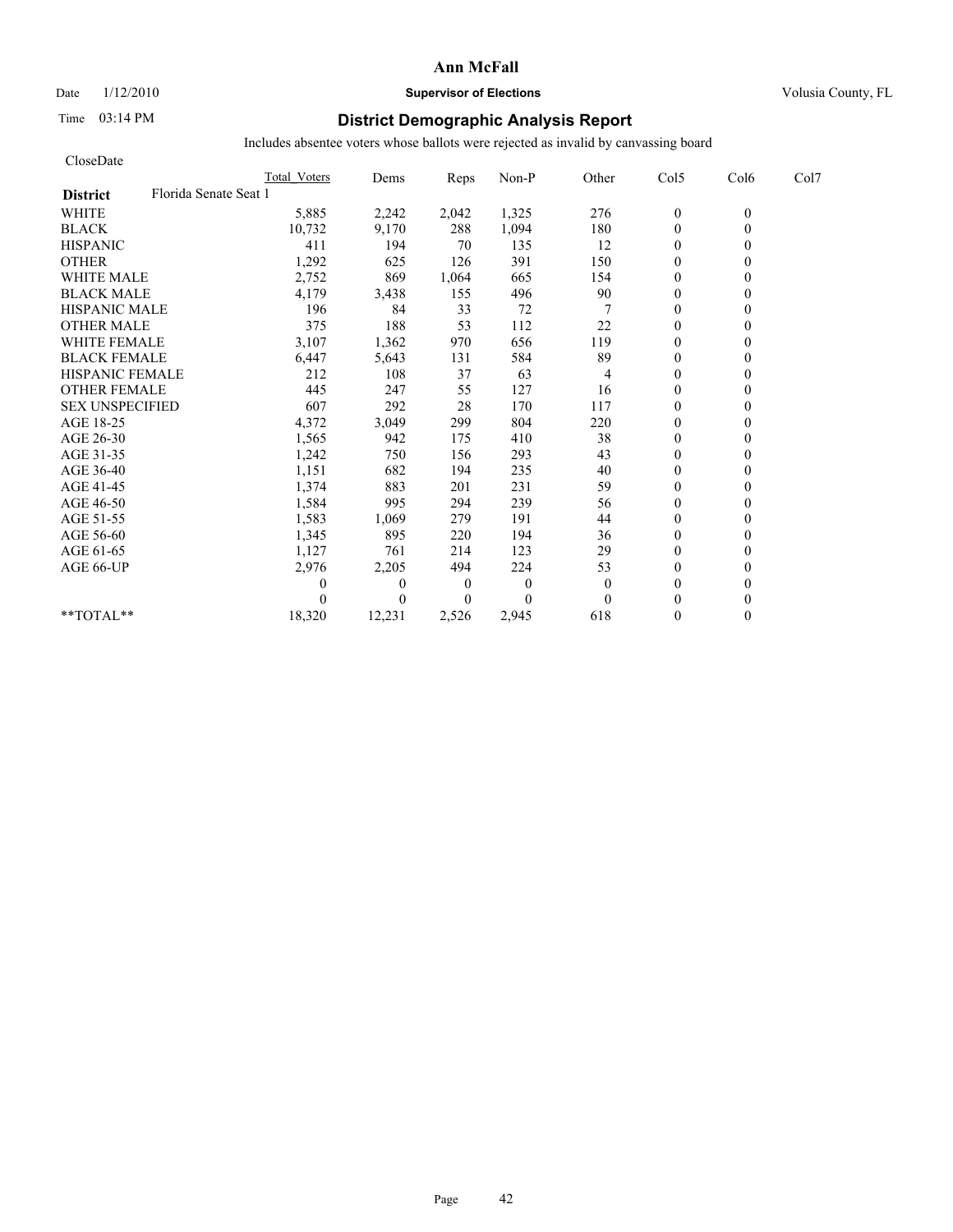# Date  $1/12/2010$  **Supervisor of Elections** Volusia County, FL

# Time 03:14 PM **District Demographic Analysis Report**

| CloseDate                                |                     |          |                  |              |              |                  |          |      |
|------------------------------------------|---------------------|----------|------------------|--------------|--------------|------------------|----------|------|
|                                          | <b>Total Voters</b> | Dems     | Reps             | Non-P        | Other        | Col5             | Col6     | Col7 |
| Florida Senate Seat 1<br><b>District</b> |                     |          |                  |              |              |                  |          |      |
| <b>WHITE</b>                             | 5,885               | 2,242    | 2,042            | 1,325        | 276          | $\boldsymbol{0}$ | $\theta$ |      |
| <b>BLACK</b>                             | 10,732              | 9,170    | 288              | 1,094        | 180          | $\overline{0}$   | $\theta$ |      |
| <b>HISPANIC</b>                          | 411                 | 194      | 70               | 135          | 12           | $\mathbf{0}$     |          |      |
| <b>OTHER</b>                             | 1,292               | 625      | 126              | 391          | 150          | $\theta$         |          |      |
| <b>WHITE MALE</b>                        | 2,752               | 869      | 1,064            | 665          | 154          | $\mathbf{0}$     |          |      |
| <b>BLACK MALE</b>                        | 4,179               | 3,438    | 155              | 496          | 90           | $\mathbf{0}$     |          |      |
| <b>HISPANIC MALE</b>                     | 196                 | 84       | 33               | 72           |              | $\theta$         |          |      |
| <b>OTHER MALE</b>                        | 375                 | 188      | 53               | 112          | 22           | $\mathbf{0}$     |          |      |
| <b>WHITE FEMALE</b>                      | 3,107               | 1,362    | 970              | 656          | 119          | $\theta$         |          |      |
| <b>BLACK FEMALE</b>                      | 6,447               | 5,643    | 131              | 584          | 89           | $\theta$         |          |      |
| <b>HISPANIC FEMALE</b>                   | 212                 | 108      | 37               | 63           | 4            | $\theta$         |          |      |
| <b>OTHER FEMALE</b>                      | 445                 | 247      | 55               | 127          | 16           | $\mathbf{0}$     |          |      |
| <b>SEX UNSPECIFIED</b>                   | 607                 | 292      | 28               | 170          | 117          | $\mathbf{0}$     |          |      |
| AGE 18-25                                | 4,372               | 3,049    | 299              | 804          | 220          | $\mathbf{0}$     |          |      |
| AGE 26-30                                | 1,565               | 942      | 175              | 410          | 38           | $\theta$         |          |      |
| AGE 31-35                                | 1,242               | 750      | 156              | 293          | 43           | $\theta$         |          |      |
| AGE 36-40                                | 1,151               | 682      | 194              | 235          | 40           | $\theta$         |          |      |
| AGE 41-45                                | 1,374               | 883      | 201              | 231          | 59           | $\overline{0}$   |          |      |
| AGE 46-50                                | 1,584               | 995      | 294              | 239          | 56           | $\mathbf{0}$     |          |      |
| AGE 51-55                                | 1,583               | 1,069    | 279              | 191          | 44           | $\mathbf{0}$     |          |      |
| AGE 56-60                                | 1,345               | 895      | 220              | 194          | 36           | $\theta$         |          |      |
| AGE 61-65                                | 1,127               | 761      | 214              | 123          | 29           | $\theta$         |          |      |
| AGE 66-UP                                | 2,976               | 2,205    | 494              | 224          | 53           | $\mathbf{0}$     |          |      |
|                                          | 0                   | $\theta$ | $\boldsymbol{0}$ | $\mathbf{0}$ | $\mathbf{0}$ | $\mathbf{0}$     |          |      |
|                                          |                     | $\theta$ | $\overline{0}$   | $\Omega$     | $\theta$     | $\theta$         |          |      |
| **TOTAL**                                | 18,320              | 12,231   | 2,526            | 2,945        | 618          | $\mathbf{0}$     | 0        |      |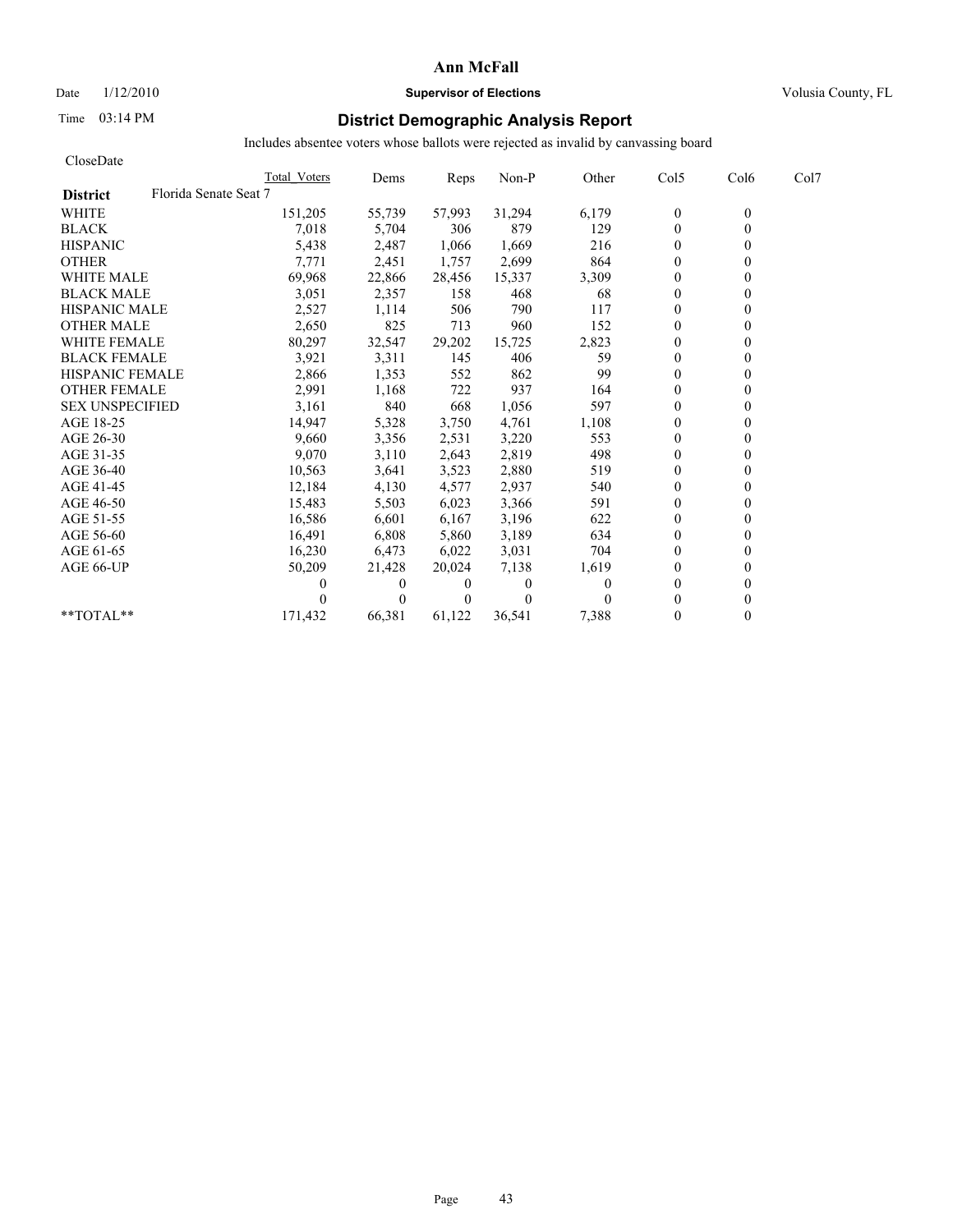# Date  $1/12/2010$  **Supervisor of Elections** Volusia County, FL

# Time 03:14 PM **District Demographic Analysis Report**

| CloseDate                                |              |          |          |          |       |              |                  |      |
|------------------------------------------|--------------|----------|----------|----------|-------|--------------|------------------|------|
|                                          | Total Voters | Dems     | Reps     | Non-P    | Other | Col5         | Col <sub>6</sub> | Col7 |
| Florida Senate Seat 7<br><b>District</b> |              |          |          |          |       |              |                  |      |
| <b>WHITE</b>                             | 151,205      | 55,739   | 57,993   | 31,294   | 6,179 | $\mathbf{0}$ | $\theta$         |      |
| <b>BLACK</b>                             | 7,018        | 5,704    | 306      | 879      | 129   | $\mathbf{0}$ | 0                |      |
| <b>HISPANIC</b>                          | 5,438        | 2,487    | 1,066    | 1,669    | 216   | $\theta$     |                  |      |
| <b>OTHER</b>                             | 7,771        | 2,451    | 1,757    | 2,699    | 864   | $\theta$     |                  |      |
| <b>WHITE MALE</b>                        | 69,968       | 22,866   | 28,456   | 15,337   | 3,309 | $\theta$     |                  |      |
| <b>BLACK MALE</b>                        | 3,051        | 2,357    | 158      | 468      | 68    | $\mathbf{0}$ |                  |      |
| <b>HISPANIC MALE</b>                     | 2,527        | 1,114    | 506      | 790      | 117   | $\theta$     |                  |      |
| <b>OTHER MALE</b>                        | 2,650        | 825      | 713      | 960      | 152   | $\theta$     |                  |      |
| <b>WHITE FEMALE</b>                      | 80,297       | 32,547   | 29,202   | 15,725   | 2,823 | $\theta$     |                  |      |
| <b>BLACK FEMALE</b>                      | 3,921        | 3,311    | 145      | 406      | 59    | $\theta$     |                  |      |
| <b>HISPANIC FEMALE</b>                   | 2,866        | 1,353    | 552      | 862      | 99    | $\theta$     |                  |      |
| <b>OTHER FEMALE</b>                      | 2,991        | 1,168    | 722      | 937      | 164   | $\theta$     |                  |      |
| <b>SEX UNSPECIFIED</b>                   | 3,161        | 840      | 668      | 1,056    | 597   | $\theta$     |                  |      |
| AGE 18-25                                | 14,947       | 5,328    | 3,750    | 4,761    | 1,108 | $\mathbf{0}$ |                  |      |
| AGE 26-30                                | 9.660        | 3,356    | 2,531    | 3,220    | 553   | $\theta$     |                  |      |
| AGE 31-35                                | 9,070        | 3,110    | 2,643    | 2,819    | 498   | $\theta$     |                  |      |
| AGE 36-40                                | 10,563       | 3,641    | 3,523    | 2,880    | 519   | $\theta$     |                  |      |
| AGE 41-45                                | 12,184       | 4,130    | 4,577    | 2,937    | 540   | $\mathbf{0}$ |                  |      |
| AGE 46-50                                | 15,483       | 5,503    | 6,023    | 3,366    | 591   | $\mathbf{0}$ |                  |      |
| AGE 51-55                                | 16,586       | 6,601    | 6,167    | 3,196    | 622   | $\theta$     |                  |      |
| AGE 56-60                                | 16,491       | 6,808    | 5,860    | 3,189    | 634   | $\theta$     |                  |      |
| AGE 61-65                                | 16,230       | 6,473    | 6,022    | 3,031    | 704   | $\theta$     |                  |      |
| AGE 66-UP                                | 50,209       | 21,428   | 20,024   | 7,138    | 1,619 | $\theta$     |                  |      |
|                                          |              | $\bf{0}$ | $\bf{0}$ | $\bf{0}$ | 0     | $\theta$     |                  |      |
|                                          |              | 0        | $\theta$ | $\Omega$ |       | $\theta$     |                  |      |
| **TOTAL**                                | 171,432      | 66,381   | 61,122   | 36,541   | 7,388 | $\theta$     | 0                |      |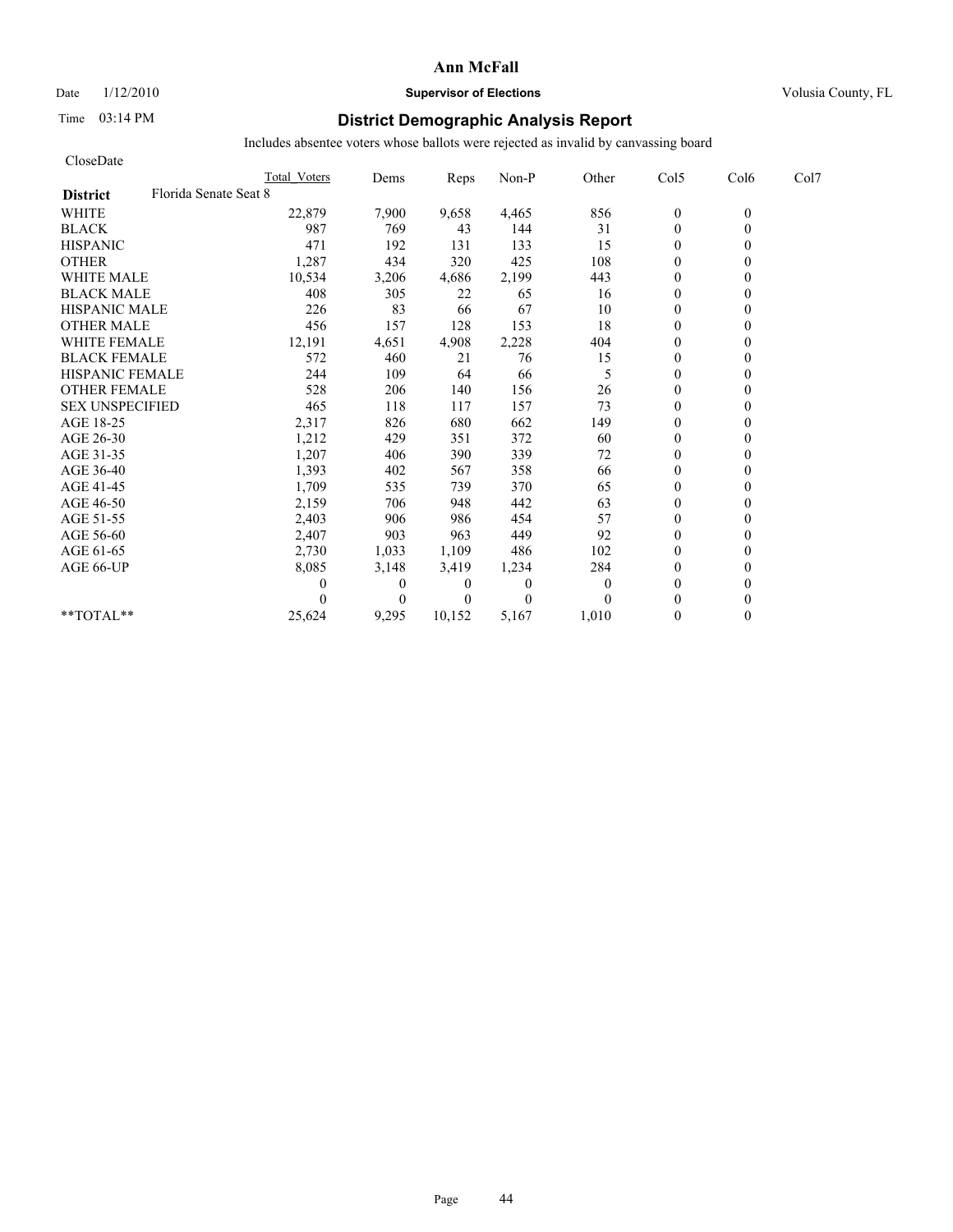# Date  $1/12/2010$  **Supervisor of Elections** Volusia County, FL

# Time 03:14 PM **District Demographic Analysis Report**

| CloseDate                                |                     |              |                |              |              |                  |          |      |
|------------------------------------------|---------------------|--------------|----------------|--------------|--------------|------------------|----------|------|
|                                          | <b>Total Voters</b> | Dems         | Reps           | Non-P        | Other        | Col5             | Col6     | Col7 |
| Florida Senate Seat 8<br><b>District</b> |                     |              |                |              |              |                  |          |      |
| <b>WHITE</b>                             | 22,879              | 7,900        | 9,658          | 4,465        | 856          | $\boldsymbol{0}$ | $\theta$ |      |
| <b>BLACK</b>                             | 987                 | 769          | 43             | 144          | 31           | $\theta$         | $\theta$ |      |
| <b>HISPANIC</b>                          | 471                 | 192          | 131            | 133          | 15           | $\theta$         |          |      |
| <b>OTHER</b>                             | 1,287               | 434          | 320            | 425          | 108          | $\theta$         |          |      |
| <b>WHITE MALE</b>                        | 10,534              | 3,206        | 4,686          | 2,199        | 443          | $\theta$         |          |      |
| <b>BLACK MALE</b>                        | 408                 | 305          | 22             | 65           | 16           | $\mathbf{0}$     |          |      |
| <b>HISPANIC MALE</b>                     | 226                 | 83           | 66             | 67           | 10           | $\mathbf{0}$     |          |      |
| <b>OTHER MALE</b>                        | 456                 | 157          | 128            | 153          | 18           | $\theta$         |          |      |
| <b>WHITE FEMALE</b>                      | 12,191              | 4,651        | 4,908          | 2,228        | 404          | $\theta$         |          |      |
| <b>BLACK FEMALE</b>                      | 572                 | 460          | 21             | 76           | 15           | $\overline{0}$   |          |      |
| <b>HISPANIC FEMALE</b>                   | 244                 | 109          | 64             | 66           | 5            | $\mathbf{0}$     |          |      |
| <b>OTHER FEMALE</b>                      | 528                 | 206          | 140            | 156          | 26           | $\theta$         |          |      |
| <b>SEX UNSPECIFIED</b>                   | 465                 | 118          | 117            | 157          | 73           | $\theta$         |          |      |
| AGE 18-25                                | 2,317               | 826          | 680            | 662          | 149          | $\theta$         |          |      |
| AGE 26-30                                | 1,212               | 429          | 351            | 372          | 60           | $\mathbf{0}$     |          |      |
| AGE 31-35                                | 1,207               | 406          | 390            | 339          | 72           | $\mathbf{0}$     |          |      |
| AGE 36-40                                | 1,393               | 402          | 567            | 358          | 66           | $\overline{0}$   |          |      |
| AGE 41-45                                | 1,709               | 535          | 739            | 370          | 65           | $\mathbf{0}$     |          |      |
| AGE 46-50                                | 2,159               | 706          | 948            | 442          | 63           | $\theta$         |          |      |
| AGE 51-55                                | 2,403               | 906          | 986            | 454          | 57           | $\mathbf{0}$     |          |      |
| AGE 56-60                                | 2,407               | 903          | 963            | 449          | 92           | $\overline{0}$   |          |      |
| AGE 61-65                                | 2,730               | 1,033        | 1,109          | 486          | 102          | $\theta$         |          |      |
| AGE 66-UP                                | 8,085               | 3,148        | 3,419          | 1,234        | 284          | $\mathbf{0}$     |          |      |
|                                          | 0                   | $\mathbf{0}$ | $\overline{0}$ | $\mathbf{0}$ | $\mathbf{0}$ | $\theta$         |          |      |
|                                          |                     | $\theta$     | $\Omega$       | $\theta$     | $\theta$     | $\theta$         |          |      |
| **TOTAL**                                | 25,624              | 9,295        | 10,152         | 5,167        | 1,010        | $\theta$         | 0        |      |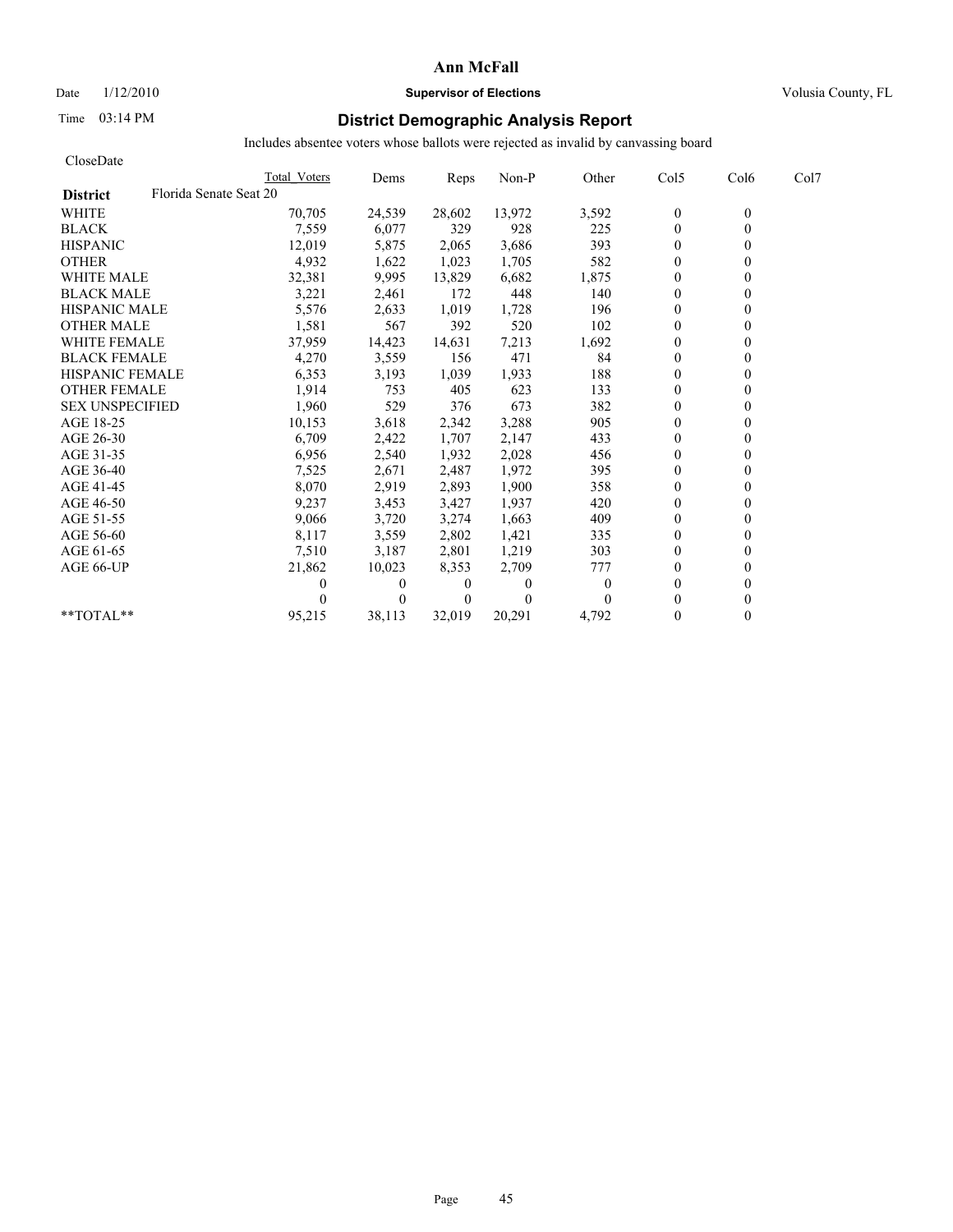### Date  $1/12/2010$  **Supervisor of Elections** Volusia County, FL

# Time 03:14 PM **District Demographic Analysis Report**

| CloseDate                                 |              |          |                |          |          |                |                  |      |
|-------------------------------------------|--------------|----------|----------------|----------|----------|----------------|------------------|------|
|                                           | Total Voters | Dems     | Reps           | Non-P    | Other    | Col5           | Col <sub>6</sub> | Col7 |
| Florida Senate Seat 20<br><b>District</b> |              |          |                |          |          |                |                  |      |
| <b>WHITE</b>                              | 70,705       | 24,539   | 28,602         | 13,972   | 3,592    | $\bf{0}$       | $\theta$         |      |
| <b>BLACK</b>                              | 7,559        | 6,077    | 329            | 928      | 225      | $\mathbf{0}$   | $\theta$         |      |
| <b>HISPANIC</b>                           | 12,019       | 5,875    | 2,065          | 3,686    | 393      | $\mathbf{0}$   |                  |      |
| <b>OTHER</b>                              | 4,932        | 1,622    | 1,023          | 1,705    | 582      | $\theta$       |                  |      |
| <b>WHITE MALE</b>                         | 32,381       | 9,995    | 13,829         | 6,682    | 1,875    | $\theta$       |                  |      |
| <b>BLACK MALE</b>                         | 3,221        | 2,461    | 172            | 448      | 140      | $\mathbf{0}$   |                  |      |
| <b>HISPANIC MALE</b>                      | 5,576        | 2,633    | 1,019          | 1,728    | 196      | $\theta$       |                  |      |
| <b>OTHER MALE</b>                         | 1,581        | 567      | 392            | 520      | 102      | $\theta$       |                  |      |
| <b>WHITE FEMALE</b>                       | 37,959       | 14,423   | 14,631         | 7,213    | 1,692    | $\theta$       |                  |      |
| <b>BLACK FEMALE</b>                       | 4,270        | 3,559    | 156            | 471      | 84       | $\theta$       |                  |      |
| <b>HISPANIC FEMALE</b>                    | 6,353        | 3,193    | 1,039          | 1,933    | 188      | $\theta$       |                  |      |
| <b>OTHER FEMALE</b>                       | 1,914        | 753      | 405            | 623      | 133      | $\mathbf{0}$   |                  |      |
| <b>SEX UNSPECIFIED</b>                    | 1,960        | 529      | 376            | 673      | 382      | $\mathbf{0}$   |                  |      |
| AGE 18-25                                 | 10,153       | 3,618    | 2,342          | 3,288    | 905      | $\mathbf{0}$   |                  |      |
| AGE 26-30                                 | 6,709        | 2,422    | 1,707          | 2,147    | 433      | $\theta$       |                  |      |
| AGE 31-35                                 | 6,956        | 2,540    | 1,932          | 2,028    | 456      | $\theta$       |                  |      |
| AGE 36-40                                 | 7,525        | 2,671    | 2,487          | 1,972    | 395      | $\theta$       |                  |      |
| AGE 41-45                                 | 8,070        | 2,919    | 2,893          | 1,900    | 358      | $\overline{0}$ |                  |      |
| AGE 46-50                                 | 9,237        | 3,453    | 3,427          | 1,937    | 420      | $\mathbf{0}$   |                  |      |
| AGE 51-55                                 | 9,066        | 3,720    | 3,274          | 1,663    | 409      | $\theta$       |                  |      |
| AGE 56-60                                 | 8,117        | 3,559    | 2,802          | 1,421    | 335      | $\theta$       |                  |      |
| AGE 61-65                                 | 7,510        | 3,187    | 2,801          | 1,219    | 303      | $\theta$       |                  |      |
| AGE 66-UP                                 | 21,862       | 10,023   | 8,353          | 2,709    | 777      | $\theta$       |                  |      |
|                                           |              | $\bf{0}$ | $\bf{0}$       | 0        | $\theta$ | $\theta$       |                  |      |
|                                           |              | 0        | $\overline{0}$ | $\Omega$ | 0        | $\theta$       |                  |      |
| **TOTAL**                                 | 95,215       | 38,113   | 32.019         | 20.291   | 4,792    | $\theta$       | 0                |      |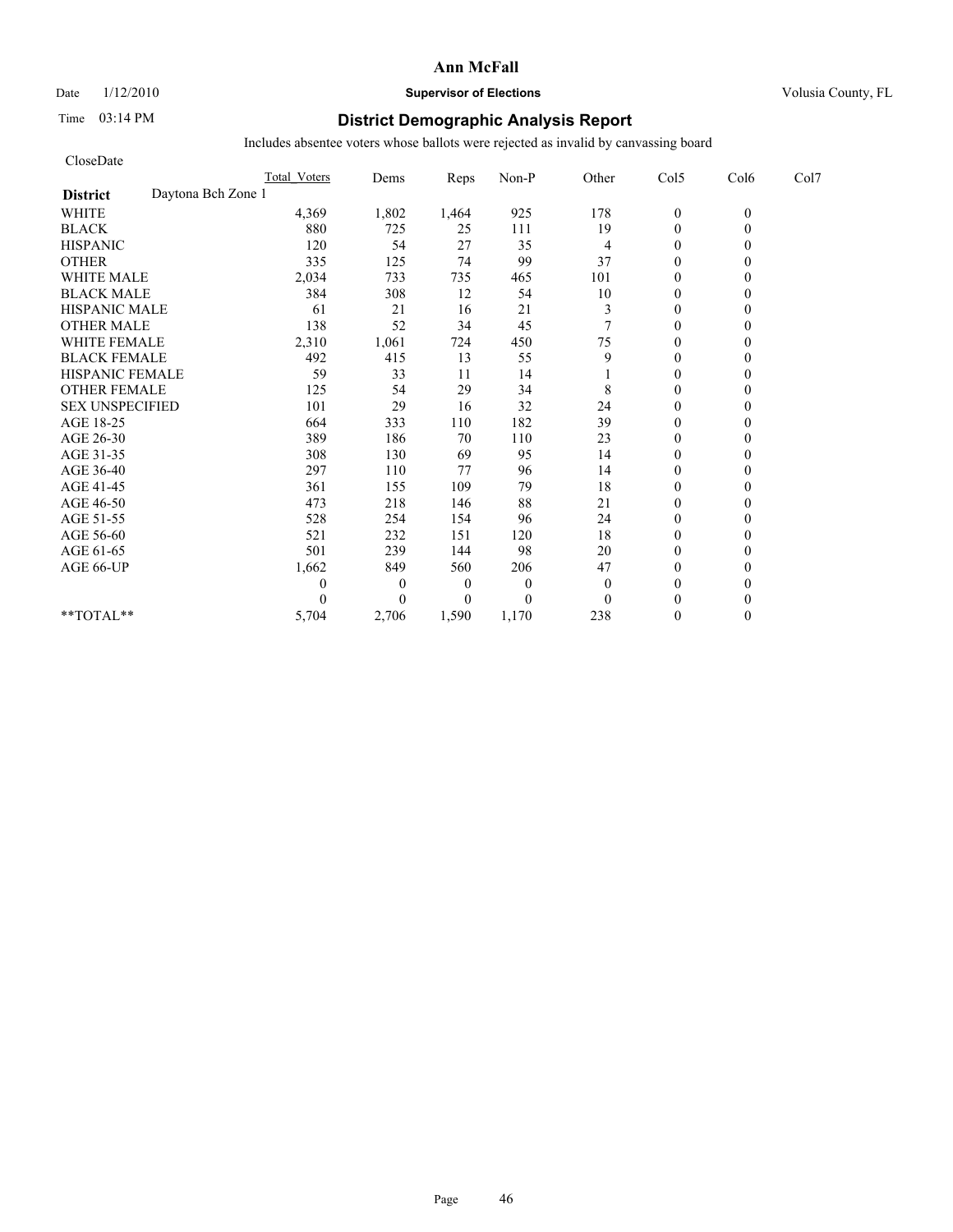Date  $1/12/2010$  **Supervisor of Elections** Volusia County, FL

# Time 03:14 PM **District Demographic Analysis Report**

| CloseDate                             |                     |              |                |          |              |                  |          |      |
|---------------------------------------|---------------------|--------------|----------------|----------|--------------|------------------|----------|------|
|                                       | <b>Total Voters</b> | Dems         | Reps           | Non-P    | Other        | Col5             | Col6     | Col7 |
| Daytona Bch Zone 1<br><b>District</b> |                     |              |                |          |              |                  |          |      |
| <b>WHITE</b>                          | 4,369               | 1,802        | 1,464          | 925      | 178          | $\boldsymbol{0}$ | $\theta$ |      |
| <b>BLACK</b>                          | 880                 | 725          | 25             | 111      | 19           | $\theta$         | 0        |      |
| <b>HISPANIC</b>                       | 120                 | 54           | 27             | 35       | 4            | $\theta$         |          |      |
| <b>OTHER</b>                          | 335                 | 125          | 74             | 99       | 37           | $\theta$         |          |      |
| <b>WHITE MALE</b>                     | 2,034               | 733          | 735            | 465      | 101          | $\theta$         |          |      |
| <b>BLACK MALE</b>                     | 384                 | 308          | 12             | 54       | 10           | $\mathbf{0}$     |          |      |
| <b>HISPANIC MALE</b>                  | 61                  | 21           | 16             | 21       | 3            | $\theta$         |          |      |
| <b>OTHER MALE</b>                     | 138                 | 52           | 34             | 45       | $\tau$       | $\theta$         |          |      |
| <b>WHITE FEMALE</b>                   | 2,310               | 1,061        | 724            | 450      | 75           | $\theta$         |          |      |
| <b>BLACK FEMALE</b>                   | 492                 | 415          | 13             | 55       | 9            | $\theta$         |          |      |
| HISPANIC FEMALE                       | 59                  | 33           | 11             | 14       |              | $\theta$         |          |      |
| <b>OTHER FEMALE</b>                   | 125                 | 54           | 29             | 34       | 8            | $\theta$         |          |      |
| <b>SEX UNSPECIFIED</b>                | 101                 | 29           | 16             | 32       | 24           | $\theta$         |          |      |
| AGE 18-25                             | 664                 | 333          | 110            | 182      | 39           | $\mathbf{0}$     |          |      |
| AGE 26-30                             | 389                 | 186          | 70             | 110      | 23           | $\overline{0}$   |          |      |
| AGE 31-35                             | 308                 | 130          | 69             | 95       | 14           | $\mathbf{0}$     |          |      |
| AGE 36-40                             | 297                 | 110          | 77             | 96       | 14           | $\mathbf{0}$     |          |      |
| AGE 41-45                             | 361                 | 155          | 109            | 79       | 18           | $\mathbf{0}$     |          |      |
| AGE 46-50                             | 473                 | 218          | 146            | 88       | 21           | $\theta$         |          |      |
| AGE 51-55                             | 528                 | 254          | 154            | 96       | 24           | $\mathbf{0}$     |          |      |
| AGE 56-60                             | 521                 | 232          | 151            | 120      | 18           | $\overline{0}$   |          |      |
| AGE 61-65                             | 501                 | 239          | 144            | 98       | 20           | $\theta$         |          |      |
| AGE 66-UP                             | 1,662               | 849          | 560            | 206      | 47           | $\mathbf{0}$     |          |      |
|                                       | 0                   | $\mathbf{0}$ | $\overline{0}$ | $\theta$ | $\mathbf{0}$ | $\mathbf{0}$     |          |      |
|                                       | 0                   | $\Omega$     | $\overline{0}$ | $\theta$ | $\theta$     | $\theta$         |          |      |
| **TOTAL**                             | 5,704               | 2,706        | 1,590          | 1,170    | 238          | $\theta$         | 0        |      |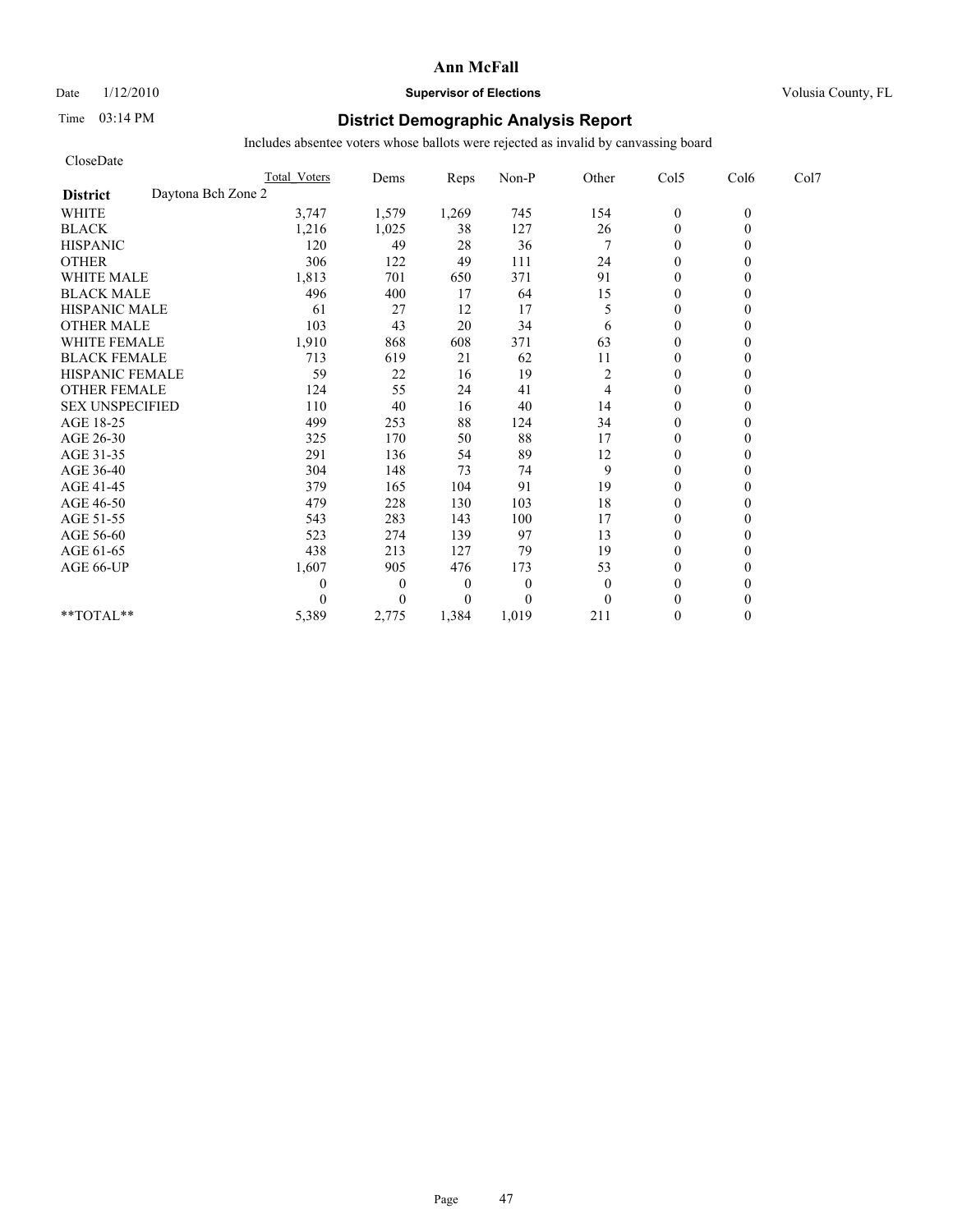Date  $1/12/2010$  **Supervisor of Elections** Volusia County, FL

# Time 03:14 PM **District Demographic Analysis Report**

| CloseDate                             |                     |                |                  |          |                |                  |          |      |
|---------------------------------------|---------------------|----------------|------------------|----------|----------------|------------------|----------|------|
|                                       | <b>Total Voters</b> | Dems           | Reps             | Non-P    | Other          | Col5             | Col6     | Col7 |
| Daytona Bch Zone 2<br><b>District</b> |                     |                |                  |          |                |                  |          |      |
| <b>WHITE</b>                          | 3,747               | 1,579          | 1,269            | 745      | 154            | $\boldsymbol{0}$ | $\theta$ |      |
| <b>BLACK</b>                          | 1,216               | 1,025          | 38               | 127      | 26             | $\mathbf{0}$     | 0        |      |
| <b>HISPANIC</b>                       | 120                 | 49             | 28               | 36       | $\overline{7}$ | $\mathbf{0}$     |          |      |
| <b>OTHER</b>                          | 306                 | 122            | 49               | 111      | 24             | $\theta$         |          |      |
| <b>WHITE MALE</b>                     | 1,813               | 701            | 650              | 371      | 91             | $\theta$         |          |      |
| <b>BLACK MALE</b>                     | 496                 | 400            | 17               | 64       | 15             | $\mathbf{0}$     |          |      |
| <b>HISPANIC MALE</b>                  | 61                  | 27             | 12               | 17       | 5              | $\theta$         |          |      |
| <b>OTHER MALE</b>                     | 103                 | 43             | 20               | 34       | 6              | $\theta$         |          |      |
| <b>WHITE FEMALE</b>                   | 1,910               | 868            | 608              | 371      | 63             | $\theta$         |          |      |
| <b>BLACK FEMALE</b>                   | 713                 | 619            | 21               | 62       | 11             | $\theta$         |          |      |
| HISPANIC FEMALE                       | 59                  | 22             | 16               | 19       | $\overline{c}$ | $\mathbf{0}$     |          |      |
| <b>OTHER FEMALE</b>                   | 124                 | 55             | 24               | 41       | 4              | $\theta$         |          |      |
| <b>SEX UNSPECIFIED</b>                | 110                 | 40             | 16               | 40       | 14             | $\theta$         |          |      |
| AGE 18-25                             | 499                 | 253            | 88               | 124      | 34             | $\mathbf{0}$     |          |      |
| AGE 26-30                             | 325                 | 170            | 50               | 88       | 17             | $\overline{0}$   |          |      |
| AGE 31-35                             | 291                 | 136            | 54               | 89       | 12             | $\mathbf{0}$     |          |      |
| AGE 36-40                             | 304                 | 148            | 73               | 74       | 9              | $\mathbf{0}$     |          |      |
| AGE 41-45                             | 379                 | 165            | 104              | 91       | 19             | $\mathbf{0}$     |          |      |
| AGE 46-50                             | 479                 | 228            | 130              | 103      | 18             | $\theta$         |          |      |
| AGE 51-55                             | 543                 | 283            | 143              | 100      | 17             | $\mathbf{0}$     |          |      |
| AGE 56-60                             | 523                 | 274            | 139              | 97       | 13             | $\overline{0}$   |          |      |
| AGE 61-65                             | 438                 | 213            | 127              | 79       | 19             | $\theta$         |          |      |
| AGE 66-UP                             | 1,607               | 905            | 476              | 173      | 53             | $\mathbf{0}$     |          |      |
|                                       | 0                   | $\overline{0}$ | $\boldsymbol{0}$ | $\theta$ | $\theta$       | $\mathbf{0}$     |          |      |
|                                       | 0                   | $\Omega$       | $\overline{0}$   | $\theta$ | $\Omega$       | $\theta$         |          |      |
| **TOTAL**                             | 5,389               | 2,775          | 1,384            | 1,019    | 211            | $\theta$         | 0        |      |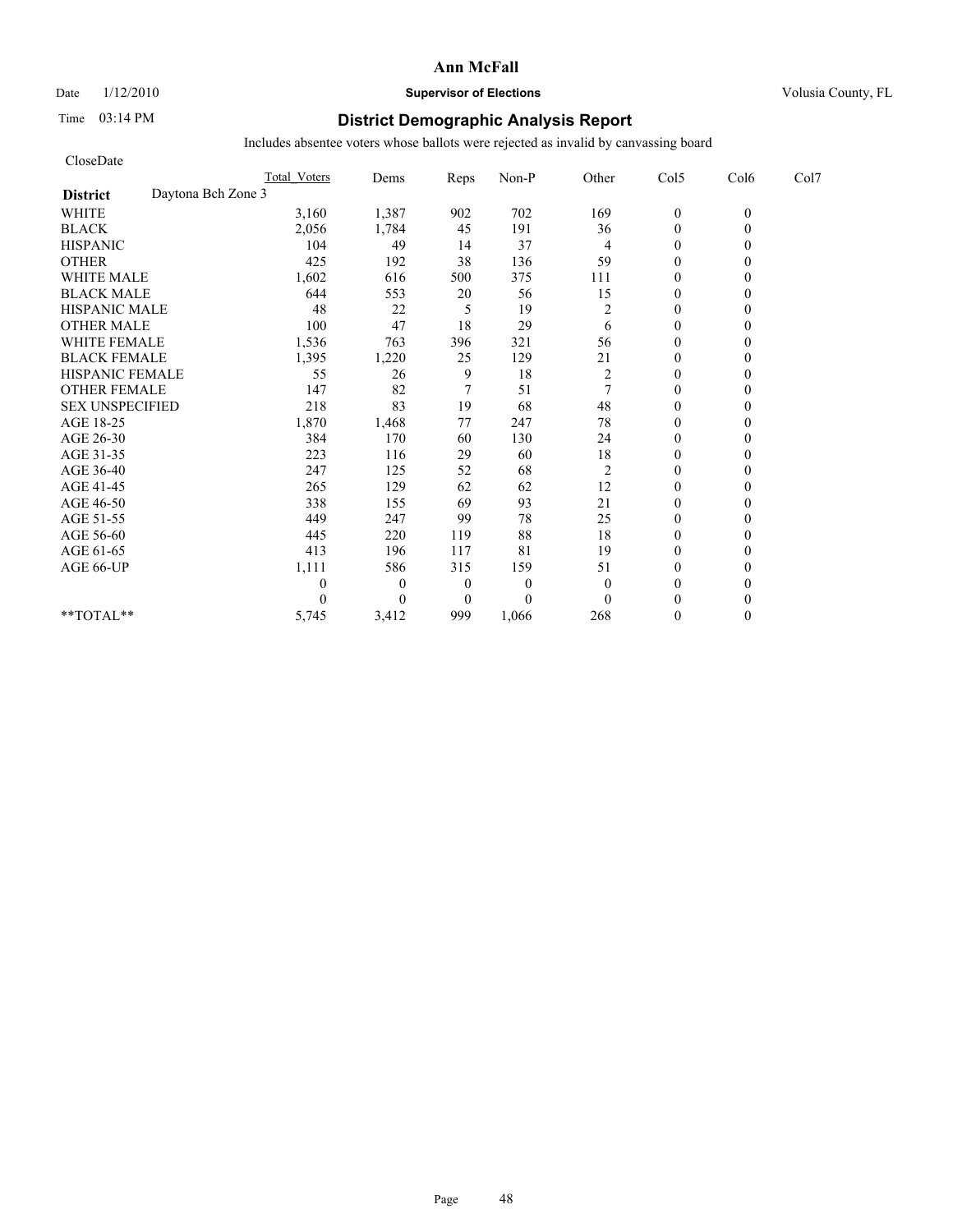# Date  $1/12/2010$  **Supervisor of Elections** Volusia County, FL

# Time 03:14 PM **District Demographic Analysis Report**

| CloseDate                             |                     |          |                  |          |                |                |          |      |
|---------------------------------------|---------------------|----------|------------------|----------|----------------|----------------|----------|------|
|                                       | <b>Total Voters</b> | Dems     | Reps             | Non-P    | Other          | Col5           | Col6     | Col7 |
| Daytona Bch Zone 3<br><b>District</b> |                     |          |                  |          |                |                |          |      |
| <b>WHITE</b>                          | 3,160               | 1,387    | 902              | 702      | 169            | $\mathbf{0}$   | $\theta$ |      |
| <b>BLACK</b>                          | 2,056               | 1,784    | 45               | 191      | 36             | $\overline{0}$ | 0        |      |
| <b>HISPANIC</b>                       | 104                 | 49       | 14               | 37       | 4              | $\overline{0}$ |          |      |
| <b>OTHER</b>                          | 425                 | 192      | 38               | 136      | 59             | $\theta$       |          |      |
| <b>WHITE MALE</b>                     | 1,602               | 616      | 500              | 375      | 111            | $\mathbf{0}$   |          |      |
| <b>BLACK MALE</b>                     | 644                 | 553      | 20               | 56       | 15             | $\mathbf{0}$   |          |      |
| <b>HISPANIC MALE</b>                  | 48                  | 22       | 5                | 19       | $\overline{c}$ | $\theta$       |          |      |
| <b>OTHER MALE</b>                     | 100                 | 47       | 18               | 29       | 6              | $\mathbf{0}$   |          |      |
| <b>WHITE FEMALE</b>                   | 1,536               | 763      | 396              | 321      | 56             | $\theta$       |          |      |
| <b>BLACK FEMALE</b>                   | 1,395               | 1,220    | 25               | 129      | 21             | $\theta$       |          |      |
| HISPANIC FEMALE                       | 55                  | 26       | 9                | 18       | $\overline{c}$ | $\overline{0}$ |          |      |
| <b>OTHER FEMALE</b>                   | 147                 | 82       | 7                | 51       | $\overline{7}$ | $\mathbf{0}$   |          |      |
| <b>SEX UNSPECIFIED</b>                | 218                 | 83       | 19               | 68       | 48             | $\mathbf{0}$   |          |      |
| AGE 18-25                             | 1,870               | 1,468    | 77               | 247      | $78\,$         | $\mathbf{0}$   |          |      |
| AGE 26-30                             | 384                 | 170      | 60               | 130      | 24             | $\theta$       |          |      |
| AGE 31-35                             | 223                 | 116      | 29               | 60       | 18             | $\theta$       |          |      |
| AGE 36-40                             | 247                 | 125      | 52               | 68       | $\overline{c}$ | $\theta$       |          |      |
| AGE 41-45                             | 265                 | 129      | 62               | 62       | 12             | $\overline{0}$ |          |      |
| AGE 46-50                             | 338                 | 155      | 69               | 93       | 21             | $\overline{0}$ |          |      |
| AGE 51-55                             | 449                 | 247      | 99               | 78       | 25             | $\mathbf{0}$   |          |      |
| AGE 56-60                             | 445                 | 220      | 119              | 88       | 18             | $\theta$       |          |      |
| AGE 61-65                             | 413                 | 196      | 117              | 81       | 19             | $\theta$       |          |      |
| AGE 66-UP                             | 1,111               | 586      | 315              | 159      | 51             | $\mathbf{0}$   |          |      |
|                                       | 0                   | $\theta$ | $\boldsymbol{0}$ | $\theta$ | $\theta$       | $\mathbf{0}$   |          |      |
|                                       | 0                   | $\theta$ | $\boldsymbol{0}$ | $\theta$ | $\theta$       | $\theta$       |          |      |
| $**TOTAL**$                           | 5,745               | 3,412    | 999              | 1,066    | 268            | $\theta$       | 0        |      |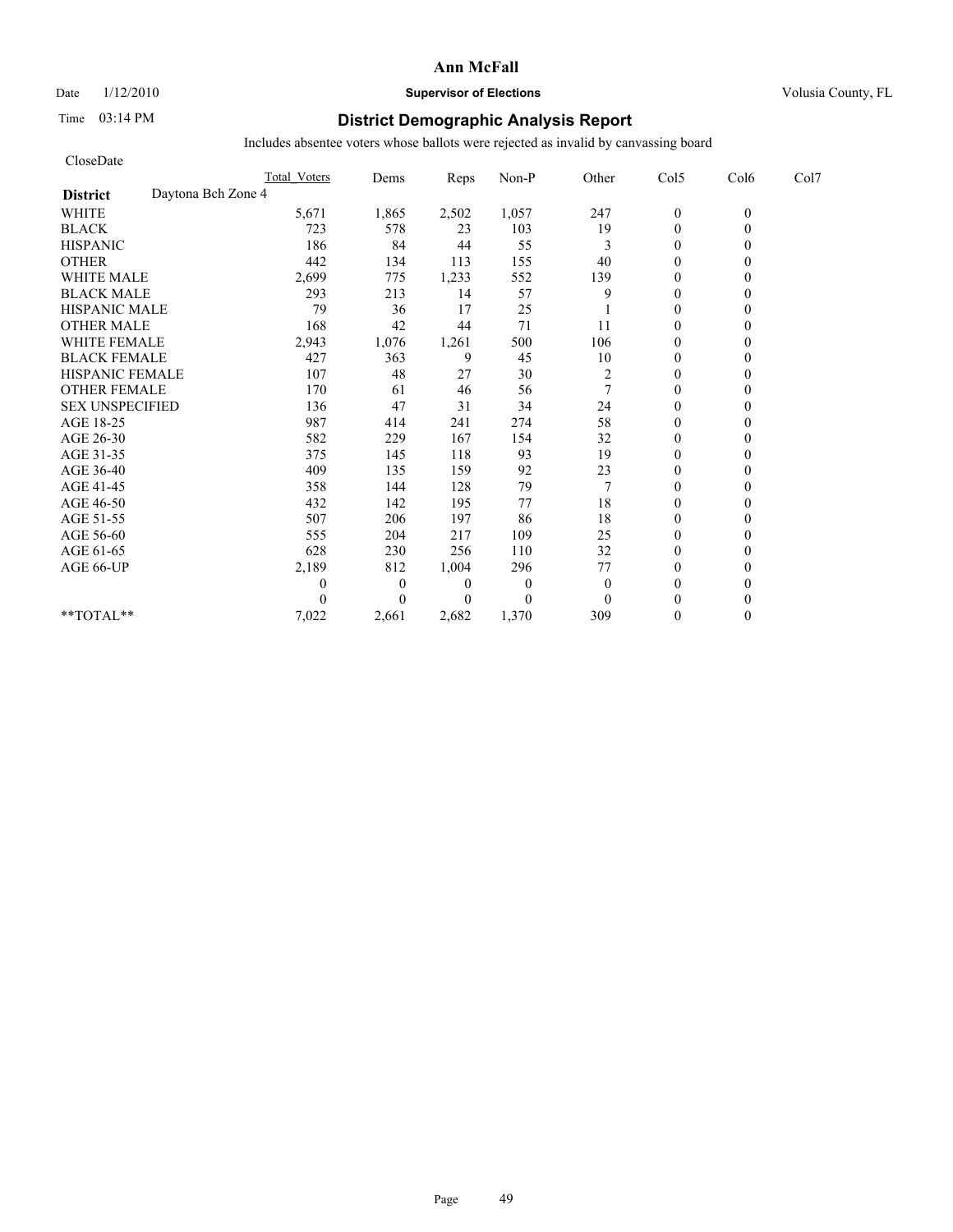# Date  $1/12/2010$  **Supervisor of Elections** Volusia County, FL

# Time 03:14 PM **District Demographic Analysis Report**

| CloseDate              |                    |                     |                  |                |                |                |                |          |      |
|------------------------|--------------------|---------------------|------------------|----------------|----------------|----------------|----------------|----------|------|
|                        |                    | <b>Total Voters</b> | Dems             | Reps           | Non-P          | Other          | Col5           | Col6     | Col7 |
| <b>District</b>        | Daytona Bch Zone 4 |                     |                  |                |                |                |                |          |      |
| <b>WHITE</b>           |                    | 5,671               | 1,865            | 2,502          | 1,057          | 247            | $\mathbf{0}$   | $\theta$ |      |
| <b>BLACK</b>           |                    | 723                 | 578              | 23             | 103            | 19             | $\overline{0}$ | 0        |      |
| <b>HISPANIC</b>        |                    | 186                 | 84               | 44             | 55             | 3              | $\overline{0}$ |          |      |
| <b>OTHER</b>           |                    | 442                 | 134              | 113            | 155            | 40             | $\theta$       |          |      |
| <b>WHITE MALE</b>      |                    | 2,699               | 775              | 1,233          | 552            | 139            | $\mathbf{0}$   |          |      |
| <b>BLACK MALE</b>      |                    | 293                 | 213              | 14             | 57             | 9              | $\mathbf{0}$   |          |      |
| <b>HISPANIC MALE</b>   |                    | 79                  | 36               | 17             | 25             |                | $\theta$       |          |      |
| <b>OTHER MALE</b>      |                    | 168                 | 42               | 44             | 71             | 11             | $\mathbf{0}$   |          |      |
| <b>WHITE FEMALE</b>    |                    | 2,943               | 1,076            | 1,261          | 500            | 106            | $\theta$       |          |      |
| <b>BLACK FEMALE</b>    |                    | 427                 | 363              | 9              | 45             | 10             | $\theta$       |          |      |
| HISPANIC FEMALE        |                    | 107                 | 48               | 27             | 30             | $\overline{c}$ | $\theta$       |          |      |
| <b>OTHER FEMALE</b>    |                    | 170                 | 61               | 46             | 56             | 7              | $\mathbf{0}$   |          |      |
| <b>SEX UNSPECIFIED</b> |                    | 136                 | 47               | 31             | 34             | 24             | $\mathbf{0}$   |          |      |
| AGE 18-25              |                    | 987                 | 414              | 241            | 274            | 58             | $\mathbf{0}$   |          |      |
| AGE 26-30              |                    | 582                 | 229              | 167            | 154            | 32             | $\theta$       |          |      |
| AGE 31-35              |                    | 375                 | 145              | 118            | 93             | 19             | $\mathbf{0}$   |          |      |
| AGE 36-40              |                    | 409                 | 135              | 159            | 92             | 23             | $\theta$       |          |      |
| AGE 41-45              |                    | 358                 | 144              | 128            | 79             |                | $\overline{0}$ |          |      |
| AGE 46-50              |                    | 432                 | 142              | 195            | 77             | 18             | $\mathbf{0}$   |          |      |
| AGE 51-55              |                    | 507                 | 206              | 197            | 86             | 18             | $\overline{0}$ |          |      |
| AGE 56-60              |                    | 555                 | 204              | 217            | 109            | 25             | $\theta$       |          |      |
| AGE 61-65              |                    | 628                 | 230              | 256            | 110            | 32             | $\theta$       |          |      |
| AGE 66-UP              |                    | 2,189               | 812              | 1,004          | 296            | 77             | $\mathbf{0}$   |          |      |
|                        |                    | 0                   | $\boldsymbol{0}$ | $\theta$       | $\theta$       | $\mathbf{0}$   | $\mathbf{0}$   |          |      |
|                        |                    |                     | $\theta$         | $\overline{0}$ | $\overline{0}$ | $\theta$       | $\theta$       |          |      |
| $**TOTAL**$            |                    | 7,022               | 2,661            | 2,682          | 1,370          | 309            | $\theta$       | 0        |      |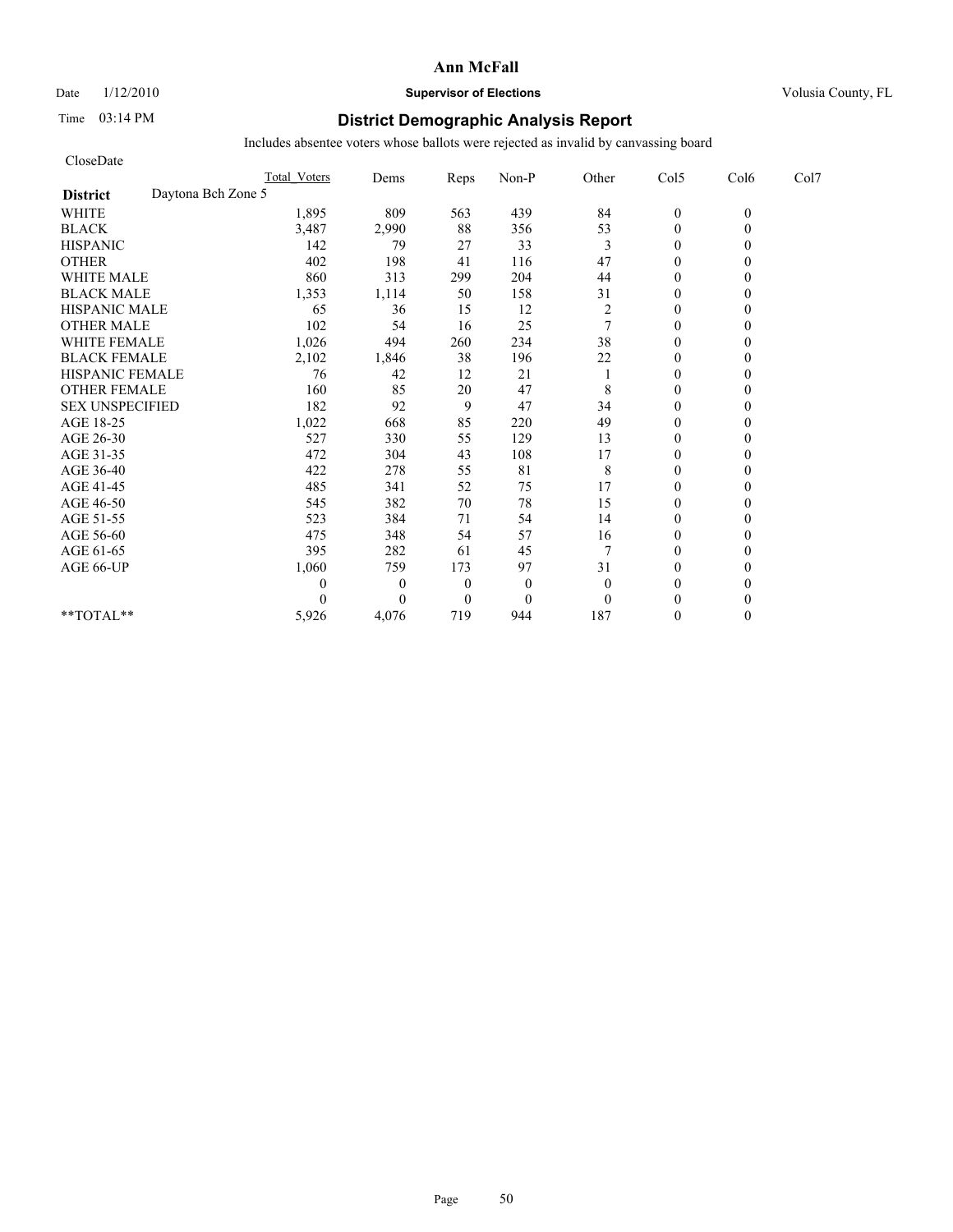# Date  $1/12/2010$  **Supervisor of Elections** Volusia County, FL

# Time 03:14 PM **District Demographic Analysis Report**

| CloseDate                             |                     |              |              |              |                  |                |          |      |
|---------------------------------------|---------------------|--------------|--------------|--------------|------------------|----------------|----------|------|
|                                       | <b>Total Voters</b> | Dems         | Reps         | Non-P        | Other            | Col5           | Col6     | Col7 |
| Daytona Bch Zone 5<br><b>District</b> |                     |              |              |              |                  |                |          |      |
| <b>WHITE</b>                          | 1,895               | 809          | 563          | 439          | 84               | $\mathbf{0}$   | $\theta$ |      |
| <b>BLACK</b>                          | 3,487               | 2,990        | 88           | 356          | 53               | $\mathbf{0}$   | 0        |      |
| <b>HISPANIC</b>                       | 142                 | 79           | 27           | 33           | 3                | $\theta$       |          |      |
| <b>OTHER</b>                          | 402                 | 198          | 41           | 116          | 47               | $\theta$       |          |      |
| <b>WHITE MALE</b>                     | 860                 | 313          | 299          | 204          | 44               | $\theta$       |          |      |
| <b>BLACK MALE</b>                     | 1,353               | 1,114        | 50           | 158          | 31               | $\mathbf{0}$   |          |      |
| <b>HISPANIC MALE</b>                  | 65                  | 36           | 15           | 12           | $\boldsymbol{2}$ | $\theta$       |          |      |
| <b>OTHER MALE</b>                     | 102                 | 54           | 16           | 25           | $\tau$           | $\theta$       |          |      |
| <b>WHITE FEMALE</b>                   | 1,026               | 494          | 260          | 234          | 38               | $\theta$       |          |      |
| <b>BLACK FEMALE</b>                   | 2,102               | 1,846        | 38           | 196          | 22               | $\overline{0}$ |          |      |
| HISPANIC FEMALE                       | 76                  | 42           | 12           | 21           |                  | $\mathbf{0}$   |          |      |
| <b>OTHER FEMALE</b>                   | 160                 | 85           | 20           | 47           | 8                | $\theta$       |          |      |
| <b>SEX UNSPECIFIED</b>                | 182                 | 92           | 9            | 47           | 34               | $\theta$       |          |      |
| AGE 18-25                             | 1,022               | 668          | 85           | 220          | 49               | $\mathbf{0}$   |          |      |
| AGE 26-30                             | 527                 | 330          | 55           | 129          | 13               | $\mathbf{0}$   |          |      |
| AGE 31-35                             | 472                 | 304          | 43           | 108          | 17               | $\mathbf{0}$   |          |      |
| AGE 36-40                             | 422                 | 278          | 55           | 81           | 8                | $\theta$       |          |      |
| AGE 41-45                             | 485                 | 341          | 52           | 75           | 17               | $\mathbf{0}$   |          |      |
| AGE 46-50                             | 545                 | 382          | 70           | 78           | 15               | $\theta$       |          |      |
| AGE 51-55                             | 523                 | 384          | 71           | 54           | 14               | $\mathbf{0}$   |          |      |
| AGE 56-60                             | 475                 | 348          | 54           | 57           | 16               | $\overline{0}$ |          |      |
| AGE 61-65                             | 395                 | 282          | 61           | 45           | 7                | $\theta$       |          |      |
| AGE 66-UP                             | 1,060               | 759          | 173          | 97           | 31               | $\theta$       |          |      |
|                                       | 0                   | $\mathbf{0}$ | $\theta$     | $\mathbf{0}$ | $\mathbf{0}$     | $\mathbf{0}$   |          |      |
|                                       | 0                   | $\Omega$     | $\mathbf{0}$ | $\mathbf{0}$ | $\theta$         | $\theta$       |          |      |
| **TOTAL**                             | 5,926               | 4,076        | 719          | 944          | 187              | $\theta$       | 0        |      |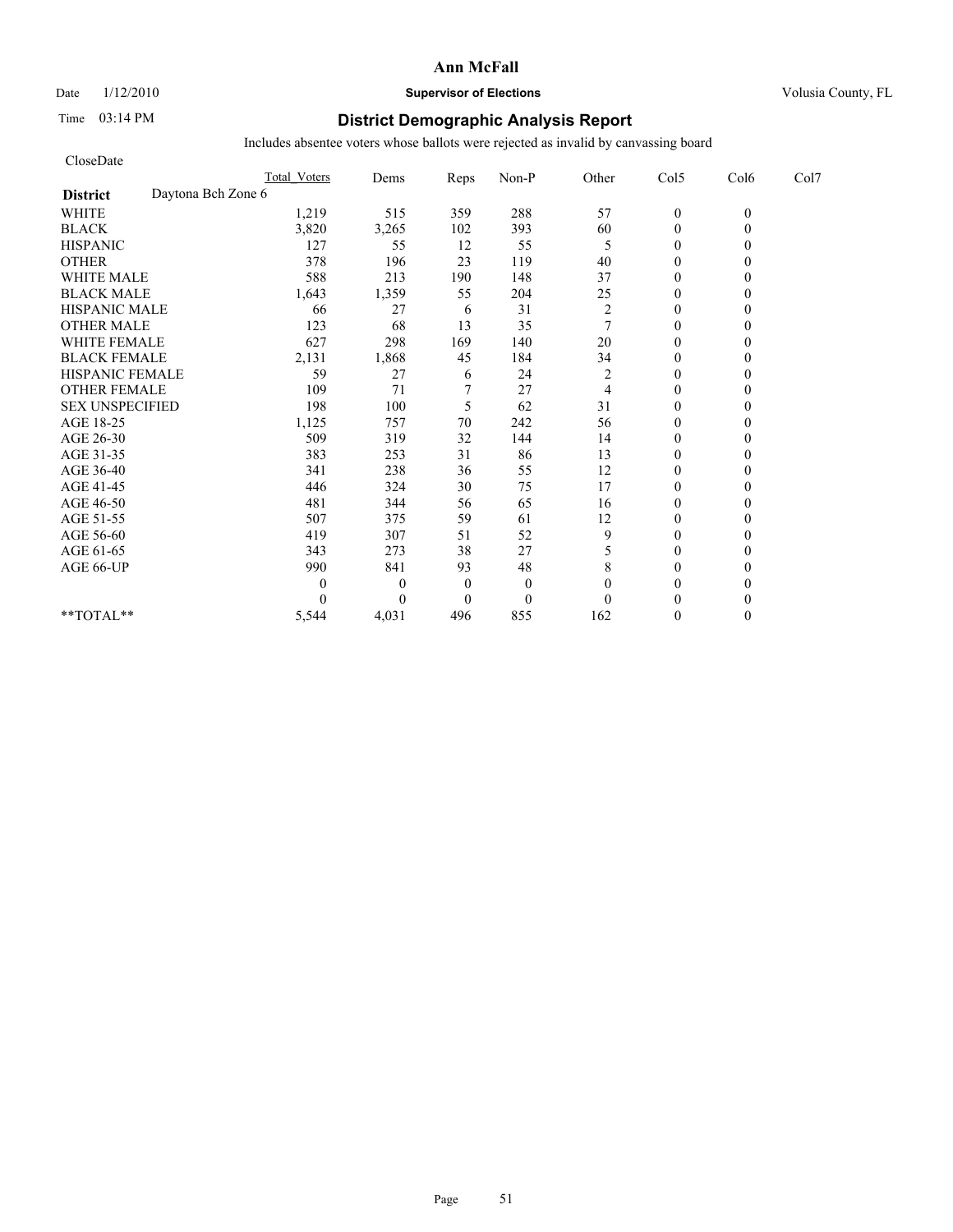# Date  $1/12/2010$  **Supervisor of Elections** Volusia County, FL

# Time 03:14 PM **District Demographic Analysis Report**

| CloseDate                             |                     |          |          |                |                  |                  |          |      |
|---------------------------------------|---------------------|----------|----------|----------------|------------------|------------------|----------|------|
|                                       | <b>Total Voters</b> | Dems     | Reps     | Non-P          | Other            | Col5             | Col6     | Col7 |
| Daytona Bch Zone 6<br><b>District</b> |                     |          |          |                |                  |                  |          |      |
| <b>WHITE</b>                          | 1,219               | 515      | 359      | 288            | 57               | $\boldsymbol{0}$ | $\theta$ |      |
| <b>BLACK</b>                          | 3,820               | 3,265    | 102      | 393            | 60               | $\overline{0}$   | 0        |      |
| <b>HISPANIC</b>                       | 127                 | 55       | 12       | 55             | 5                | $\overline{0}$   |          |      |
| <b>OTHER</b>                          | 378                 | 196      | 23       | 119            | 40               | $\theta$         |          |      |
| <b>WHITE MALE</b>                     | 588                 | 213      | 190      | 148            | 37               | $\mathbf{0}$     |          |      |
| <b>BLACK MALE</b>                     | 1,643               | 1,359    | 55       | 204            | 25               | $\mathbf{0}$     |          |      |
| <b>HISPANIC MALE</b>                  | 66                  | 27       | 6        | 31             | $\boldsymbol{2}$ | $\Omega$         |          |      |
| <b>OTHER MALE</b>                     | 123                 | 68       | 13       | 35             | $\overline{7}$   | $\mathbf{0}$     |          |      |
| <b>WHITE FEMALE</b>                   | 627                 | 298      | 169      | 140            | 20               | $\theta$         |          |      |
| <b>BLACK FEMALE</b>                   | 2,131               | 1,868    | 45       | 184            | 34               | $\theta$         |          |      |
| HISPANIC FEMALE                       | 59                  | 27       | 6        | 24             | $\overline{c}$   | $\theta$         |          |      |
| <b>OTHER FEMALE</b>                   | 109                 | 71       |          | 27             | 4                | $\mathbf{0}$     |          |      |
| <b>SEX UNSPECIFIED</b>                | 198                 | 100      | 5        | 62             | 31               | $\mathbf{0}$     |          |      |
| AGE 18-25                             | 1,125               | 757      | $70\,$   | 242            | 56               | $\mathbf{0}$     |          |      |
| AGE 26-30                             | 509                 | 319      | 32       | 144            | 14               | $\theta$         |          |      |
| AGE 31-35                             | 383                 | 253      | 31       | 86             | 13               | $\mathbf{0}$     |          |      |
| AGE 36-40                             | 341                 | 238      | 36       | 55             | 12               | $\theta$         |          |      |
| AGE 41-45                             | 446                 | 324      | 30       | 75             | 17               | $\overline{0}$   |          |      |
| AGE 46-50                             | 481                 | 344      | 56       | 65             | 16               | $\mathbf{0}$     |          |      |
| AGE 51-55                             | 507                 | 375      | 59       | 61             | 12               | $\overline{0}$   |          |      |
| AGE 56-60                             | 419                 | 307      | 51       | 52             | 9                | $\theta$         |          |      |
| AGE 61-65                             | 343                 | 273      | 38       | 27             | 5                | $\theta$         |          |      |
| AGE 66-UP                             | 990                 | 841      | 93       | 48             | 8                | $\theta$         |          |      |
|                                       | 0                   | $\theta$ | $\theta$ | $\mathbf{0}$   | $\theta$         | $\mathbf{0}$     |          |      |
|                                       |                     | $\theta$ | $\theta$ | $\overline{0}$ | $\theta$         | $\theta$         |          |      |
| $**TOTAL**$                           | 5,544               | 4,031    | 496      | 855            | 162              | $\theta$         | 0        |      |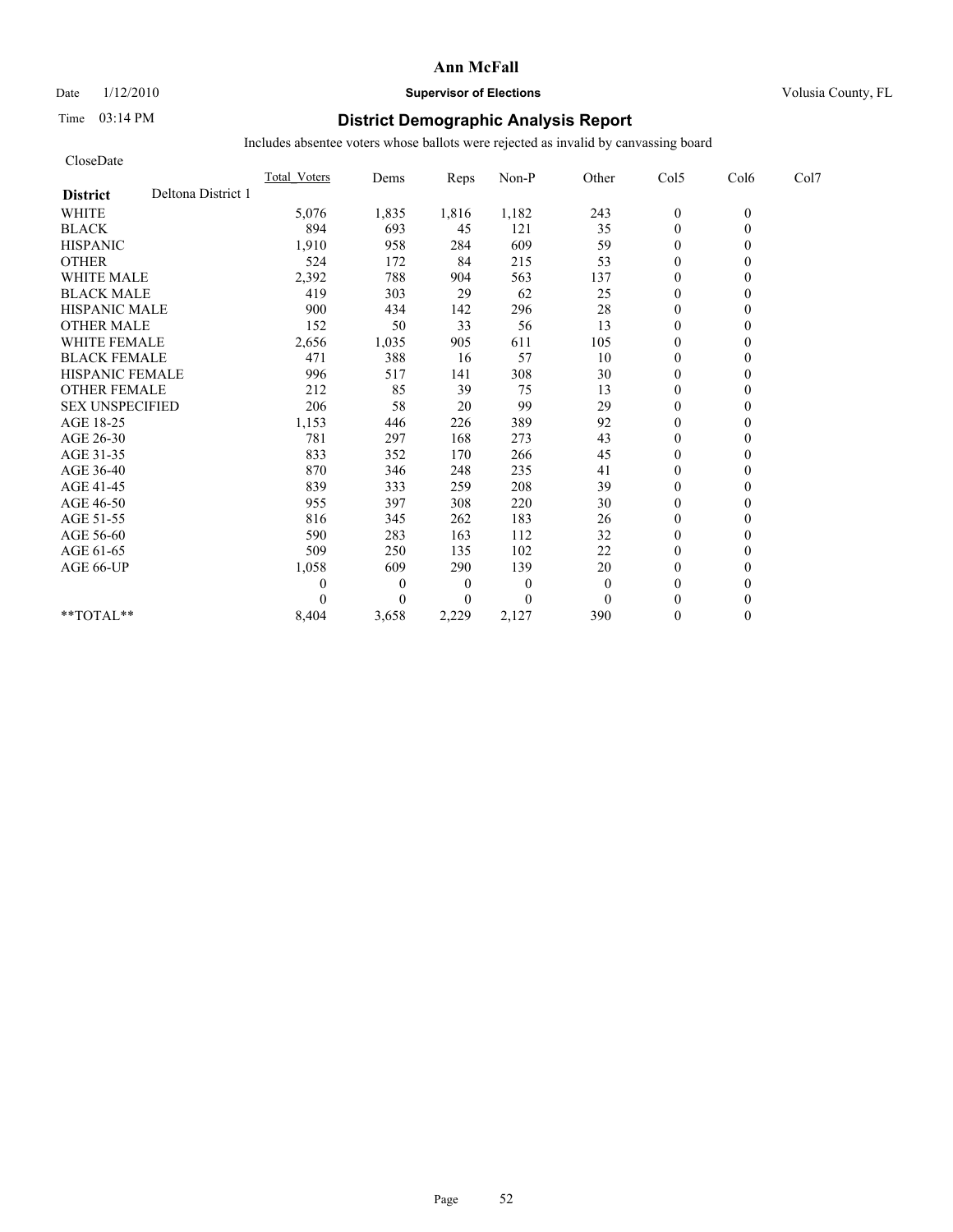Date  $1/12/2010$  **Supervisor of Elections** Volusia County, FL

# Time 03:14 PM **District Demographic Analysis Report**

| CloseDate              |                    |                     |                  |                  |          |              |                  |          |      |
|------------------------|--------------------|---------------------|------------------|------------------|----------|--------------|------------------|----------|------|
|                        |                    | <b>Total Voters</b> | Dems             | Reps             | Non-P    | Other        | Col5             | Col6     | Col7 |
| <b>District</b>        | Deltona District 1 |                     |                  |                  |          |              |                  |          |      |
| <b>WHITE</b>           |                    | 5,076               | 1,835            | 1,816            | 1,182    | 243          | $\boldsymbol{0}$ | $\theta$ |      |
| <b>BLACK</b>           |                    | 894                 | 693              | 45               | 121      | 35           | $\overline{0}$   | $\theta$ |      |
| <b>HISPANIC</b>        |                    | 1,910               | 958              | 284              | 609      | 59           | $\overline{0}$   |          |      |
| <b>OTHER</b>           |                    | 524                 | 172              | 84               | 215      | 53           | $\theta$         |          |      |
| <b>WHITE MALE</b>      |                    | 2,392               | 788              | 904              | 563      | 137          | $\mathbf{0}$     |          |      |
| <b>BLACK MALE</b>      |                    | 419                 | 303              | 29               | 62       | 25           | $\mathbf{0}$     |          |      |
| <b>HISPANIC MALE</b>   |                    | 900                 | 434              | 142              | 296      | 28           | $\theta$         |          |      |
| <b>OTHER MALE</b>      |                    | 152                 | 50               | 33               | 56       | 13           | $\mathbf{0}$     |          |      |
| <b>WHITE FEMALE</b>    |                    | 2,656               | 1,035            | 905              | 611      | 105          | $\theta$         |          |      |
| <b>BLACK FEMALE</b>    |                    | 471                 | 388              | 16               | 57       | 10           | $\theta$         |          |      |
| <b>HISPANIC FEMALE</b> |                    | 996                 | 517              | 141              | 308      | 30           | $\mathbf{0}$     |          |      |
| <b>OTHER FEMALE</b>    |                    | 212                 | 85               | 39               | 75       | 13           | $\mathbf{0}$     |          |      |
| <b>SEX UNSPECIFIED</b> |                    | 206                 | 58               | 20               | 99       | 29           | $\mathbf{0}$     |          |      |
| AGE 18-25              |                    | 1,153               | 446              | 226              | 389      | 92           | $\mathbf{0}$     |          |      |
| AGE 26-30              |                    | 781                 | 297              | 168              | 273      | 43           | $\theta$         |          |      |
| AGE 31-35              |                    | 833                 | 352              | 170              | 266      | 45           | $\overline{0}$   |          |      |
| AGE 36-40              |                    | 870                 | 346              | 248              | 235      | 41           | $\theta$         |          |      |
| AGE 41-45              |                    | 839                 | 333              | 259              | 208      | 39           | $\overline{0}$   |          |      |
| AGE 46-50              |                    | 955                 | 397              | 308              | 220      | 30           | $\mathbf{0}$     |          |      |
| AGE 51-55              |                    | 816                 | 345              | 262              | 183      | 26           | $\overline{0}$   |          |      |
| AGE 56-60              |                    | 590                 | 283              | 163              | 112      | 32           | $\theta$         |          |      |
| AGE 61-65              |                    | 509                 | 250              | 135              | 102      | 22           | $\theta$         |          |      |
| AGE 66-UP              |                    | 1,058               | 609              | 290              | 139      | 20           | $\mathbf{0}$     |          |      |
|                        |                    | 0                   | $\boldsymbol{0}$ | $\boldsymbol{0}$ | $\theta$ | $\mathbf{0}$ | $\mathbf{0}$     |          |      |
|                        |                    |                     | $\theta$         | $\overline{0}$   | $\Omega$ | $\theta$     | $\theta$         |          |      |
| $**TOTAL**$            |                    | 8,404               | 3,658            | 2,229            | 2,127    | 390          | $\mathbf{0}$     | 0        |      |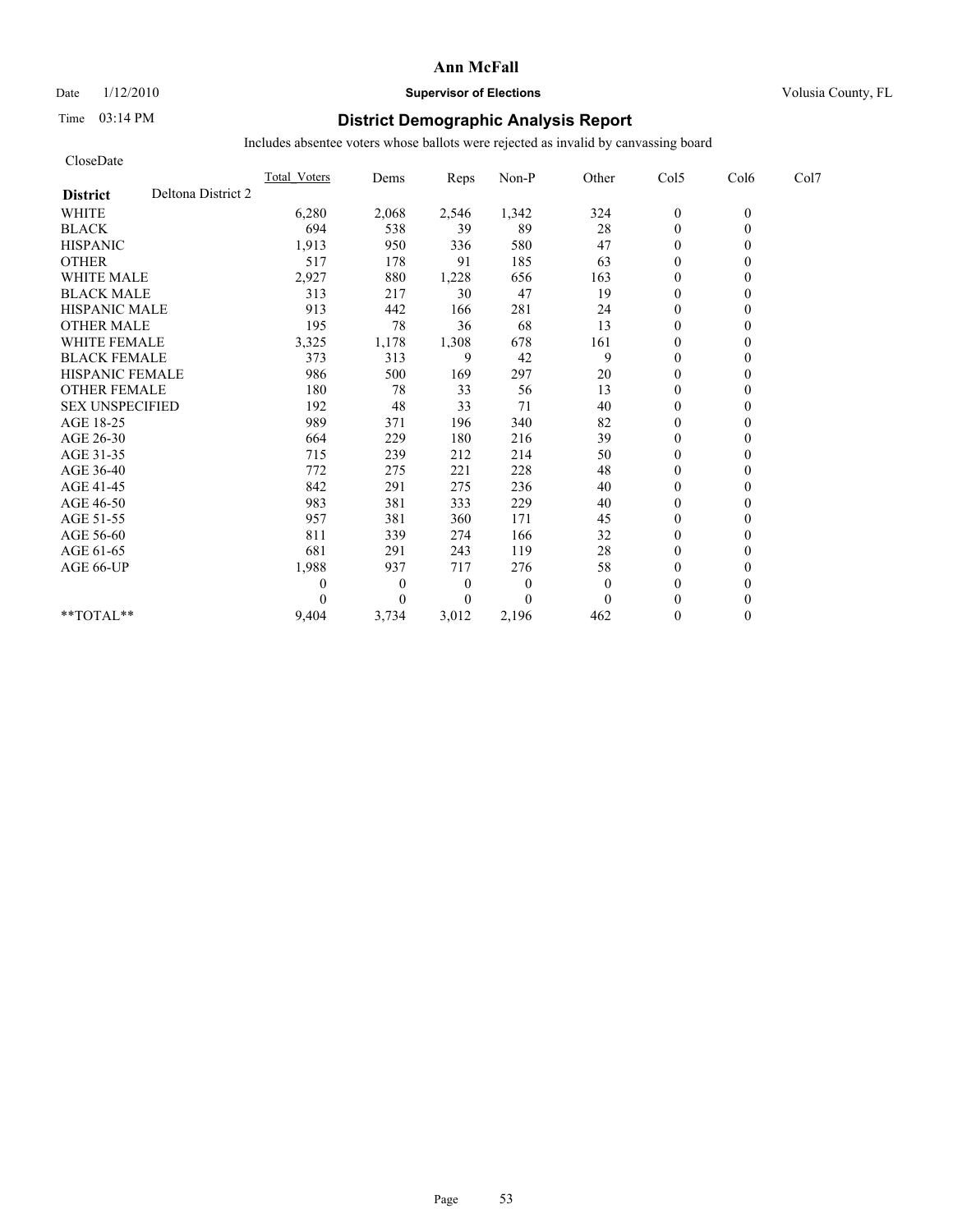Date  $1/12/2010$  **Supervisor of Elections** Volusia County, FL

# Time 03:14 PM **District Demographic Analysis Report**

| CloseDate              |                    |                     |                  |                |          |          |                  |          |      |
|------------------------|--------------------|---------------------|------------------|----------------|----------|----------|------------------|----------|------|
|                        |                    | <b>Total Voters</b> | Dems             | Reps           | Non-P    | Other    | Col5             | Col6     | Col7 |
| <b>District</b>        | Deltona District 2 |                     |                  |                |          |          |                  |          |      |
| <b>WHITE</b>           |                    | 6,280               | 2,068            | 2,546          | 1,342    | 324      | $\boldsymbol{0}$ | $\theta$ |      |
| <b>BLACK</b>           |                    | 694                 | 538              | 39             | 89       | 28       | $\overline{0}$   | $\theta$ |      |
| <b>HISPANIC</b>        |                    | 1,913               | 950              | 336            | 580      | 47       | $\theta$         |          |      |
| <b>OTHER</b>           |                    | 517                 | 178              | 91             | 185      | 63       | $\theta$         |          |      |
| <b>WHITE MALE</b>      |                    | 2,927               | 880              | 1,228          | 656      | 163      | $\mathbf{0}$     |          |      |
| <b>BLACK MALE</b>      |                    | 313                 | 217              | 30             | 47       | 19       | $\mathbf{0}$     |          |      |
| <b>HISPANIC MALE</b>   |                    | 913                 | 442              | 166            | 281      | 24       | $\Omega$         |          |      |
| <b>OTHER MALE</b>      |                    | 195                 | 78               | 36             | 68       | 13       | $\theta$         |          |      |
| <b>WHITE FEMALE</b>    |                    | 3,325               | 1,178            | 1,308          | 678      | 161      | $\theta$         |          |      |
| <b>BLACK FEMALE</b>    |                    | 373                 | 313              | 9              | 42       | 9        | $\theta$         |          |      |
| <b>HISPANIC FEMALE</b> |                    | 986                 | 500              | 169            | 297      | 20       | $\theta$         |          |      |
| <b>OTHER FEMALE</b>    |                    | 180                 | 78               | 33             | 56       | 13       | $\mathbf{0}$     |          |      |
| <b>SEX UNSPECIFIED</b> |                    | 192                 | 48               | 33             | 71       | 40       | $\mathbf{0}$     |          |      |
| AGE 18-25              |                    | 989                 | 371              | 196            | 340      | 82       | $\mathbf{0}$     |          |      |
| AGE 26-30              |                    | 664                 | 229              | 180            | 216      | 39       | $\theta$         |          |      |
| AGE 31-35              |                    | 715                 | 239              | 212            | 214      | 50       | $\theta$         |          |      |
| AGE 36-40              |                    | 772                 | 275              | 221            | 228      | 48       | $\theta$         |          |      |
| AGE 41-45              |                    | 842                 | 291              | 275            | 236      | 40       | $\overline{0}$   |          |      |
| AGE 46-50              |                    | 983                 | 381              | 333            | 229      | 40       | $\mathbf{0}$     |          |      |
| AGE 51-55              |                    | 957                 | 381              | 360            | 171      | 45       | $\mathbf{0}$     |          |      |
| AGE 56-60              |                    | 811                 | 339              | 274            | 166      | 32       | $\theta$         |          |      |
| AGE 61-65              |                    | 681                 | 291              | 243            | 119      | 28       | $\theta$         |          |      |
| AGE 66-UP              |                    | 1,988               | 937              | 717            | 276      | 58       | $\mathbf{0}$     |          |      |
|                        |                    | 0                   | $\boldsymbol{0}$ | $\theta$       | $\theta$ | $\theta$ | $\mathbf{0}$     |          |      |
|                        |                    |                     | $\theta$         | $\overline{0}$ | $\Omega$ | $\theta$ | $\theta$         |          |      |
| $**TOTAL**$            |                    | 9,404               | 3,734            | 3,012          | 2,196    | 462      | $\theta$         | 0        |      |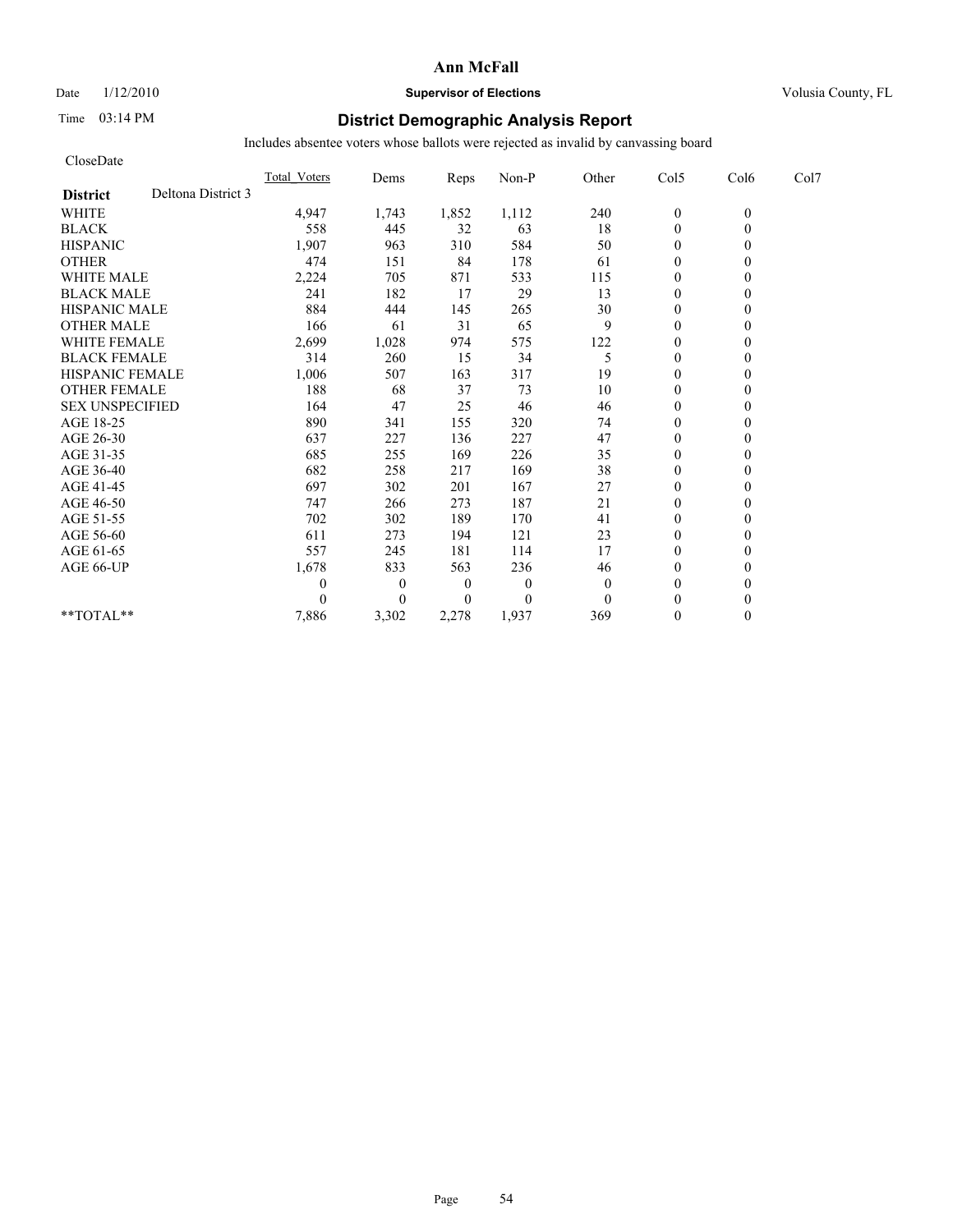# Date  $1/12/2010$  **Supervisor of Elections** Volusia County, FL

# Time 03:14 PM **District Demographic Analysis Report**

| CloseDate              |                    |                     |              |                |                |          |                  |          |      |
|------------------------|--------------------|---------------------|--------------|----------------|----------------|----------|------------------|----------|------|
|                        |                    | <b>Total Voters</b> | Dems         | Reps           | Non-P          | Other    | Col5             | Col6     | Col7 |
| <b>District</b>        | Deltona District 3 |                     |              |                |                |          |                  |          |      |
| <b>WHITE</b>           |                    | 4,947               | 1,743        | 1,852          | 1,112          | 240      | $\boldsymbol{0}$ | $\theta$ |      |
| <b>BLACK</b>           |                    | 558                 | 445          | 32             | 63             | 18       | $\overline{0}$   | $\theta$ |      |
| <b>HISPANIC</b>        |                    | 1,907               | 963          | 310            | 584            | 50       | $\mathbf{0}$     |          |      |
| <b>OTHER</b>           |                    | 474                 | 151          | 84             | 178            | 61       | $\theta$         |          |      |
| <b>WHITE MALE</b>      |                    | 2,224               | 705          | 871            | 533            | 115      | $\mathbf{0}$     |          |      |
| <b>BLACK MALE</b>      |                    | 241                 | 182          | 17             | 29             | 13       | $\mathbf{0}$     |          |      |
| <b>HISPANIC MALE</b>   |                    | 884                 | 444          | 145            | 265            | 30       | $\Omega$         |          |      |
| <b>OTHER MALE</b>      |                    | 166                 | 61           | 31             | 65             | 9        | $\mathbf{0}$     |          |      |
| <b>WHITE FEMALE</b>    |                    | 2,699               | 1,028        | 974            | 575            | 122      | $\theta$         |          |      |
| <b>BLACK FEMALE</b>    |                    | 314                 | 260          | 15             | 34             | 5        | $\mathbf{0}$     |          |      |
| <b>HISPANIC FEMALE</b> |                    | 1,006               | 507          | 163            | 317            | 19       | $\theta$         |          |      |
| <b>OTHER FEMALE</b>    |                    | 188                 | 68           | 37             | 73             | 10       | $\mathbf{0}$     |          |      |
| <b>SEX UNSPECIFIED</b> |                    | 164                 | 47           | 25             | 46             | 46       | $\mathbf{0}$     |          |      |
| AGE 18-25              |                    | 890                 | 341          | 155            | 320            | 74       | $\mathbf{0}$     |          |      |
| AGE 26-30              |                    | 637                 | 227          | 136            | 227            | 47       | $\theta$         |          |      |
| AGE 31-35              |                    | 685                 | 255          | 169            | 226            | 35       | $\theta$         |          |      |
| AGE 36-40              |                    | 682                 | 258          | 217            | 169            | 38       | $\theta$         |          |      |
| AGE 41-45              |                    | 697                 | 302          | 201            | 167            | 27       | $\overline{0}$   |          |      |
| AGE 46-50              |                    | 747                 | 266          | 273            | 187            | 21       | $\mathbf{0}$     |          |      |
| AGE 51-55              |                    | 702                 | 302          | 189            | 170            | 41       | $\mathbf{0}$     |          |      |
| AGE 56-60              |                    | 611                 | 273          | 194            | 121            | 23       | $\theta$         |          |      |
| AGE 61-65              |                    | 557                 | 245          | 181            | 114            | 17       | $\theta$         |          |      |
| AGE 66-UP              |                    | 1,678               | 833          | 563            | 236            | 46       | $\mathbf{0}$     |          |      |
|                        |                    | 0                   | $\mathbf{0}$ | $\theta$       | $\mathbf{0}$   | $\theta$ | $\mathbf{0}$     |          |      |
|                        |                    |                     | $\theta$     | $\overline{0}$ | $\overline{0}$ | $\Omega$ | $\theta$         |          |      |
| $**TOTAL**$            |                    | 7,886               | 3,302        | 2,278          | 1,937          | 369      | $\mathbf{0}$     | 0        |      |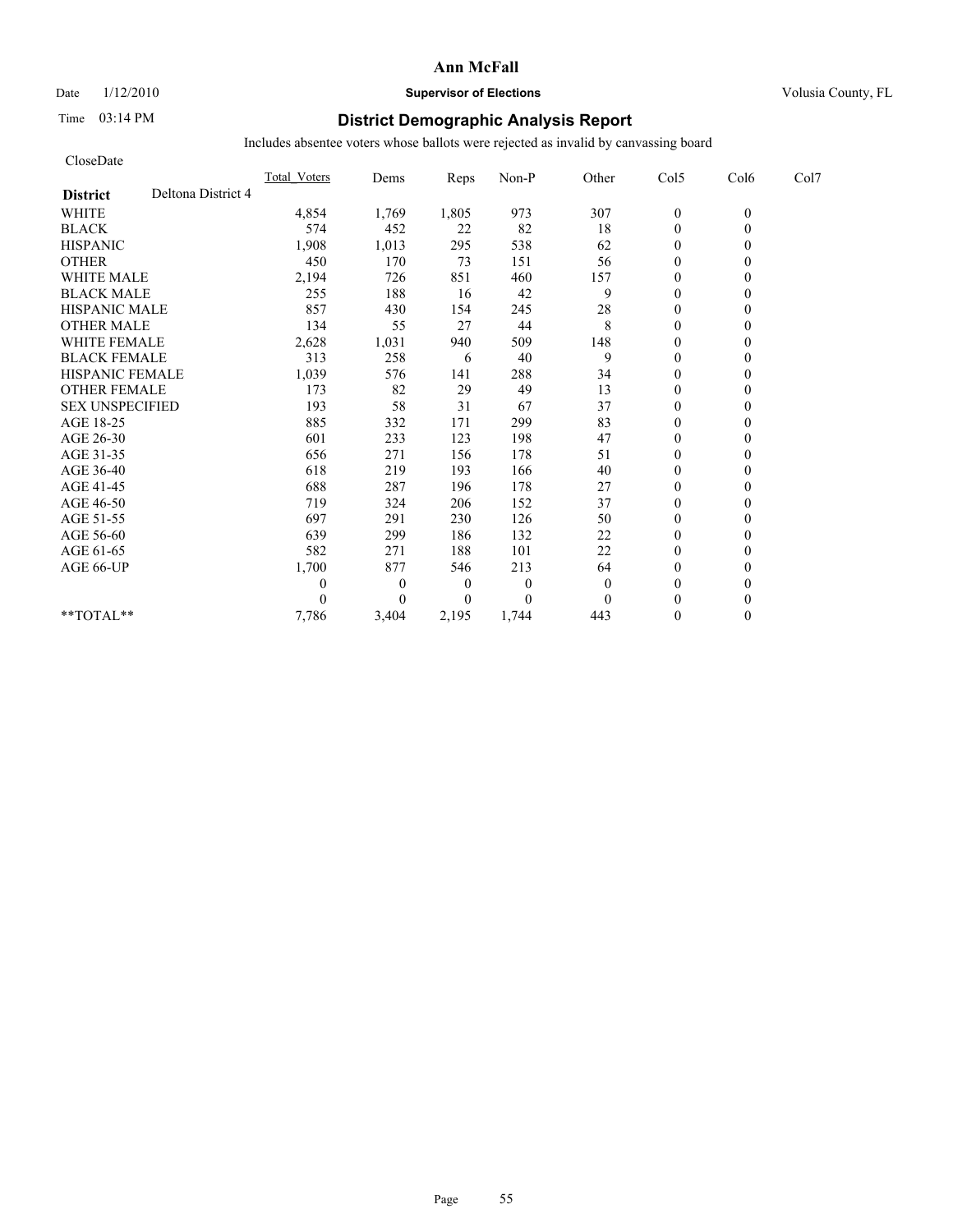## Date  $1/12/2010$  **Supervisor of Elections** Volusia County, FL

# Time 03:14 PM **District Demographic Analysis Report**

| CloseDate              |                    |                     |                  |                |                |              |                  |          |      |
|------------------------|--------------------|---------------------|------------------|----------------|----------------|--------------|------------------|----------|------|
|                        |                    | <b>Total Voters</b> | Dems             | Reps           | Non-P          | Other        | Col5             | Col6     | Col7 |
| <b>District</b>        | Deltona District 4 |                     |                  |                |                |              |                  |          |      |
| <b>WHITE</b>           |                    | 4,854               | 1,769            | 1,805          | 973            | 307          | $\boldsymbol{0}$ | $\theta$ |      |
| <b>BLACK</b>           |                    | 574                 | 452              | 22             | 82             | 18           | $\overline{0}$   | $\theta$ |      |
| <b>HISPANIC</b>        |                    | 1,908               | 1,013            | 295            | 538            | 62           | $\mathbf{0}$     |          |      |
| <b>OTHER</b>           |                    | 450                 | 170              | 73             | 151            | 56           | $\theta$         |          |      |
| <b>WHITE MALE</b>      |                    | 2,194               | 726              | 851            | 460            | 157          | $\mathbf{0}$     |          |      |
| <b>BLACK MALE</b>      |                    | 255                 | 188              | 16             | 42             | 9            | $\mathbf{0}$     |          |      |
| <b>HISPANIC MALE</b>   |                    | 857                 | 430              | 154            | 245            | 28           | $\theta$         |          |      |
| <b>OTHER MALE</b>      |                    | 134                 | 55               | 27             | 44             | 8            | $\mathbf{0}$     |          |      |
| <b>WHITE FEMALE</b>    |                    | 2,628               | 1,031            | 940            | 509            | 148          | $\theta$         |          |      |
| <b>BLACK FEMALE</b>    |                    | 313                 | 258              | 6              | 40             | 9            | $\theta$         |          |      |
| <b>HISPANIC FEMALE</b> |                    | 1,039               | 576              | 141            | 288            | 34           | $\mathbf{0}$     |          |      |
| <b>OTHER FEMALE</b>    |                    | 173                 | 82               | 29             | 49             | 13           | $\mathbf{0}$     |          |      |
| <b>SEX UNSPECIFIED</b> |                    | 193                 | 58               | 31             | 67             | 37           | $\mathbf{0}$     |          |      |
| AGE 18-25              |                    | 885                 | 332              | 171            | 299            | 83           | $\mathbf{0}$     |          |      |
| AGE 26-30              |                    | 601                 | 233              | 123            | 198            | 47           | $\theta$         |          |      |
| AGE 31-35              |                    | 656                 | 271              | 156            | 178            | 51           | $\theta$         |          |      |
| AGE 36-40              |                    | 618                 | 219              | 193            | 166            | 40           | $\theta$         |          |      |
| AGE 41-45              |                    | 688                 | 287              | 196            | 178            | 27           | $\overline{0}$   |          |      |
| AGE 46-50              |                    | 719                 | 324              | 206            | 152            | 37           | $\mathbf{0}$     |          |      |
| AGE 51-55              |                    | 697                 | 291              | 230            | 126            | 50           | $\mathbf{0}$     |          |      |
| AGE 56-60              |                    | 639                 | 299              | 186            | 132            | 22           | $\theta$         |          |      |
| AGE 61-65              |                    | 582                 | 271              | 188            | 101            | 22           | $\theta$         |          |      |
| AGE 66-UP              |                    | 1,700               | 877              | 546            | 213            | 64           | $\mathbf{0}$     |          |      |
|                        |                    | 0                   | $\boldsymbol{0}$ | $\theta$       | $\theta$       | $\mathbf{0}$ | $\mathbf{0}$     |          |      |
|                        |                    |                     | $\theta$         | $\overline{0}$ | $\overline{0}$ | $\Omega$     | $\theta$         |          |      |
| $**TOTAL**$            |                    | 7,786               | 3,404            | 2,195          | 1,744          | 443          | $\mathbf{0}$     | 0        |      |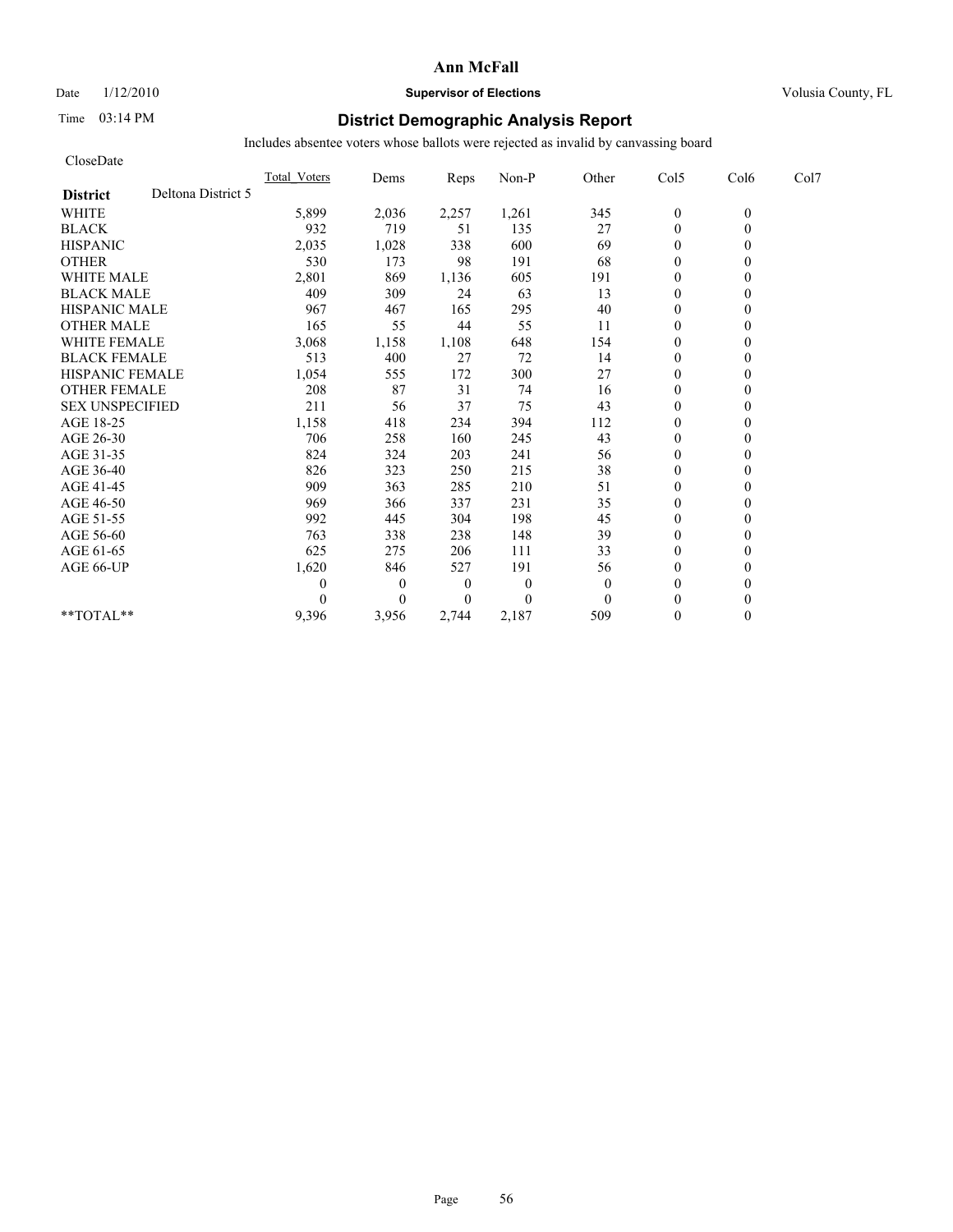Date  $1/12/2010$  **Supervisor of Elections** Volusia County, FL

# Time 03:14 PM **District Demographic Analysis Report**

| CloseDate              |                    |                     |              |                |          |          |                  |          |      |
|------------------------|--------------------|---------------------|--------------|----------------|----------|----------|------------------|----------|------|
|                        |                    | <b>Total Voters</b> | Dems         | Reps           | Non-P    | Other    | Col5             | Col6     | Col7 |
| <b>District</b>        | Deltona District 5 |                     |              |                |          |          |                  |          |      |
| <b>WHITE</b>           |                    | 5,899               | 2,036        | 2,257          | 1,261    | 345      | $\boldsymbol{0}$ | $\theta$ |      |
| <b>BLACK</b>           |                    | 932                 | 719          | 51             | 135      | 27       | $\overline{0}$   | $\theta$ |      |
| <b>HISPANIC</b>        |                    | 2,035               | 1,028        | 338            | 600      | 69       | $\mathbf{0}$     |          |      |
| <b>OTHER</b>           |                    | 530                 | 173          | 98             | 191      | 68       | $\theta$         |          |      |
| <b>WHITE MALE</b>      |                    | 2,801               | 869          | 1,136          | 605      | 191      | $\mathbf{0}$     |          |      |
| <b>BLACK MALE</b>      |                    | 409                 | 309          | 24             | 63       | 13       | $\mathbf{0}$     |          |      |
| <b>HISPANIC MALE</b>   |                    | 967                 | 467          | 165            | 295      | 40       | $\theta$         |          |      |
| <b>OTHER MALE</b>      |                    | 165                 | 55           | 44             | 55       | 11       | $\theta$         |          |      |
| <b>WHITE FEMALE</b>    |                    | 3,068               | 1,158        | 1,108          | 648      | 154      | $\theta$         |          |      |
| <b>BLACK FEMALE</b>    |                    | 513                 | 400          | 27             | 72       | 14       | $\theta$         |          |      |
| <b>HISPANIC FEMALE</b> |                    | 1,054               | 555          | 172            | 300      | 27       | $\mathbf{0}$     |          |      |
| <b>OTHER FEMALE</b>    |                    | 208                 | 87           | 31             | 74       | 16       | $\mathbf{0}$     |          |      |
| <b>SEX UNSPECIFIED</b> |                    | 211                 | 56           | 37             | 75       | 43       | $\mathbf{0}$     |          |      |
| AGE 18-25              |                    | 1,158               | 418          | 234            | 394      | 112      | $\mathbf{0}$     |          |      |
| AGE 26-30              |                    | 706                 | 258          | 160            | 245      | 43       | $\theta$         |          |      |
| AGE 31-35              |                    | 824                 | 324          | 203            | 241      | 56       | $\theta$         |          |      |
| AGE 36-40              |                    | 826                 | 323          | 250            | 215      | 38       | $\theta$         |          |      |
| AGE 41-45              |                    | 909                 | 363          | 285            | 210      | 51       | $\overline{0}$   |          |      |
| AGE 46-50              |                    | 969                 | 366          | 337            | 231      | 35       | $\overline{0}$   |          |      |
| AGE 51-55              |                    | 992                 | 445          | 304            | 198      | 45       | $\overline{0}$   |          |      |
| AGE 56-60              |                    | 763                 | 338          | 238            | 148      | 39       | $\theta$         |          |      |
| AGE 61-65              |                    | 625                 | 275          | 206            | 111      | 33       | $\theta$         |          |      |
| AGE 66-UP              |                    | 1,620               | 846          | 527            | 191      | 56       | $\mathbf{0}$     |          |      |
|                        |                    | 0                   | $\mathbf{0}$ | $\theta$       | $\theta$ | $\theta$ | $\mathbf{0}$     |          |      |
|                        |                    |                     | $\theta$     | $\overline{0}$ | $\Omega$ | $\Omega$ | $\theta$         |          |      |
| $**TOTAL**$            |                    | 9,396               | 3,956        | 2.744          | 2,187    | 509      | $\mathbf{0}$     | 0        |      |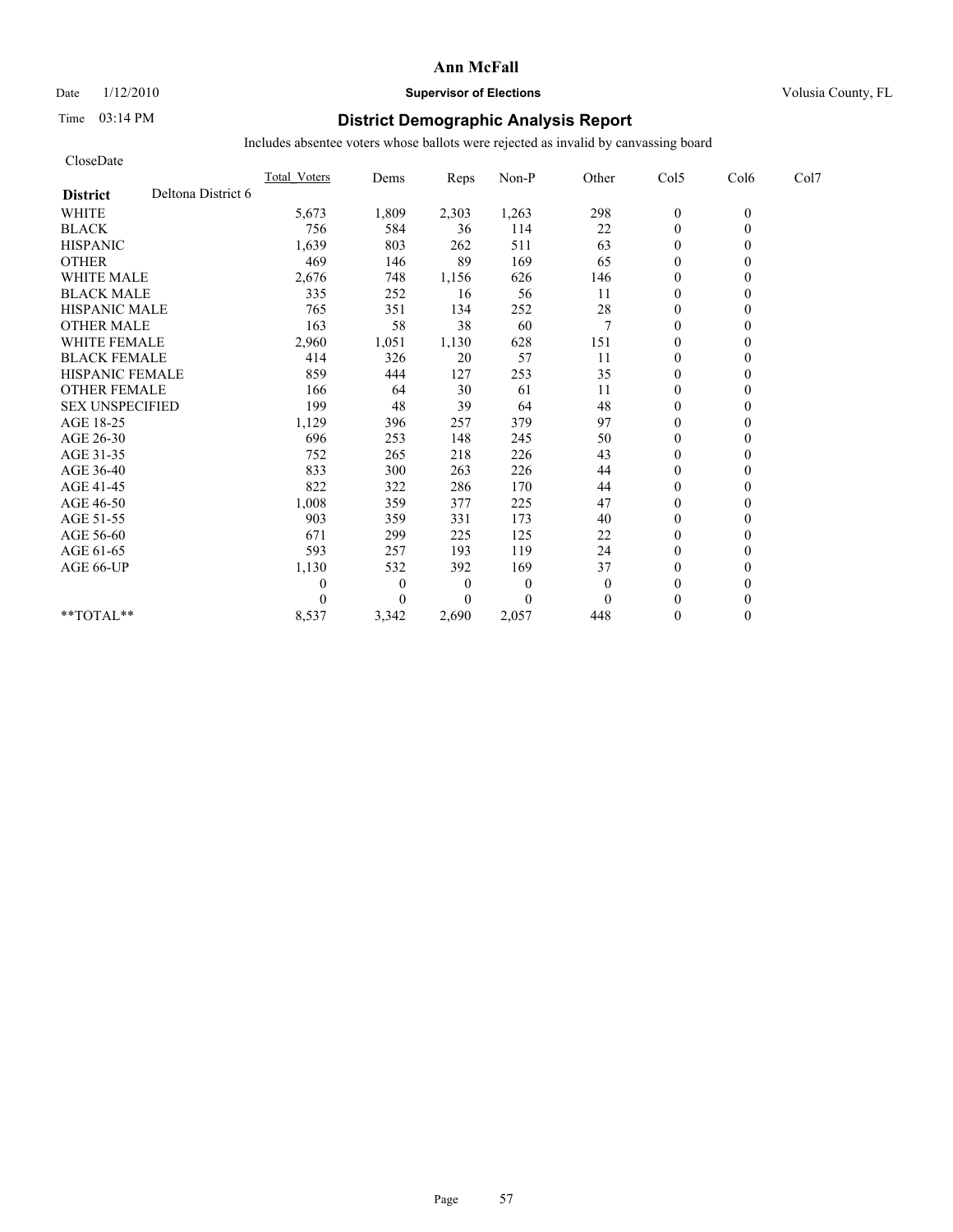Date  $1/12/2010$  **Supervisor of Elections** Volusia County, FL

# Time 03:14 PM **District Demographic Analysis Report**

| CloseDate              |                    |                     |                  |                  |          |              |                  |          |      |
|------------------------|--------------------|---------------------|------------------|------------------|----------|--------------|------------------|----------|------|
|                        |                    | <b>Total Voters</b> | Dems             | Reps             | Non-P    | Other        | Col5             | Col6     | Col7 |
| <b>District</b>        | Deltona District 6 |                     |                  |                  |          |              |                  |          |      |
| <b>WHITE</b>           |                    | 5,673               | 1,809            | 2,303            | 1,263    | 298          | $\boldsymbol{0}$ | $\theta$ |      |
| <b>BLACK</b>           |                    | 756                 | 584              | 36               | 114      | 22           | $\overline{0}$   | $\theta$ |      |
| <b>HISPANIC</b>        |                    | 1,639               | 803              | 262              | 511      | 63           | $\mathbf{0}$     |          |      |
| <b>OTHER</b>           |                    | 469                 | 146              | 89               | 169      | 65           | $\theta$         |          |      |
| <b>WHITE MALE</b>      |                    | 2,676               | 748              | 1,156            | 626      | 146          | $\mathbf{0}$     |          |      |
| <b>BLACK MALE</b>      |                    | 335                 | 252              | 16               | 56       | 11           | $\mathbf{0}$     |          |      |
| <b>HISPANIC MALE</b>   |                    | 765                 | 351              | 134              | 252      | 28           | $\mathbf{0}$     |          |      |
| <b>OTHER MALE</b>      |                    | 163                 | 58               | 38               | 60       | 7            | $\mathbf{0}$     |          |      |
| <b>WHITE FEMALE</b>    |                    | 2,960               | 1,051            | 1,130            | 628      | 151          | $\theta$         |          |      |
| <b>BLACK FEMALE</b>    |                    | 414                 | 326              | 20               | 57       | 11           | $\mathbf{0}$     |          |      |
| <b>HISPANIC FEMALE</b> |                    | 859                 | 444              | 127              | 253      | 35           | $\mathbf{0}$     |          |      |
| <b>OTHER FEMALE</b>    |                    | 166                 | 64               | 30               | 61       | 11           | $\mathbf{0}$     |          |      |
| <b>SEX UNSPECIFIED</b> |                    | 199                 | 48               | 39               | 64       | 48           | $\mathbf{0}$     |          |      |
| AGE 18-25              |                    | 1,129               | 396              | 257              | 379      | 97           | $\mathbf{0}$     |          |      |
| AGE 26-30              |                    | 696                 | 253              | 148              | 245      | 50           | $\theta$         |          |      |
| AGE 31-35              |                    | 752                 | 265              | 218              | 226      | 43           | $\theta$         |          |      |
| AGE 36-40              |                    | 833                 | 300              | 263              | 226      | 44           | $\theta$         |          |      |
| AGE 41-45              |                    | 822                 | 322              | 286              | 170      | 44           | $\overline{0}$   |          |      |
| AGE 46-50              |                    | 1,008               | 359              | 377              | 225      | 47           | $\mathbf{0}$     |          |      |
| AGE 51-55              |                    | 903                 | 359              | 331              | 173      | 40           | $\overline{0}$   |          |      |
| AGE 56-60              |                    | 671                 | 299              | 225              | 125      | 22           | $\theta$         |          |      |
| AGE 61-65              |                    | 593                 | 257              | 193              | 119      | 24           | $\theta$         |          |      |
| AGE 66-UP              |                    | 1,130               | 532              | 392              | 169      | 37           | $\mathbf{0}$     |          |      |
|                        |                    | 0                   | $\boldsymbol{0}$ | $\boldsymbol{0}$ | $\theta$ | $\mathbf{0}$ | $\mathbf{0}$     |          |      |
|                        |                    |                     | $\theta$         | $\overline{0}$   | $\Omega$ | $\Omega$     | $\theta$         |          |      |
| $**TOTAL**$            |                    | 8,537               | 3,342            | 2,690            | 2,057    | 448          | $\mathbf{0}$     | 0        |      |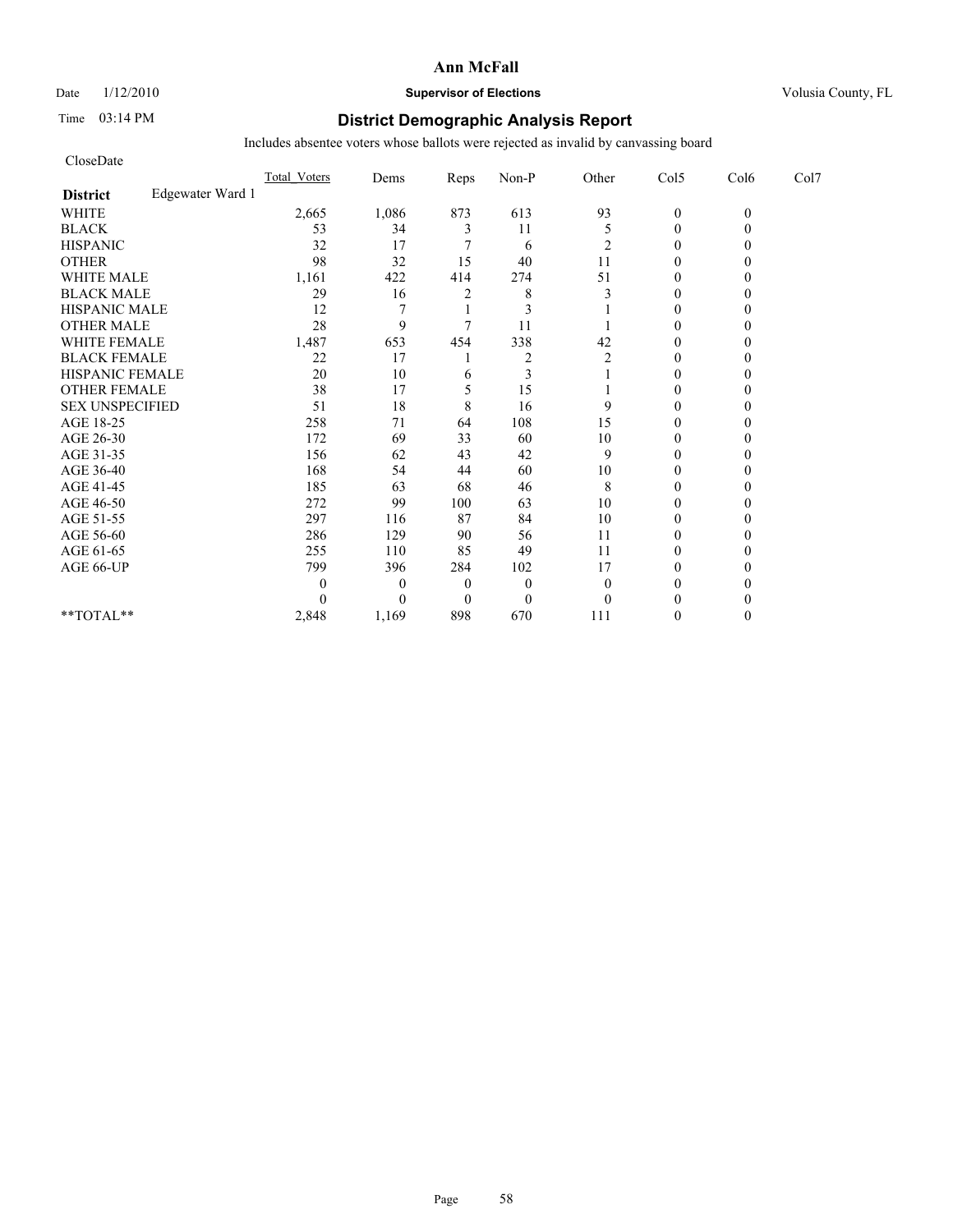Date  $1/12/2010$  **Supervisor of Elections** Volusia County, FL

# Time 03:14 PM **District Demographic Analysis Report**

| CloseDate              |                  |              |          |                         |                |                |                |          |      |
|------------------------|------------------|--------------|----------|-------------------------|----------------|----------------|----------------|----------|------|
|                        |                  | Total Voters | Dems     | Reps                    | Non-P          | Other          | Col5           | Col6     | Col7 |
| <b>District</b>        | Edgewater Ward 1 |              |          |                         |                |                |                |          |      |
| <b>WHITE</b>           |                  | 2,665        | 1,086    | 873                     | 613            | 93             | $\mathbf{0}$   | $\theta$ |      |
| <b>BLACK</b>           |                  | 53           | 34       | 3                       | 11             | 5              | $\overline{0}$ |          |      |
| <b>HISPANIC</b>        |                  | 32           | 17       |                         | 6              | 2              | $\mathbf{0}$   |          |      |
| <b>OTHER</b>           |                  | 98           | 32       | 15                      | 40             | 11             | $\theta$       |          |      |
| <b>WHITE MALE</b>      |                  | 1,161        | 422      | 414                     | 274            | 51             | $\mathbf{0}$   |          |      |
| <b>BLACK MALE</b>      |                  | 29           | 16       | $\overline{\mathbf{c}}$ | 8              | 3              | $\theta$       |          |      |
| <b>HISPANIC MALE</b>   |                  | 12           |          |                         | 3              |                | $\theta$       |          |      |
| <b>OTHER MALE</b>      |                  | 28           | 9        | 7                       | 11             |                | $\theta$       |          |      |
| <b>WHITE FEMALE</b>    |                  | 1,487        | 653      | 454                     | 338            | 42             | $\theta$       |          |      |
| <b>BLACK FEMALE</b>    |                  | 22           | 17       |                         | $\overline{c}$ | $\overline{2}$ | $\theta$       |          |      |
| HISPANIC FEMALE        |                  | 20           | 10       | 6                       | 3              |                | $\theta$       |          |      |
| <b>OTHER FEMALE</b>    |                  | 38           | 17       | 5                       | 15             |                | $\mathbf{0}$   |          |      |
| <b>SEX UNSPECIFIED</b> |                  | 51           | 18       | 8                       | 16             | 9              | $\theta$       |          |      |
| AGE 18-25              |                  | 258          | 71       | 64                      | 108            | 15             | $\mathbf{0}$   |          |      |
| AGE 26-30              |                  | 172          | 69       | 33                      | 60             | 10             | $\theta$       |          |      |
| AGE 31-35              |                  | 156          | 62       | 43                      | 42             | 9              | $\theta$       |          |      |
| AGE 36-40              |                  | 168          | 54       | 44                      | 60             | 10             | $\theta$       |          |      |
| AGE 41-45              |                  | 185          | 63       | 68                      | 46             | 8              | $\overline{0}$ |          |      |
| AGE 46-50              |                  | 272          | 99       | 100                     | 63             | 10             | $\mathbf{0}$   |          |      |
| AGE 51-55              |                  | 297          | 116      | 87                      | 84             | 10             | $\theta$       |          |      |
| AGE 56-60              |                  | 286          | 129      | 90                      | 56             | 11             | $\theta$       |          |      |
| AGE 61-65              |                  | 255          | 110      | 85                      | 49             | 11             | $\theta$       |          |      |
| AGE 66-UP              |                  | 799          | 396      | 284                     | 102            | 17             | $\theta$       |          |      |
|                        |                  | 0            | $\theta$ | $\theta$                | $\overline{0}$ | $\theta$       | $\mathbf{0}$   |          |      |
|                        |                  |              | $\theta$ | $\mathbf{0}$            | $\overline{0}$ | $\Omega$       | $\theta$       |          |      |
| $**TOTAL**$            |                  | 2,848        | 1,169    | 898                     | 670            | 111            | $\theta$       |          |      |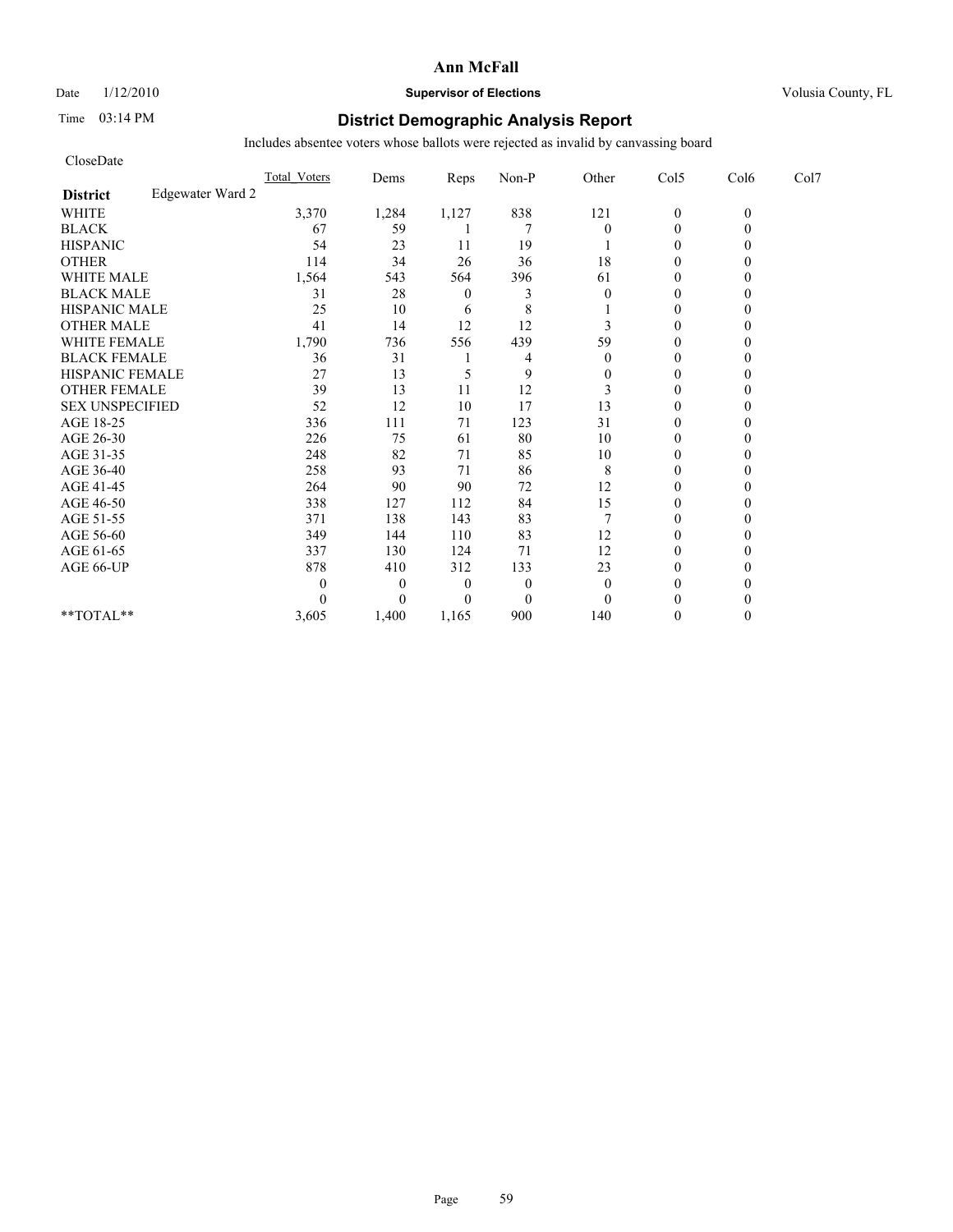Date  $1/12/2010$  **Supervisor of Elections** Volusia County, FL

# Time 03:14 PM **District Demographic Analysis Report**

| CloseDate              |                  |              |          |          |                |                |                  |          |      |
|------------------------|------------------|--------------|----------|----------|----------------|----------------|------------------|----------|------|
|                        |                  | Total Voters | Dems     | Reps     | Non-P          | Other          | Col5             | Col6     | Col7 |
| <b>District</b>        | Edgewater Ward 2 |              |          |          |                |                |                  |          |      |
| <b>WHITE</b>           |                  | 3,370        | 1,284    | 1,127    | 838            | 121            | $\boldsymbol{0}$ | $\theta$ |      |
| <b>BLACK</b>           |                  | 67           | 59       |          | 7              | $\theta$       | $\overline{0}$   |          |      |
| <b>HISPANIC</b>        |                  | 54           | 23       | 11       | 19             |                | $\mathbf{0}$     |          |      |
| <b>OTHER</b>           |                  | 114          | 34       | 26       | 36             | 18             | $\theta$         |          |      |
| <b>WHITE MALE</b>      |                  | 1,564        | 543      | 564      | 396            | 61             | $\mathbf{0}$     |          |      |
| <b>BLACK MALE</b>      |                  | 31           | 28       | $\theta$ | 3              | $\theta$       | $\theta$         |          |      |
| <b>HISPANIC MALE</b>   |                  | 25           | 10       | 6        | 8              |                | $\theta$         |          |      |
| <b>OTHER MALE</b>      |                  | 41           | 14       | 12       | 12             | 3              | $\mathbf{0}$     |          |      |
| <b>WHITE FEMALE</b>    |                  | 1,790        | 736      | 556      | 439            | 59             | $\theta$         |          |      |
| <b>BLACK FEMALE</b>    |                  | 36           | 31       |          | 4              | $\theta$       | $\theta$         |          |      |
| HISPANIC FEMALE        |                  | 27           | 13       | 5        | 9              | $\mathbf{0}$   | $\theta$         |          |      |
| <b>OTHER FEMALE</b>    |                  | 39           | 13       | 11       | 12             | 3              | $\mathbf{0}$     |          |      |
| <b>SEX UNSPECIFIED</b> |                  | 52           | 12       | 10       | 17             | 13             | $\mathbf{0}$     |          |      |
| AGE 18-25              |                  | 336          | 111      | 71       | 123            | 31             | $\mathbf{0}$     |          |      |
| AGE 26-30              |                  | 226          | 75       | 61       | 80             | 10             | $\theta$         |          |      |
| AGE 31-35              |                  | 248          | 82       | 71       | 85             | 10             | $\theta$         |          |      |
| AGE 36-40              |                  | 258          | 93       | 71       | 86             | 8              | $\theta$         |          |      |
| AGE 41-45              |                  | 264          | 90       | 90       | 72             | 12             | $\overline{0}$   |          |      |
| AGE 46-50              |                  | 338          | 127      | 112      | 84             | 15             | $\mathbf{0}$     |          |      |
| AGE 51-55              |                  | 371          | 138      | 143      | 83             | $\overline{7}$ | $\overline{0}$   |          |      |
| AGE 56-60              |                  | 349          | 144      | 110      | 83             | 12             | $\theta$         |          |      |
| AGE 61-65              |                  | 337          | 130      | 124      | 71             | 12             | $\theta$         |          |      |
| AGE 66-UP              |                  | 878          | 410      | 312      | 133            | 23             | $\theta$         |          |      |
|                        |                  |              | $\theta$ | $\theta$ | $\overline{0}$ | $\mathbf{0}$   | $\mathbf{0}$     |          |      |
|                        |                  |              | $\theta$ | $\theta$ | $\theta$       | $\theta$       | $\theta$         |          |      |
| $**TOTAL**$            |                  | 3,605        | 1,400    | 1,165    | 900            | 140            | $\theta$         | 0        |      |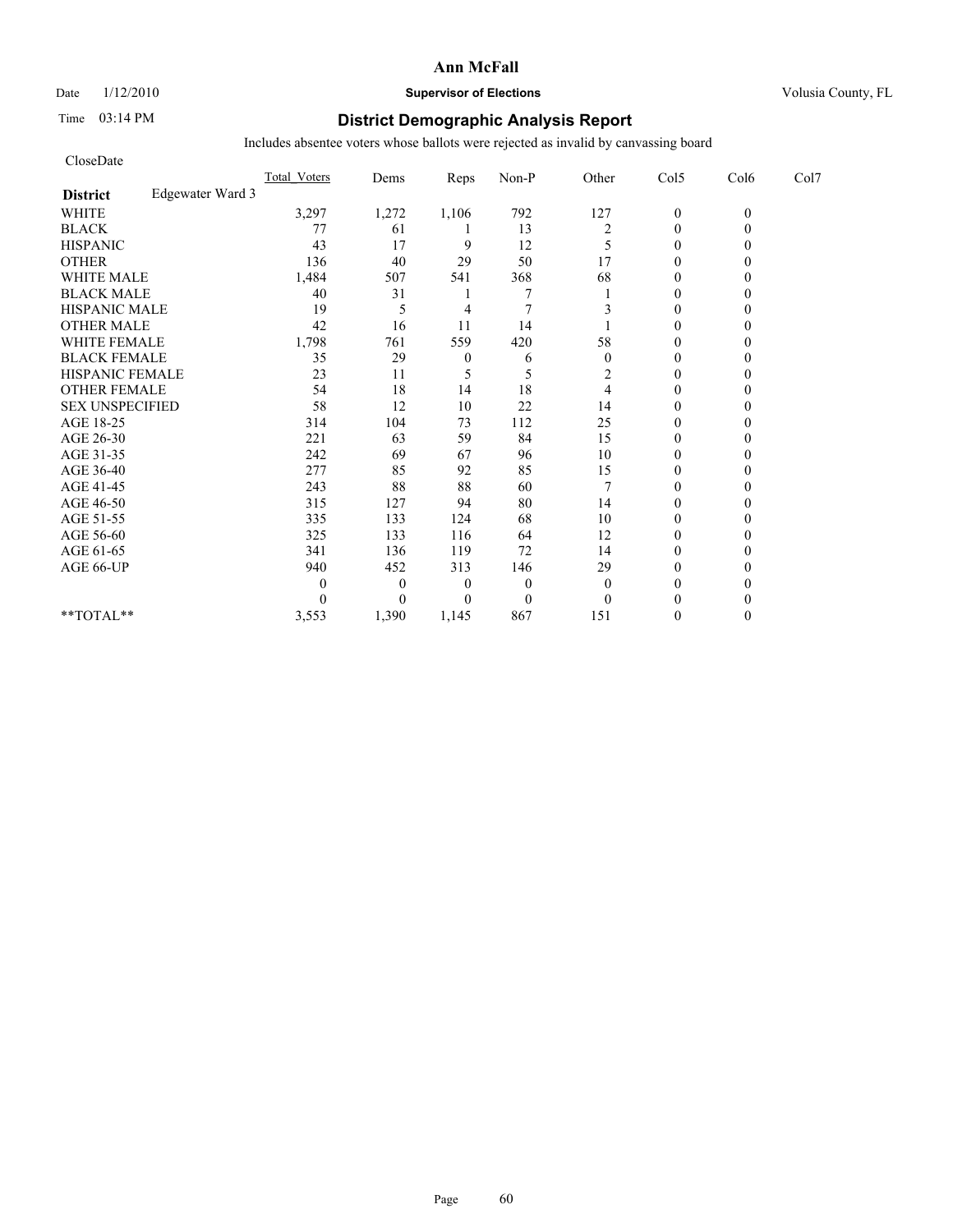Date  $1/12/2010$  **Supervisor of Elections** Volusia County, FL

# Time 03:14 PM **District Demographic Analysis Report**

| CloseDate              |                  |              |              |                  |                |                |                  |          |      |
|------------------------|------------------|--------------|--------------|------------------|----------------|----------------|------------------|----------|------|
|                        |                  | Total Voters | Dems         | Reps             | Non-P          | Other          | Col5             | Col6     | Col7 |
| <b>District</b>        | Edgewater Ward 3 |              |              |                  |                |                |                  |          |      |
| <b>WHITE</b>           |                  | 3,297        | 1,272        | 1,106            | 792            | 127            | $\boldsymbol{0}$ | $\theta$ |      |
| <b>BLACK</b>           |                  | 77           | 61           |                  | 13             | $\overline{2}$ | $\overline{0}$   | 0        |      |
| <b>HISPANIC</b>        |                  | 43           | 17           | 9                | 12             | 5              | $\overline{0}$   |          |      |
| <b>OTHER</b>           |                  | 136          | 40           | 29               | 50             | 17             | $\theta$         |          |      |
| <b>WHITE MALE</b>      |                  | 1,484        | 507          | 541              | 368            | 68             | $\mathbf{0}$     |          |      |
| <b>BLACK MALE</b>      |                  | 40           | 31           |                  | 7              |                | $\mathbf{0}$     |          |      |
| <b>HISPANIC MALE</b>   |                  | 19           | 5            | 4                | 7              | 3              | $\theta$         |          |      |
| <b>OTHER MALE</b>      |                  | 42           | 16           | 11               | 14             |                | $\mathbf{0}$     |          |      |
| <b>WHITE FEMALE</b>    |                  | 1,798        | 761          | 559              | 420            | 58             | $\theta$         |          |      |
| <b>BLACK FEMALE</b>    |                  | 35           | 29           | $\boldsymbol{0}$ | 6              | $\theta$       | $\theta$         |          |      |
| HISPANIC FEMALE        |                  | 23           | 11           | 5                | 5              | 2              | $\theta$         |          |      |
| <b>OTHER FEMALE</b>    |                  | 54           | 18           | 14               | 18             | 4              | $\mathbf{0}$     |          |      |
| <b>SEX UNSPECIFIED</b> |                  | 58           | 12           | 10               | 22             | 14             | $\mathbf{0}$     |          |      |
| AGE 18-25              |                  | 314          | 104          | 73               | 112            | 25             | $\mathbf{0}$     |          |      |
| AGE 26-30              |                  | 221          | 63           | 59               | 84             | 15             | $\theta$         |          |      |
| AGE 31-35              |                  | 242          | 69           | 67               | 96             | 10             | $\theta$         |          |      |
| AGE 36-40              |                  | 277          | 85           | 92               | 85             | 15             | $\mathbf{0}$     |          |      |
| AGE 41-45              |                  | 243          | 88           | 88               | 60             |                | $\overline{0}$   |          |      |
| AGE 46-50              |                  | 315          | 127          | 94               | 80             | 14             | $\mathbf{0}$     |          |      |
| AGE 51-55              |                  | 335          | 133          | 124              | 68             | 10             | $\mathbf{0}$     |          |      |
| AGE 56-60              |                  | 325          | 133          | 116              | 64             | 12             | $\theta$         |          |      |
| AGE 61-65              |                  | 341          | 136          | 119              | 72             | 14             | $\theta$         |          |      |
| AGE 66-UP              |                  | 940          | 452          | 313              | 146            | 29             | $\theta$         |          |      |
|                        |                  | 0            | $\mathbf{0}$ | $\theta$         | $\overline{0}$ | $\mathbf{0}$   | $\mathbf{0}$     |          |      |
|                        |                  |              | $\theta$     | $\theta$         | $\overline{0}$ | $\theta$       | $\theta$         |          |      |
| $**TOTAL**$            |                  | 3,553        | 1,390        | 1,145            | 867            | 151            | $\theta$         | 0        |      |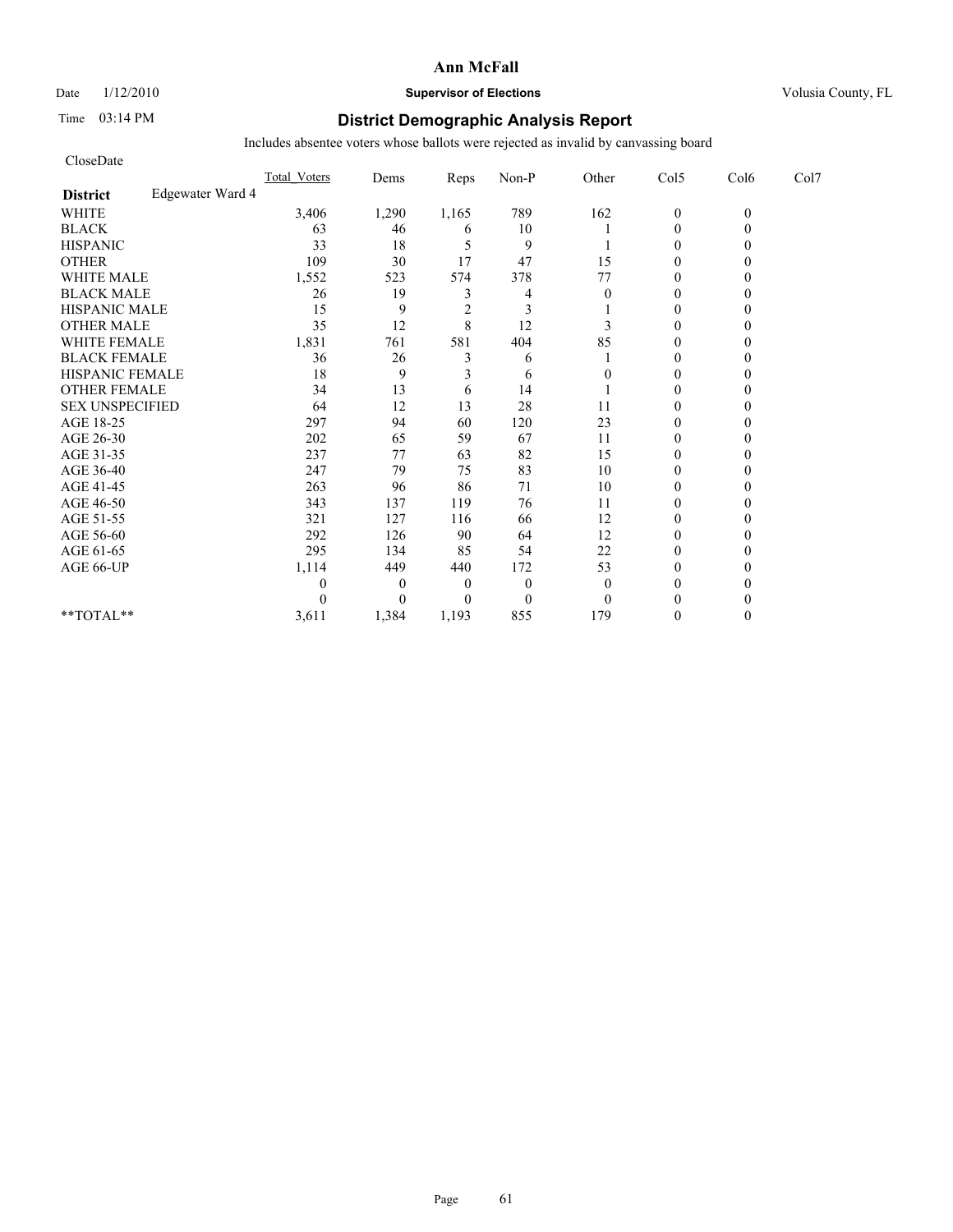Date  $1/12/2010$  **Supervisor of Elections** Volusia County, FL

# Time 03:14 PM **District Demographic Analysis Report**

| CloseDate              |                  |                     |                |                |              |          |                |          |      |
|------------------------|------------------|---------------------|----------------|----------------|--------------|----------|----------------|----------|------|
|                        |                  | <b>Total Voters</b> | Dems           | Reps           | Non-P        | Other    | Col5           | Col6     | Col7 |
| <b>District</b>        | Edgewater Ward 4 |                     |                |                |              |          |                |          |      |
| <b>WHITE</b>           |                  | 3,406               | 1,290          | 1,165          | 789          | 162      | $\mathbf{0}$   | $\theta$ |      |
| <b>BLACK</b>           |                  | 63                  | 46             | 6              | 10           |          | $\mathbf{0}$   |          |      |
| <b>HISPANIC</b>        |                  | 33                  | 18             | 5              | 9            |          | $\theta$       |          |      |
| <b>OTHER</b>           |                  | 109                 | 30             | 17             | 47           | 15       | $\theta$       |          |      |
| <b>WHITE MALE</b>      |                  | 1,552               | 523            | 574            | 378          | 77       | $\theta$       |          |      |
| <b>BLACK MALE</b>      |                  | 26                  | 19             | 3              | 4            | $\theta$ | $\theta$       |          |      |
| <b>HISPANIC MALE</b>   |                  | 15                  | 9              | $\overline{2}$ | 3            |          | $\theta$       |          |      |
| <b>OTHER MALE</b>      |                  | 35                  | 12             | 8              | 12           | 3        | $\theta$       |          |      |
| <b>WHITE FEMALE</b>    |                  | 1,831               | 761            | 581            | 404          | 85       | $\theta$       |          |      |
| <b>BLACK FEMALE</b>    |                  | 36                  | 26             | $\overline{3}$ | 6            |          | $\overline{0}$ |          |      |
| HISPANIC FEMALE        |                  | 18                  | 9              | 3              | 6            | 0        | $\theta$       |          |      |
| <b>OTHER FEMALE</b>    |                  | 34                  | 13             | 6              | 14           |          | $\theta$       |          |      |
| <b>SEX UNSPECIFIED</b> |                  | 64                  | 12             | 13             | 28           | 11       | $\theta$       |          |      |
| AGE 18-25              |                  | 297                 | 94             | 60             | 120          | 23       | $\theta$       |          |      |
| AGE 26-30              |                  | 202                 | 65             | 59             | 67           | 11       | $\overline{0}$ |          |      |
| AGE 31-35              |                  | 237                 | 77             | 63             | 82           | 15       | $\mathbf{0}$   |          |      |
| AGE 36-40              |                  | 247                 | 79             | 75             | 83           | 10       | $\theta$       |          |      |
| AGE 41-45              |                  | 263                 | 96             | 86             | 71           | 10       | $\mathbf{0}$   |          |      |
| AGE 46-50              |                  | 343                 | 137            | 119            | 76           | 11       | $\theta$       |          |      |
| AGE 51-55              |                  | 321                 | 127            | 116            | 66           | 12       | $\mathbf{0}$   |          |      |
| AGE 56-60              |                  | 292                 | 126            | 90             | 64           | 12       | $\overline{0}$ |          |      |
| AGE 61-65              |                  | 295                 | 134            | 85             | 54           | 22       | $\theta$       |          |      |
| AGE 66-UP              |                  | 1,114               | 449            | 440            | 172          | 53       | $\theta$       |          |      |
|                        |                  | 0                   | $\overline{0}$ | $\overline{0}$ | $\theta$     | $\theta$ | $\theta$       |          |      |
|                        |                  | $\Omega$            | $\Omega$       | $\Omega$       | $\mathbf{0}$ | $\theta$ | $\theta$       |          |      |
| **TOTAL**              |                  | 3,611               | 1,384          | 1,193          | 855          | 179      | $\theta$       |          |      |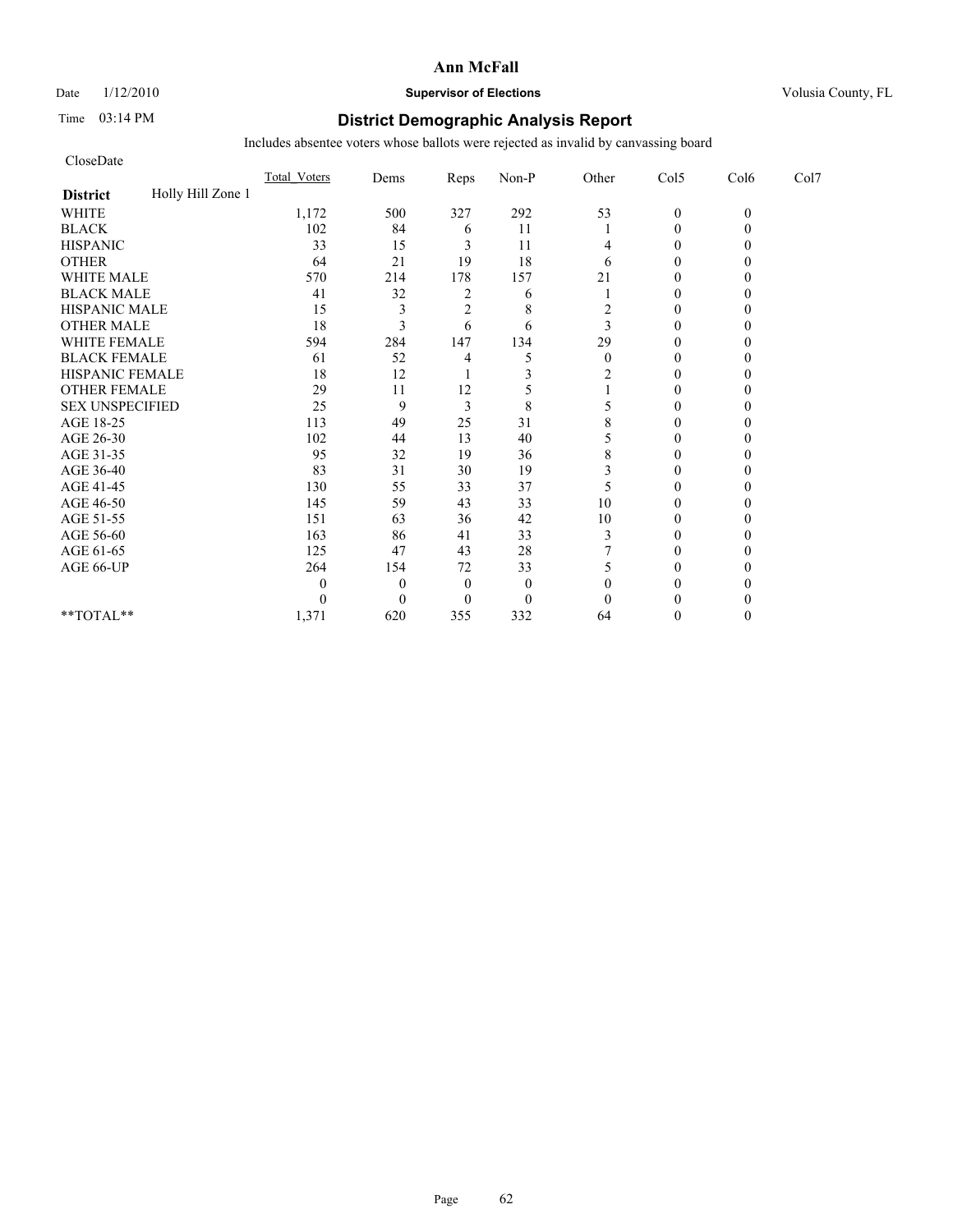# Date  $1/12/2010$  **Supervisor of Elections** Volusia County, FL

# Time 03:14 PM **District Demographic Analysis Report**

| CloseDate              |                   |                     |              |                |              |          |                |          |      |
|------------------------|-------------------|---------------------|--------------|----------------|--------------|----------|----------------|----------|------|
|                        |                   | <b>Total Voters</b> | Dems         | Reps           | Non-P        | Other    | Col5           | Col6     | Col7 |
| <b>District</b>        | Holly Hill Zone 1 |                     |              |                |              |          |                |          |      |
| <b>WHITE</b>           |                   | 1,172               | 500          | 327            | 292          | 53       | $\mathbf{0}$   | $\theta$ |      |
| <b>BLACK</b>           |                   | 102                 | 84           | 6              | 11           |          | $\theta$       |          |      |
| <b>HISPANIC</b>        |                   | 33                  | 15           | 3              | 11           | 4        | $\overline{0}$ |          |      |
| <b>OTHER</b>           |                   | 64                  | 21           | 19             | 18           | 6        | $\theta$       |          |      |
| <b>WHITE MALE</b>      |                   | 570                 | 214          | 178            | 157          | 21       | $\theta$       |          |      |
| <b>BLACK MALE</b>      |                   | 41                  | 32           | 2              | 6            |          | $\theta$       |          |      |
| <b>HISPANIC MALE</b>   |                   | 15                  | 3            | $\overline{c}$ | 8            | 2        | $\theta$       |          |      |
| <b>OTHER MALE</b>      |                   | 18                  | 3            | 6              | 6            | 3        | $\theta$       |          |      |
| <b>WHITE FEMALE</b>    |                   | 594                 | 284          | 147            | 134          | 29       | $\theta$       |          |      |
| <b>BLACK FEMALE</b>    |                   | 61                  | 52           | 4              | 5            | $\theta$ | $\overline{0}$ |          |      |
| HISPANIC FEMALE        |                   | 18                  | 12           |                | 3            | 2        | $\theta$       |          |      |
| <b>OTHER FEMALE</b>    |                   | 29                  | 11           | 12             |              |          | $\theta$       |          |      |
| <b>SEX UNSPECIFIED</b> |                   | 25                  | 9            | 3              | 8            | 5        | $\theta$       |          |      |
| AGE 18-25              |                   | 113                 | 49           | 25             | 31           | 8        | $\theta$       |          |      |
| AGE 26-30              |                   | 102                 | 44           | 13             | 40           |          | $\Omega$       |          |      |
| AGE 31-35              |                   | 95                  | 32           | 19             | 36           | 8        | $\theta$       |          |      |
| AGE 36-40              |                   | 83                  | 31           | 30             | 19           | 3        | $\Omega$       |          |      |
| AGE 41-45              |                   | 130                 | 55           | 33             | 37           | 5        | $\mathbf{0}$   |          |      |
| AGE 46-50              |                   | 145                 | 59           | 43             | 33           | 10       | $\theta$       |          |      |
| AGE 51-55              |                   | 151                 | 63           | 36             | 42           | 10       | $\theta$       |          |      |
| AGE 56-60              |                   | 163                 | 86           | 41             | 33           | 3        | $\overline{0}$ |          |      |
| AGE 61-65              |                   | 125                 | 47           | 43             | 28           |          | $\theta$       |          |      |
| AGE 66-UP              |                   | 264                 | 154          | 72             | 33           | 5        | $\theta$       |          |      |
|                        |                   | 0                   | $\mathbf{0}$ | $\mathbf{0}$   | $\mathbf{0}$ | $\theta$ | 0              |          |      |
|                        |                   | 0                   | $\Omega$     | $\Omega$       | $\mathbf{0}$ | $\theta$ | $\Omega$       |          |      |
| **TOTAL**              |                   | 1,371               | 620          | 355            | 332          | 64       | $\Omega$       |          |      |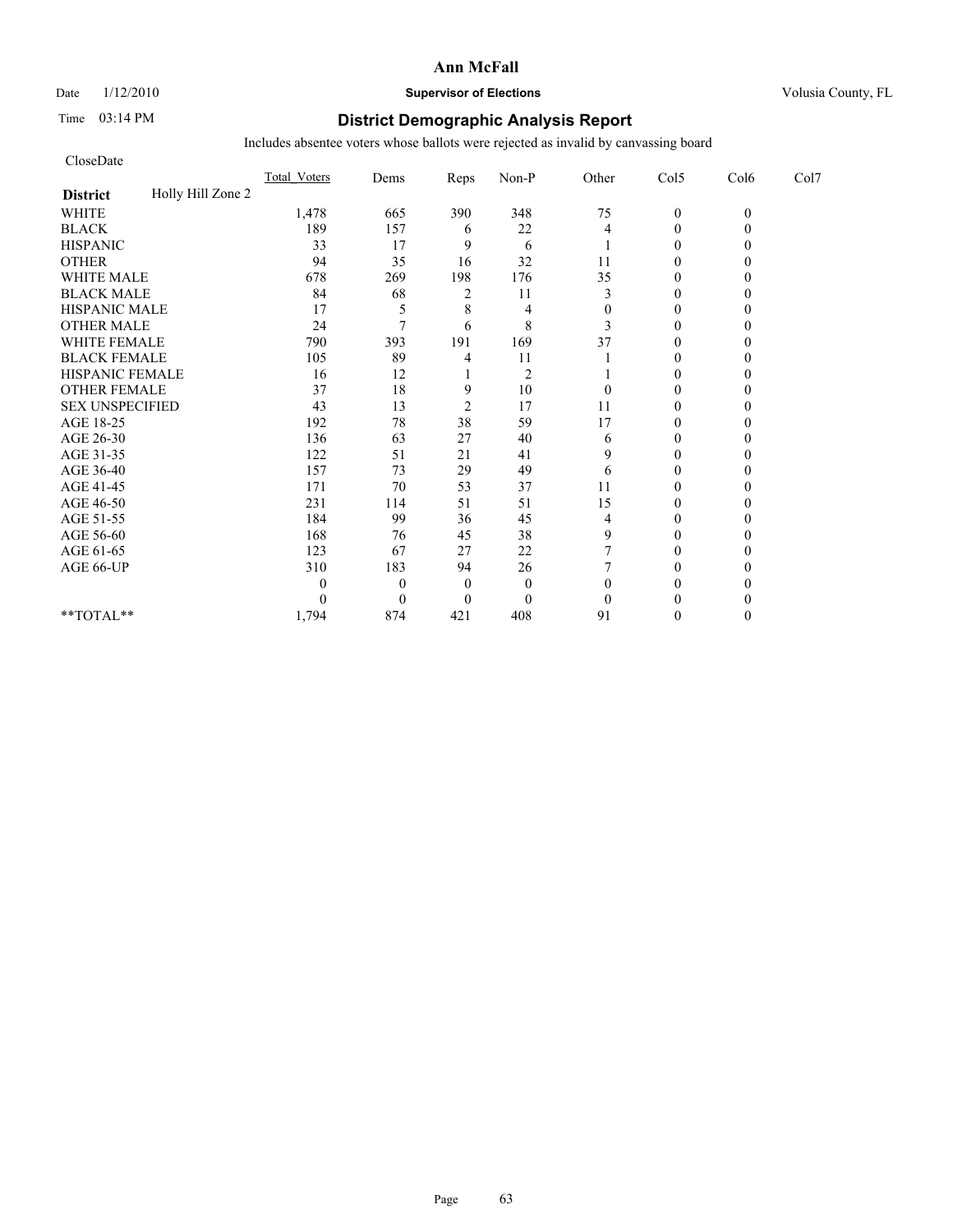Date  $1/12/2010$  **Supervisor of Elections** Volusia County, FL

# Time 03:14 PM **District Demographic Analysis Report**

| CloseDate              |                   |                     |                |                |                |              |                |          |      |
|------------------------|-------------------|---------------------|----------------|----------------|----------------|--------------|----------------|----------|------|
|                        |                   | <b>Total Voters</b> | Dems           | Reps           | Non-P          | Other        | Col5           | Col6     | Col7 |
| <b>District</b>        | Holly Hill Zone 2 |                     |                |                |                |              |                |          |      |
| <b>WHITE</b>           |                   | 1,478               | 665            | 390            | 348            | 75           | $\mathbf{0}$   | $\theta$ |      |
| <b>BLACK</b>           |                   | 189                 | 157            | 6              | 22             | 4            | $\mathbf{0}$   |          |      |
| <b>HISPANIC</b>        |                   | 33                  | 17             | 9              | 6              |              | $\overline{0}$ |          |      |
| <b>OTHER</b>           |                   | 94                  | 35             | 16             | 32             | 11           | $\theta$       |          |      |
| <b>WHITE MALE</b>      |                   | 678                 | 269            | 198            | 176            | 35           | $\theta$       |          |      |
| <b>BLACK MALE</b>      |                   | 84                  | 68             | 2              | 11             | 3            | $\theta$       |          |      |
| <b>HISPANIC MALE</b>   |                   | 17                  | 5              | 8              | 4              | $\mathbf{0}$ | $\theta$       |          |      |
| <b>OTHER MALE</b>      |                   | 24                  | 7              | 6              | 8              | 3            | $\theta$       |          |      |
| <b>WHITE FEMALE</b>    |                   | 790                 | 393            | 191            | 169            | 37           | $\theta$       |          |      |
| <b>BLACK FEMALE</b>    |                   | 105                 | 89             | 4              | 11             |              | $\overline{0}$ |          |      |
| HISPANIC FEMALE        |                   | 16                  | 12             |                | $\overline{2}$ |              | $\theta$       |          |      |
| <b>OTHER FEMALE</b>    |                   | 37                  | 18             | 9              | 10             | $\theta$     | $\theta$       |          |      |
| <b>SEX UNSPECIFIED</b> |                   | 43                  | 13             | $\overline{2}$ | 17             | 11           | $\theta$       |          |      |
| AGE 18-25              |                   | 192                 | 78             | 38             | 59             | 17           | $\theta$       |          |      |
| AGE 26-30              |                   | 136                 | 63             | 27             | 40             | 6            | $\overline{0}$ |          |      |
| AGE 31-35              |                   | 122                 | 51             | 21             | 41             | 9            | $\theta$       |          |      |
| AGE 36-40              |                   | 157                 | 73             | 29             | 49             | 6            | $\theta$       |          |      |
| AGE 41-45              |                   | 171                 | 70             | 53             | 37             | 11           | $\mathbf{0}$   |          |      |
| AGE 46-50              |                   | 231                 | 114            | 51             | 51             | 15           | $\theta$       |          |      |
| AGE 51-55              |                   | 184                 | 99             | 36             | 45             | 4            | $\theta$       |          |      |
| AGE 56-60              |                   | 168                 | 76             | 45             | 38             | 9            | $\overline{0}$ |          |      |
| AGE 61-65              |                   | 123                 | 67             | 27             | 22             |              | $\theta$       |          |      |
| AGE 66-UP              |                   | 310                 | 183            | 94             | 26             |              | $\theta$       |          |      |
|                        |                   | 0                   | $\overline{0}$ | $\mathbf{0}$   | $\mathbf{0}$   | $\theta$     | $\theta$       |          |      |
|                        |                   | 0                   | $\theta$       | $\Omega$       | $\mathbf{0}$   | $\theta$     | $\Omega$       |          |      |
| **TOTAL**              |                   | 1,794               | 874            | 421            | 408            | 91           | $\theta$       |          |      |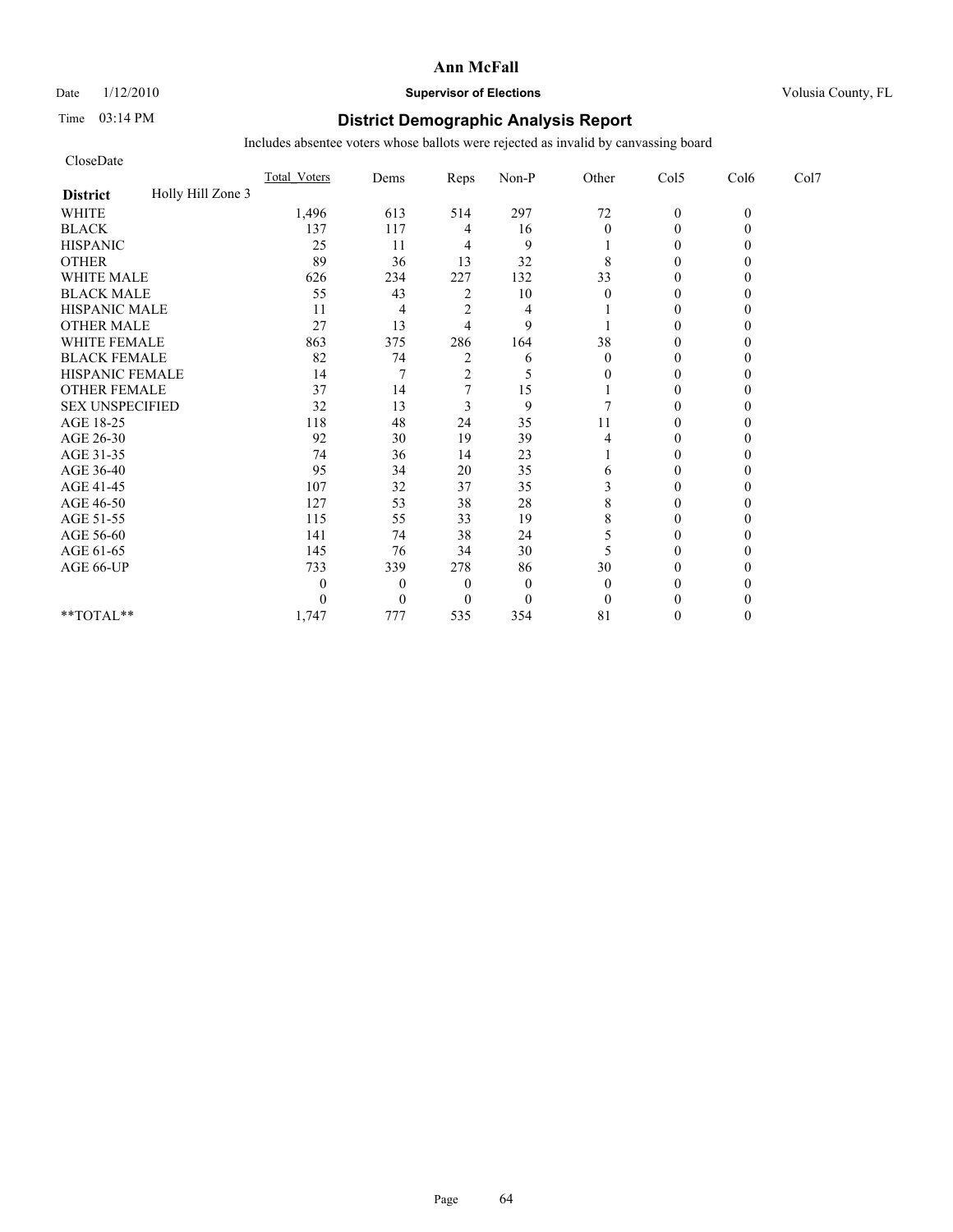# Date  $1/12/2010$  **Supervisor of Elections** Volusia County, FL

# Time 03:14 PM **District Demographic Analysis Report**

| CloseDate              |                   |                     |                |                |              |              |                |          |      |
|------------------------|-------------------|---------------------|----------------|----------------|--------------|--------------|----------------|----------|------|
|                        |                   | <b>Total Voters</b> | Dems           | Reps           | Non-P        | Other        | Col5           | Col6     | Col7 |
| <b>District</b>        | Holly Hill Zone 3 |                     |                |                |              |              |                |          |      |
| <b>WHITE</b>           |                   | 1,496               | 613            | 514            | 297          | $72\,$       | $\mathbf{0}$   | $\theta$ |      |
| <b>BLACK</b>           |                   | 137                 | 117            | 4              | 16           | $\mathbf{0}$ | $\theta$       |          |      |
| <b>HISPANIC</b>        |                   | 25                  | 11             | 4              | 9            |              | $\overline{0}$ |          |      |
| <b>OTHER</b>           |                   | 89                  | 36             | 13             | 32           | 8            | $\theta$       |          |      |
| <b>WHITE MALE</b>      |                   | 626                 | 234            | 227            | 132          | 33           | $\theta$       |          |      |
| <b>BLACK MALE</b>      |                   | 55                  | 43             | 2              | 10           | $\theta$     | $\theta$       |          |      |
| <b>HISPANIC MALE</b>   |                   | 11                  | 4              | $\overline{c}$ | 4            |              | $\theta$       |          |      |
| <b>OTHER MALE</b>      |                   | 27                  | 13             | 4              | 9            |              | $\theta$       |          |      |
| <b>WHITE FEMALE</b>    |                   | 863                 | 375            | 286            | 164          | 38           | $\theta$       |          |      |
| <b>BLACK FEMALE</b>    |                   | 82                  | 74             | $\overline{c}$ | 6            | $\theta$     | $\overline{0}$ |          |      |
| HISPANIC FEMALE        |                   | 14                  |                | $\overline{2}$ | 5            | 0            | $\theta$       |          |      |
| <b>OTHER FEMALE</b>    |                   | 37                  | 14             |                | 15           |              | $\theta$       |          |      |
| <b>SEX UNSPECIFIED</b> |                   | 32                  | 13             | 3              | 9            |              | $\theta$       |          |      |
| AGE 18-25              |                   | 118                 | 48             | 24             | 35           | 11           | $\theta$       |          |      |
| AGE 26-30              |                   | 92                  | 30             | 19             | 39           | 4            | $\Omega$       |          |      |
| AGE 31-35              |                   | 74                  | 36             | 14             | 23           |              | $\theta$       |          |      |
| AGE 36-40              |                   | 95                  | 34             | 20             | 35           | 6            | $\theta$       |          |      |
| AGE 41-45              |                   | 107                 | 32             | 37             | 35           | 3            | $\mathbf{0}$   |          |      |
| AGE 46-50              |                   | 127                 | 53             | 38             | 28           | 8            | $\theta$       |          |      |
| AGE 51-55              |                   | 115                 | 55             | 33             | 19           | 8            | $\Omega$       |          |      |
| AGE 56-60              |                   | 141                 | 74             | 38             | 24           | 5            | $\overline{0}$ |          |      |
| AGE 61-65              |                   | 145                 | 76             | 34             | 30           | 5            | $\theta$       |          |      |
| AGE 66-UP              |                   | 733                 | 339            | 278            | 86           | 30           | $\Omega$       |          |      |
|                        |                   | 0                   | $\overline{0}$ | $\overline{0}$ | $\mathbf{0}$ | $\theta$     | 0              |          |      |
|                        |                   | 0                   | $\theta$       | $\Omega$       | $\mathbf{0}$ | $\theta$     | $\Omega$       |          |      |
| **TOTAL**              |                   | 1,747               | 777            | 535            | 354          | 81           | $\Omega$       |          |      |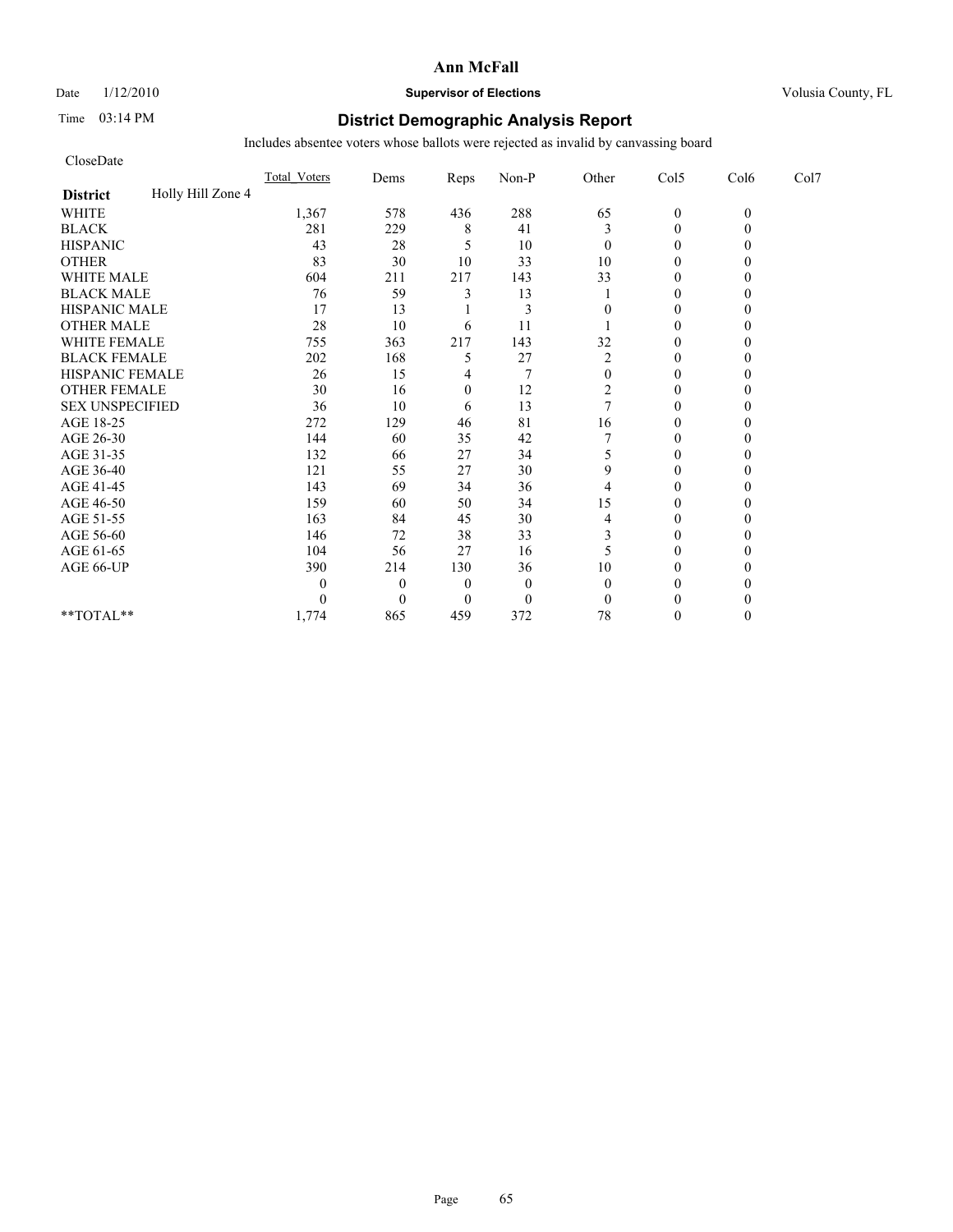# Date  $1/12/2010$  **Supervisor of Elections** Volusia County, FL

# Time 03:14 PM **District Demographic Analysis Report**

| CloseDate              |                   |                     |                |                |              |                |                |          |      |
|------------------------|-------------------|---------------------|----------------|----------------|--------------|----------------|----------------|----------|------|
|                        |                   | <b>Total Voters</b> | Dems           | Reps           | Non-P        | Other          | Col5           | Col6     | Col7 |
| <b>District</b>        | Holly Hill Zone 4 |                     |                |                |              |                |                |          |      |
| <b>WHITE</b>           |                   | 1,367               | 578            | 436            | 288          | 65             | $\mathbf{0}$   | $\theta$ |      |
| <b>BLACK</b>           |                   | 281                 | 229            | 8              | 41           | 3              | $\mathbf{0}$   |          |      |
| <b>HISPANIC</b>        |                   | 43                  | 28             | 5              | 10           | $\mathbf{0}$   | $\theta$       |          |      |
| <b>OTHER</b>           |                   | 83                  | 30             | 10             | 33           | 10             | $\theta$       |          |      |
| <b>WHITE MALE</b>      |                   | 604                 | 211            | 217            | 143          | 33             | $\theta$       |          |      |
| <b>BLACK MALE</b>      |                   | 76                  | 59             | 3              | 13           |                | $\theta$       |          |      |
| <b>HISPANIC MALE</b>   |                   | 17                  | 13             |                | 3            | $\Omega$       | $\theta$       |          |      |
| <b>OTHER MALE</b>      |                   | 28                  | 10             | 6              | 11           |                | $\theta$       |          |      |
| <b>WHITE FEMALE</b>    |                   | 755                 | 363            | 217            | 143          | 32             | $\theta$       |          |      |
| <b>BLACK FEMALE</b>    |                   | 202                 | 168            | 5              | 27           | $\overline{c}$ | $\overline{0}$ |          |      |
| HISPANIC FEMALE        |                   | 26                  | 15             | 4              |              | $\mathbf{0}$   | $\theta$       |          |      |
| <b>OTHER FEMALE</b>    |                   | 30                  | 16             | $\mathbf{0}$   | 12           | $\overline{c}$ | $\theta$       |          |      |
| <b>SEX UNSPECIFIED</b> |                   | 36                  | 10             | 6              | 13           | $\overline{7}$ | $\theta$       |          |      |
| AGE 18-25              |                   | 272                 | 129            | 46             | 81           | 16             | $\theta$       |          |      |
| AGE 26-30              |                   | 144                 | 60             | 35             | 42           |                | $\Omega$       |          |      |
| AGE 31-35              |                   | 132                 | 66             | 27             | 34           | 5              | $\theta$       |          |      |
| AGE 36-40              |                   | 121                 | 55             | 27             | 30           | 9              | $\theta$       |          |      |
| AGE 41-45              |                   | 143                 | 69             | 34             | 36           | $\overline{4}$ | $\mathbf{0}$   |          |      |
| AGE 46-50              |                   | 159                 | 60             | 50             | 34           | 15             | $\theta$       |          |      |
| AGE 51-55              |                   | 163                 | 84             | 45             | 30           | 4              | $\theta$       |          |      |
| AGE 56-60              |                   | 146                 | 72             | 38             | 33           | 3              | $\overline{0}$ |          |      |
| AGE 61-65              |                   | 104                 | 56             | 27             | 16           | 5              | $\theta$       |          |      |
| AGE 66-UP              |                   | 390                 | 214            | 130            | 36           | 10             | $\theta$       |          |      |
|                        |                   | 0                   | $\overline{0}$ | $\theta$       | $\mathbf{0}$ | $\theta$       | $\Omega$       |          |      |
|                        |                   | 0                   | $\theta$       | $\overline{0}$ | $\mathbf{0}$ | $\mathbf{0}$   | $\Omega$       |          |      |
| **TOTAL**              |                   | 1,774               | 865            | 459            | 372          | 78             | $\theta$       |          |      |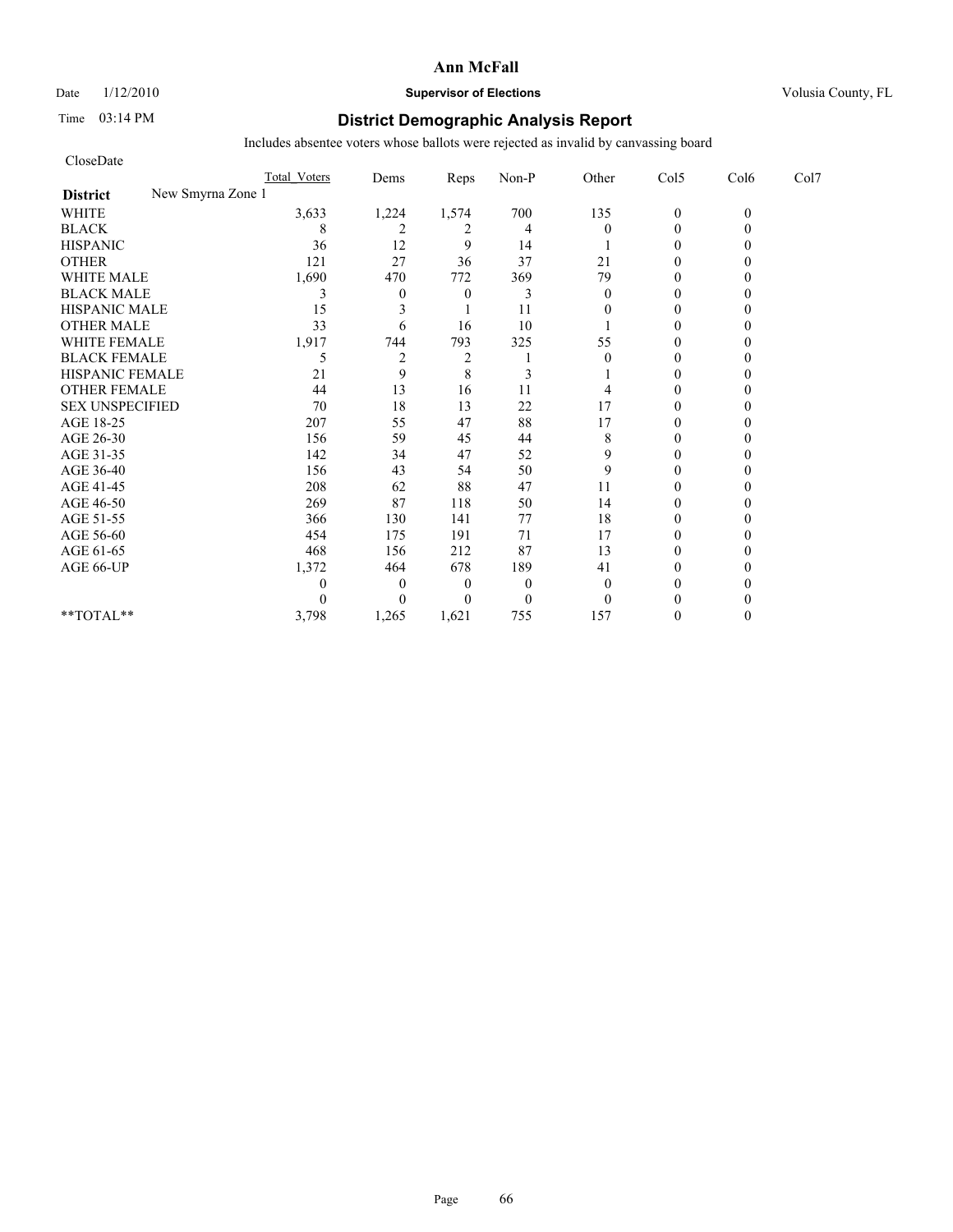Date  $1/12/2010$  **Supervisor of Elections** Volusia County, FL

# Time 03:14 PM **District Demographic Analysis Report**

| CloseDate                            |                     |                |                |                |              |              |          |      |
|--------------------------------------|---------------------|----------------|----------------|----------------|--------------|--------------|----------|------|
|                                      | <b>Total Voters</b> | Dems           | Reps           | Non-P          | Other        | Col5         | Col6     | Col7 |
| New Smyrna Zone 1<br><b>District</b> |                     |                |                |                |              |              |          |      |
| <b>WHITE</b>                         | 3,633               | 1,224          | 1,574          | 700            | 135          | $\mathbf{0}$ | $\theta$ |      |
| <b>BLACK</b>                         | 8                   | 2              | 2              | $\overline{4}$ | $\Omega$     | $\theta$     |          |      |
| <b>HISPANIC</b>                      | 36                  | 12             | 9              | 14             |              | $\theta$     |          |      |
| <b>OTHER</b>                         | 121                 | 27             | 36             | 37             | 21           | $\theta$     |          |      |
| <b>WHITE MALE</b>                    | 1,690               | 470            | 772            | 369            | 79           | $\theta$     |          |      |
| <b>BLACK MALE</b>                    | 3                   | $\mathbf{0}$   | $\theta$       | 3              | $\mathbf{0}$ | $\theta$     |          |      |
| <b>HISPANIC MALE</b>                 | 15                  | 3              |                | 11             | $\theta$     | $\theta$     |          |      |
| <b>OTHER MALE</b>                    | 33                  | 6              | 16             | 10             |              | $\theta$     |          |      |
| WHITE FEMALE                         | 1,917               | 744            | 793            | 325            | 55           | $\theta$     |          |      |
| <b>BLACK FEMALE</b>                  | 5                   | $\overline{c}$ | $\overline{c}$ |                | $\theta$     | $\theta$     |          |      |
| HISPANIC FEMALE                      | 21                  | 9              | 8              | 3              |              | $\theta$     |          |      |
| <b>OTHER FEMALE</b>                  | 44                  | 13             | 16             | 11             |              | $\theta$     |          |      |
| <b>SEX UNSPECIFIED</b>               | 70                  | 18             | 13             | 22             | 17           | $\theta$     |          |      |
| AGE 18-25                            | 207                 | 55             | 47             | 88             | 17           | $\mathbf{0}$ |          |      |
| AGE 26-30                            | 156                 | 59             | 45             | 44             | 8            | $\theta$     |          |      |
| AGE 31-35                            | 142                 | 34             | 47             | 52             | 9            | $\theta$     |          |      |
| AGE 36-40                            | 156                 | 43             | 54             | 50             | 9            | $\theta$     |          |      |
| AGE 41-45                            | 208                 | 62             | 88             | 47             | 11           | $\theta$     |          |      |
| AGE 46-50                            | 269                 | 87             | 118            | 50             | 14           | $\mathbf{0}$ |          |      |
| AGE 51-55                            | 366                 | 130            | 141            | 77             | 18           | $\theta$     |          |      |
| AGE 56-60                            | 454                 | 175            | 191            | 71             | 17           | $\theta$     |          |      |
| AGE 61-65                            | 468                 | 156            | 212            | 87             | 13           | $\theta$     |          |      |
| AGE 66-UP                            | 1,372               | 464            | 678            | 189            | 41           | $\theta$     |          |      |
|                                      | 0                   | $\theta$       | $\theta$       | $\theta$       | $\Omega$     | $\theta$     |          |      |
|                                      |                     | $\theta$       | $\theta$       | $\mathbf{0}$   | $\theta$     | $\theta$     |          |      |
| $**TOTAL**$                          | 3,798               | 1,265          | 1,621          | 755            | 157          | $\theta$     |          |      |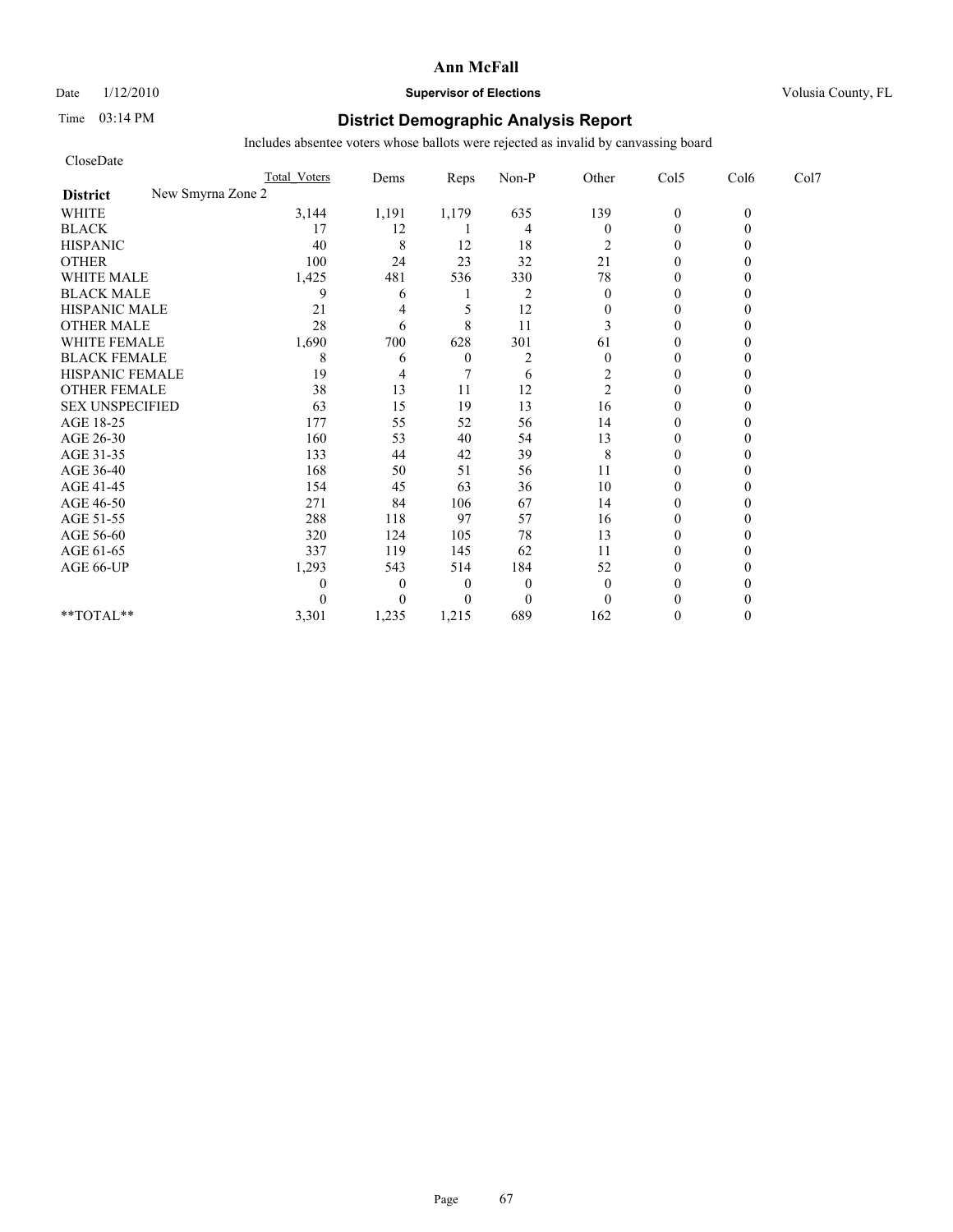Date  $1/12/2010$  **Supervisor of Elections** Volusia County, FL

# Time 03:14 PM **District Demographic Analysis Report**

| CloseDate                            |                     |          |                  |                |                  |                |          |      |
|--------------------------------------|---------------------|----------|------------------|----------------|------------------|----------------|----------|------|
|                                      | <b>Total Voters</b> | Dems     | Reps             | Non-P          | Other            | Col5           | Col6     | Col7 |
| New Smyrna Zone 2<br><b>District</b> |                     |          |                  |                |                  |                |          |      |
| <b>WHITE</b>                         | 3,144               | 1,191    | 1,179            | 635            | 139              | $\mathbf{0}$   | $\theta$ |      |
| <b>BLACK</b>                         | 17                  | 12       |                  | $\overline{4}$ | $\boldsymbol{0}$ | $\overline{0}$ |          |      |
| <b>HISPANIC</b>                      | 40                  | 8        | 12               | 18             | 2                | $\mathbf{0}$   |          |      |
| <b>OTHER</b>                         | 100                 | 24       | 23               | 32             | 21               | $\theta$       |          |      |
| <b>WHITE MALE</b>                    | 1,425               | 481      | 536              | 330            | 78               | $\mathbf{0}$   |          |      |
| <b>BLACK MALE</b>                    | 9                   | 6        |                  | $\overline{2}$ | $\mathbf{0}$     | $\theta$       |          |      |
| <b>HISPANIC MALE</b>                 | 21                  | 4        | 5                | 12             | $\mathbf{0}$     | $\theta$       |          |      |
| <b>OTHER MALE</b>                    | 28                  | 6        | 8                | 11             | 3                | $\theta$       |          |      |
| WHITE FEMALE                         | 1,690               | 700      | 628              | 301            | 61               | $\theta$       |          |      |
| <b>BLACK FEMALE</b>                  | 8                   | 6        | $\boldsymbol{0}$ | $\overline{2}$ | $\theta$         | $\theta$       |          |      |
| HISPANIC FEMALE                      | 19                  | 4        |                  | 6              | 2                | $\theta$       |          |      |
| <b>OTHER FEMALE</b>                  | 38                  | 13       | 11               | 12             | $\overline{c}$   | $\mathbf{0}$   |          |      |
| <b>SEX UNSPECIFIED</b>               | 63                  | 15       | 19               | 13             | 16               | $\theta$       |          |      |
| AGE 18-25                            | 177                 | 55       | 52               | 56             | 14               | $\mathbf{0}$   |          |      |
| AGE 26-30                            | 160                 | 53       | 40               | 54             | 13               | $\theta$       |          |      |
| AGE 31-35                            | 133                 | 44       | 42               | 39             | 8                | $\theta$       |          |      |
| AGE 36-40                            | 168                 | 50       | 51               | 56             | 11               | $\theta$       |          |      |
| AGE 41-45                            | 154                 | 45       | 63               | 36             | 10               | $\overline{0}$ |          |      |
| AGE 46-50                            | 271                 | 84       | 106              | 67             | 14               | $\mathbf{0}$   |          |      |
| AGE 51-55                            | 288                 | 118      | 97               | 57             | 16               | $\theta$       |          |      |
| AGE 56-60                            | 320                 | 124      | 105              | 78             | 13               | $\theta$       |          |      |
| AGE 61-65                            | 337                 | 119      | 145              | 62             | 11               | $\theta$       |          |      |
| AGE 66-UP                            | 1,293               | 543      | 514              | 184            | 52               | $\theta$       |          |      |
|                                      | 0                   | $\theta$ | $\theta$         | $\overline{0}$ | $\mathbf{0}$     | $\mathbf{0}$   |          |      |
|                                      |                     | $\theta$ | $\theta$         | $\mathbf{0}$   | $\theta$         | $\theta$       |          |      |
| $**TOTAL**$                          | 3,301               | 1,235    | 1,215            | 689            | 162              | $\theta$       |          |      |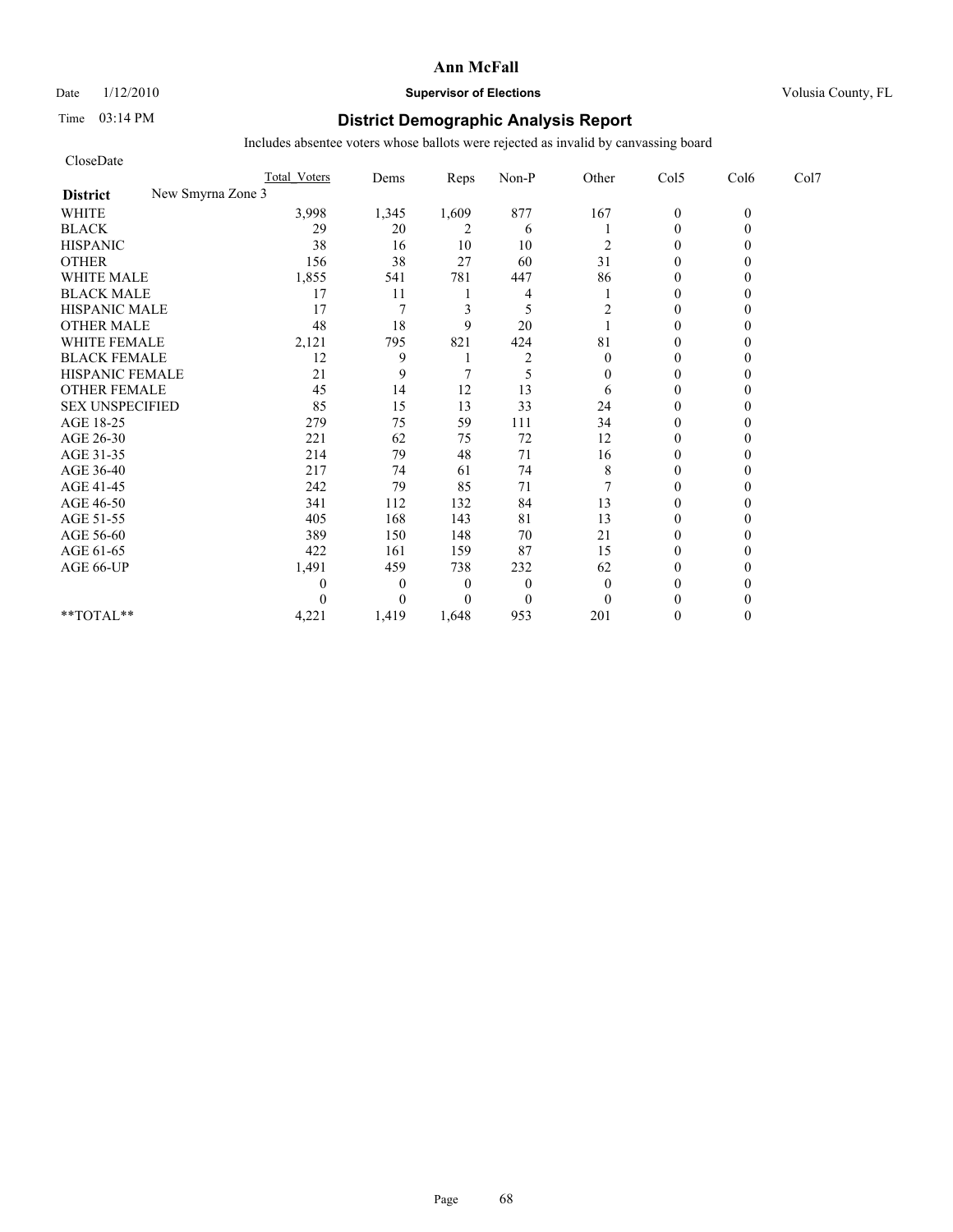# Date  $1/12/2010$  **Supervisor of Elections** Volusia County, FL

# Time 03:14 PM **District Demographic Analysis Report**

| CloseDate                            |                     |                |          |                |              |                |          |      |
|--------------------------------------|---------------------|----------------|----------|----------------|--------------|----------------|----------|------|
|                                      | <b>Total Voters</b> | Dems           | Reps     | Non-P          | Other        | Col5           | Col6     | Col7 |
| New Smyrna Zone 3<br><b>District</b> |                     |                |          |                |              |                |          |      |
| <b>WHITE</b>                         | 3,998               | 1,345          | 1,609    | 877            | 167          | $\mathbf{0}$   | $\theta$ |      |
| <b>BLACK</b>                         | 29                  | 20             | 2        | 6              |              | $\overline{0}$ |          |      |
| <b>HISPANIC</b>                      | 38                  | 16             | 10       | 10             | 2            | $\mathbf{0}$   |          |      |
| <b>OTHER</b>                         | 156                 | 38             | 27       | 60             | 31           | $\theta$       |          |      |
| <b>WHITE MALE</b>                    | 1,855               | 541            | 781      | 447            | 86           | $\theta$       |          |      |
| <b>BLACK MALE</b>                    | 17                  | 11             |          | 4              |              | $\theta$       |          |      |
| <b>HISPANIC MALE</b>                 | 17                  | $\overline{7}$ | 3        | 5              | 2            | $\theta$       |          |      |
| <b>OTHER MALE</b>                    | 48                  | 18             | 9        | 20             |              | $\theta$       |          |      |
| WHITE FEMALE                         | 2,121               | 795            | 821      | 424            | 81           | $\theta$       |          |      |
| <b>BLACK FEMALE</b>                  | 12                  | 9              |          | $\overline{2}$ | $\theta$     | $\theta$       |          |      |
| HISPANIC FEMALE                      | 21                  | 9              |          | 5              | $\Omega$     | $\theta$       |          |      |
| <b>OTHER FEMALE</b>                  | 45                  | 14             | 12       | 13             | 6            | $\mathbf{0}$   |          |      |
| <b>SEX UNSPECIFIED</b>               | 85                  | 15             | 13       | 33             | 24           | $\theta$       |          |      |
| AGE 18-25                            | 279                 | 75             | 59       | 111            | 34           | $\mathbf{0}$   |          |      |
| AGE 26-30                            | 221                 | 62             | 75       | 72             | 12           | $\theta$       |          |      |
| AGE 31-35                            | 214                 | 79             | 48       | 71             | 16           | $\theta$       |          |      |
| AGE 36-40                            | 217                 | 74             | 61       | 74             | 8            | $\theta$       |          |      |
| AGE 41-45                            | 242                 | 79             | 85       | 71             |              | $\theta$       |          |      |
| AGE 46-50                            | 341                 | 112            | 132      | 84             | 13           | $\mathbf{0}$   |          |      |
| AGE 51-55                            | 405                 | 168            | 143      | 81             | 13           | $\mathbf{0}$   |          |      |
| AGE 56-60                            | 389                 | 150            | 148      | 70             | 21           | $\theta$       |          |      |
| AGE 61-65                            | 422                 | 161            | 159      | 87             | 15           | $\theta$       |          |      |
| AGE 66-UP                            | 1,491               | 459            | 738      | 232            | 62           | $\theta$       |          |      |
|                                      | 0                   | $\theta$       | $\theta$ | $\overline{0}$ | $\mathbf{0}$ | $\theta$       |          |      |
|                                      |                     | $\theta$       | $\theta$ | $\mathbf{0}$   | $\Omega$     | $\theta$       |          |      |
| $**TOTAL**$                          | 4,221               | 1,419          | 1,648    | 953            | 201          | $\theta$       |          |      |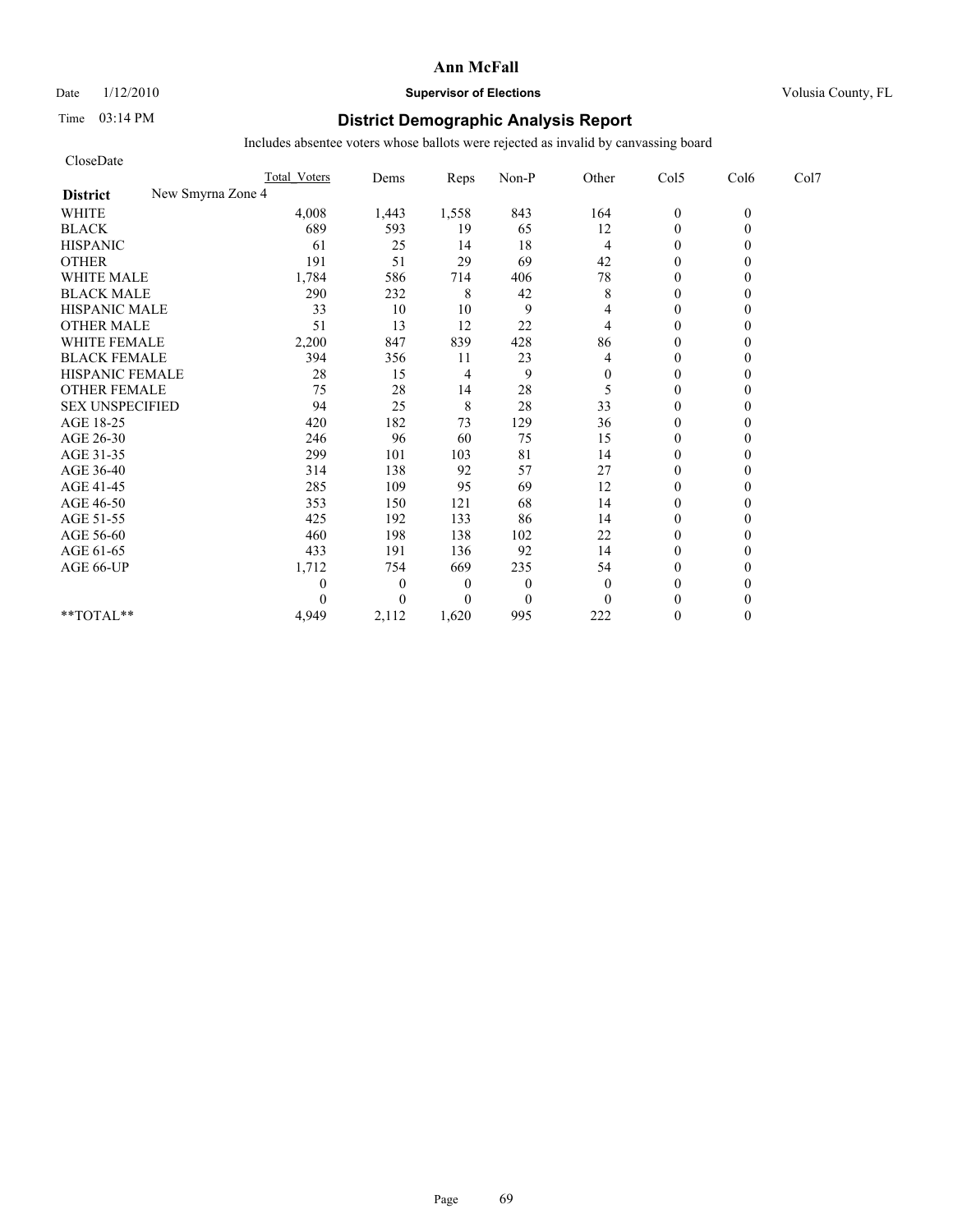Date  $1/12/2010$  **Supervisor of Elections** Volusia County, FL

# Time 03:14 PM **District Demographic Analysis Report**

| CloseDate                            |                     |              |                |                  |                |                  |          |      |
|--------------------------------------|---------------------|--------------|----------------|------------------|----------------|------------------|----------|------|
|                                      | <b>Total Voters</b> | Dems         | Reps           | Non-P            | Other          | Col5             | Col6     | Col7 |
| New Smyrna Zone 4<br><b>District</b> |                     |              |                |                  |                |                  |          |      |
| <b>WHITE</b>                         | 4,008               | 1,443        | 1,558          | 843              | 164            | $\boldsymbol{0}$ | $\theta$ |      |
| <b>BLACK</b>                         | 689                 | 593          | 19             | 65               | 12             | $\mathbf{0}$     | 0        |      |
| <b>HISPANIC</b>                      | 61                  | 25           | 14             | 18               | 4              | $\theta$         |          |      |
| <b>OTHER</b>                         | 191                 | 51           | 29             | 69               | 42             | $\theta$         |          |      |
| <b>WHITE MALE</b>                    | 1,784               | 586          | 714            | 406              | 78             | $\theta$         |          |      |
| <b>BLACK MALE</b>                    | 290                 | 232          | 8              | 42               | $\,$ 8 $\,$    | $\mathbf{0}$     |          |      |
| <b>HISPANIC MALE</b>                 | 33                  | 10           | 10             | 9                | 4              | $\theta$         |          |      |
| <b>OTHER MALE</b>                    | 51                  | 13           | 12             | 22               | 4              | $\theta$         |          |      |
| <b>WHITE FEMALE</b>                  | 2,200               | 847          | 839            | 428              | 86             | $\theta$         |          |      |
| <b>BLACK FEMALE</b>                  | 394                 | 356          | 11             | 23               | 4              | $\theta$         |          |      |
| HISPANIC FEMALE                      | 28                  | 15           | 4              | 9                | $\overline{0}$ | $\theta$         |          |      |
| <b>OTHER FEMALE</b>                  | 75                  | 28           | 14             | 28               | 5              | $\theta$         |          |      |
| <b>SEX UNSPECIFIED</b>               | 94                  | 25           | $\,$ 8 $\,$    | 28               | 33             | $\theta$         |          |      |
| AGE 18-25                            | 420                 | 182          | 73             | 129              | 36             | $\mathbf{0}$     |          |      |
| AGE 26-30                            | 246                 | 96           | 60             | 75               | 15             | $\overline{0}$   |          |      |
| AGE 31-35                            | 299                 | 101          | 103            | 81               | 14             | $\mathbf{0}$     |          |      |
| AGE 36-40                            | 314                 | 138          | 92             | 57               | 27             | $\mathbf{0}$     |          |      |
| AGE 41-45                            | 285                 | 109          | 95             | 69               | 12             | $\mathbf{0}$     |          |      |
| AGE 46-50                            | 353                 | 150          | 121            | 68               | 14             | $\theta$         |          |      |
| AGE 51-55                            | 425                 | 192          | 133            | 86               | 14             | $\mathbf{0}$     |          |      |
| AGE 56-60                            | 460                 | 198          | 138            | 102              | 22             | $\theta$         |          |      |
| AGE 61-65                            | 433                 | 191          | 136            | 92               | 14             | $\theta$         |          |      |
| AGE 66-UP                            | 1,712               | 754          | 669            | 235              | 54             | $\theta$         |          |      |
|                                      | 0                   | $\mathbf{0}$ | $\overline{0}$ | $\mathbf{0}$     | $\mathbf{0}$   | $\mathbf{0}$     |          |      |
|                                      | 0                   | $\Omega$     | $\Omega$       | $\boldsymbol{0}$ | $\Omega$       | $\theta$         |          |      |
| **TOTAL**                            | 4,949               | 2,112        | 1,620          | 995              | 222            | $\theta$         | 0        |      |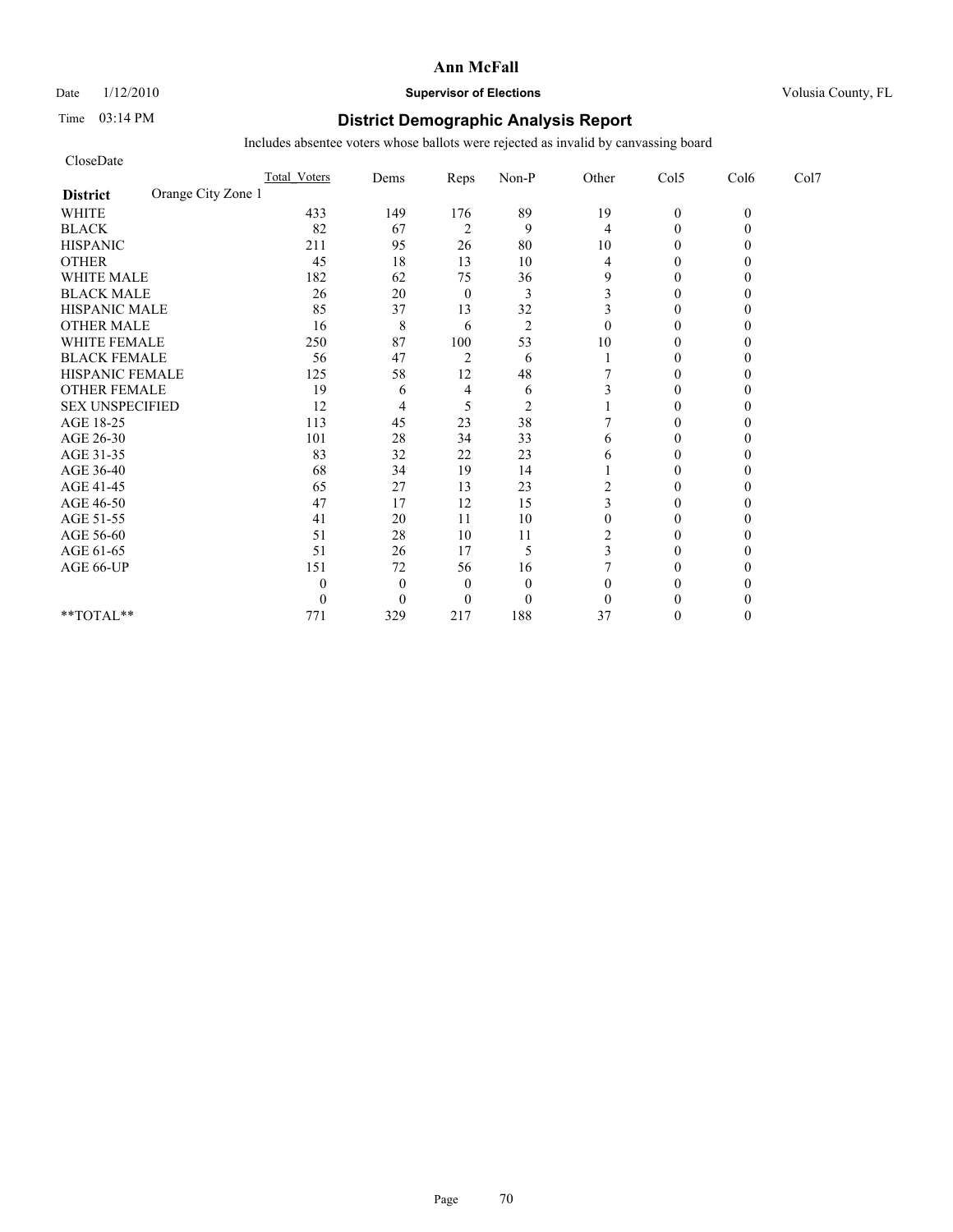# Date  $1/12/2010$  **Supervisor of Elections** Volusia County, FL

# Time 03:14 PM **District Demographic Analysis Report**

| CloseDate                             |                     |              |                |                |                  |                |          |      |
|---------------------------------------|---------------------|--------------|----------------|----------------|------------------|----------------|----------|------|
|                                       | <b>Total Voters</b> | Dems         | Reps           | Non-P          | Other            | Col5           | Col6     | Col7 |
| Orange City Zone 1<br><b>District</b> |                     |              |                |                |                  |                |          |      |
| <b>WHITE</b>                          | 433                 | 149          | 176            | 89             | 19               | $\mathbf{0}$   | $\theta$ |      |
| <b>BLACK</b>                          | 82                  | 67           | $\overline{c}$ | 9              | 4                | $\theta$       |          |      |
| <b>HISPANIC</b>                       | 211                 | 95           | 26             | 80             | 10               | $\overline{0}$ |          |      |
| <b>OTHER</b>                          | 45                  | 18           | 13             | 10             | 4                | $\theta$       |          |      |
| <b>WHITE MALE</b>                     | 182                 | 62           | 75             | 36             | 9                | $\theta$       |          |      |
| <b>BLACK MALE</b>                     | 26                  | 20           | $\mathbf{0}$   | 3              | 3                | $\theta$       |          |      |
| <b>HISPANIC MALE</b>                  | 85                  | 37           | 13             | 32             | 3                | $\theta$       |          |      |
| <b>OTHER MALE</b>                     | 16                  | 8            | 6              | $\overline{2}$ | $\theta$         | $\theta$       |          |      |
| <b>WHITE FEMALE</b>                   | 250                 | 87           | 100            | 53             | 10               | $\theta$       |          |      |
| <b>BLACK FEMALE</b>                   | 56                  | 47           | $\overline{2}$ | 6              |                  | $\overline{0}$ |          |      |
| HISPANIC FEMALE                       | 125                 | 58           | 12             | 48             |                  | $\theta$       |          |      |
| <b>OTHER FEMALE</b>                   | 19                  | 6            | 4              | 6              |                  | $\theta$       |          |      |
| <b>SEX UNSPECIFIED</b>                | 12                  | 4            | 5              | $\overline{2}$ |                  | $\theta$       |          |      |
| AGE 18-25                             | 113                 | 45           | 23             | 38             |                  | $\theta$       |          |      |
| AGE 26-30                             | 101                 | 28           | 34             | 33             | 6                | $\overline{0}$ |          |      |
| AGE 31-35                             | 83                  | 32           | 22             | 23             | 6                | $\theta$       |          |      |
| AGE 36-40                             | 68                  | 34           | 19             | 14             |                  | $\overline{0}$ |          |      |
| AGE 41-45                             | 65                  | 27           | 13             | 23             | 2                | $\mathbf{0}$   |          |      |
| AGE 46-50                             | 47                  | 17           | 12             | 15             | 3                | $\theta$       |          |      |
| AGE 51-55                             | 41                  | 20           | 11             | 10             | $\boldsymbol{0}$ | $\Omega$       |          |      |
| AGE 56-60                             | 51                  | 28           | 10             | 11             | 2                | $\overline{0}$ |          |      |
| AGE 61-65                             | 51                  | 26           | 17             | 5              | 3                | $\theta$       |          |      |
| AGE 66-UP                             | 151                 | 72           | 56             | 16             |                  | $\theta$       |          |      |
|                                       | 0                   | $\mathbf{0}$ | $\theta$       | $\mathbf{0}$   | $\theta$         | 0              |          |      |
|                                       | 0                   | $\Omega$     | $\Omega$       | $\mathbf{0}$   | $\theta$         | $\Omega$       |          |      |
| **TOTAL**                             | 771                 | 329          | 217            | 188            | 37               | $\theta$       |          |      |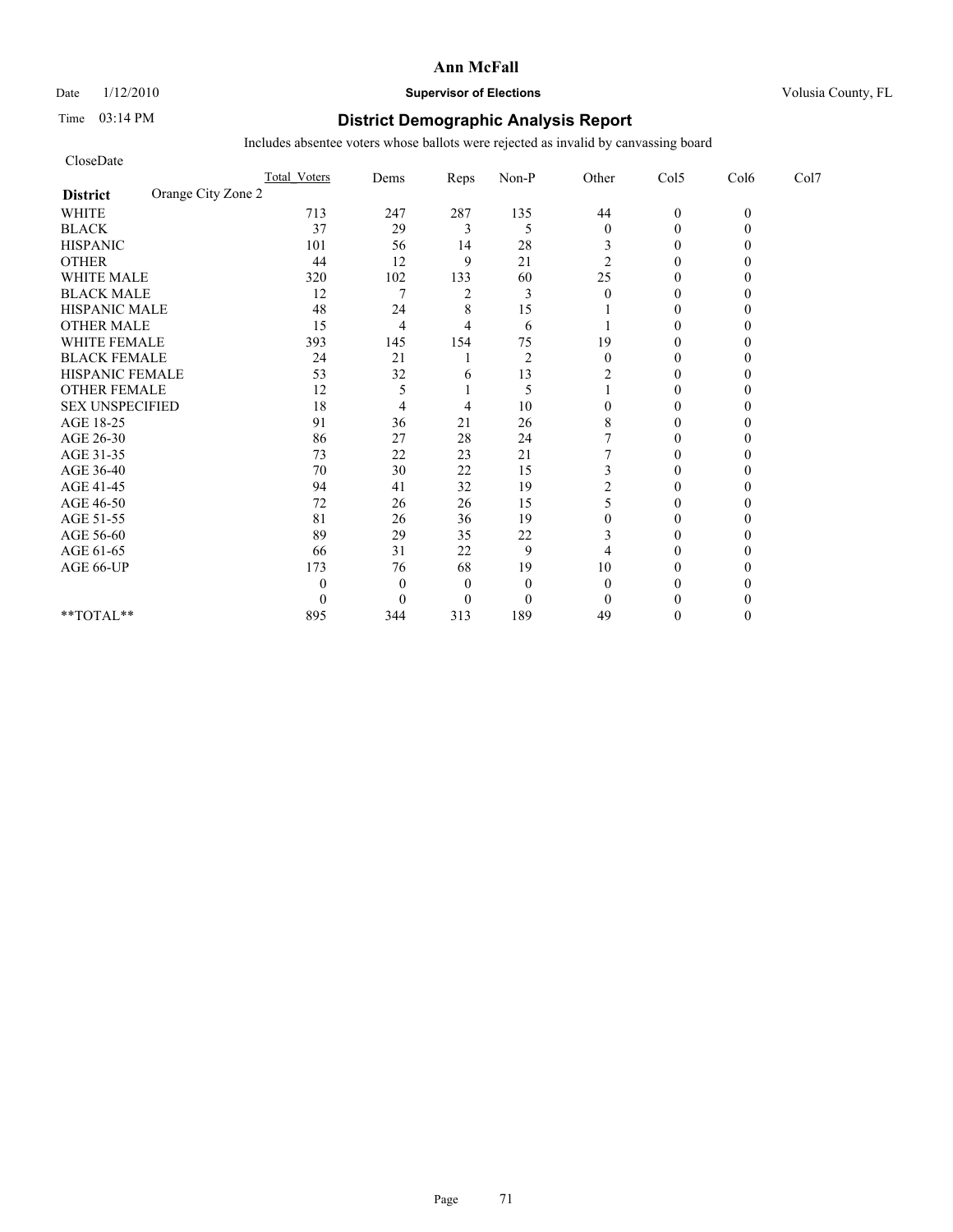Date  $1/12/2010$  **Supervisor of Elections** Volusia County, FL

# Time 03:14 PM **District Demographic Analysis Report**

| CloseDate                             |                     |                |                |                |                  |                |          |      |
|---------------------------------------|---------------------|----------------|----------------|----------------|------------------|----------------|----------|------|
|                                       | <b>Total Voters</b> | Dems           | Reps           | Non-P          | Other            | Col5           | Col6     | Col7 |
| Orange City Zone 2<br><b>District</b> |                     |                |                |                |                  |                |          |      |
| <b>WHITE</b>                          | 713                 | 247            | 287            | 135            | 44               | $\mathbf{0}$   | $\theta$ |      |
| <b>BLACK</b>                          | 37                  | 29             | 3              | 5              | $\boldsymbol{0}$ | $\theta$       |          |      |
| <b>HISPANIC</b>                       | 101                 | 56             | 14             | 28             | 3                | $\overline{0}$ |          |      |
| <b>OTHER</b>                          | 44                  | 12             | 9              | 21             | $\overline{c}$   | $\theta$       |          |      |
| <b>WHITE MALE</b>                     | 320                 | 102            | 133            | 60             | 25               | $\theta$       |          |      |
| <b>BLACK MALE</b>                     | 12                  | 7              | $\overline{2}$ | 3              | $\theta$         | $\theta$       |          |      |
| <b>HISPANIC MALE</b>                  | 48                  | 24             | 8              | 15             |                  | $\theta$       |          |      |
| <b>OTHER MALE</b>                     | 15                  | $\overline{4}$ | 4              | 6              |                  | $\overline{0}$ |          |      |
| <b>WHITE FEMALE</b>                   | 393                 | 145            | 154            | 75             | 19               | $\theta$       |          |      |
| <b>BLACK FEMALE</b>                   | 24                  | 21             |                | $\overline{2}$ | $\mathbf{0}$     | $\overline{0}$ |          |      |
| HISPANIC FEMALE                       | 53                  | 32             | 6              | 13             | 2                | $\theta$       |          |      |
| <b>OTHER FEMALE</b>                   | 12                  | 5              |                | 5              |                  | $\Omega$       |          |      |
| <b>SEX UNSPECIFIED</b>                | 18                  | 4              | 4              | 10             | 0                | $\theta$       |          |      |
| AGE 18-25                             | 91                  | 36             | 21             | 26             | 8                | $\theta$       |          |      |
| AGE 26-30                             | 86                  | 27             | 28             | 24             |                  | $\Omega$       |          |      |
| AGE 31-35                             | 73                  | 22             | 23             | 21             |                  | $\theta$       |          |      |
| AGE 36-40                             | 70                  | 30             | 22             | 15             | 3                | $\Omega$       |          |      |
| AGE 41-45                             | 94                  | 41             | 32             | 19             |                  | $\mathbf{0}$   |          |      |
| AGE 46-50                             | 72                  | 26             | 26             | 15             | 5                | $\theta$       |          |      |
| AGE 51-55                             | 81                  | 26             | 36             | 19             | 0                | $\Omega$       |          |      |
| AGE 56-60                             | 89                  | 29             | 35             | $22\,$         | 3                | $\overline{0}$ |          |      |
| AGE 61-65                             | 66                  | 31             | 22             | 9              | 4                | 0              |          |      |
| AGE 66-UP                             | 173                 | 76             | 68             | 19             | 10               | $\Omega$       |          |      |
|                                       | 0                   | $\mathbf{0}$   | $\theta$       | $\mathbf{0}$   | $\theta$         | 0              |          |      |
|                                       | 0                   | $\Omega$       | $\Omega$       | $\mathbf{0}$   | $\Omega$         | $\Omega$       |          |      |
| **TOTAL**                             | 895                 | 344            | 313            | 189            | 49               | $\Omega$       |          |      |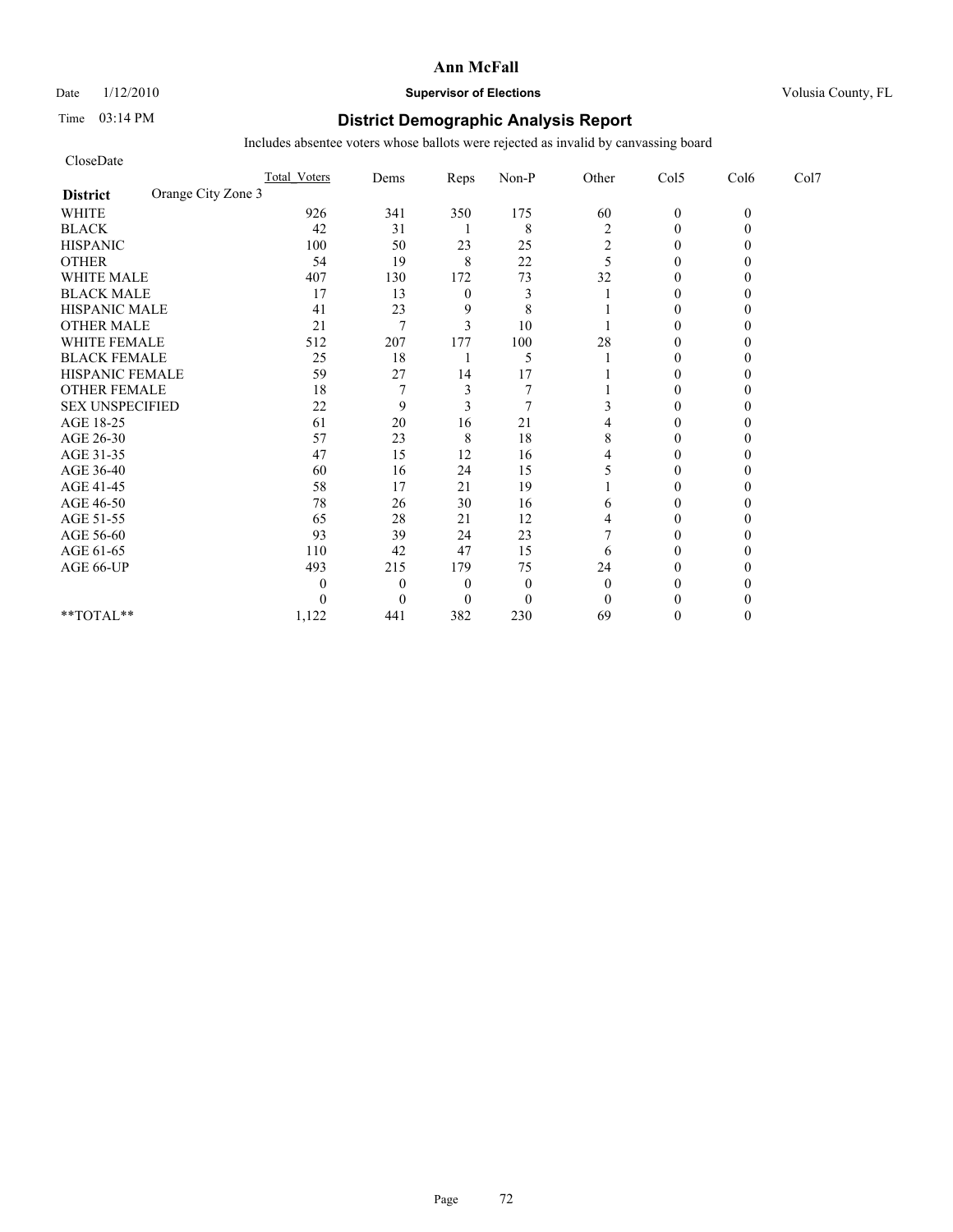Date  $1/12/2010$  **Supervisor of Elections** Volusia County, FL

# Time 03:14 PM **District Demographic Analysis Report**

| CloseDate                             |                     |                |                |              |                |                |          |      |
|---------------------------------------|---------------------|----------------|----------------|--------------|----------------|----------------|----------|------|
|                                       | <b>Total Voters</b> | Dems           | Reps           | Non-P        | Other          | Col5           | Col6     | Col7 |
| Orange City Zone 3<br><b>District</b> |                     |                |                |              |                |                |          |      |
| <b>WHITE</b>                          | 926                 | 341            | 350            | 175          | 60             | $\mathbf{0}$   | $\theta$ |      |
| <b>BLACK</b>                          | 42                  | 31             |                | 8            | $\overline{c}$ | $\theta$       |          |      |
| <b>HISPANIC</b>                       | 100                 | 50             | 23             | 25           | 2              | $\overline{0}$ |          |      |
| <b>OTHER</b>                          | 54                  | 19             | 8              | 22           | 5              | $\theta$       |          |      |
| <b>WHITE MALE</b>                     | 407                 | 130            | 172            | 73           | 32             | $\theta$       |          |      |
| <b>BLACK MALE</b>                     | 17                  | 13             | $\mathbf{0}$   | 3            |                | $\theta$       |          |      |
| <b>HISPANIC MALE</b>                  | 41                  | 23             | 9              | 8            |                | $\theta$       |          |      |
| <b>OTHER MALE</b>                     | 21                  | 7              | 3              | 10           |                | $\overline{0}$ |          |      |
| <b>WHITE FEMALE</b>                   | 512                 | 207            | 177            | 100          | 28             | $\theta$       |          |      |
| <b>BLACK FEMALE</b>                   | 25                  | 18             |                | 5            |                | $\overline{0}$ |          |      |
| HISPANIC FEMALE                       | 59                  | 27             | 14             | 17           |                | $\theta$       |          |      |
| <b>OTHER FEMALE</b>                   | 18                  | $\overline{7}$ | 3              |              |                | $\theta$       |          |      |
| <b>SEX UNSPECIFIED</b>                | 22                  | 9              | 3              |              |                | $\theta$       |          |      |
| AGE 18-25                             | 61                  | 20             | 16             | 21           |                | $\theta$       |          |      |
| AGE 26-30                             | 57                  | 23             | 8              | 18           | 8              | 0              |          |      |
| AGE 31-35                             | 47                  | 15             | 12             | 16           |                | $\theta$       |          |      |
| AGE 36-40                             | 60                  | 16             | 24             | 15           |                | $\Omega$       |          |      |
| AGE 41-45                             | 58                  | 17             | 21             | 19           |                | $\mathbf{0}$   |          |      |
| AGE 46-50                             | 78                  | 26             | 30             | 16           | 6              | $\theta$       |          |      |
| AGE 51-55                             | 65                  | 28             | 21             | 12           | 4              | $\Omega$       |          |      |
| AGE 56-60                             | 93                  | 39             | 24             | 23           |                | $\overline{0}$ |          |      |
| AGE 61-65                             | 110                 | 42             | 47             | 15           | 6              | 0              |          |      |
| AGE 66-UP                             | 493                 | 215            | 179            | 75           | 24             | $\Omega$       |          |      |
|                                       | 0                   | $\theta$       | $\theta$       | $\mathbf{0}$ | $\theta$       | 0              |          |      |
|                                       | 0                   | $\theta$       | $\overline{0}$ | $\mathbf{0}$ | $\theta$       | $\Omega$       |          |      |
| **TOTAL**                             | 1,122               | 441            | 382            | 230          | 69             | $\Omega$       |          |      |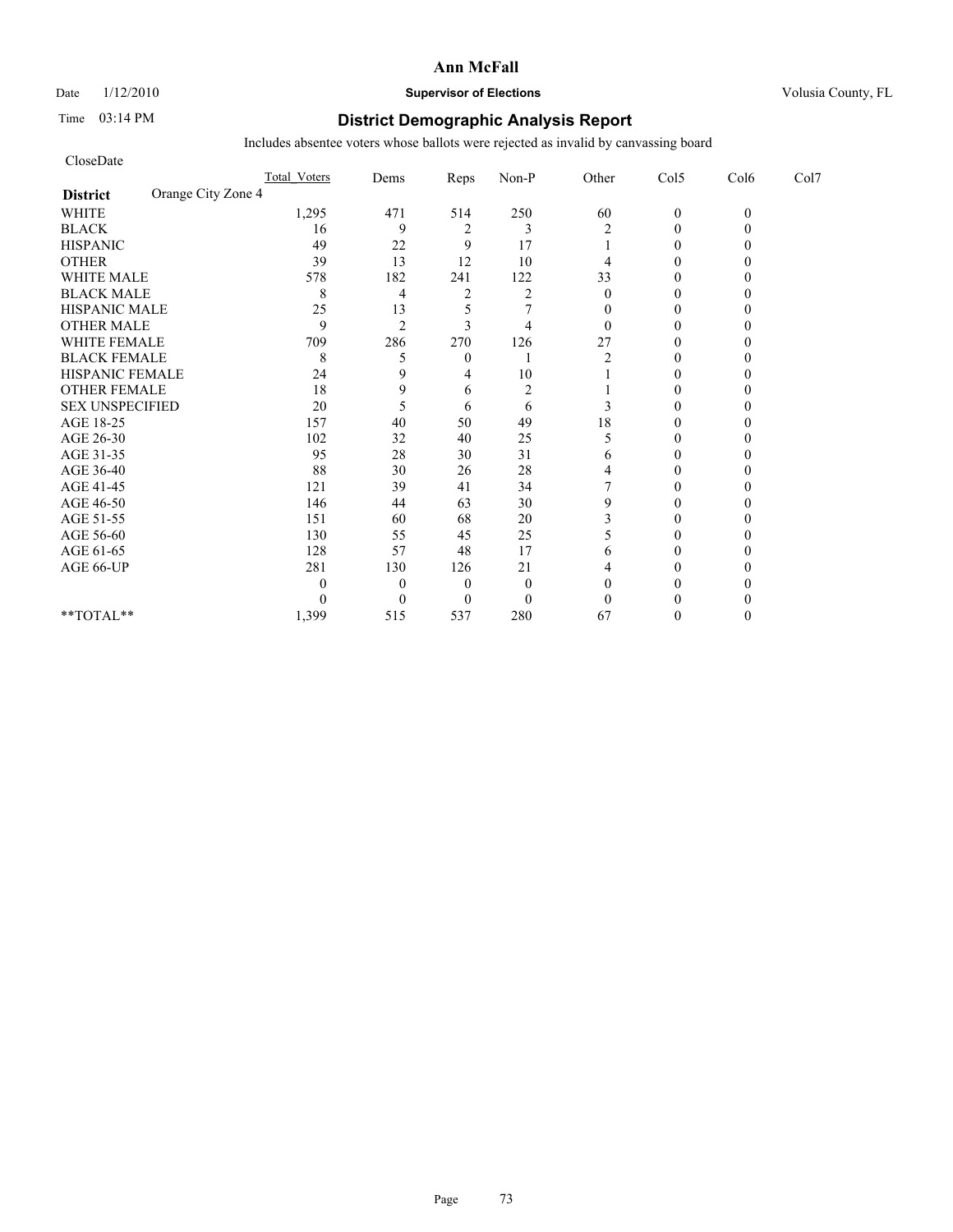# Date  $1/12/2010$  **Supervisor of Elections** Volusia County, FL

# Time 03:14 PM **District Demographic Analysis Report**

| CloseDate              |                     |                |                |                |              |                |          |      |
|------------------------|---------------------|----------------|----------------|----------------|--------------|----------------|----------|------|
|                        | <b>Total Voters</b> | Dems           | Reps           | Non-P          | Other        | Col5           | Col6     | Col7 |
| <b>District</b>        | Orange City Zone 4  |                |                |                |              |                |          |      |
| <b>WHITE</b>           | 1,295               | 471            | 514            | 250            | 60           | $\mathbf{0}$   | $\theta$ |      |
| <b>BLACK</b>           | 16                  | 9              | $\overline{c}$ | 3              | 2            | $\theta$       |          |      |
| <b>HISPANIC</b>        | 49                  | 22             | 9              | 17             |              | $\overline{0}$ |          |      |
| <b>OTHER</b>           | 39                  | 13             | 12             | 10             | 4            | $\theta$       |          |      |
| <b>WHITE MALE</b>      | 578                 | 182            | 241            | 122            | 33           | $\theta$       |          |      |
| <b>BLACK MALE</b>      | 8                   | $\overline{4}$ | $\overline{c}$ | $\overline{2}$ | $\theta$     | $\theta$       |          |      |
| <b>HISPANIC MALE</b>   | 25                  | 13             | 5              |                | $\mathbf{0}$ | $\theta$       |          |      |
| <b>OTHER MALE</b>      | 9                   | $\overline{2}$ | 3              | $\overline{4}$ | $\theta$     | $\theta$       |          |      |
| <b>WHITE FEMALE</b>    | 709                 | 286            | 270            | 126            | 27           | $\theta$       |          |      |
| <b>BLACK FEMALE</b>    | 8                   | 5              | $\overline{0}$ |                | 2            | $\overline{0}$ |          |      |
| HISPANIC FEMALE        | 24                  | 9              | 4              | 10             |              | $\theta$       |          |      |
| <b>OTHER FEMALE</b>    | 18                  | 9              | 6              | $\overline{2}$ |              | $\theta$       |          |      |
| <b>SEX UNSPECIFIED</b> | 20                  | 5              | 6              | 6              | 3            | $\theta$       |          |      |
| AGE 18-25              | 157                 | 40             | 50             | 49             | 18           | $\theta$       |          |      |
| AGE 26-30              | 102                 | 32             | 40             | 25             | 5            | $\Omega$       |          |      |
| AGE 31-35              | 95                  | 28             | 30             | 31             | 6            | $\theta$       |          |      |
| AGE 36-40              | 88                  | 30             | 26             | 28             | 4            | $\Omega$       |          |      |
| AGE 41-45              | 121                 | 39             | 41             | 34             |              | $\mathbf{0}$   |          |      |
| AGE 46-50              | 146                 | 44             | 63             | $30\,$         | 9            | $\theta$       |          |      |
| AGE 51-55              | 151                 | 60             | 68             | 20             | 3            | $\Omega$       |          |      |
| AGE 56-60              | 130                 | 55             | 45             | 25             | 5            | $\overline{0}$ |          |      |
| AGE 61-65              | 128                 | 57             | 48             | 17             | 6            | 0              |          |      |
| AGE 66-UP              | 281                 | 130            | 126            | 21             | 4            | $\Omega$       |          |      |
|                        | 0                   | $\overline{0}$ | $\overline{0}$ | $\mathbf{0}$   | $\theta$     | 0              |          |      |
|                        | 0                   | $\theta$       | $\overline{0}$ | $\mathbf{0}$   | $\theta$     | $\Omega$       |          |      |
| **TOTAL**              | 1,399               | 515            | 537            | 280            | 67           | $\Omega$       |          |      |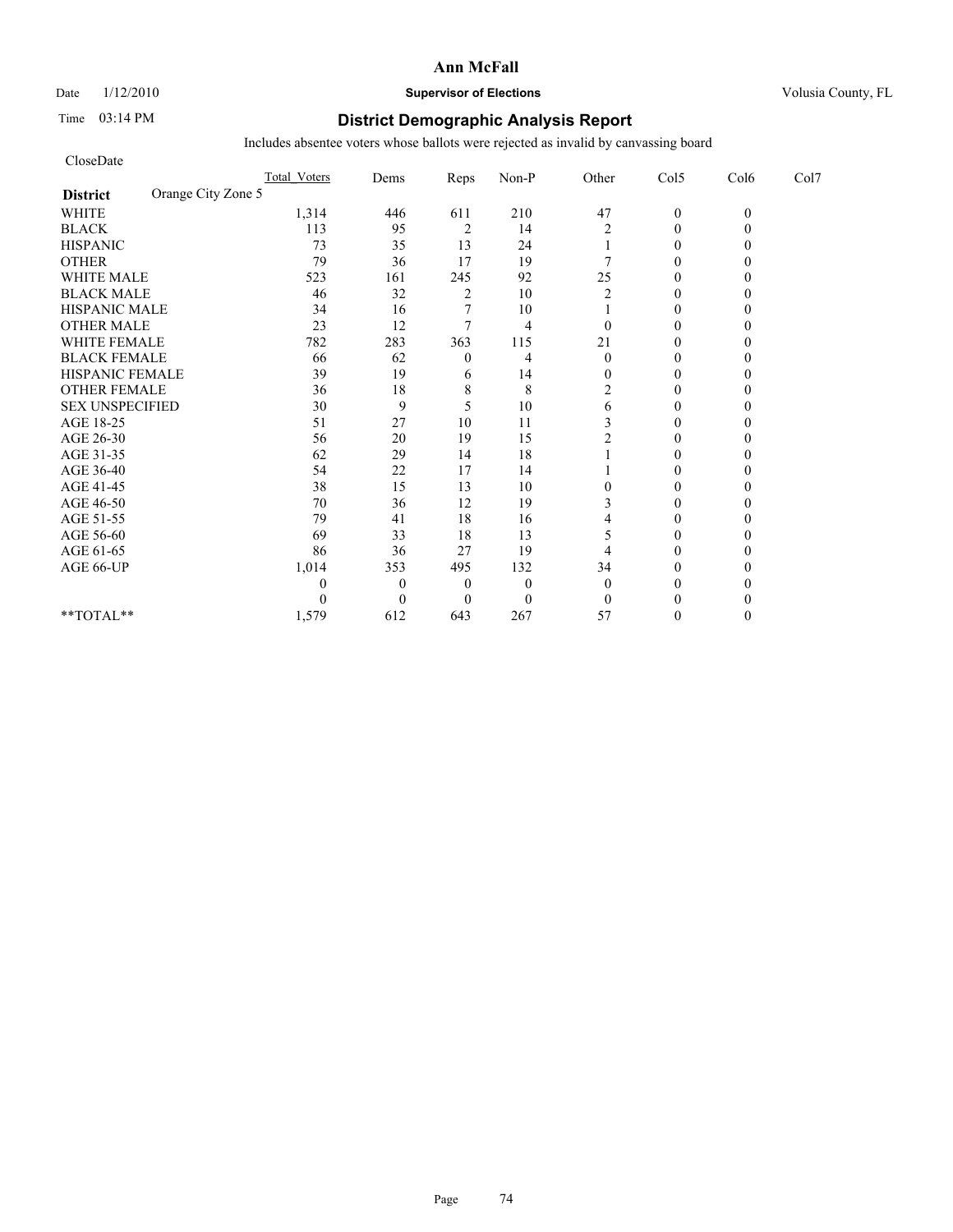## Date  $1/12/2010$  **Supervisor of Elections** Volusia County, FL

# Time 03:14 PM **District Demographic Analysis Report**

| CloseDate                             |              |                |                |                |                  |                |          |      |
|---------------------------------------|--------------|----------------|----------------|----------------|------------------|----------------|----------|------|
|                                       | Total Voters | Dems           | Reps           | Non-P          | Other            | Col5           | Col6     | Col7 |
| Orange City Zone 5<br><b>District</b> |              |                |                |                |                  |                |          |      |
| <b>WHITE</b>                          | 1,314        | 446            | 611            | 210            | 47               | $\mathbf{0}$   | $\theta$ |      |
| <b>BLACK</b>                          | 113          | 95             | $\sqrt{2}$     | 14             | 2                | $\theta$       |          |      |
| <b>HISPANIC</b>                       | 73           | 35             | 13             | 24             |                  | $\overline{0}$ |          |      |
| <b>OTHER</b>                          | 79           | 36             | 17             | 19             |                  | $\theta$       |          |      |
| <b>WHITE MALE</b>                     | 523          | 161            | 245            | 92             | 25               | $\theta$       |          |      |
| <b>BLACK MALE</b>                     | 46           | 32             | $\overline{c}$ | 10             | $\overline{c}$   | $\theta$       |          |      |
| <b>HISPANIC MALE</b>                  | 34           | 16             |                | 10             |                  | $\theta$       |          |      |
| <b>OTHER MALE</b>                     | 23           | 12             | 7              | $\overline{4}$ | $\theta$         | $\theta$       |          |      |
| <b>WHITE FEMALE</b>                   | 782          | 283            | 363            | 115            | 21               | $\theta$       |          |      |
| <b>BLACK FEMALE</b>                   | 66           | 62             | $\theta$       | 4              | $\theta$         | $\overline{0}$ |          |      |
| HISPANIC FEMALE                       | 39           | 19             | 6              | 14             | $\theta$         | $\theta$       |          |      |
| <b>OTHER FEMALE</b>                   | 36           | 18             | 8              | 8              | $\overline{2}$   | $\theta$       |          |      |
| <b>SEX UNSPECIFIED</b>                | 30           | 9              | 5              | 10             | 6                | $\theta$       |          |      |
| AGE 18-25                             | 51           | 27             | 10             | 11             | 3                | $\theta$       |          |      |
| AGE 26-30                             | 56           | 20             | 19             | 15             | 2                | $\Omega$       |          |      |
| AGE 31-35                             | 62           | 29             | 14             | 18             |                  | $\theta$       |          |      |
| AGE 36-40                             | 54           | 22             | 17             | 14             |                  | $\overline{0}$ |          |      |
| AGE 41-45                             | 38           | 15             | 13             | 10             | $\boldsymbol{0}$ | $\mathbf{0}$   |          |      |
| AGE 46-50                             | $70\,$       | 36             | 12             | 19             | 3                | $\theta$       |          |      |
| AGE 51-55                             | 79           | 41             | 18             | 16             | 4                | $\theta$       |          |      |
| AGE 56-60                             | 69           | 33             | 18             | 13             | 5                | $\overline{0}$ |          |      |
| AGE 61-65                             | 86           | 36             | 27             | 19             | 4                | $\theta$       |          |      |
| AGE 66-UP                             | 1,014        | 353            | 495            | 132            | 34               | $\theta$       |          |      |
|                                       | 0            | $\overline{0}$ | $\overline{0}$ | $\mathbf{0}$   | $\theta$         | $\theta$       |          |      |
|                                       | 0            | $\theta$       | $\Omega$       | $\mathbf{0}$   | $\mathbf{0}$     | $\theta$       |          |      |
| **TOTAL**                             | 1,579        | 612            | 643            | 267            | 57               | $\theta$       |          |      |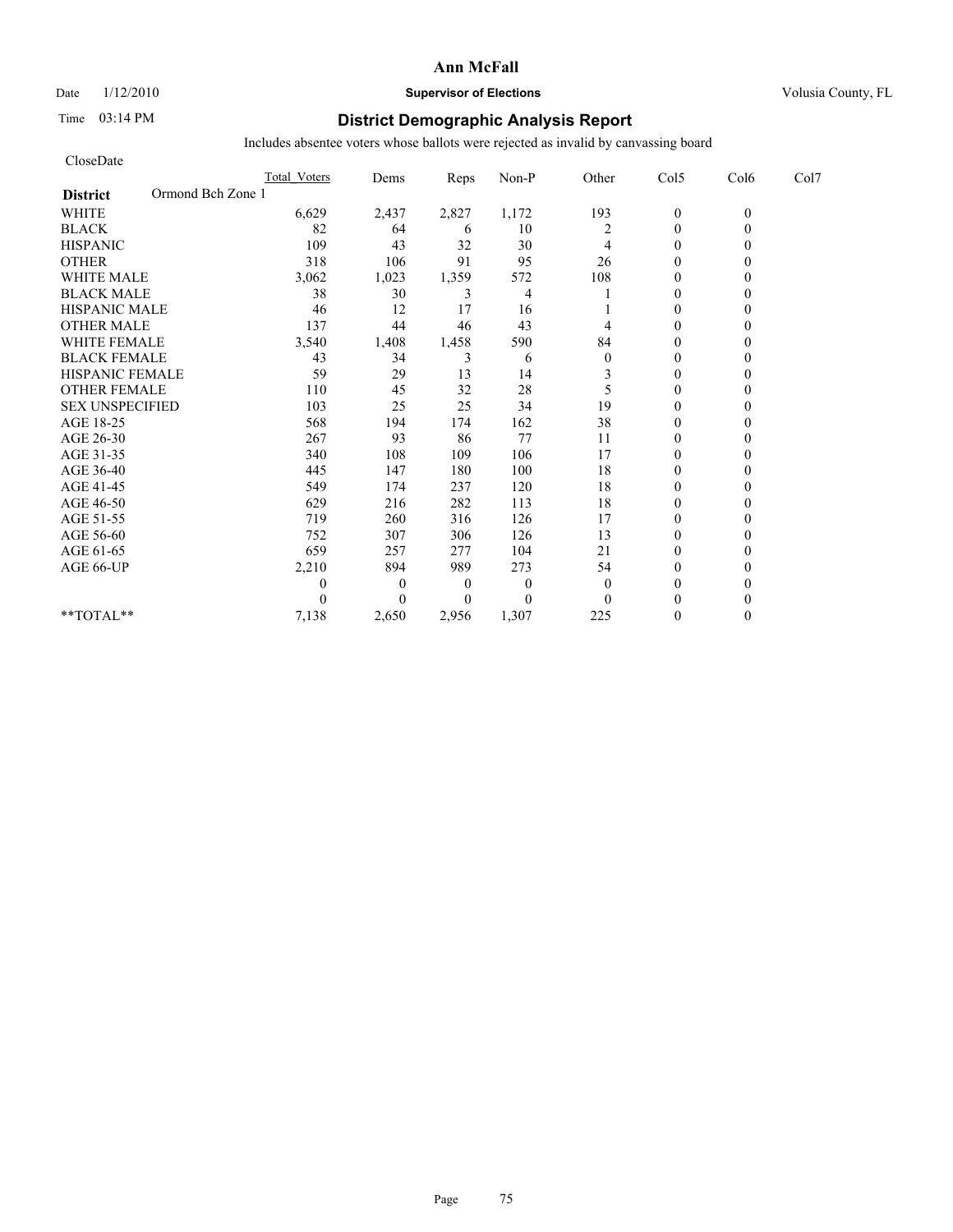Date  $1/12/2010$  **Supervisor of Elections** Volusia County, FL

# Time 03:14 PM **District Demographic Analysis Report**

| CloseDate                            |                     |              |                |          |                |                |          |      |
|--------------------------------------|---------------------|--------------|----------------|----------|----------------|----------------|----------|------|
|                                      | <b>Total Voters</b> | Dems         | Reps           | Non-P    | Other          | Col5           | Col6     | Col7 |
| Ormond Bch Zone 1<br><b>District</b> |                     |              |                |          |                |                |          |      |
| <b>WHITE</b>                         | 6,629               | 2,437        | 2,827          | 1,172    | 193            | $\mathbf{0}$   | $\theta$ |      |
| <b>BLACK</b>                         | 82                  | 64           | 6              | 10       | $\overline{c}$ | $\mathbf{0}$   | 0        |      |
| <b>HISPANIC</b>                      | 109                 | 43           | 32             | 30       | 4              | $\theta$       |          |      |
| <b>OTHER</b>                         | 318                 | 106          | 91             | 95       | 26             | $\theta$       |          |      |
| <b>WHITE MALE</b>                    | 3,062               | 1,023        | 1,359          | 572      | 108            | $\theta$       |          |      |
| <b>BLACK MALE</b>                    | 38                  | 30           | 3              | 4        |                | $\theta$       |          |      |
| <b>HISPANIC MALE</b>                 | 46                  | 12           | 17             | 16       |                | $\theta$       |          |      |
| <b>OTHER MALE</b>                    | 137                 | 44           | 46             | 43       | 4              | $\theta$       |          |      |
| <b>WHITE FEMALE</b>                  | 3,540               | 1,408        | 1,458          | 590      | 84             | $\theta$       |          |      |
| <b>BLACK FEMALE</b>                  | 43                  | 34           | 3              | 6        | $\mathbf{0}$   | $\overline{0}$ |          |      |
| HISPANIC FEMALE                      | 59                  | 29           | 13             | 14       | 3              | $\theta$       |          |      |
| <b>OTHER FEMALE</b>                  | 110                 | 45           | 32             | 28       | 5              | $\theta$       |          |      |
| <b>SEX UNSPECIFIED</b>               | 103                 | 25           | 25             | 34       | 19             | $\theta$       |          |      |
| AGE 18-25                            | 568                 | 194          | 174            | 162      | 38             | $\theta$       |          |      |
| AGE 26-30                            | 267                 | 93           | 86             | 77       | 11             | $\overline{0}$ |          |      |
| AGE 31-35                            | 340                 | 108          | 109            | 106      | 17             | $\mathbf{0}$   |          |      |
| AGE 36-40                            | 445                 | 147          | 180            | 100      | 18             | $\overline{0}$ |          |      |
| AGE 41-45                            | 549                 | 174          | 237            | 120      | 18             | $\mathbf{0}$   |          |      |
| AGE 46-50                            | 629                 | 216          | 282            | 113      | 18             | $\theta$       |          |      |
| AGE 51-55                            | 719                 | 260          | 316            | 126      | 17             | $\theta$       |          |      |
| AGE 56-60                            | 752                 | 307          | 306            | 126      | 13             | $\overline{0}$ |          |      |
| AGE 61-65                            | 659                 | 257          | 277            | 104      | 21             | $\Omega$       |          |      |
| AGE 66-UP                            | 2,210               | 894          | 989            | 273      | 54             | $\Omega$       |          |      |
|                                      | 0                   | $\mathbf{0}$ | $\overline{0}$ | $\theta$ | $\theta$       | $\theta$       |          |      |
|                                      | 0                   | $\Omega$     | $\Omega$       | $\theta$ | $\Omega$       | $\Omega$       |          |      |
| **TOTAL**                            | 7,138               | 2,650        | 2,956          | 1,307    | 225            | $\theta$       |          |      |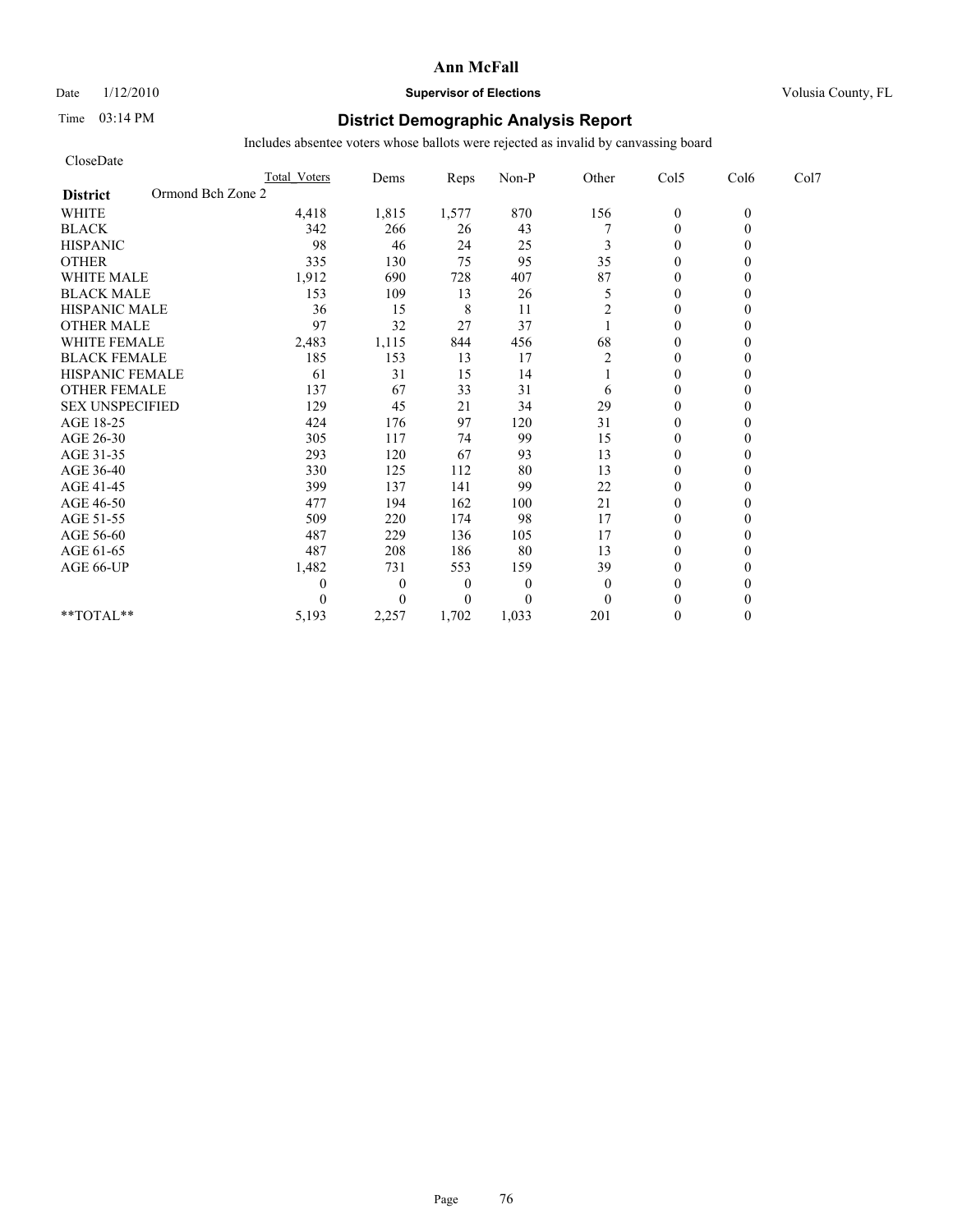Date  $1/12/2010$  **Supervisor of Elections** Volusia County, FL

# Time 03:14 PM **District Demographic Analysis Report**

| CloseDate                            |                     |              |                |              |                |                  |          |      |
|--------------------------------------|---------------------|--------------|----------------|--------------|----------------|------------------|----------|------|
|                                      | <b>Total Voters</b> | Dems         | Reps           | Non-P        | Other          | Col5             | Col6     | Col7 |
| Ormond Bch Zone 2<br><b>District</b> |                     |              |                |              |                |                  |          |      |
| <b>WHITE</b>                         | 4,418               | 1,815        | 1,577          | 870          | 156            | $\boldsymbol{0}$ | $\theta$ |      |
| <b>BLACK</b>                         | 342                 | 266          | 26             | 43           |                | $\theta$         | 0        |      |
| <b>HISPANIC</b>                      | 98                  | 46           | 24             | 25           | 3              | $\theta$         |          |      |
| <b>OTHER</b>                         | 335                 | 130          | 75             | 95           | 35             | $\theta$         |          |      |
| <b>WHITE MALE</b>                    | 1,912               | 690          | 728            | 407          | 87             | $\theta$         |          |      |
| <b>BLACK MALE</b>                    | 153                 | 109          | 13             | 26           | 5              | $\mathbf{0}$     |          |      |
| <b>HISPANIC MALE</b>                 | 36                  | 15           | 8              | 11           | 2              | $\theta$         |          |      |
| <b>OTHER MALE</b>                    | 97                  | 32           | 27             | 37           |                | $\theta$         |          |      |
| <b>WHITE FEMALE</b>                  | 2,483               | 1,115        | 844            | 456          | 68             | $\theta$         |          |      |
| <b>BLACK FEMALE</b>                  | 185                 | 153          | 13             | 17           | $\overline{2}$ | $\theta$         |          |      |
| HISPANIC FEMALE                      | 61                  | 31           | 15             | 14           |                | $\theta$         |          |      |
| <b>OTHER FEMALE</b>                  | 137                 | 67           | 33             | 31           | 6              | $\theta$         |          |      |
| <b>SEX UNSPECIFIED</b>               | 129                 | 45           | 21             | 34           | 29             | $\theta$         |          |      |
| AGE 18-25                            | 424                 | 176          | 97             | 120          | 31             | $\mathbf{0}$     |          |      |
| AGE 26-30                            | 305                 | 117          | 74             | 99           | 15             | $\overline{0}$   |          |      |
| AGE 31-35                            | 293                 | 120          | 67             | 93           | 13             | $\mathbf{0}$     |          |      |
| AGE 36-40                            | 330                 | 125          | 112            | 80           | 13             | $\mathbf{0}$     |          |      |
| AGE 41-45                            | 399                 | 137          | 141            | 99           | 22             | $\mathbf{0}$     |          |      |
| AGE 46-50                            | 477                 | 194          | 162            | 100          | 21             | $\theta$         |          |      |
| AGE 51-55                            | 509                 | 220          | 174            | 98           | 17             | $\mathbf{0}$     |          |      |
| AGE 56-60                            | 487                 | 229          | 136            | 105          | 17             | $\overline{0}$   |          |      |
| AGE 61-65                            | 487                 | 208          | 186            | 80           | 13             | $\theta$         |          |      |
| AGE 66-UP                            | 1,482               | 731          | 553            | 159          | 39             | $\theta$         |          |      |
|                                      | 0                   | $\mathbf{0}$ | $\overline{0}$ | $\mathbf{0}$ | $\mathbf{0}$   | $\theta$         |          |      |
|                                      | 0                   | $\Omega$     | $\overline{0}$ | $\theta$     | $\Omega$       | $\theta$         |          |      |
| $*$ $TOTAI.**$                       | 5,193               | 2,257        | 1,702          | 1,033        | 201            | $\theta$         | 0        |      |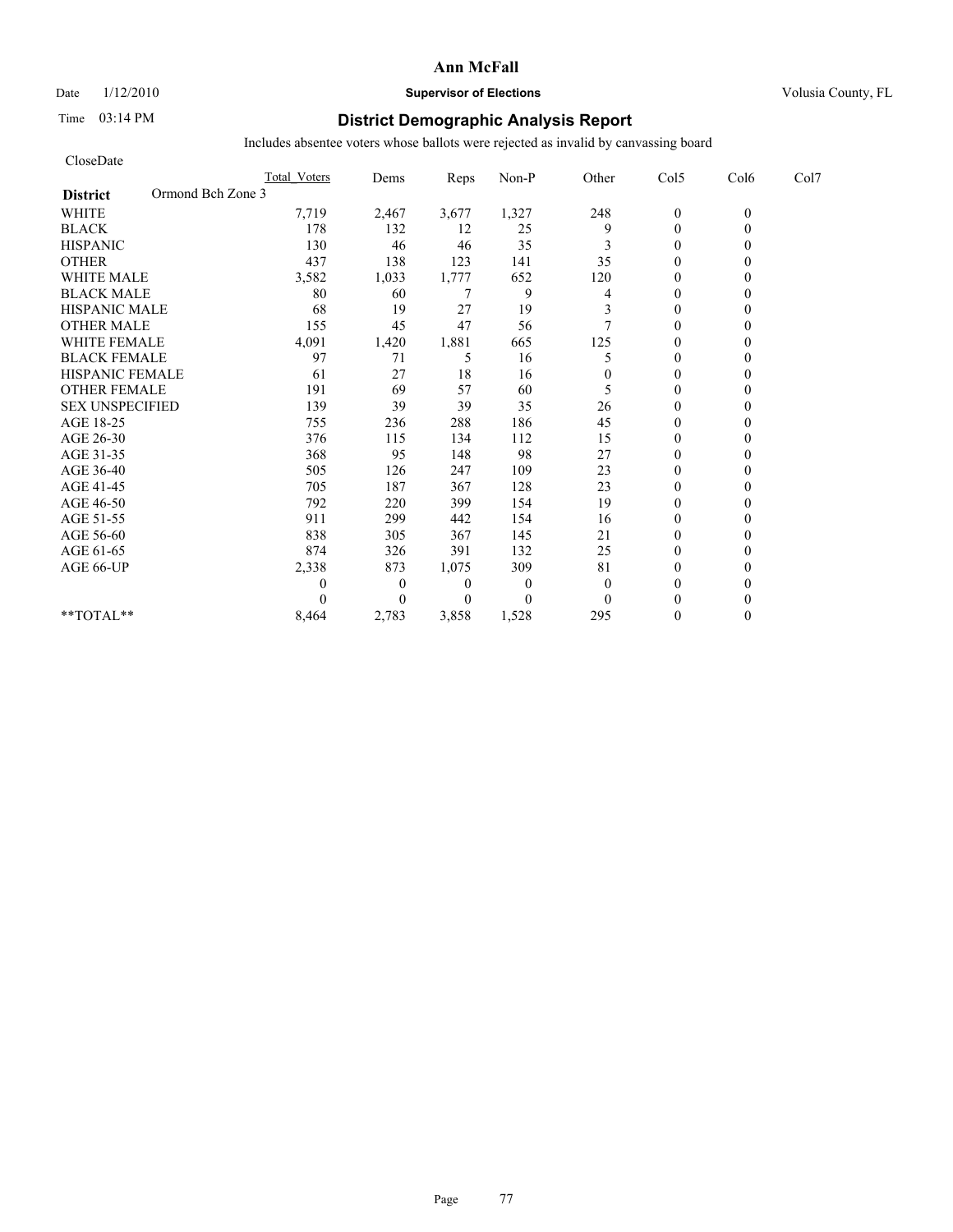Date  $1/12/2010$  **Supervisor of Elections** Volusia County, FL

# Time 03:14 PM **District Demographic Analysis Report**

| CloseDate                            |                     |                |                |              |                |                |          |      |
|--------------------------------------|---------------------|----------------|----------------|--------------|----------------|----------------|----------|------|
|                                      | <b>Total Voters</b> | Dems           | Reps           | Non-P        | Other          | Col5           | Col6     | Col7 |
| Ormond Bch Zone 3<br><b>District</b> |                     |                |                |              |                |                |          |      |
| <b>WHITE</b>                         | 7,719               | 2,467          | 3,677          | 1,327        | 248            | $\mathbf{0}$   | $\theta$ |      |
| <b>BLACK</b>                         | 178                 | 132            | 12             | 25           | 9              | $\mathbf{0}$   | 0        |      |
| <b>HISPANIC</b>                      | 130                 | 46             | 46             | 35           | 3              | $\overline{0}$ |          |      |
| <b>OTHER</b>                         | 437                 | 138            | 123            | 141          | 35             | $\theta$       |          |      |
| <b>WHITE MALE</b>                    | 3,582               | 1,033          | 1,777          | 652          | 120            | $\overline{0}$ |          |      |
| <b>BLACK MALE</b>                    | 80                  | 60             | 7              | 9            | 4              | $\mathbf{0}$   |          |      |
| <b>HISPANIC MALE</b>                 | 68                  | 19             | 27             | 19           | 3              | $\theta$       |          |      |
| <b>OTHER MALE</b>                    | 155                 | 45             | 47             | 56           | $\overline{7}$ | $\theta$       |          |      |
| <b>WHITE FEMALE</b>                  | 4,091               | 1,420          | 1,881          | 665          | 125            | $\theta$       |          |      |
| <b>BLACK FEMALE</b>                  | 97                  | 71             | 5              | 16           | 5              | $\overline{0}$ |          |      |
| <b>HISPANIC FEMALE</b>               | 61                  | 27             | 18             | 16           | $\theta$       | $\theta$       |          |      |
| <b>OTHER FEMALE</b>                  | 191                 | 69             | 57             | 60           | 5              | $\theta$       |          |      |
| <b>SEX UNSPECIFIED</b>               | 139                 | 39             | 39             | 35           | 26             | $\theta$       |          |      |
| AGE 18-25                            | 755                 | 236            | 288            | 186          | 45             | $\theta$       |          |      |
| AGE 26-30                            | 376                 | 115            | 134            | 112          | 15             | $\overline{0}$ |          |      |
| AGE 31-35                            | 368                 | 95             | 148            | 98           | 27             | $\theta$       |          |      |
| AGE 36-40                            | 505                 | 126            | 247            | 109          | 23             | $\overline{0}$ |          |      |
| AGE 41-45                            | 705                 | 187            | 367            | 128          | 23             | $\mathbf{0}$   |          |      |
| AGE 46-50                            | 792                 | 220            | 399            | 154          | 19             | $\theta$       |          |      |
| AGE 51-55                            | 911                 | 299            | 442            | 154          | 16             | $\theta$       |          |      |
| AGE 56-60                            | 838                 | 305            | 367            | 145          | 21             | $\overline{0}$ |          |      |
| AGE 61-65                            | 874                 | 326            | 391            | 132          | 25             | $\Omega$       |          |      |
| AGE 66-UP                            | 2,338               | 873            | 1,075          | 309          | 81             | $\theta$       |          |      |
|                                      | 0                   | $\overline{0}$ | $\overline{0}$ | $\theta$     | $\mathbf{0}$   | $\Omega$       |          |      |
|                                      | $\Omega$            | $\Omega$       | $\Omega$       | $\mathbf{0}$ | $\Omega$       | $\Omega$       |          |      |
| $*$ $TOTAI.**$                       | 8,464               | 2,783          | 3,858          | 1,528        | 295            | $\theta$       | 0        |      |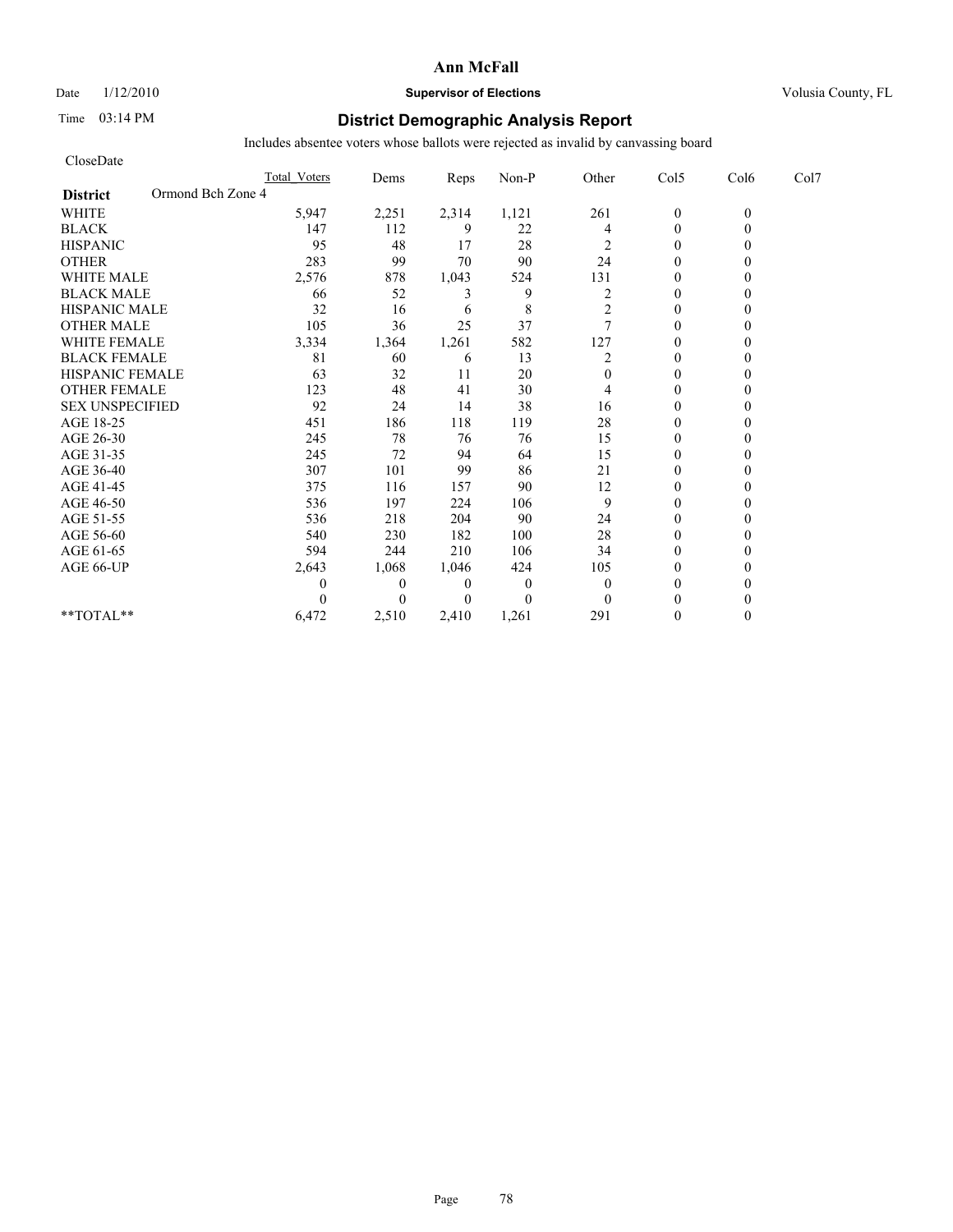Date  $1/12/2010$  **Supervisor of Elections** Volusia County, FL

# Time 03:14 PM **District Demographic Analysis Report**

| CloseDate                            |                     |          |          |                |                |                |          |      |
|--------------------------------------|---------------------|----------|----------|----------------|----------------|----------------|----------|------|
|                                      | <b>Total Voters</b> | Dems     | Reps     | Non-P          | Other          | Col5           | Col6     | Col7 |
| Ormond Bch Zone 4<br><b>District</b> |                     |          |          |                |                |                |          |      |
| <b>WHITE</b>                         | 5,947               | 2,251    | 2,314    | 1,121          | 261            | $\mathbf{0}$   | $\theta$ |      |
| <b>BLACK</b>                         | 147                 | 112      | 9        | 22             | 4              | $\overline{0}$ | 0        |      |
| <b>HISPANIC</b>                      | 95                  | 48       | 17       | 28             | 2              | $\overline{0}$ |          |      |
| <b>OTHER</b>                         | 283                 | 99       | 70       | 90             | 24             | $\theta$       |          |      |
| <b>WHITE MALE</b>                    | 2,576               | 878      | 1,043    | 524            | 131            | $\theta$       |          |      |
| <b>BLACK MALE</b>                    | 66                  | 52       | 3        | 9              | $\overline{c}$ | $\mathbf{0}$   |          |      |
| <b>HISPANIC MALE</b>                 | 32                  | 16       | 6        | 8              | 2              | $\theta$       |          |      |
| <b>OTHER MALE</b>                    | 105                 | 36       | 25       | 37             | $\overline{7}$ | $\theta$       |          |      |
| <b>WHITE FEMALE</b>                  | 3,334               | 1,364    | 1,261    | 582            | 127            | $\theta$       |          |      |
| <b>BLACK FEMALE</b>                  | 81                  | 60       | 6        | 13             | 2              | $\theta$       |          |      |
| HISPANIC FEMALE                      | 63                  | 32       | 11       | 20             | $\Omega$       | $\theta$       |          |      |
| <b>OTHER FEMALE</b>                  | 123                 | 48       | 41       | 30             | 4              | $\mathbf{0}$   |          |      |
| <b>SEX UNSPECIFIED</b>               | 92                  | 24       | 14       | 38             | 16             | $\mathbf{0}$   |          |      |
| AGE 18-25                            | 451                 | 186      | 118      | 119            | 28             | $\mathbf{0}$   |          |      |
| AGE 26-30                            | 245                 | 78       | 76       | 76             | 15             | $\theta$       |          |      |
| AGE 31-35                            | 245                 | 72       | 94       | 64             | 15             | $\theta$       |          |      |
| AGE 36-40                            | 307                 | 101      | 99       | 86             | 21             | $\theta$       |          |      |
| AGE 41-45                            | 375                 | 116      | 157      | 90             | 12             | $\overline{0}$ |          |      |
| AGE 46-50                            | 536                 | 197      | 224      | 106            | 9              | $\mathbf{0}$   |          |      |
| AGE 51-55                            | 536                 | 218      | 204      | 90             | 24             | $\theta$       |          |      |
| AGE 56-60                            | 540                 | 230      | 182      | 100            | 28             | $\theta$       |          |      |
| AGE 61-65                            | 594                 | 244      | 210      | 106            | 34             | $\theta$       |          |      |
| AGE 66-UP                            | 2,643               | 1,068    | 1,046    | 424            | 105            | $\theta$       |          |      |
|                                      | 0                   | $\theta$ | $\theta$ | $\overline{0}$ | $\theta$       | $\mathbf{0}$   |          |      |
|                                      |                     | $\theta$ | $\theta$ | $\Omega$       | $\Omega$       | $\theta$       |          |      |
| $**TOTAL**$                          | 6,472               | 2,510    | 2,410    | 1,261          | 291            | $\theta$       |          |      |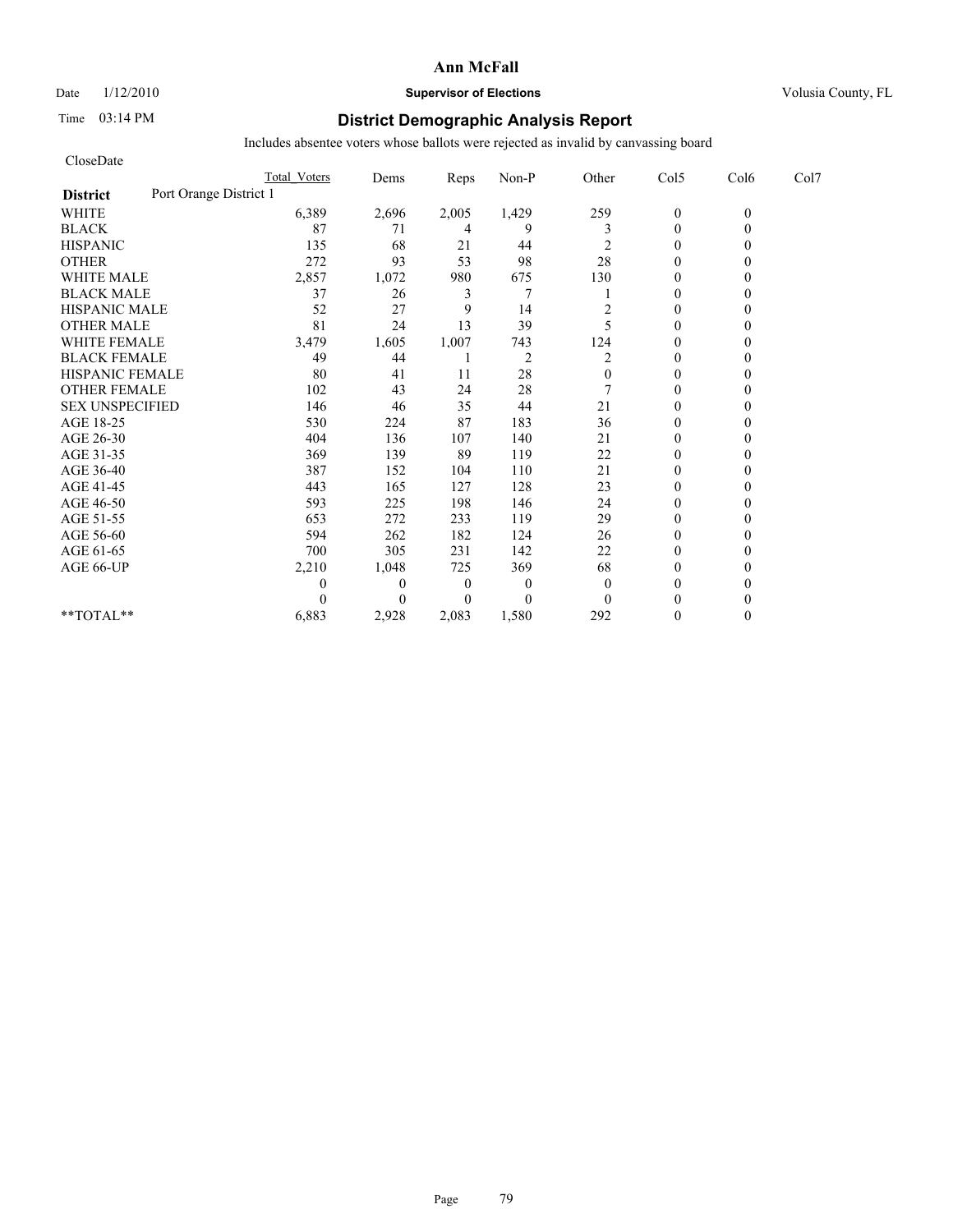### Date  $1/12/2010$  **Supervisor of Elections** Volusia County, FL

# Time 03:14 PM **District Demographic Analysis Report**

| CloseDate                                 |                     |              |                  |                |                |                |          |      |
|-------------------------------------------|---------------------|--------------|------------------|----------------|----------------|----------------|----------|------|
|                                           | <b>Total Voters</b> | Dems         | Reps             | Non-P          | Other          | Col5           | Col6     | Col7 |
| Port Orange District 1<br><b>District</b> |                     |              |                  |                |                |                |          |      |
| <b>WHITE</b>                              | 6,389               | 2,696        | 2,005            | 1,429          | 259            | $\mathbf{0}$   | $\theta$ |      |
| <b>BLACK</b>                              | 87                  | 71           | 4                | 9              | 3              | $\mathbf{0}$   | 0        |      |
| <b>HISPANIC</b>                           | 135                 | 68           | 21               | 44             | 2              | $\theta$       |          |      |
| <b>OTHER</b>                              | 272                 | 93           | 53               | 98             | 28             | $\theta$       |          |      |
| <b>WHITE MALE</b>                         | 2,857               | 1,072        | 980              | 675            | 130            | $\theta$       |          |      |
| <b>BLACK MALE</b>                         | 37                  | 26           | 3                | 7              |                | $\theta$       |          |      |
| <b>HISPANIC MALE</b>                      | 52                  | 27           | 9                | 14             | 2              | $\theta$       |          |      |
| <b>OTHER MALE</b>                         | 81                  | 24           | 13               | 39             | 5              | $\theta$       |          |      |
| <b>WHITE FEMALE</b>                       | 3,479               | 1,605        | 1,007            | 743            | 124            | $\theta$       |          |      |
| <b>BLACK FEMALE</b>                       | 49                  | 44           |                  | $\overline{c}$ | 2              | $\overline{0}$ |          |      |
| HISPANIC FEMALE                           | 80                  | 41           | 11               | 28             | $\overline{0}$ | $\theta$       |          |      |
| <b>OTHER FEMALE</b>                       | 102                 | 43           | 24               | 28             |                | $\theta$       |          |      |
| <b>SEX UNSPECIFIED</b>                    | 146                 | 46           | 35               | 44             | 21             | $\theta$       |          |      |
| AGE 18-25                                 | 530                 | 224          | 87               | 183            | 36             | $\mathbf{0}$   |          |      |
| AGE 26-30                                 | 404                 | 136          | 107              | 140            | 21             | $\overline{0}$ |          |      |
| AGE 31-35                                 | 369                 | 139          | 89               | 119            | 22             | $\theta$       |          |      |
| AGE 36-40                                 | 387                 | 152          | 104              | 110            | 21             | $\mathbf{0}$   |          |      |
| AGE 41-45                                 | 443                 | 165          | 127              | 128            | 23             | $\mathbf{0}$   |          |      |
| AGE 46-50                                 | 593                 | 225          | 198              | 146            | 24             | $\theta$       |          |      |
| AGE 51-55                                 | 653                 | 272          | 233              | 119            | 29             | $\theta$       |          |      |
| AGE 56-60                                 | 594                 | 262          | 182              | 124            | 26             | $\overline{0}$ |          |      |
| AGE 61-65                                 | 700                 | 305          | 231              | 142            | 22             | $\theta$       |          |      |
| AGE 66-UP                                 | 2,210               | 1,048        | 725              | 369            | 68             | $\theta$       |          |      |
|                                           | 0                   | $\mathbf{0}$ | $\boldsymbol{0}$ | $\theta$       | $\mathbf{0}$   | $\theta$       |          |      |
|                                           | $\Omega$            | $\Omega$     | $\Omega$         | $\theta$       | $\Omega$       | $\theta$       |          |      |
| **TOTAL**                                 | 6,883               | 2,928        | 2,083            | 1,580          | 292            | $\theta$       | 0        |      |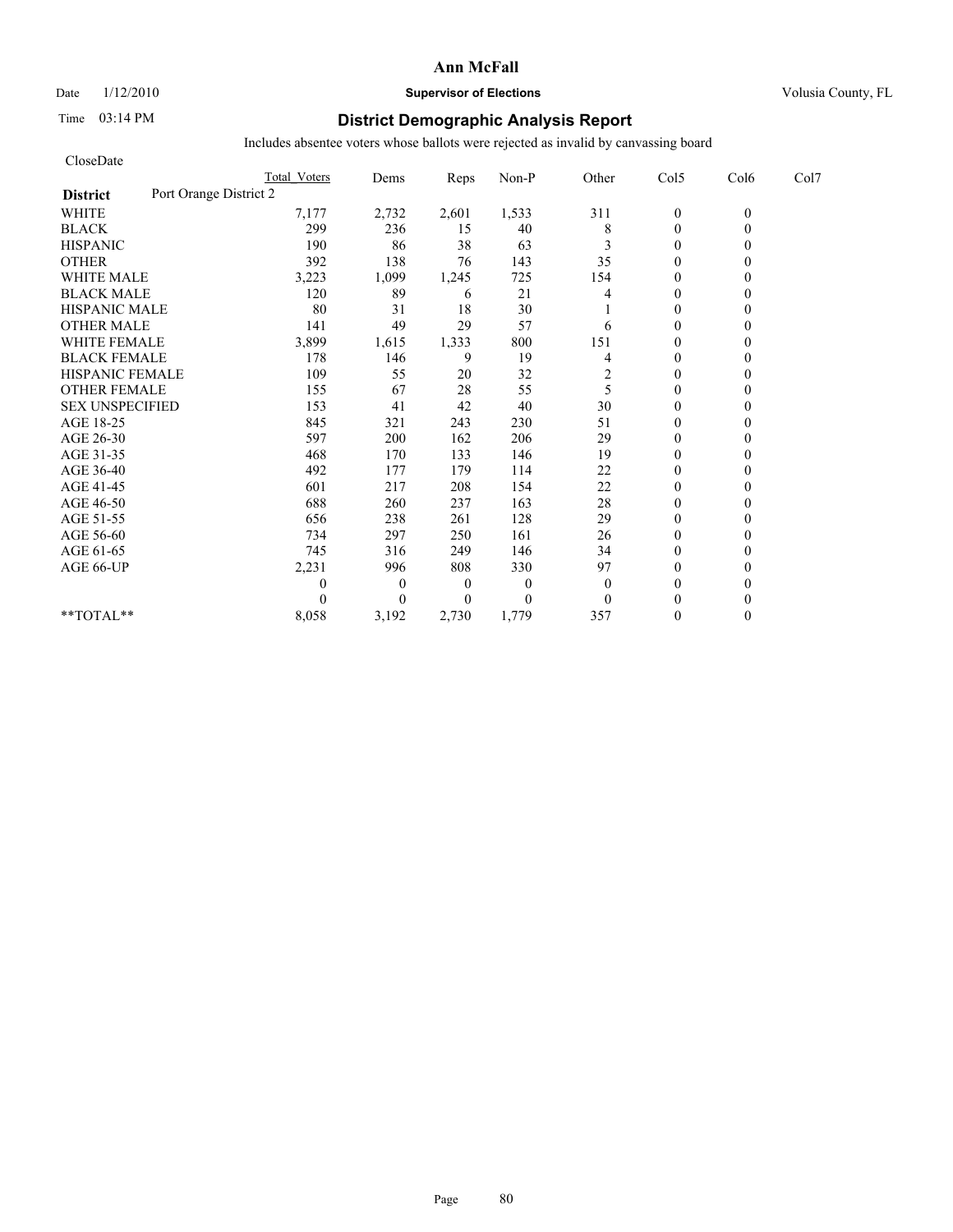# Date  $1/12/2010$  **Supervisor of Elections** Volusia County, FL

# Time 03:14 PM **District Demographic Analysis Report**

| CloseDate                                 |                     |              |                  |          |              |                |          |      |
|-------------------------------------------|---------------------|--------------|------------------|----------|--------------|----------------|----------|------|
|                                           | <b>Total Voters</b> | Dems         | Reps             | Non-P    | Other        | Col5           | Col6     | Col7 |
| Port Orange District 2<br><b>District</b> |                     |              |                  |          |              |                |          |      |
| <b>WHITE</b>                              | 7,177               | 2,732        | 2,601            | 1,533    | 311          | $\mathbf{0}$   | $\theta$ |      |
| <b>BLACK</b>                              | 299                 | 236          | 15               | 40       | 8            | $\mathbf{0}$   | 0        |      |
| <b>HISPANIC</b>                           | 190                 | 86           | 38               | 63       | 3            | $\theta$       |          |      |
| <b>OTHER</b>                              | 392                 | 138          | 76               | 143      | 35           | $\theta$       |          |      |
| <b>WHITE MALE</b>                         | 3,223               | 1,099        | 1,245            | 725      | 154          | $\theta$       |          |      |
| <b>BLACK MALE</b>                         | 120                 | 89           | 6                | 21       | 4            | $\mathbf{0}$   |          |      |
| <b>HISPANIC MALE</b>                      | 80                  | 31           | 18               | 30       |              | $\theta$       |          |      |
| <b>OTHER MALE</b>                         | 141                 | 49           | 29               | 57       | 6            | $\theta$       |          |      |
| <b>WHITE FEMALE</b>                       | 3,899               | 1,615        | 1,333            | 800      | 151          | $\theta$       |          |      |
| <b>BLACK FEMALE</b>                       | 178                 | 146          | 9                | 19       | 4            | $\overline{0}$ |          |      |
| HISPANIC FEMALE                           | 109                 | 55           | 20               | 32       | 2            | $\theta$       |          |      |
| <b>OTHER FEMALE</b>                       | 155                 | 67           | 28               | 55       | 5            | $\theta$       |          |      |
| <b>SEX UNSPECIFIED</b>                    | 153                 | 41           | 42               | 40       | 30           | $\theta$       |          |      |
| AGE 18-25                                 | 845                 | 321          | 243              | 230      | 51           | $\mathbf{0}$   |          |      |
| AGE 26-30                                 | 597                 | 200          | 162              | 206      | 29           | $\mathbf{0}$   |          |      |
| AGE 31-35                                 | 468                 | 170          | 133              | 146      | 19           | $\mathbf{0}$   |          |      |
| AGE 36-40                                 | 492                 | 177          | 179              | 114      | 22           | $\theta$       |          |      |
| AGE 41-45                                 | 601                 | 217          | 208              | 154      | 22           | $\mathbf{0}$   |          |      |
| AGE 46-50                                 | 688                 | 260          | 237              | 163      | $28\,$       | $\theta$       |          |      |
| AGE 51-55                                 | 656                 | 238          | 261              | 128      | 29           | $\mathbf{0}$   |          |      |
| AGE 56-60                                 | 734                 | 297          | 250              | 161      | 26           | $\overline{0}$ |          |      |
| AGE 61-65                                 | 745                 | 316          | 249              | 146      | 34           | $\theta$       |          |      |
| AGE 66-UP                                 | 2,231               | 996          | 808              | 330      | 97           | $\theta$       |          |      |
|                                           | 0                   | $\mathbf{0}$ | $\boldsymbol{0}$ | $\theta$ | $\theta$     | $\mathbf{0}$   |          |      |
|                                           | 0                   | $\theta$     | $\Omega$         | $\theta$ | $\mathbf{0}$ | $\theta$       |          |      |
| **TOTAL**                                 | 8,058               | 3,192        | 2,730            | 1,779    | 357          | $\theta$       | 0        |      |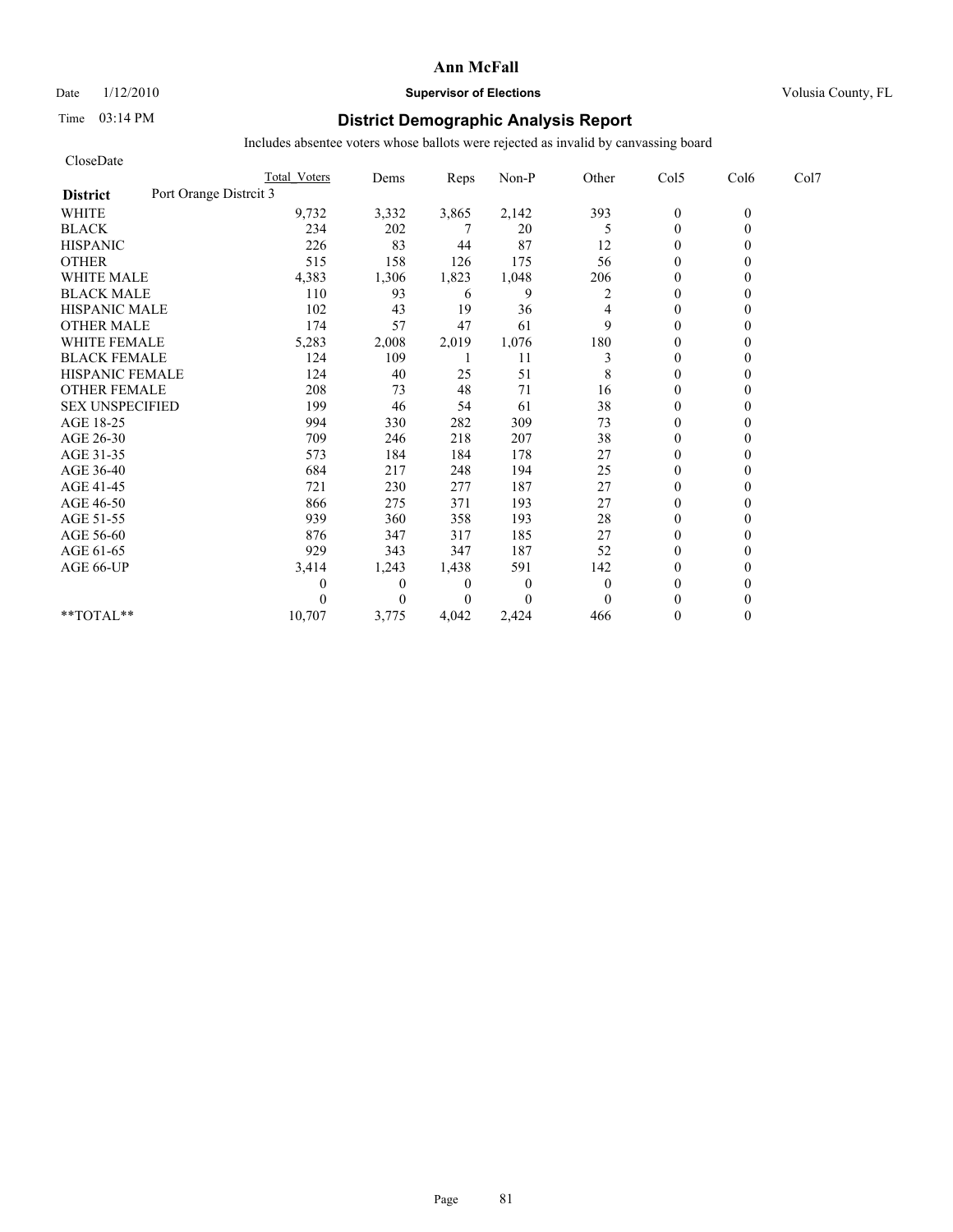### Date  $1/12/2010$  **Supervisor of Elections** Volusia County, FL

# Time 03:14 PM **District Demographic Analysis Report**

| CloseDate              |                        |                     |          |                |          |              |                |          |      |
|------------------------|------------------------|---------------------|----------|----------------|----------|--------------|----------------|----------|------|
|                        |                        | <b>Total Voters</b> | Dems     | Reps           | Non-P    | Other        | Col5           | Col6     | Col7 |
| <b>District</b>        | Port Orange Distrcit 3 |                     |          |                |          |              |                |          |      |
| <b>WHITE</b>           |                        | 9,732               | 3,332    | 3,865          | 2,142    | 393          | $\mathbf{0}$   | $\theta$ |      |
| <b>BLACK</b>           |                        | 234                 | 202      |                | 20       | 5            | $\overline{0}$ | 0        |      |
| <b>HISPANIC</b>        |                        | 226                 | 83       | 44             | 87       | 12           | $\mathbf{0}$   |          |      |
| <b>OTHER</b>           |                        | 515                 | 158      | 126            | 175      | 56           | $\theta$       |          |      |
| <b>WHITE MALE</b>      |                        | 4,383               | 1,306    | 1,823          | 1,048    | 206          | $\theta$       |          |      |
| <b>BLACK MALE</b>      |                        | 110                 | 93       | 6              | 9        | 2            | $\theta$       |          |      |
| <b>HISPANIC MALE</b>   |                        | 102                 | 43       | 19             | 36       | 4            | $\theta$       |          |      |
| <b>OTHER MALE</b>      |                        | 174                 | 57       | 47             | 61       | 9            | $\mathbf{0}$   |          |      |
| <b>WHITE FEMALE</b>    |                        | 5,283               | 2,008    | 2,019          | 1,076    | 180          | $\theta$       |          |      |
| <b>BLACK FEMALE</b>    |                        | 124                 | 109      |                | 11       | 3            | $\theta$       |          |      |
| HISPANIC FEMALE        |                        | 124                 | 40       | 25             | 51       | 8            | $\theta$       |          |      |
| <b>OTHER FEMALE</b>    |                        | 208                 | 73       | 48             | 71       | 16           | $\mathbf{0}$   |          |      |
| <b>SEX UNSPECIFIED</b> |                        | 199                 | 46       | 54             | 61       | 38           | $\mathbf{0}$   |          |      |
| AGE 18-25              |                        | 994                 | 330      | 282            | 309      | 73           | $\mathbf{0}$   |          |      |
| AGE 26-30              |                        | 709                 | 246      | 218            | 207      | 38           | $\theta$       |          |      |
| AGE 31-35              |                        | 573                 | 184      | 184            | 178      | 27           | $\theta$       |          |      |
| AGE 36-40              |                        | 684                 | 217      | 248            | 194      | 25           | $\theta$       |          |      |
| AGE 41-45              |                        | 721                 | 230      | 277            | 187      | 27           | $\overline{0}$ |          |      |
| AGE 46-50              |                        | 866                 | 275      | 371            | 193      | 27           | $\mathbf{0}$   |          |      |
| AGE 51-55              |                        | 939                 | 360      | 358            | 193      | 28           | $\theta$       |          |      |
| AGE 56-60              |                        | 876                 | 347      | 317            | 185      | 27           | $\theta$       |          |      |
| AGE 61-65              |                        | 929                 | 343      | 347            | 187      | 52           | $\theta$       |          |      |
| AGE 66-UP              |                        | 3,414               | 1,243    | 1,438          | 591      | 142          | $\theta$       |          |      |
|                        |                        |                     | $\theta$ | $\overline{0}$ | $\theta$ | $\mathbf{0}$ | $\mathbf{0}$   |          |      |
|                        |                        |                     | $\theta$ | $\overline{0}$ | $\Omega$ | $\theta$     | $\theta$       |          |      |
| **TOTAL**              |                        | 10,707              | 3,775    | 4,042          | 2,424    | 466          | $\theta$       | 0        |      |